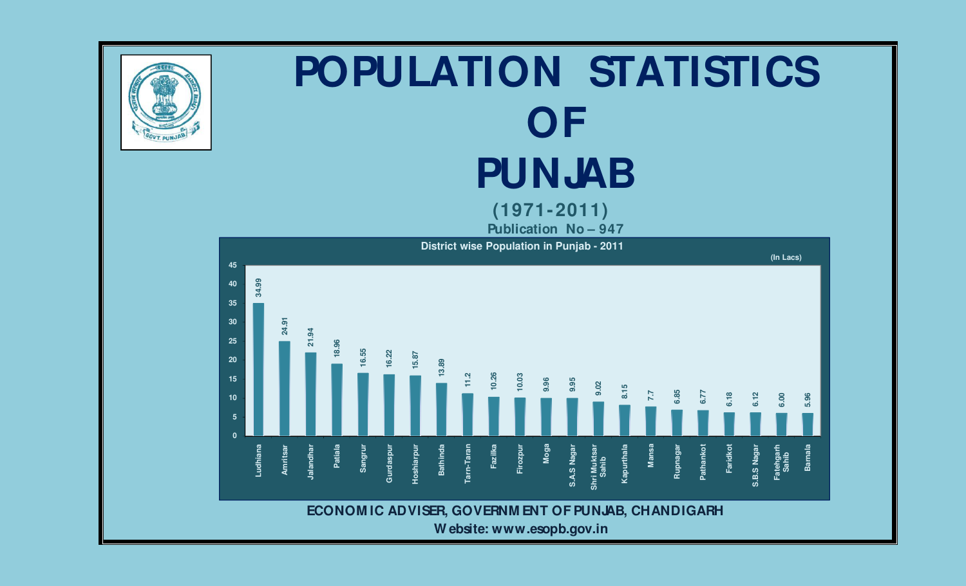

# **POPULATION STATISTICS OF PUNJAB**

 **(1971-2011)** 

 **Publication No – 947** 



 **W ebsite: www.esopb.gov.in**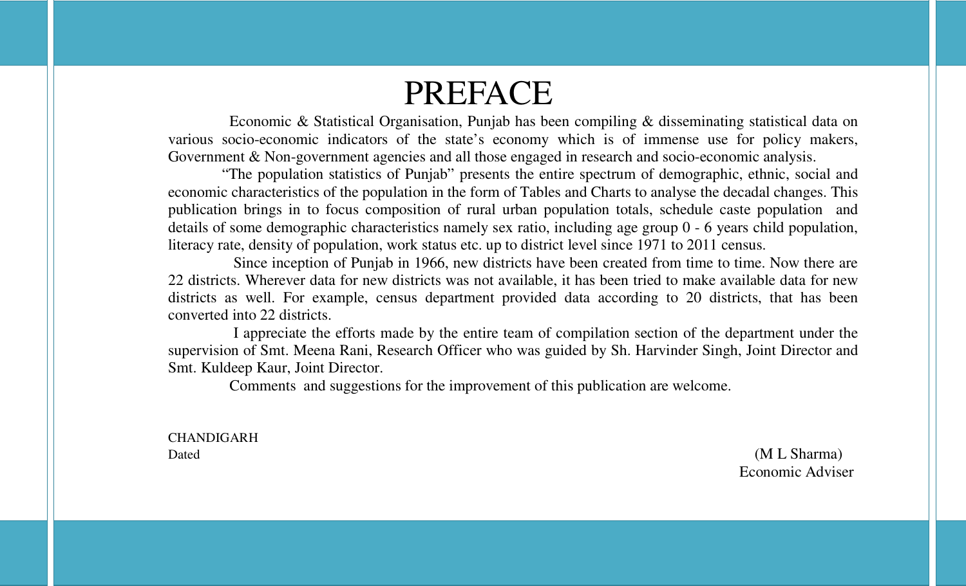# PREFACE

 Economic & Statistical Organisation, Punjab has been compiling & disseminating statistical data on various socio-economic indicators of the state's economy which is of immense use for policy makers, Government & Non-government agencies and all those engaged in research and socio-economic analysis.

 "The population statistics of Punjab" presents the entire spectrum of demographic, ethnic, social and economic characteristics of the population in the form of Tables and Charts to analyse the decadal changes. This publication brings in to focus composition of rural urban population totals, schedule caste population and details of some demographic characteristics namely sex ratio, including age group 0 - 6 years child population, literacy rate, density of population, work status etc. up to district level since 1971 to 2011 census.

 Since inception of Punjab in 1966, new districts have been created from time to time. Now there are 22 districts. Wherever data for new districts was not available, it has been tried to make available data for new districts as well. For example, census department provided data according to 20 districts, that has been converted into 22 districts.

 I appreciate the efforts made by the entire team of compilation section of the department under the supervision of Smt. Meena Rani, Research Officer who was guided by Sh. Harvinder Singh, Joint Director and Smt. Kuldeep Kaur, Joint Director.

Comments and suggestions for the improvement of this publication are welcome.

CHANDIGARH

Dated (M L Sharma) Economic Adviser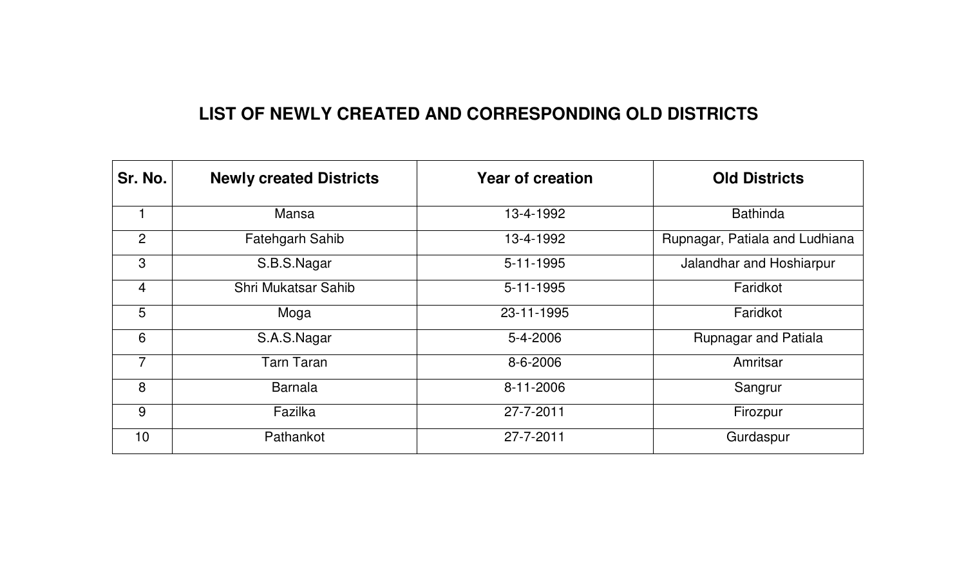# **LIST OF NEWLY CREATED AND CORRESPONDING OLD DISTRICTS**

| Sr. No. | <b>Newly created Districts</b> | <b>Year of creation</b> | <b>Old Districts</b>           |
|---------|--------------------------------|-------------------------|--------------------------------|
|         | <b>Mansa</b>                   | 13-4-1992               | <b>Bathinda</b>                |
| 2       | <b>Fatehgarh Sahib</b>         | 13-4-1992               | Rupnagar, Patiala and Ludhiana |
| 3       | S.B.S.Nagar                    | 5-11-1995               | Jalandhar and Hoshiarpur       |
| 4       | <b>Shri Mukatsar Sahib</b>     | $5 - 11 - 1995$         | Faridkot                       |
| 5       | Moga                           | 23-11-1995              | Faridkot                       |
| 6       | S.A.S.Nagar                    | 5-4-2006                | <b>Rupnagar and Patiala</b>    |
| 7       | <b>Tarn Taran</b>              | 8-6-2006                | Amritsar                       |
| 8       | <b>Barnala</b>                 | 8-11-2006               | Sangrur                        |
| 9       | Fazilka                        | 27-7-2011               | Firozpur                       |
| 10      | Pathankot                      | 27-7-2011               | Gurdaspur                      |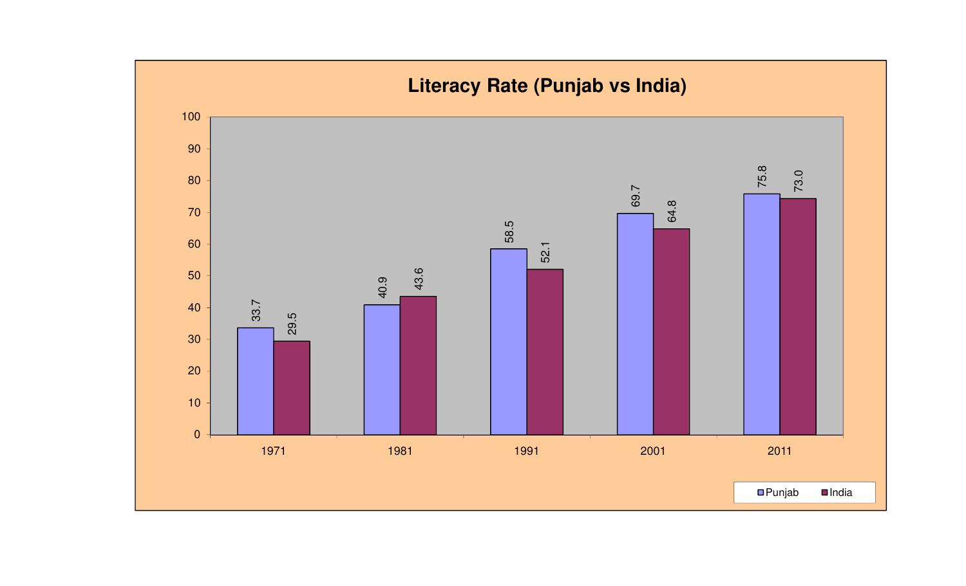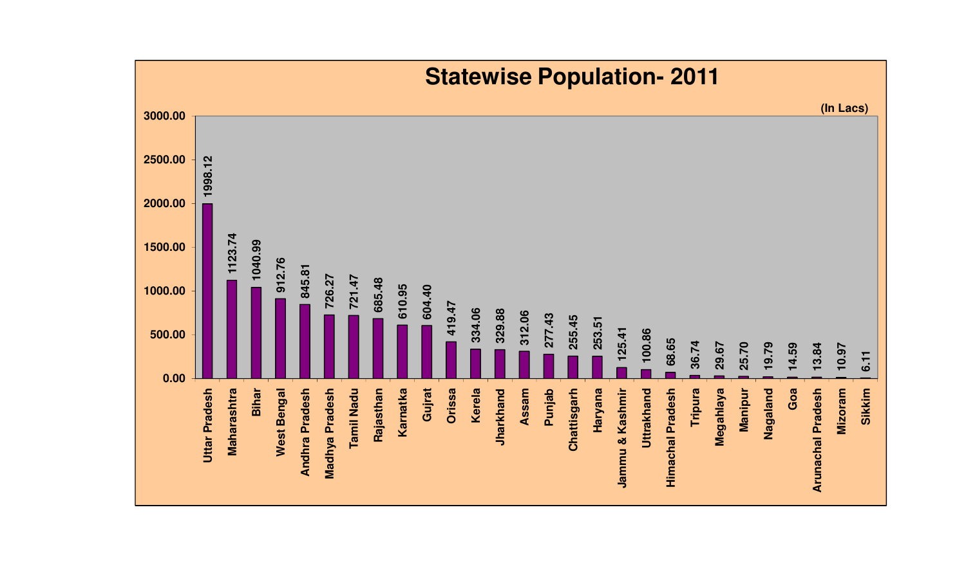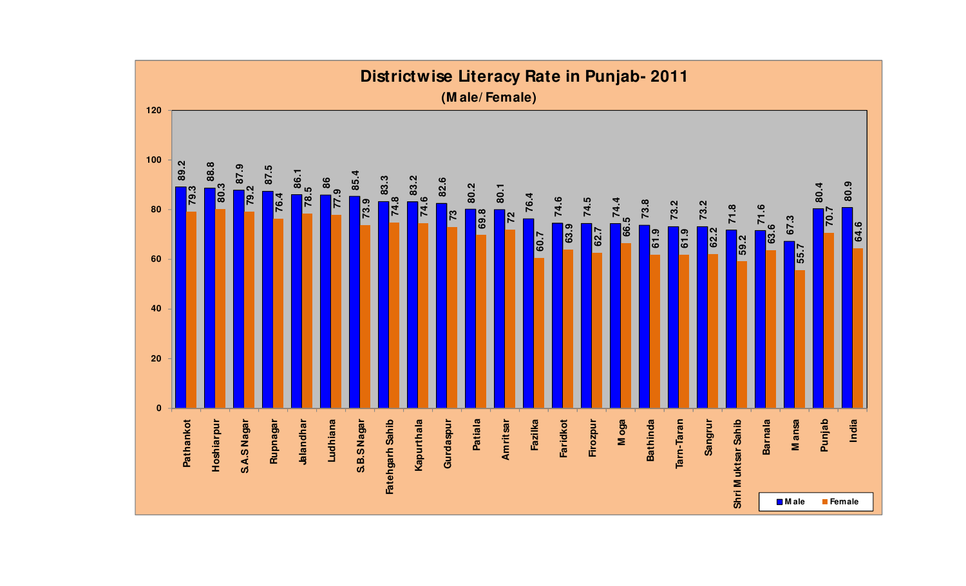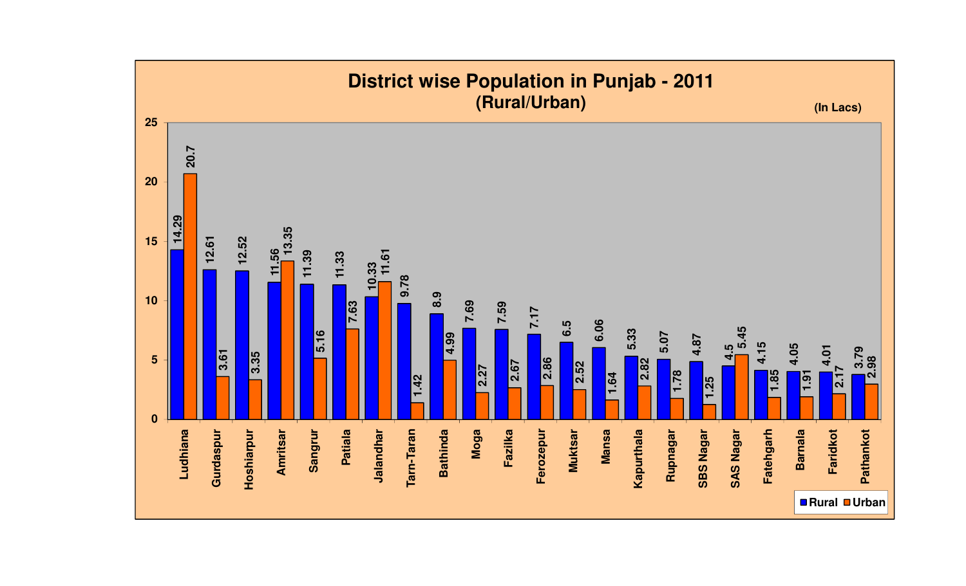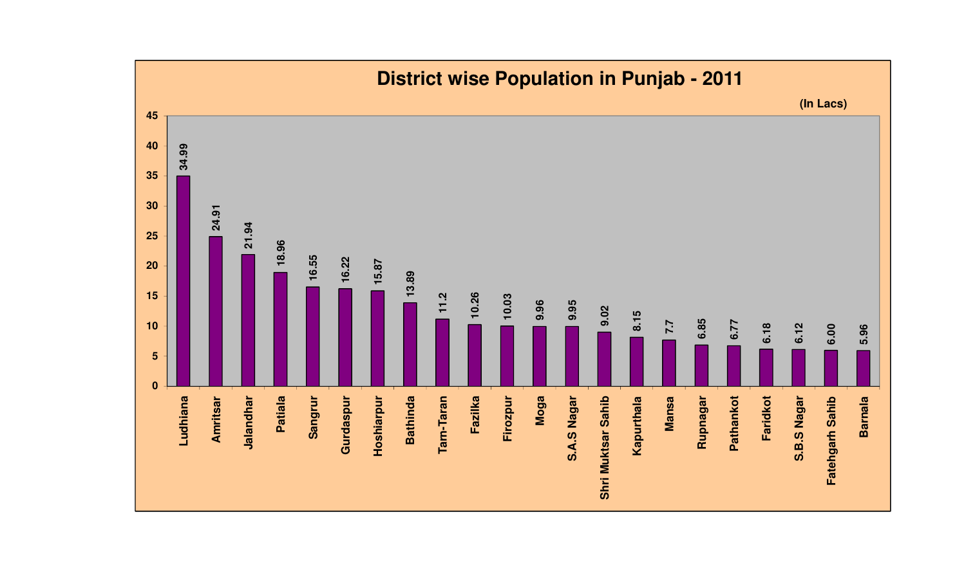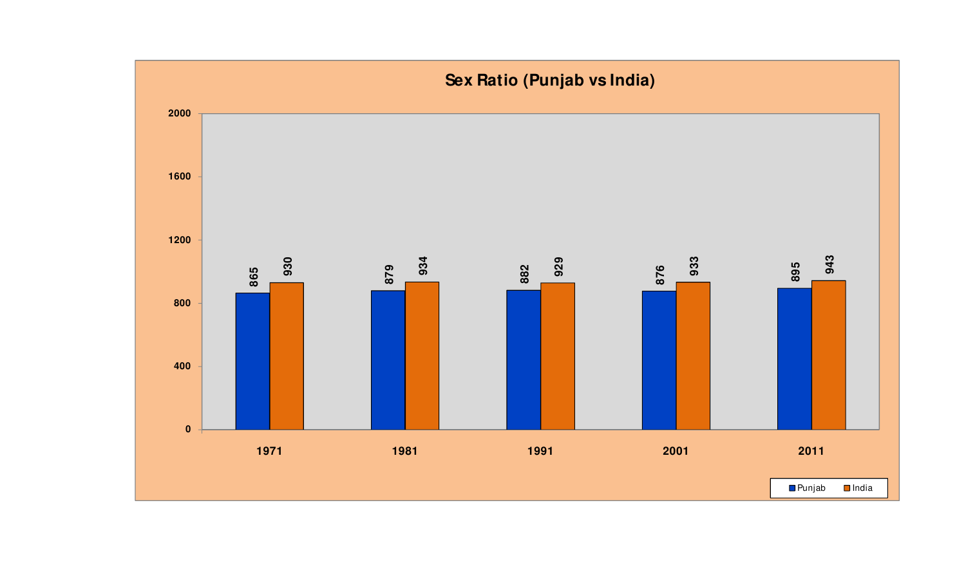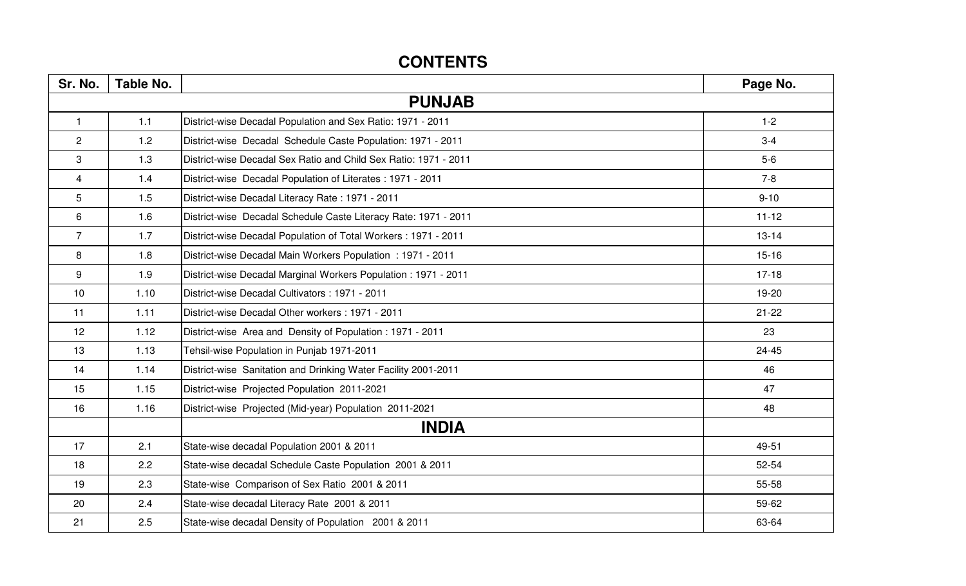# **CONTENTS**

| Sr. No.        | Table No. |                                                                  | Page No.  |
|----------------|-----------|------------------------------------------------------------------|-----------|
|                |           | <b>PUNJAB</b>                                                    |           |
| $\mathbf{1}$   | 1.1       | District-wise Decadal Population and Sex Ratio: 1971 - 2011      | $1 - 2$   |
| $\overline{2}$ | 1.2       | District-wise Decadal Schedule Caste Population: 1971 - 2011     | $3-4$     |
| 3              | 1.3       | District-wise Decadal Sex Ratio and Child Sex Ratio: 1971 - 2011 | $5-6$     |
| $\overline{4}$ | 1.4       | District-wise Decadal Population of Literates: 1971 - 2011       | $7 - 8$   |
| 5              | 1.5       | District-wise Decadal Literacy Rate: 1971 - 2011                 | $9 - 10$  |
| $\,6\,$        | 1.6       | District-wise Decadal Schedule Caste Literacy Rate: 1971 - 2011  | $11 - 12$ |
| $\overline{7}$ | 1.7       | District-wise Decadal Population of Total Workers: 1971 - 2011   | $13 - 14$ |
| 8              | 1.8       | District-wise Decadal Main Workers Population: 1971 - 2011       | $15 - 16$ |
| 9              | 1.9       | District-wise Decadal Marginal Workers Population: 1971 - 2011   | $17-18$   |
| 10             | 1.10      | District-wise Decadal Cultivators : 1971 - 2011                  | 19-20     |
| 11             | 1.11      | District-wise Decadal Other workers: 1971 - 2011                 | $21 - 22$ |
| 12             | 1.12      | District-wise Area and Density of Population: 1971 - 2011        | 23        |
| 13             | 1.13      | Tehsil-wise Population in Punjab 1971-2011                       | $24 - 45$ |
| 14             | 1.14      | District-wise Sanitation and Drinking Water Facility 2001-2011   | 46        |
| 15             | 1.15      | District-wise Projected Population 2011-2021                     | 47        |
| 16             | 1.16      | District-wise Projected (Mid-year) Population 2011-2021          | 48        |
|                |           | <b>INDIA</b>                                                     |           |
| 17             | 2.1       | State-wise decadal Population 2001 & 2011                        | 49-51     |
| 18             | 2.2       | State-wise decadal Schedule Caste Population 2001 & 2011         | 52-54     |
| 19             | 2.3       | State-wise Comparison of Sex Ratio 2001 & 2011                   | 55-58     |
| 20             | 2.4       | State-wise decadal Literacy Rate 2001 & 2011                     | 59-62     |
| 21             | 2.5       | State-wise decadal Density of Population 2001 & 2011             | 63-64     |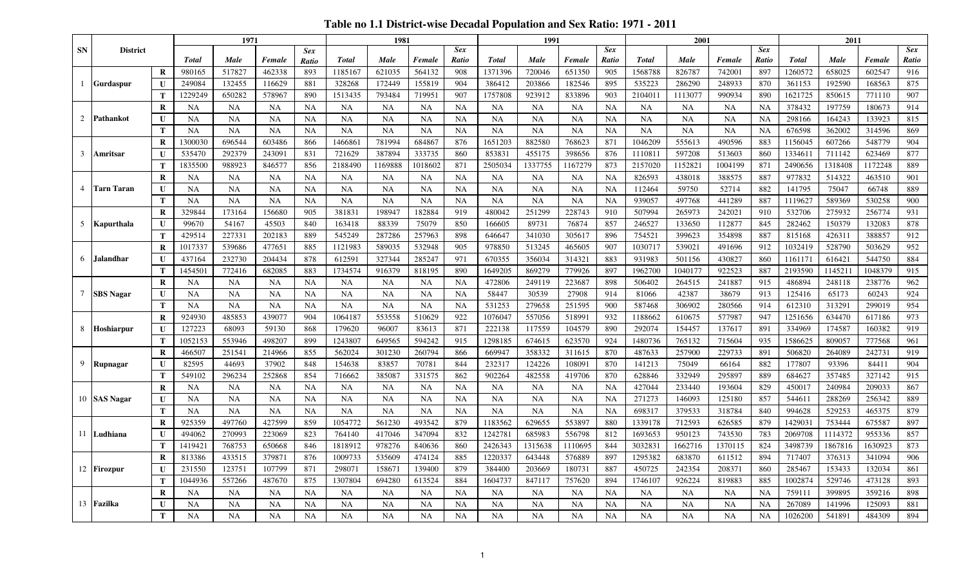**Table no 1.1 District-wise Decadal Population and Sex Ratio: 1971 - 2011**

|                 |                   |               |                     | 1971                   |                        |                        |                        | 1981                   |                        |                 |                        | 1991                   |                     |                 |                    | 2001              |                   |            |                   | 2011              |                   |            |
|-----------------|-------------------|---------------|---------------------|------------------------|------------------------|------------------------|------------------------|------------------------|------------------------|-----------------|------------------------|------------------------|---------------------|-----------------|--------------------|-------------------|-------------------|------------|-------------------|-------------------|-------------------|------------|
| SN              | <b>District</b>   |               |                     |                        |                        | <b>Sex</b>             |                        |                        |                        | <b>Sex</b>      |                        |                        |                     | <b>Sex</b>      |                    |                   |                   | <b>Sex</b> |                   |                   |                   | <b>Sex</b> |
|                 |                   |               | <b>Total</b>        | Male                   | Female                 | <b>Ratio</b>           | <b>Total</b>           | Male                   | Female                 | Ratio           | Total                  | <b>Male</b>            | Female              | Ratio           | <b>Total</b>       | Male              | Female            | Ratio      | Total             | Male              | Female            | Ratio      |
|                 |                   | R             | 980165              | 517827                 | 462338                 | 893                    | 1185167                | 621035                 | 564132                 | 908             | 1371396                | 720046                 | 651350              | 905             | 1568788            | 826787            | 742001            | 897        | 1260572           | 658025            | 602547            | 916        |
|                 | <b>Gurdaspur</b>  | $\mathbf{U}$  | 249084              | 132455                 | 116629                 | 881                    | 328268                 | 172449                 | 155819                 | 904             | 386412                 | 203866                 | 182546              | 895             | 535223             | 286290            | 248933            | 870        | 361153            | 192590            | 168563            | 875        |
|                 |                   | Т             | 1229249             | 650282                 | 578967                 | 890                    | 1513435                | 793484                 | 719951                 | 907             | 1757808                | 923912                 | 833896              | 903             | 2104011            | 1113077           | 990934            | 890        | 1621725           | 850615            | 771110            | 907        |
|                 |                   | $\bf R$       | NA                  | <b>NA</b>              | NA                     | NA                     | NA                     | <b>NA</b>              | <b>NA</b>              | <b>NA</b>       | NA                     | NA                     | NA                  | NA              | NA                 | NA                | NA                | <b>NA</b>  | 378432            | 197759            | 180673            | 914        |
| $\overline{2}$  | Pathankot         | U             | <b>NA</b>           | <b>NA</b>              | <b>NA</b>              | NA                     | <b>NA</b>              | <b>NA</b>              | <b>NA</b>              | <b>NA</b>       | <b>NA</b>              | <b>NA</b>              | <b>NA</b>           | NA              | <b>NA</b>          | <b>NA</b>         | <b>NA</b>         | <b>NA</b>  | 298166            | 164243            | 133923            | 815        |
|                 |                   | T             | <b>NA</b>           | <b>NA</b>              | <b>NA</b>              | <b>NA</b>              | <b>NA</b>              | <b>NA</b>              | <b>NA</b>              | <b>NA</b>       | <b>NA</b>              | <b>NA</b>              | <b>NA</b>           | <b>NA</b>       | <b>NA</b>          | <b>NA</b>         | <b>NA</b>         | <b>NA</b>  | 676598            | 362002            | 314596            | 869        |
|                 |                   | $\bf{R}$      | 1300030             | 696544                 | 603486                 | 866                    | 146686                 | 781994                 | 684867                 | 876             | 1651203                | 882580                 | 768623              | 871             | 1046209            | 555613            | 490596            | 883        | 1156045           | 607266            | 548779            | 904        |
| 3               | Amritsar          | U             | 535470              | 292379                 | 243091                 | 831                    | 721629                 | 387894                 | 333735                 | 860             | 853831                 | 455175                 | 398656              | 876             | 1110811            | 597208            | 513603            | 860        | 1334611           | 711142            | 623469            | 877        |
|                 |                   | T             | 1835500             | 988923                 | 846577                 | 856                    | 2188490                | 1169888                | 1018602                | 871             | 2505034                | 1337755                | 1167279             | 873             | 2157020            | 1152821           | 1004199           | 871        | 2490656           | 1318408           | 1172248           | 889        |
|                 |                   | R             | <b>NA</b>           | <b>NA</b>              | NA                     | <b>NA</b>              | <b>NA</b>              | NA                     | <b>NA</b>              | <b>NA</b>       | NA                     | NA                     | NA                  | NA              | 826593             | 438018            | 388575            | 887        | 977832            | 514322            | 463510            | 901        |
| 4               | <b>Tarn Taran</b> | U             | <b>NA</b>           | <b>NA</b>              | NA                     | <b>NA</b>              | <b>NA</b>              | <b>NA</b>              | <b>NA</b>              | <b>NA</b>       | <b>NA</b>              | NA                     | <b>NA</b>           | NA              | 112464             | 59750             | 52714             | 882        | 141795            | 75047             | 66748             | 889        |
|                 |                   | T             | <b>NA</b>           | <b>NA</b>              | <b>NA</b>              | <b>NA</b>              | <b>NA</b>              | <b>NA</b>              | <b>NA</b>              | <b>NA</b>       | <b>NA</b>              | <b>NA</b>              | <b>NA</b>           | <b>NA</b>       | 939057             | 497768            | 441289            | 887        | 1119627           | 589369            | 530258            | 900        |
|                 |                   | $\bf R$       | 329844              | 173164                 | 156680                 | 905                    | 381831                 | 198947                 | 182884                 | 919             | 480042                 | 251299                 | 228743              | 910             | 507994             | 265973            | 242021            | 910        | 532706            | 275932            | 256774            | 931        |
|                 | 5 Kapurthala      | U             | 99670               | 54167                  | 45503                  | 840                    | 163418                 | 88339                  | 75079                  | 850             | 166605                 | 89731                  | 76874               | 857             | 246527             | 133650            | 112877            | 845        | 282462            | 150379            | 132083            | 878        |
|                 |                   | T             | 429514              | 227331                 | 202183                 | 889                    | 545249                 | 287286                 | 257963                 | 898             | 646647                 | 341030                 | 305617              | 896             | 754521             | 399623            | 354898            | 887        | 815168            | 426311            | 388857            | 912        |
|                 |                   | $\bf{R}$      | 1017337             | 539686                 | 477651                 | 885                    | 1121983                | 589035                 | 532948                 | 905             | 978850                 | 513245                 | 465605              | 907             | 1030717            | 539021            | 491696            | 912        | 1032419           | 528790            | 503629            | 952        |
| 6               | <b>Jalandhar</b>  | $\mathbf{U}$  | 437164              | 232730                 | 204434                 | 878                    | 612591                 | 327344                 | 285247                 | 971             | 670355                 | 356034                 | 314321              | 883             | 931983             | 501156            | 430827            | 860        | 1161171           | 616421            | 544750            | 884        |
|                 |                   | T             | 1454501             | 772416                 | 682085                 | 883                    | 1734574                | 916379                 | 818195                 | 890             | 1649205                | 869279                 | 779926              | 897             | 1962700            | 1040177           | 922523            | 887        | 2193590           | 1145211           | 1048379           | 915        |
|                 |                   | R             | <b>NA</b>           | <b>NA</b>              | <b>NA</b>              | <b>NA</b>              | <b>NA</b>              | NA                     | <b>NA</b>              | <b>NA</b>       | 472806                 | 249119                 | 223687              | 898             | 506402             | 264515            | 241887            | 915        | 486894            | 248118            | 238776            | 962        |
| $7\overline{ }$ | <b>SBS</b> Nagar  | U             | <b>NA</b>           | <b>NA</b>              | <b>NA</b>              | <b>NA</b>              | <b>NA</b>              | <b>NA</b>              | <b>NA</b>              | <b>NA</b>       | 58447                  | 30539                  | 27908               | 914             | 81066              | 42387             | 38679             | 913        | 125416            | 65173             | 60243             | 924        |
|                 |                   | T             | NA                  | <b>NA</b>              | NA                     | <b>NA</b>              | <b>NA</b>              | <b>NA</b>              | <b>NA</b>              | <b>NA</b>       | 531253                 | 279658                 | 251595              | 900             | 587468             | 306902            | 280566            | 914        | 612310            | 313291            | 299019            | 954        |
|                 |                   | $\bf R$       | 924930              | 485853                 | 439077                 | 904                    | 106418                 | 553558                 | 510629                 | 922             | 107604                 | 557056                 | 518991              | 932             | 1188662            | 610675            | 577987            | 947        | 1251656           | 634470            | 617186            | 973        |
|                 | 8 Hoshiarpur      | U             | 127223              | 68093                  | 59130                  | 868                    | 179620                 | 96007                  | 83613                  | 871             | 222138                 | 117559                 | 104579              | 890             | 292074             | 154457            | 137617            | 891        | 334969            | 174587            | 160382            | 919        |
|                 |                   | Т             | 1052153             | 553946                 | 498207                 | 899                    | 124380                 | 649565                 | 594242                 | 915             | 1298185                | 674615                 | 623570              | 924             | 1480736            | 765132            | 715604            | 935        | 1586625           | 809057            | 777568            | 961        |
|                 |                   | R             | 466507              | 251541                 | 214966                 | 855                    | 562024                 | 301230                 | 260794                 | 866             | 669947                 | 358332                 | 311615              | 870             | 487633             | 257900            | 229733            | 891        | 506820            | 264089            | 242731            | 919        |
| 9               | Rupnagar          | U             | 82595               | 44693                  | 37902                  | 848                    | 154638                 | 83857                  | 70781                  | 844             | 232317                 | 124226                 | 108091              | 870             | 141213             | 75049             | 66164             | 882        | 177807            | 93396             | 84411             | 904        |
|                 |                   | T             | 549102              | 296234                 | 252868                 | 854                    | 716662                 | 385087                 | 331575                 | 862             | 902264                 | 482558                 | 419706              | 870             | 628846             | 332949            | 295897            | 889        | 684627            | 357485            | 327142            | 915        |
|                 |                   | $\bf{R}$      | <b>NA</b>           | <b>NA</b>              | NA                     | <b>NA</b>              | <b>NA</b>              | NA                     | <b>NA</b>              | <b>NA</b>       | NA                     | <b>NA</b>              | NA                  | NA              | 427044             | 233440            | 193604            | 829        | 450017            | 240984            | 209033            | 867        |
|                 | 10 SAS Nagar      | U             | <b>NA</b>           | <b>NA</b><br><b>NA</b> | <b>NA</b><br><b>NA</b> | <b>NA</b><br><b>NA</b> | <b>NA</b><br><b>NA</b> | <b>NA</b><br><b>NA</b> | <b>NA</b><br><b>NA</b> | NA<br><b>NA</b> | <b>NA</b><br><b>NA</b> | <b>NA</b><br><b>NA</b> | <b>NA</b>           | NA<br><b>NA</b> | 271273             | 146093            | 125180            | 857<br>840 | 544611<br>994628  | 288269<br>529253  | 256342            | 889<br>879 |
|                 |                   | T<br>$\bf R$  | <b>NA</b><br>925359 | 497760                 | 427599                 |                        | 1054772                | 561230                 | 493542                 | 879             | 1183562                | 629655                 | <b>NA</b><br>553897 | 880             | 698317             | 379533<br>712593  | 318784            | 879        | 1429031           | 753444            | 465375            | 897        |
|                 | 11 Ludhiana       |               | 494062              | 270993                 | 223069                 | 859<br>823             | 764140                 | 417046                 | 347094                 | 832             | 1242781                | 685983                 | 556798              | 812             | 1339178<br>1693653 | 950123            | 626585<br>743530  | 783        | 2069708           | 1114372           | 675587<br>955336  | 857        |
|                 |                   | U             |                     |                        |                        |                        |                        |                        |                        |                 |                        |                        |                     |                 |                    |                   |                   |            |                   |                   |                   |            |
|                 |                   | T             | 1419421<br>813386   | 768753<br>433515       | 650668<br>379871       | 846<br>876             | 1818912<br>1009733     | 978276<br>535609       | 840636<br>474124       | 860<br>885      | 2426343<br>1220337     | 1315638<br>643448      | 1110695<br>576889   | 844<br>897      | 3032831<br>1295382 | 1662716<br>683870 | 1370115<br>611512 | 824<br>894 | 3498739<br>717407 | 1867816<br>376313 | 1630923<br>341094 | 873<br>906 |
|                 |                   | $\bf{R}$<br>U | 231550              |                        | 107799                 | 871                    | 29807                  | 158671                 | 139400                 | 879             | 384400                 | 203669                 |                     | 887             | 450725             | 242354            | 208371            | 860        | 285467            | 153433            | 132034            | 861        |
|                 | 12 Firozpur       | T             | 1044936             | 123751<br>557266       | 487670                 | 875                    | 1307804                | 694280                 | 613524                 | 884             | 1604737                | 847117                 | 180731<br>757620    | 894             | 1746107            | 926224            | 819883            | 885        | 1002874           | 529746            |                   | 893        |
|                 |                   |               |                     |                        |                        |                        |                        |                        |                        |                 |                        |                        |                     |                 |                    |                   |                   |            |                   |                   | 473128            |            |
|                 | 13 Fazilka        | R             | NA                  | NA                     | NA                     | <b>NA</b>              | <b>NA</b>              | NA                     | NA                     | NA              | NA                     | NA                     | NA                  | <b>NA</b>       | NA                 | NA                | NA                | <b>NA</b>  | 759111            | 399895            | 359216            | 898        |
|                 |                   | U             | <b>NA</b>           | <b>NA</b>              | <b>NA</b>              | NA                     | NA                     | <b>NA</b>              | NA                     | <b>NA</b>       | <b>NA</b>              | <b>NA</b>              | NA                  | NA              | NA                 | <b>NA</b>         | <b>NA</b>         | <b>NA</b>  | 267089            | 141996            | 125093            | 881        |
|                 |                   | T             | <b>NA</b>           | <b>NA</b>              | <b>NA</b>              | <b>NA</b>              | NA                     | <b>NA</b>              | <b>NA</b>              | <b>NA</b>       | NA                     | <b>NA</b>              | <b>NA</b>           | <b>NA</b>       | <b>NA</b>          | <b>NA</b>         | <b>NA</b>         | <b>NA</b>  | 1026200           | 541891            | 484309            | 894        |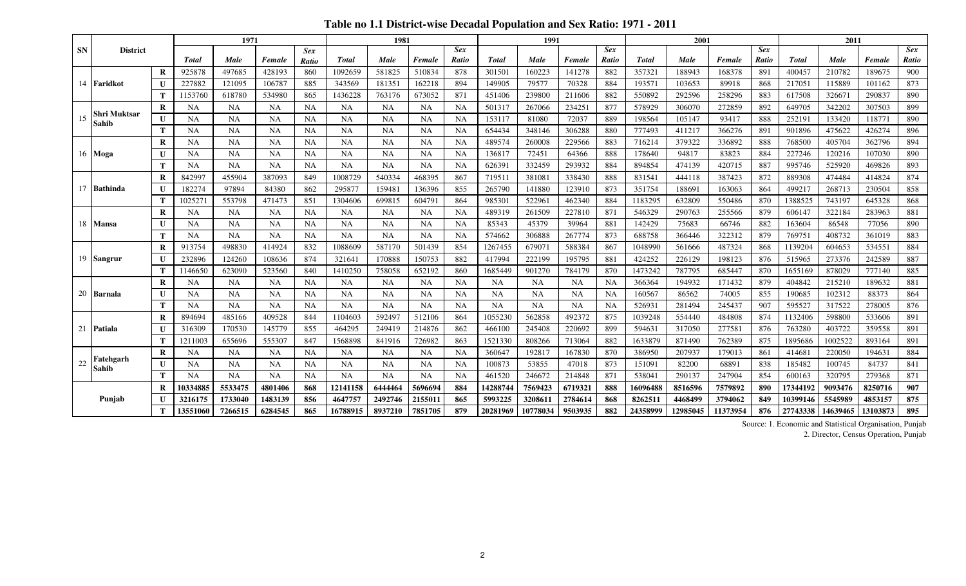**Table no 1.1 District-wise Decadal Population and Sex Ratio: 1971 - 2011**

|           |                     |          |              | 1971      |           |                            |              | 1981      |           |                     |              | 1991      |           |                     |              | 2001     |          |                     |              | 2011     |          |                     |
|-----------|---------------------|----------|--------------|-----------|-----------|----------------------------|--------------|-----------|-----------|---------------------|--------------|-----------|-----------|---------------------|--------------|----------|----------|---------------------|--------------|----------|----------|---------------------|
| <b>SN</b> | <b>District</b>     |          | <b>Total</b> | Male      | Female    | <b>Sex</b><br><b>Ratio</b> | <b>Total</b> | Male      | Female    | <b>Sex</b><br>Ratio | <b>Total</b> | Male      | Female    | <b>Sex</b><br>Ratio | <b>Total</b> | Male     | Female   | <b>Sex</b><br>Ratio | <b>Total</b> | Male     | Female   | <b>Sex</b><br>Ratio |
|           |                     | R        | 925878       | 497685    | 428193    | 860                        | 1092659      | 581825    | 510834    | 878                 | 301501       | 160223    | 141278    | 882                 | 35732        | 188943   | 168378   | 891                 | 400457       | 210782   | 189675   | 900                 |
|           | 14 Faridkot         |          | 227882       | 121095    | 106787    | 885                        | 343569       | 181351    | 162218    | 894                 | 149905       | 79577     | 70328     | 884                 | 19357        | 103653   | 89918    | 868                 | 217051       | 115889   | 101162   | 873                 |
|           |                     | T        | 1153760      | 618780    | 534980    | 865                        | 1436228      | 763176    | 673052    | 871                 | 451406       | 239800    | 211606    | 882                 | 550892       | 292596   | 258296   | 883                 | 617508       | 326671   | 290837   | 890                 |
|           |                     | R        | <b>NA</b>    | <b>NA</b> | <b>NA</b> | <b>NA</b>                  | <b>NA</b>    | <b>NA</b> | <b>NA</b> | <b>NA</b>           | 501317       | 267066    | 234251    | 877                 | 578929       | 306070   | 272859   | 892                 | 649705       | 342202   | 307503   | 899                 |
| 15        | <b>Shri Muktsar</b> | U        | <b>NA</b>    | <b>NA</b> | <b>NA</b> | <b>NA</b>                  | <b>NA</b>    | <b>NA</b> | <b>NA</b> | <b>NA</b>           | 153117       | 81080     | 72037     | 889                 | 198564       | 105147   | 93417    | 888                 | 252191       | 133420   | 118771   | 890                 |
|           | <b>Sahib</b>        | T        | <b>NA</b>    | <b>NA</b> | <b>NA</b> | <b>NA</b>                  | <b>NA</b>    | <b>NA</b> | <b>NA</b> | NA                  | 654434       | 348146    | 306288    | 880                 | 777493       | 411217   | 366276   | 891                 | 901896       | 475622   | 426274   | 896                 |
|           |                     | $\bf{R}$ | <b>NA</b>    | <b>NA</b> | <b>NA</b> | <b>NA</b>                  | <b>NA</b>    | <b>NA</b> | <b>NA</b> | <b>NA</b>           | 489574       | 260008    | 229566    | 883                 | 716214       | 379322   | 336892   | 888                 | 768500       | 405704   | 362796   | 894                 |
|           | 16 Moga             | U        | <b>NA</b>    | <b>NA</b> | <b>NA</b> | <b>NA</b>                  | <b>NA</b>    | <b>NA</b> | <b>NA</b> | NA                  | 136817       | 72451     | 64366     | 888                 | 178640       | 94817    | 83823    | 884                 | 227246       | 120216   | 107030   | 890                 |
|           |                     | Т        | <b>NA</b>    | <b>NA</b> | <b>NA</b> | <b>NA</b>                  | <b>NA</b>    | <b>NA</b> | <b>NA</b> | <b>NA</b>           | 626391       | 332459    | 293932    | 884                 | 894854       | 474139   | 420715   | 887                 | 995746       | 525920   | 469826   | 893                 |
|           |                     | R        | 842997       | 455904    | 387093    | 849                        | 1008729      | 540334    | 468395    | 867                 | 71951        | 381081    | 338430    | 888                 | 83154        | 444118   | 387423   | 872                 | 889308       | 474484   | 414824   | 874                 |
|           | 17 Bathinda         |          | 182274       | 97894     | 84380     | 862                        | 295877       | 159481    | 136396    | 855                 | 265790       | 141880    | 123910    | 873                 | 351754       | 188691   | 163063   | 864                 | 499217       | 268713   | 230504   | 858                 |
|           |                     | T        | 102527       | 553798    | 471473    | 851                        | 1304606      | 699815    | 604791    | 864                 | 985301       | 522961    | 462340    | 884                 | 1183295      | 632809   | 550486   | 870                 | 1388525      | 743197   | 645328   | 868                 |
|           |                     | R        | <b>NA</b>    | <b>NA</b> | <b>NA</b> | <b>NA</b>                  | <b>NA</b>    | <b>NA</b> | <b>NA</b> | NA                  | 489319       | 261509    | 227810    | 871                 | 546329       | 290763   | 255566   | 879                 | 606147       | 322184   | 283963   | 881                 |
|           | 18 Mansa            | U        | NA           | <b>NA</b> | NA        | <b>NA</b>                  | <b>NA</b>    | NA        | <b>NA</b> | <b>NA</b>           | 85343        | 45379     | 39964     | 881                 | 142429       | 75683    | 66746    | 882                 | 163604       | 86548    | 77056    | 890                 |
|           |                     | Т        | <b>NA</b>    | <b>NA</b> | <b>NA</b> | <b>NA</b>                  | <b>NA</b>    | <b>NA</b> | <b>NA</b> | <b>NA</b>           | 574662       | 306888    | 267774    | 873                 | 688758       | 366446   | 322312   | 879                 | 769751       | 408732   | 361019   | 883                 |
|           |                     | $\bf{R}$ | 913754       | 498830    | 414924    | 832                        | 1088609      | 587170    | 501439    | 854                 | 1267455      | 679071    | 588384    | 867                 | 1048990      | 561666   | 487324   | 868                 | 1139204      | 604653   | 534551   | 884                 |
|           | 19 Sangrur          |          | 232896       | 124260    | 108636    | 874                        | 32164        | 170888    | 150753    | 882                 | 417994       | 222199    | 195795    | 881                 | 424252       | 226129   | 198123   | 876                 | 515965       | 273376   | 242589   | 887                 |
|           |                     | T        | 1146650      | 623090    | 523560    | 840                        | 1410250      | 758058    | 652192    | 860                 | 1685449      | 901270    | 784179    | 870                 | 1473242      | 787795   | 685447   | 870                 | 1655169      | 878029   | 777140   | 885                 |
|           |                     | R        | <b>NA</b>    | <b>NA</b> | <b>NA</b> | <b>NA</b>                  | <b>NA</b>    | <b>NA</b> | <b>NA</b> | <b>NA</b>           | <b>NA</b>    | <b>NA</b> | <b>NA</b> | NA                  | 366364       | 194932   | 171432   | 879                 | 404842       | 215210   | 189632   | 881                 |
|           | 20 Barnala          | U        | <b>NA</b>    | <b>NA</b> | <b>NA</b> | <b>NA</b>                  | <b>NA</b>    | <b>NA</b> | NA        | <b>NA</b>           | NA           | <b>NA</b> | NA        | NA                  | 160567       | 86562    | 74005    | 855                 | 190685       | 102312   | 88373    | 864                 |
|           |                     | T        | <b>NA</b>    | <b>NA</b> | <b>NA</b> | <b>NA</b>                  | <b>NA</b>    | NA        | <b>NA</b> | <b>NA</b>           | <b>NA</b>    | NA        | NA        | NA                  | 52693        | 281494   | 245437   | 907                 | 595527       | 317522   | 278005   | 876                 |
|           |                     | $\bf{R}$ | 894694       | 485166    | 409528    | 844                        | 110460       | 592497    | 512106    | 864                 | 1055230      | 562858    | 492372    | 875                 | 1039248      | 554440   | 484808   | 874                 | 1132406      | 598800   | 533606   | 891                 |
|           | 21 Patiala          | U        | 316309       | 170530    | 145779    | 855                        | 464295       | 249419    | 214876    | 862                 | 466100       | 245408    | 220692    | 899                 | 59463        | 317050   | 277581   | 876                 | 763280       | 403722   | 359558   | 891                 |
|           |                     |          | 1211003      | 655696    | 555307    | 847                        | 1568898      | 841916    | 726982    | 863                 | 1521330      | 808266    | 713064    | 882                 | 1633879      | 871490   | 762389   | 875                 | 1895686      | 1002522  | 893164   | 891                 |
|           | Fatehgarh           | R        | NA           | <b>NA</b> | <b>NA</b> | <b>NA</b>                  | <b>NA</b>    | NA        | <b>NA</b> | <b>NA</b>           | 360647       | 192817    | 167830    | 870                 | 386950       | 207937   | 179013   | 861                 | 414681       | 220050   | 194631   | 884                 |
| 22        | <b>Sahib</b>        | U        | <b>NA</b>    | NA        | <b>NA</b> | <b>NA</b>                  | <b>NA</b>    | <b>NA</b> | NA        | <b>NA</b>           | 100873       | 53855     | 47018     | 873                 | 151091       | 82200    | 68891    | 838                 | 185482       | 100745   | 84737    | 841                 |
|           |                     | T        | <b>NA</b>    | <b>NA</b> | <b>NA</b> | <b>NA</b>                  | <b>NA</b>    | <b>NA</b> | <b>NA</b> | <b>NA</b>           | 461520       | 246672    | 214848    | 871                 | 538041       | 290137   | 247904   | 854                 | 600163       | 320795   | 279368   | 871                 |
|           |                     | R        | 10334885     | 5533475   | 4801406   | 868                        | 12141158     | 6444464   | 5696694   | 884                 | 14288744     | 7569423   | 6719321   | 888                 | 16096488     | 8516596  | 7579892  | 890                 | 17344192     | 9093476  | 8250716  | 907                 |
|           | Punjab              |          | 3216175      | 1733040   | 1483139   | 856                        | 4647757      | 2492746   | 2155011   | 865                 | 5993225      | 320861    | 2784614   | 868                 | 8262511      | 4468499  | 3794062  | 849                 | 10399146     | 5545989  | 4853157  | 875                 |
|           |                     | T        | 13551060     | 7266515   | 6284545   | 865                        | 16788915     | 8937210   | 7851705   | 879                 | 20281969     | 10778034  | 9503935   | 882                 | 24358999     | 12985045 | 11373954 | 876                 | 27743338     | 14639465 | 13103873 | 895                 |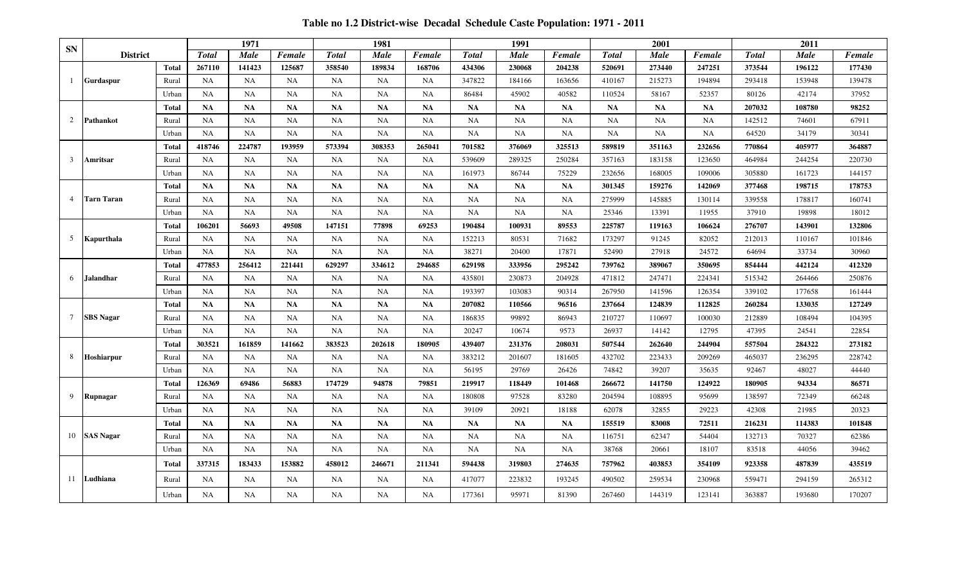**Table no 1.2 District-wise Decadal Schedule Caste Population: 1971 - 2011**

|                |                   |              |              | 1971        |           |              | 1981      |           |              | 1991        |           |               | 2001        |           |               | 2011   |        |
|----------------|-------------------|--------------|--------------|-------------|-----------|--------------|-----------|-----------|--------------|-------------|-----------|---------------|-------------|-----------|---------------|--------|--------|
| <b>SN</b>      | <b>District</b>   |              | <b>Total</b> | <b>Male</b> | Female    | <b>Total</b> | Male      | Female    | <b>Total</b> | <b>Male</b> | Female    | <b>T</b> otal | <b>Male</b> | Female    | <b>T</b> otal | Male   | Female |
|                |                   | <b>Total</b> | 267110       | 141423      | 125687    | 358540       | 189834    | 168706    | 434306       | 230068      | 204238    | 520691        | 273440      | 247251    | 373544        | 196122 | 177430 |
| -1             | <b>Gurdaspur</b>  | Rural        | NA           | <b>NA</b>   | <b>NA</b> | <b>NA</b>    | <b>NA</b> | NA        | 347822       | 184166      | 163656    | 410167        | 215273      | 194894    | 293418        | 153948 | 139478 |
|                |                   | Urban        | NA           | <b>NA</b>   | <b>NA</b> | <b>NA</b>    | <b>NA</b> | NA        | 86484        | 45902       | 40582     | 110524        | 58167       | 52357     | 80126         | 42174  | 37952  |
|                |                   | <b>Total</b> | <b>NA</b>    | NA          | <b>NA</b> | <b>NA</b>    | <b>NA</b> | <b>NA</b> | <b>NA</b>    | <b>NA</b>   | <b>NA</b> | <b>NA</b>     | <b>NA</b>   | <b>NA</b> | 207032        | 108780 | 98252  |
| 2              | Pathankot         | Rural        | <b>NA</b>    | <b>NA</b>   | NA        | <b>NA</b>    | NA        | NA        | <b>NA</b>    | <b>NA</b>   | NA        | NA            | <b>NA</b>   | <b>NA</b> | 142512        | 74601  | 67911  |
|                |                   | Urban        | NA           | <b>NA</b>   | NA        | <b>NA</b>    | NA        | NA        | <b>NA</b>    | NA          | NA        | NA            | <b>NA</b>   | NA        | 64520         | 34179  | 30341  |
|                |                   | <b>Total</b> | 418746       | 224787      | 193959    | 573394       | 308353    | 265041    | 701582       | 376069      | 325513    | 589819        | 351163      | 232656    | 770864        | 405977 | 364887 |
| 3              | Amritsar          | Rural        | NA           | <b>NA</b>   | NA        | <b>NA</b>    | <b>NA</b> | NA        | 539609       | 289325      | 250284    | 357163        | 183158      | 123650    | 464984        | 244254 | 220730 |
|                |                   | Urban        | NA           | NA          | NA        | <b>NA</b>    | NA        | NA        | 161973       | 86744       | 75229     | 232656        | 168005      | 109006    | 305880        | 161723 | 144157 |
|                |                   | <b>Total</b> | NA           | <b>NA</b>   | <b>NA</b> | <b>NA</b>    | NA        | <b>NA</b> | <b>NA</b>    | <b>NA</b>   | <b>NA</b> | 301345        | 159276      | 142069    | 377468        | 198715 | 178753 |
| $\overline{4}$ | <b>Tarn Taran</b> | Rural        | NA           | <b>NA</b>   | NA        | <b>NA</b>    | NA        | NA        | <b>NA</b>    | NA          | NA        | 275999        | 145885      | 130114    | 339558        | 178817 | 160741 |
|                |                   | Urban        | NA           | <b>NA</b>   | NA        | NA           | NA        | NA        | <b>NA</b>    | NA          | NA        | 25346         | 13391       | 11955     | 37910         | 19898  | 18012  |
|                |                   | <b>Total</b> | 106201       | 56693       | 49508     | 147151       | 77898     | 69253     | 190484       | 100931      | 89553     | 225787        | 119163      | 106624    | 276707        | 143901 | 132806 |
| 5              | Kapurthala        | Rural        | NA           | NA          | NA        | <b>NA</b>    | <b>NA</b> | <b>NA</b> | 152213       | 80531       | 71682     | 173297        | 91245       | 82052     | 212013        | 110167 | 101846 |
|                |                   | Urban        | <b>NA</b>    | <b>NA</b>   | NA        | <b>NA</b>    | NA        | NA        | 38271        | 20400       | 17871     | 52490         | 27918       | 24572     | 64694         | 33734  | 30960  |
|                |                   | <b>Total</b> | 477853       | 256412      | 221441    | 629297       | 334612    | 294685    | 629198       | 333956      | 295242    | 739762        | 389067      | 350695    | 854444        | 442124 | 412320 |
| 6              | <b>Jalandhar</b>  | Rural        | NA           | NA          | <b>NA</b> | <b>NA</b>    | NA        | <b>NA</b> | 435801       | 230873      | 204928    | 471812        | 247471      | 224341    | 515342        | 264466 | 250876 |
|                |                   | Urban        | NA           | NA          | NA        | <b>NA</b>    | NA        | NA        | 193397       | 103083      | 90314     | 267950        | 141596      | 126354    | 339102        | 177658 | 161444 |
|                |                   | <b>Total</b> | <b>NA</b>    | <b>NA</b>   | <b>NA</b> | <b>NA</b>    | NA        | <b>NA</b> | 207082       | 110566      | 96516     | 237664        | 124839      | 112825    | 260284        | 133035 | 127249 |
| 7              | <b>SBS</b> Nagar  | Rural        | <b>NA</b>    | <b>NA</b>   | <b>NA</b> | <b>NA</b>    | <b>NA</b> | <b>NA</b> | 186835       | 99892       | 86943     | 210727        | 110697      | 100030    | 212889        | 108494 | 104395 |
|                |                   | Urban        | NA           | <b>NA</b>   | NA        | <b>NA</b>    | <b>NA</b> | NA        | 20247        | 10674       | 9573      | 26937         | 14142       | 12795     | 47395         | 24541  | 22854  |
|                |                   | Total        | 303521       | 161859      | 141662    | 383523       | 202618    | 180905    | 439407       | 231376      | 208031    | 507544        | 262640      | 244904    | 557504        | 284322 | 273182 |
| 8              | <b>Hoshiarpur</b> | Rural        | NA           | <b>NA</b>   | <b>NA</b> | <b>NA</b>    | <b>NA</b> | NA        | 383212       | 201607      | 181605    | 432702        | 223433      | 209269    | 465037        | 236295 | 228742 |
|                |                   | Urban        | <b>NA</b>    | <b>NA</b>   | NA        | <b>NA</b>    | NA        | NA        | 56195        | 29769       | 26426     | 74842         | 39207       | 35635     | 92467         | 48027  | 44440  |
|                |                   | <b>Total</b> | 126369       | 69486       | 56883     | 174729       | 94878     | 79851     | 219917       | 118449      | 101468    | 266672        | 141750      | 124922    | 180905        | 94334  | 86571  |
| 9              | Rupnagar          | Rural        | NA           | <b>NA</b>   | NA        | <b>NA</b>    | <b>NA</b> | <b>NA</b> | 180808       | 97528       | 83280     | 204594        | 108895      | 95699     | 138597        | 72349  | 66248  |
|                |                   | Urban        | NA           | NA          | NA        | <b>NA</b>    | NA        | NA        | 39109        | 20921       | 18188     | 62078         | 32855       | 29223     | 42308         | 21985  | 20323  |
|                |                   | <b>Total</b> | NA           | NA          | <b>NA</b> | <b>NA</b>    | NA        | <b>NA</b> | <b>NA</b>    | <b>NA</b>   | <b>NA</b> | 155519        | 83008       | 72511     | 216231        | 114383 | 101848 |
| 10             | <b>SAS Nagar</b>  | Rural        | <b>NA</b>    | <b>NA</b>   | NA        | <b>NA</b>    | NA        | <b>NA</b> | <b>NA</b>    | NA          | NA        | 116751        | 62347       | 54404     | 132713        | 70327  | 62386  |
|                |                   | Urban        | NA           | <b>NA</b>   | NA        | <b>NA</b>    | NA        | NA        | <b>NA</b>    | NA          | NA        | 38768         | 20661       | 18107     | 83518         | 44056  | 39462  |
|                |                   | <b>Total</b> | 337315       | 183433      | 153882    | 458012       | 246671    | 211341    | 594438       | 319803      | 274635    | 757962        | 403853      | 354109    | 923358        | 487839 | 435519 |
| 11             | Ludhiana          | Rural        | NA           | <b>NA</b>   | NA        | <b>NA</b>    | NA        | NA        | 417077       | 223832      | 193245    | 490502        | 259534      | 230968    | 559471        | 294159 | 265312 |
|                |                   | Urban        | <b>NA</b>    | <b>NA</b>   | NA        | NA           | <b>NA</b> | NA        | 177361       | 95971       | 81390     | 267460        | 144319      | 123141    | 363887        | 193680 | 170207 |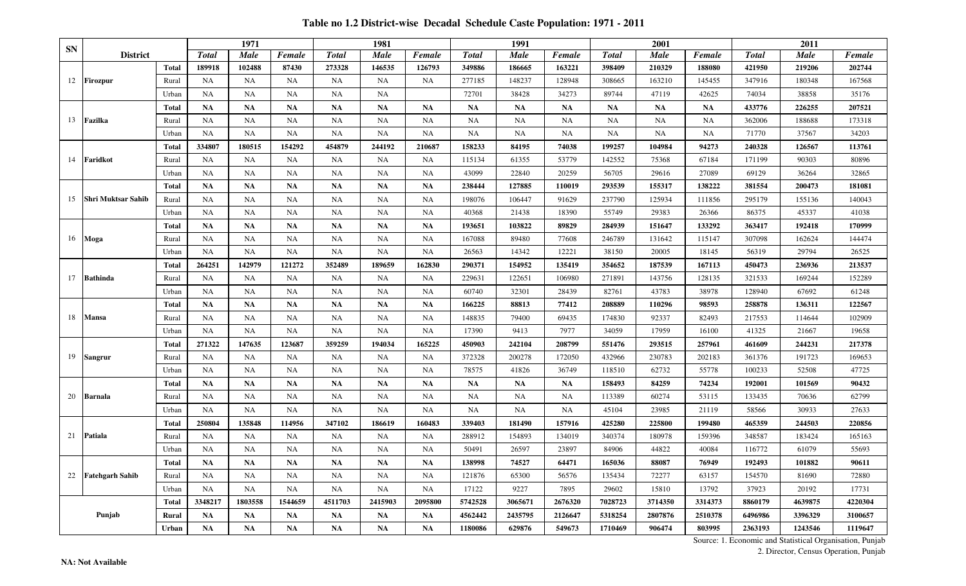**Table no 1.2 District-wise Decadal Schedule Caste Population: 1971 - 2011**

| <b>SN</b> |                           |              |              | 1971        |           |               | 1981        |           |              | 1991        |           |               | 2001        |           |              | 2011        |         |
|-----------|---------------------------|--------------|--------------|-------------|-----------|---------------|-------------|-----------|--------------|-------------|-----------|---------------|-------------|-----------|--------------|-------------|---------|
|           | <b>District</b>           |              | <b>Total</b> | <b>Male</b> | Female    | <b>T</b> otal | <b>Male</b> | Female    | <b>Total</b> | <b>Male</b> | Female    | <b>T</b> otal | <b>Male</b> | Female    | <b>Total</b> | <b>Male</b> | Female  |
|           |                           | <b>Total</b> | 189918       | 102488      | 87430     | 273328        | 146535      | 126793    | 349886       | 186665      | 163221    | 398409        | 210329      | 188080    | 421950       | 219206      | 202744  |
| 12        | <b>Firozpur</b>           | Rural        | NA           | NA          | NA        | <b>NA</b>     | NA          | <b>NA</b> | 277185       | 148237      | 128948    | 308665        | 163210      | 145455    | 347916       | 180348      | 167568  |
|           |                           | Urban        | NA           | <b>NA</b>   | <b>NA</b> | NA            | <b>NA</b>   |           | 72701        | 38428       | 34273     | 89744         | 47119       | 42625     | 74034        | 38858       | 35176   |
|           |                           | <b>Total</b> | <b>NA</b>    | <b>NA</b>   | <b>NA</b> | NA            | <b>NA</b>   | <b>NA</b> | <b>NA</b>    | <b>NA</b>   | <b>NA</b> | <b>NA</b>     | <b>NA</b>   | <b>NA</b> | 433776       | 226255      | 207521  |
| 13        | Fazilka                   | Rural        | <b>NA</b>    | <b>NA</b>   | <b>NA</b> | <b>NA</b>     | NA          | NA        | <b>NA</b>    | <b>NA</b>   | <b>NA</b> | <b>NA</b>     | NA          | <b>NA</b> | 362006       | 188688      | 173318  |
|           |                           | Urban        | NA           | <b>NA</b>   | <b>NA</b> | NA            | <b>NA</b>   | <b>NA</b> | <b>NA</b>    | NA          | NA        | NA            | <b>NA</b>   | <b>NA</b> | 71770        | 37567       | 34203   |
|           |                           | <b>Total</b> | 334807       | 180515      | 154292    | 454879        | 244192      | 210687    | 158233       | 84195       | 74038     | 199257        | 104984      | 94273     | 240328       | 126567      | 113761  |
| 14        | Faridkot                  | Rural        | <b>NA</b>    | <b>NA</b>   | <b>NA</b> | <b>NA</b>     | <b>NA</b>   | <b>NA</b> | 115134       | 61355       | 53779     | 142552        | 75368       | 67184     | 171199       | 90303       | 80896   |
|           |                           | Urban        | <b>NA</b>    | NA          | <b>NA</b> | <b>NA</b>     | NA          | <b>NA</b> | 43099        | 22840       | 20259     | 56705         | 29616       | 27089     | 69129        | 36264       | 32865   |
|           |                           | <b>Total</b> | <b>NA</b>    | NA          | <b>NA</b> | <b>NA</b>     | <b>NA</b>   | <b>NA</b> | 238444       | 127885      | 110019    | 293539        | 155317      | 138222    | 381554       | 200473      | 181081  |
| 15        | <b>Shri Muktsar Sahib</b> | Rural        | <b>NA</b>    | NA          | NA        | NA            | NA          | NA        | 198076       | 106447      | 91629     | 237790        | 125934      | 111856    | 295179       | 155136      | 140043  |
|           |                           | Urban        | ΝA           | NA          | <b>NA</b> | NA            | NA          | NA        | 40368        | 21438       | 18390     | 55749         | 29383       | 26366     | 86375        | 45337       | 41038   |
|           |                           | <b>Total</b> | <b>NA</b>    | NA          | <b>NA</b> | NA            | <b>NA</b>   | <b>NA</b> | 193651       | 103822      | 89829     | 284939        | 151647      | 133292    | 363417       | 192418      | 170999  |
| 16        | Moga                      | Rural        | NA           | NA          | <b>NA</b> | NA            | <b>NA</b>   | <b>NA</b> | 167088       | 89480       | 77608     | 246789        | 131642      | 115147    | 307098       | 162624      | 144474  |
|           |                           | Urban        | NA           | NA          | NA        | NA            | <b>NA</b>   | <b>NA</b> | 26563        | 14342       | 12221     | 38150         | 20005       | 18145     | 56319        | 29794       | 26525   |
|           |                           | Total        | 264251       | 142979      | 121272    | 352489        | 189659      | 162830    | 290371       | 154952      | 135419    | 354652        | 187539      | 167113    | 450473       | 236936      | 213537  |
| 17        | <b>Bathinda</b>           | Rural        | <b>NA</b>    | <b>NA</b>   | <b>NA</b> | <b>NA</b>     | <b>NA</b>   | NA        | 229631       | 122651      | 106980    | 271891        | 143756      | 128135    | 321533       | 169244      | 152289  |
|           |                           | Urban        | NA           | NA          | <b>NA</b> | <b>NA</b>     | NA          | <b>NA</b> | 60740        | 32301       | 28439     | 82761         | 43783       | 38978     | 128940       | 67692       | 61248   |
|           |                           | <b>Total</b> | <b>NA</b>    | <b>NA</b>   | <b>NA</b> | NA            | <b>NA</b>   | <b>NA</b> | 166225       | 88813       | 77412     | 208889        | 110296      | 98593     | 258878       | 136311      | 122567  |
| 18        | Mansa                     | Rural        | <b>NA</b>    | <b>NA</b>   | <b>NA</b> | NA            | <b>NA</b>   | <b>NA</b> | 148835       | 79400       | 69435     | 174830        | 92337       | 82493     | 217553       | 114644      | 102909  |
|           |                           | Urban        | NA           | NA          | NA        | NA            | NA          | NA        | 17390        | 9413        | 7977      | 34059         | 17959       | 16100     | 41325        | 21667       | 19658   |
|           |                           | <b>Total</b> | 271322       | 147635      | 123687    | 359259        | 194034      | 165225    | 450903       | 242104      | 208799    | 551476        | 293515      | 257961    | 461609       | 244231      | 217378  |
| 19        | Sangrur                   | Rural        | NA           | <b>NA</b>   | <b>NA</b> | NA            | NA          | <b>NA</b> | 372328       | 200278      | 172050    | 432966        | 230783      | 202183    | 361376       | 191723      | 169653  |
|           |                           | Urban        | NA           | <b>NA</b>   | <b>NA</b> | NA            | <b>NA</b>   | <b>NA</b> | 78575        | 41826       | 36749     | 118510        | 62732       | 55778     | 100233       | 52508       | 47725   |
|           |                           | <b>Total</b> | <b>NA</b>    | <b>NA</b>   | <b>NA</b> | NA            | <b>NA</b>   | <b>NA</b> | <b>NA</b>    | <b>NA</b>   | <b>NA</b> | 158493        | 84259       | 74234     | 192001       | 101569      | 90432   |
| 20        | Barnala                   | Rural        | NA           | NA          | <b>NA</b> | NA            | <b>NA</b>   | <b>NA</b> | <b>NA</b>    | <b>NA</b>   | NA        | 113389        | 60274       | 53115     | 133435       | 70636       | 62799   |
|           |                           | Urban        | <b>NA</b>    | NA          | <b>NA</b> | NA            | NA          | <b>NA</b> | <b>NA</b>    | NA          | <b>NA</b> | 45104         | 23985       | 21119     | 58566        | 30933       | 27633   |
|           |                           | Total        | 250804       | 135848      | 114956    | 347102        | 186619      | 160483    | 339403       | 181490      | 157916    | 425280        | 225800      | 199480    | 465359       | 244503      | 220856  |
| 21        | <b>Patiala</b>            | Rural        | NA           | NA          | <b>NA</b> | NA            | NA          | <b>NA</b> | 288912       | 154893      | 134019    | 340374        | 180978      | 159396    | 348587       | 183424      | 165163  |
|           |                           | Urban        | NΑ           | <b>NA</b>   | <b>NA</b> | <b>NA</b>     | <b>NA</b>   | <b>NA</b> | 50491        | 26597       | 23897     | 84906         | 44822       | 40084     | 116772       | 61079       | 55693   |
|           |                           | <b>Total</b> | <b>NA</b>    | <b>NA</b>   | NA        | <b>NA</b>     | <b>NA</b>   | <b>NA</b> | 138998       | 74527       | 64471     | 165036        | 88087       | 76949     | 192493       | 101882      | 90611   |
| 22        | <b>Fatehgarh Sahib</b>    | Rural        | NA           | NA          | <b>NA</b> | NA            | NA          | <b>NA</b> | 121876       | 65300       | 56576     | 135434        | 72277       | 63157     | 154570       | 81690       | 72880   |
|           |                           | Urban        | NA           | NA          | NA        | <b>NA</b>     | NA          | <b>NA</b> | 17122        | 9227        | 7895      | 29602         | 15810       | 13792     | 37923        | 20192       | 17731   |
|           | Punjab                    | Total        | 3348217      | 1803558     | 1544659   | 4511703       | 2415903     | 2095800   | 5742528      | 3065671     | 2676320   | 7028723       | 3714350     | 3314373   | 8860179      | 4639875     | 4220304 |
|           |                           | Rural        | <b>NA</b>    | <b>NA</b>   | NA        | <b>NA</b>     | <b>NA</b>   | NA        | 4562442      | 2435795     | 2126647   | 5318254       | 2807876     | 2510378   | 6496986      | 3396329     | 3100657 |
|           |                           | Urban        | <b>NA</b>    | <b>NA</b>   | <b>NA</b> | NA            | <b>NA</b>   | <b>NA</b> | 1180086      | 629876      | 549673    | 1710469       | 906474      | 803995    | 2363193      | 1243546     | 1119647 |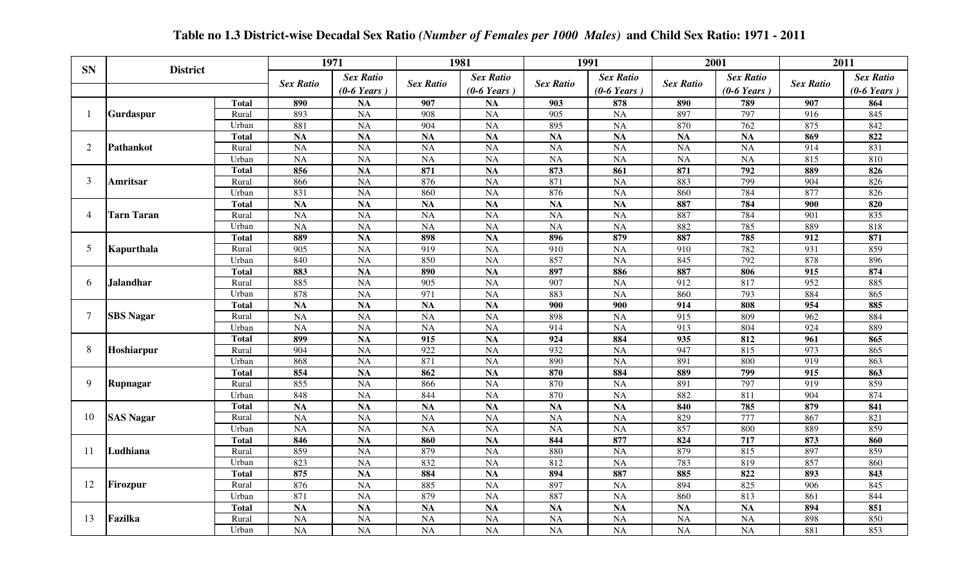|                |                   |              |                  | 1971             |                  | 1981                  |                  | 1991             |                  | 2001                  |                  | 2011                  |
|----------------|-------------------|--------------|------------------|------------------|------------------|-----------------------|------------------|------------------|------------------|-----------------------|------------------|-----------------------|
| <b>SN</b>      | <b>District</b>   |              |                  | <b>Sex Ratio</b> |                  | <b>Sex Ratio</b>      |                  | <b>Sex Ratio</b> |                  | <b>Sex Ratio</b>      |                  | <b>Sex Ratio</b>      |
|                |                   |              | <b>Sex Ratio</b> | $(0-6$ Years)    | <b>Sex Ratio</b> | $(0-6 \text{ Years})$ | <b>Sex Ratio</b> | $(0-6$ Years)    | <b>Sex Ratio</b> | $(0-6 \text{ Years})$ | <b>Sex Ratio</b> | $(0-6 \text{ Years})$ |
|                |                   | <b>Total</b> | 890              | NA               | 907              | NA                    | 903              | 878              | 890              | 789                   | 907              | 864                   |
|                | <b>Gurdaspur</b>  | Rural        | 893              | <b>NA</b>        | 908              | <b>NA</b>             | 905              | NA               | 897              | 797                   | 916              | 845                   |
|                |                   | Urban        | 881              | $\overline{NA}$  | 904              | NA                    | 895              | <b>NA</b>        | 870              | 762                   | 875              | 842                   |
|                |                   | <b>Total</b> | <b>NA</b>        | NA               | NA               | <b>NA</b>             | NA               | NA               | NA               | NA                    | 869              | $\overline{822}$      |
| $\overline{2}$ | Pathankot         | Rural        | NA               | NA               | NA               | NA                    | $\overline{NA}$  | $\overline{NA}$  | $N_A$            | $\overline{NA}$       | 914              | 831                   |
|                |                   | Urban        | NA               | NA               | NA               | NA                    | $\overline{NA}$  | $\overline{NA}$  | <b>NA</b>        | NA                    | 815              | 810                   |
|                |                   | <b>Total</b> | 856              | NA               | 871              | NA                    | 873              | 861              | 871              | 792                   | 889              | 826                   |
| 3              | Amritsar          | Rural        | 866              | NA               | 876              | <b>NA</b>             | 871              | NA               | 883              | 799                   | 904              | 826                   |
|                |                   | Urban        | 831              | $\overline{NA}$  | 860              | $\overline{NA}$       | 876              | $\overline{NA}$  | 860              | 784                   | 877              | 826                   |
|                |                   | <b>Total</b> | <b>NA</b>        | $\overline{NA}$  | NA               | NA                    | NA               | NA               | 887              | 784                   | 900              | 820                   |
| $\overline{4}$ | <b>Tarn Taran</b> | Rural        | <b>NA</b>        | <b>NA</b>        | <b>NA</b>        | <b>NA</b>             | <b>NA</b>        | NA               | 887              | 784                   | 901              | 835                   |
|                |                   | Urban        | <b>NA</b>        | $\overline{NA}$  | NA               | NA                    | NA               | $\overline{NA}$  | 882              | 785                   | 889              | 818                   |
|                |                   | <b>Total</b> | 889              | NA               | 898              | $\overline{NA}$       | 896              | 879              | 887              | 785                   | 912              | 871                   |
| 5              | Kapurthala        | Rural        | 905              | NA               | 919              | NA                    | 910              | NA               | 910              | 782                   | 931              | 859                   |
|                |                   | Urban        | 840              | <b>NA</b>        | 850              | NA                    | 857              | $\overline{NA}$  | 845              | 792                   | 878              | 896                   |
|                |                   | <b>Total</b> | 883              | NA               | 890              | NA                    | 897              | 886              | 887              | 806                   | 915              | 874                   |
| 6              |                   | Rural        | 885              | <b>NA</b>        | 905              | <b>NA</b>             | 907              | <b>NA</b>        | 912              | 817                   | 952              | 885                   |
|                | <b>Jalandhar</b>  | Urban        | 878              | <b>NA</b>        | 971              | <b>NA</b>             | 883              | NA               | 860              | 793                   | 884              | 865                   |
|                |                   | <b>Total</b> | NA               | <b>NA</b>        | NA               | NA                    | 900              | 900              | 914              | 808                   | 954              | 885                   |
| 7              | <b>SBS Nagar</b>  | Rural        | <b>NA</b>        | <b>NA</b>        | <b>NA</b>        | NA                    | 898              | <b>NA</b>        | 915              | 809                   | 962              | 884                   |
|                |                   | Urban        | <b>NA</b>        | <b>NA</b>        | <b>NA</b>        | NA                    | 914              | <b>NA</b>        | 913              | 804                   | 924              | 889                   |
|                |                   | <b>Total</b> | 899              | NA               | 915              | NA                    | $\overline{924}$ | 884              | 935              | 812                   | 961              | 865                   |
| 8              | Hoshiarpur        | Rural        | 904              | <b>NA</b>        | 922              | NA                    | 932              | NA               | 947              | 815                   | 973              | 865                   |
|                |                   | Urban        | 868              | $\overline{NA}$  | 871              | NA                    | 890              | $\overline{NA}$  | 891              | 800                   | $\overline{919}$ | 863                   |
|                |                   | <b>Total</b> | 854              | NA               | 862              | NA                    | 870              | 884              | 889              | 799                   | 915              | 863                   |
| 9              | Rupnagar          | Rural        | 855              | NA               | 866              | <b>NA</b>             | 870              | <b>NA</b>        | 891              | 797                   | 919              | 859                   |
|                |                   | Urban        | 848              | <b>NA</b>        | 844              | <b>NA</b>             | 870              | NA               | 882              | 811                   | 904              | 874                   |
|                |                   | <b>Total</b> | NA               | $\overline{NA}$  | $\overline{NA}$  | $\overline{NA}$       | NA               | $\overline{NA}$  | 840              | 785                   | 879              | 841                   |
| 10             | <b>SAS Nagar</b>  | Rural        | NA               | NA               | <b>NA</b>        | <b>NA</b>             | $\overline{NA}$  | $\overline{NA}$  | 829              | 777                   | 867              | 821                   |
|                |                   | Urban        | NA               | <b>NA</b>        | <b>NA</b>        | <b>NA</b>             | NA               | <b>NA</b>        | 857              | 800                   | 889              | 859                   |
|                |                   | <b>Total</b> | 846              | $\overline{NA}$  | 860              | $\overline{NA}$       | 844              | 877              | 824              | 717                   | 873              | 860                   |
| 11             | Ludhiana          | Rural        | 859              | <b>NA</b>        | 879              | <b>NA</b>             | 880              | <b>NA</b>        | 879              | 815                   | 897              | 859                   |
|                |                   | Urban        | 823              | <b>NA</b>        | 832              | <b>NA</b>             | 812              | <b>NA</b>        | 783              | 819                   | 857              | 860                   |
|                |                   | <b>Total</b> | 875              | $\overline{NA}$  | 884              | $\overline{NA}$       | 894              | 887              | 885              | 822                   | 893              | 843                   |
| 12             | Firozpur          | Rural        | 876              | <b>NA</b>        | 885              | <b>NA</b>             | 897              | <b>NA</b>        | 894              | 825                   | 906              | 845                   |
|                |                   | Urban        | 871              | <b>NA</b>        | 879              | <b>NA</b>             | 887              | <b>NA</b>        | 860              | 813                   | 861              | 844                   |
|                |                   | <b>Total</b> | <b>NA</b>        | $\overline{NA}$  | $\overline{NA}$  | $\overline{NA}$       | <b>NA</b>        | <b>NA</b>        | <b>NA</b>        | $\overline{NA}$       | 894              | 851                   |
| 13             | Fazilka           | Rural        | <b>NA</b>        | NA               | <b>NA</b>        | <b>NA</b>             | NA               | NA               | <b>NA</b>        | <b>NA</b>             | 898              | 850                   |
|                |                   | Urban        | NA               | <b>NA</b>        | NA               | <b>NA</b>             | NA               | NA               | <b>NA</b>        | <b>NA</b>             | 881              | 853                   |

# **Table no 1.3 District-wise Decadal Sex Ratio** *(Number of Females per 1000 Males)* **and Child Sex Ratio: 1971 - 2011**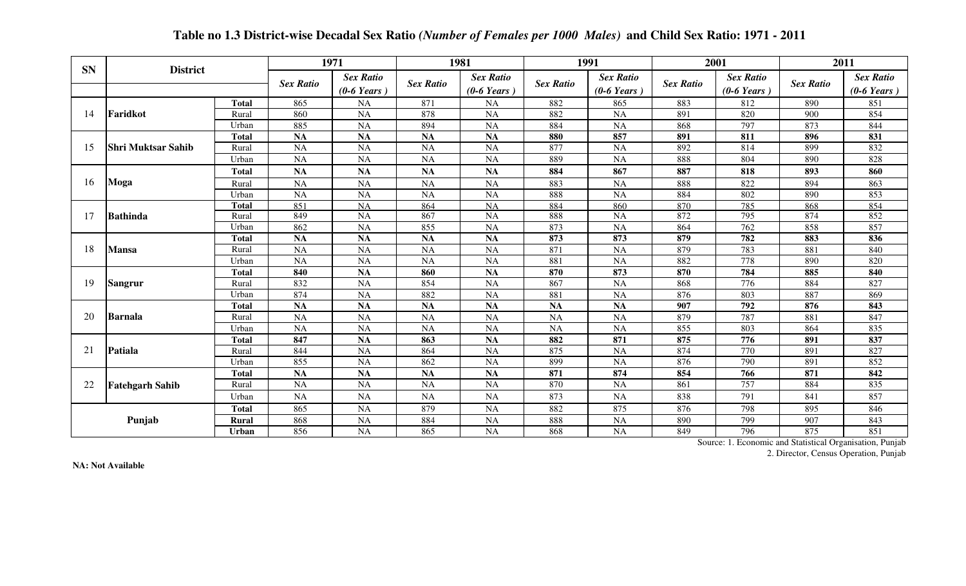| <b>SN</b> | <b>District</b>           |              |                  | 1971                                      |                  | 1981                                      |                  | 1991                                      |                  | 2001                                      |                  | 2011                              |
|-----------|---------------------------|--------------|------------------|-------------------------------------------|------------------|-------------------------------------------|------------------|-------------------------------------------|------------------|-------------------------------------------|------------------|-----------------------------------|
|           |                           |              | <b>Sex Ratio</b> | <b>Sex Ratio</b><br>$(0-6 \text{ Years})$ | <b>Sex Ratio</b> | <b>Sex Ratio</b><br>$(0-6 \text{ Years})$ | <b>Sex Ratio</b> | <b>Sex Ratio</b><br>$(0-6 \text{ Years})$ | <b>Sex Ratio</b> | <b>Sex Ratio</b><br>$(0-6 \text{ Years})$ | <b>Sex Ratio</b> | <b>Sex Ratio</b><br>$(0-6$ Years) |
|           |                           | <b>Total</b> | 865              | NA                                        | 871              | <b>NA</b>                                 | 882              | 865                                       | 883              | 812                                       | 890              | 851                               |
| 14        | Faridkot                  | Rural        | 860              | <b>NA</b>                                 | 878              | <b>NA</b>                                 | 882              | <b>NA</b>                                 | 891              | 820                                       | 900              | 854                               |
|           |                           | Urban        | 885              | <b>NA</b>                                 | 894              | <b>NA</b>                                 | 884              | <b>NA</b>                                 | 868              | 797                                       | 873              | 844                               |
|           |                           | <b>Total</b> | <b>NA</b>        | <b>NA</b>                                 | <b>NA</b>        | <b>NA</b>                                 | 880              | 857                                       | 891              | 811                                       | 896              | 831                               |
| 15        | <b>Shri Muktsar Sahib</b> | Rural        | <b>NA</b>        | <b>NA</b>                                 | <b>NA</b>        | <b>NA</b>                                 | 877              | <b>NA</b>                                 | 892              | 814                                       | 899              | 832                               |
|           |                           | Urban        | <b>NA</b>        | <b>NA</b>                                 | <b>NA</b>        | <b>NA</b>                                 | 889              | NA                                        | 888              | 804                                       | 890              | 828                               |
|           |                           | <b>Total</b> | <b>NA</b>        | <b>NA</b>                                 | <b>NA</b>        | <b>NA</b>                                 | 884              | 867                                       | 887              | 818                                       | 893              | 860                               |
| 16        | Moga                      | Rural        | <b>NA</b>        | <b>NA</b>                                 | <b>NA</b>        | <b>NA</b>                                 | 883              | <b>NA</b>                                 | 888              | 822                                       | 894              | 863                               |
|           |                           | Urban        | <b>NA</b>        | <b>NA</b>                                 | <b>NA</b>        | <b>NA</b>                                 | 888              | <b>NA</b>                                 | 884              | 802                                       | 890              | 853                               |
|           |                           | <b>Total</b> | 851              | NA                                        | 864              | <b>NA</b>                                 | 884              | 860                                       | 870              | 785                                       | 868              | 854                               |
| 17        | <b>Bathinda</b>           | Rural        | 849              | <b>NA</b>                                 | 867              | <b>NA</b>                                 | 888              | NA                                        | 872              | 795                                       | 874              | 852                               |
|           |                           | <b>Urban</b> | 862              | <b>NA</b>                                 | 855              | <b>NA</b>                                 | 873              | NA                                        | 864              | 762                                       | 858              | 857                               |
|           |                           | <b>Total</b> | <b>NA</b>        | <b>NA</b>                                 | <b>NA</b>        | <b>NA</b>                                 | 873              | 873                                       | 879              | 782                                       | 883              | 836                               |
| 18        | <b>Mansa</b>              | Rural        | <b>NA</b>        | <b>NA</b>                                 | <b>NA</b>        | <b>NA</b>                                 | 871              | <b>NA</b>                                 | 879              | 783                                       | 881              | 840                               |
|           |                           | Urban        | <b>NA</b>        | <b>NA</b>                                 | <b>NA</b>        | <b>NA</b>                                 | 881              | <b>NA</b>                                 | 882              | 778                                       | 890              | 820                               |
|           |                           | <b>Total</b> | 840              | <b>NA</b>                                 | 860              | <b>NA</b>                                 | 870              | 873                                       | 870              | 784                                       | 885              | 840                               |
| 19        | <b>Sangrur</b>            | Rural        | 832              | <b>NA</b>                                 | 854              | <b>NA</b>                                 | 867              | <b>NA</b>                                 | 868              | 776                                       | 884              | 827                               |
|           |                           | Urban        | 874              | <b>NA</b>                                 | 882              | <b>NA</b>                                 | 881              | <b>NA</b>                                 | 876              | 803                                       | 887              | 869                               |
|           |                           | <b>Total</b> | <b>NA</b>        | <b>NA</b>                                 | <b>NA</b>        | <b>NA</b>                                 | <b>NA</b>        | <b>NA</b>                                 | 907              | 792                                       | 876              | 843                               |
| 20        | <b>Barnala</b>            | Rural        | <b>NA</b>        | <b>NA</b>                                 | <b>NA</b>        | <b>NA</b>                                 | <b>NA</b>        | NA                                        | 879              | 787                                       | 881              | 847                               |
|           |                           | Urban        | <b>NA</b>        | <b>NA</b>                                 | <b>NA</b>        | <b>NA</b>                                 | <b>NA</b>        | <b>NA</b>                                 | 855              | 803                                       | 864              | 835                               |
|           |                           | <b>Total</b> | 847              | <b>NA</b>                                 | 863              | <b>NA</b>                                 | 882              | 871                                       | 875              | 776                                       | 891              | 837                               |
| 21        | Patiala                   | Rural        | 844              | <b>NA</b>                                 | 864              | <b>NA</b>                                 | 875              | <b>NA</b>                                 | 874              | 770                                       | 891              | 827                               |
|           |                           | Urban        | 855              | <b>NA</b>                                 | 862              | <b>NA</b>                                 | 899              | <b>NA</b>                                 | 876              | 790                                       | 891              | 852                               |
|           |                           | <b>Total</b> | <b>NA</b>        | <b>NA</b>                                 | <b>NA</b>        | <b>NA</b>                                 | 871              | 874                                       | 854              | 766                                       | 871              | 842                               |
| 22        | <b>Fatehgarh Sahib</b>    | Rural        | <b>NA</b>        | <b>NA</b>                                 | <b>NA</b>        | <b>NA</b>                                 | 870              | <b>NA</b>                                 | 861              | 757                                       | 884              | 835                               |
|           |                           | Urban        | <b>NA</b>        | NA                                        | <b>NA</b>        | <b>NA</b>                                 | 873              | <b>NA</b>                                 | 838              | 791                                       | 841              | 857                               |
|           |                           | <b>Total</b> | 865              | <b>NA</b>                                 | 879              | <b>NA</b>                                 | 882              | 875                                       | 876              | 798                                       | 895              | 846                               |
|           | Punjab                    | <b>Rural</b> | 868              | <b>NA</b>                                 | 884              | <b>NA</b>                                 | 888              | <b>NA</b>                                 | 890              | 799                                       | 907              | 843                               |
|           |                           | <b>Urban</b> | 856              | <b>NA</b>                                 | 865              | <b>NA</b>                                 | 868              | NA                                        | 849              | 796                                       | 875              | 851                               |

#### **Table no 1.3 District-wise Decadal Sex Ratio** *(Number of Females per 1000 Males)* **and Child Sex Ratio: 1971 - 2011**

Source: 1. Economic and Statistical Organisation, Punjab

2. Director, Census Operation, Punjab

**NA: Not Available**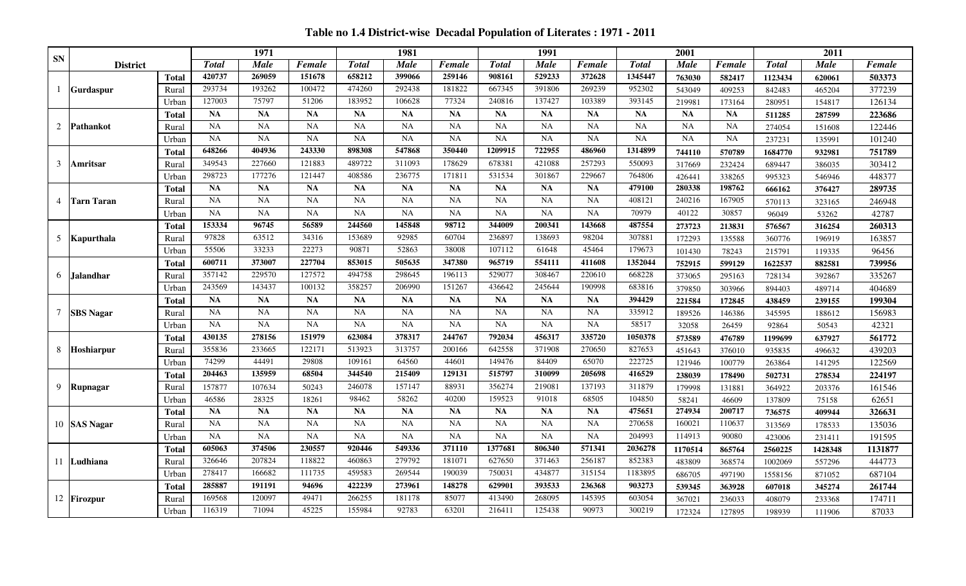**Table no 1.4 District-wise Decadal Population of Literates : 1971 - 2011**

|            |                   |              |              | 1971        |           |              | 1981      |           |              | 1991        |           |               | 2001      |               |              | 2011        |         |
|------------|-------------------|--------------|--------------|-------------|-----------|--------------|-----------|-----------|--------------|-------------|-----------|---------------|-----------|---------------|--------------|-------------|---------|
| ${\bf SN}$ | <b>District</b>   |              | <b>Total</b> | <b>Male</b> | Female    | <b>Total</b> | Male      | Female    | <b>Total</b> | <b>Male</b> | Female    | <b>T</b> otal | Male      | <b>Female</b> | <b>Total</b> | <b>Male</b> | Female  |
|            |                   | <b>Total</b> | 420737       | 269059      | 151678    | 658212       | 399066    | 259146    | 908161       | 529233      | 372628    | 1345447       | 763030    | 582417        | 1123434      | 620061      | 503373  |
|            | <b>Gurdaspur</b>  | Rural        | 293734       | 193262      | 100472    | 474260       | 292438    | 181822    | 667345       | 391806      | 269239    | 952302        | 543049    | 409253        | 842483       | 465204      | 377239  |
|            |                   | Urban        | 127003       | 75797       | 51206     | 183952       | 106628    | 77324     | 240816       | 137427      | 103389    | 393145        | 219981    | 173164        | 280951       | 154817      | 126134  |
|            |                   | <b>Total</b> | <b>NA</b>    | <b>NA</b>   | <b>NA</b> | <b>NA</b>    | <b>NA</b> | NA        | NA           | <b>NA</b>   | <b>NA</b> | <b>NA</b>     | <b>NA</b> | <b>NA</b>     | 511285       | 287599      | 223686  |
| 2          | <b>Pathankot</b>  | Rural        | <b>NA</b>    | NA          | <b>NA</b> | <b>NA</b>    | <b>NA</b> | NA        | NA           | NA          | <b>NA</b> | <b>NA</b>     | <b>NA</b> | <b>NA</b>     | 274054       | 151608      | 122446  |
|            |                   | Urban        | <b>NA</b>    | <b>NA</b>   | <b>NA</b> | NA           | <b>NA</b> | <b>NA</b> | NA           | <b>NA</b>   | <b>NA</b> | <b>NA</b>     | <b>NA</b> | <b>NA</b>     | 237231       | 135991      | 101240  |
|            |                   | <b>Total</b> | 648266       | 404936      | 243330    | 898308       | 547868    | 350440    | 1209915      | 722955      | 486960    | 1314899       | 744110    | 570789        | 1684770      | 932981      | 751789  |
| 3          | Amritsar          | Rural        | 349543       | 227660      | 121883    | 489722       | 311093    | 178629    | 678381       | 421088      | 257293    | 550093        | 317669    | 232424        | 689447       | 386035      | 303412  |
|            |                   | Urban        | 298723       | 177276      | 121447    | 408586       | 236775    | 171811    | 531534       | 301867      | 229667    | 764806        | 426441    | 338265        | 995323       | 546946      | 448377  |
|            |                   | <b>Total</b> | <b>NA</b>    | <b>NA</b>   | <b>NA</b> | <b>NA</b>    | <b>NA</b> | NA        | <b>NA</b>    | <b>NA</b>   | <b>NA</b> | 479100        | 280338    | 198762        | 666162       | 376427      | 289735  |
| 4          | <b>Tarn Taran</b> | Rural        | NA           | NA          | <b>NA</b> | <b>NA</b>    | <b>NA</b> | NA        | <b>NA</b>    | NA          | <b>NA</b> | 408121        | 240216    | 167905        | 570113       | 323165      | 246948  |
|            |                   | Urban        | <b>NA</b>    | <b>NA</b>   | <b>NA</b> | <b>NA</b>    | <b>NA</b> | <b>NA</b> | <b>NA</b>    | <b>NA</b>   | <b>NA</b> | 70979         | 40122     | 30857         | 96049        | 53262       | 42787   |
|            |                   | <b>Total</b> | 153334       | 96745       | 56589     | 244560       | 145848    | 98712     | 344009       | 200341      | 143668    | 487554        | 273723    | 213831        | 576567       | 316254      | 260313  |
| 5          | Kapurthala        | Rural        | 97828        | 63512       | 34316     | 153689       | 92985     | 60704     | 236897       | 138693      | 98204     | 307881        | 172293    | 135588        | 360776       | 196919      | 163857  |
|            |                   | Urban        | 55506        | 33233       | 22273     | 90871        | 52863     | 38008     | 107112       | 61648       | 45464     | 179673        | 101430    | 78243         | 215791       | 119335      | 96456   |
|            |                   | Total        | 600711       | 373007      | 227704    | 853015       | 505635    | 347380    | 965719       | 554111      | 411608    | 1352044       | 752915    | 599129        | 1622537      | 882581      | 739956  |
| 6          | <b>Jalandhar</b>  | Rural        | 357142       | 229570      | 127572    | 494758       | 298645    | 196113    | 529077       | 308467      | 220610    | 668228        | 373065    | 295163        | 728134       | 392867      | 335267  |
|            |                   | Urban        | 243569       | 143437      | 100132    | 358257       | 206990    | 151267    | 436642       | 245644      | 190998    | 683816        | 379850    | 303966        | 894403       | 489714      | 404689  |
|            |                   | <b>Total</b> | <b>NA</b>    | <b>NA</b>   | <b>NA</b> | <b>NA</b>    | <b>NA</b> | <b>NA</b> | NA           | <b>NA</b>   | <b>NA</b> | 394429        | 221584    | 172845        | 438459       | 239155      | 199304  |
| 7          | <b>SBS</b> Nagar  | Rural        | NA           | NA          | NA        | <b>NA</b>    | <b>NA</b> | NA        | <b>NA</b>    | <b>NA</b>   | <b>NA</b> | 335912        | 189526    | 146386        | 345595       | 188612      | 156983  |
|            |                   | Urban        | <b>NA</b>    | <b>NA</b>   | <b>NA</b> | NA           | <b>NA</b> | <b>NA</b> | <b>NA</b>    | <b>NA</b>   | NA        | 58517         | 32058     | 26459         | 92864        | 50543       | 42321   |
|            |                   | <b>Total</b> | 430135       | 278156      | 151979    | 623084       | 378317    | 244767    | 792034       | 456317      | 335720    | 1050378       | 573589    | 476789        | 1199699      | 637927      | 561772  |
| 8          | <b>Hoshiarpur</b> | Rural        | 355836       | 233665      | 122171    | 513923       | 313757    | 200166    | 642558       | 371908      | 270650    | 827653        | 451643    | 376010        | 935835       | 496632      | 439203  |
|            |                   | Urban        | 74299        | 44491       | 29808     | 109161       | 64560     | 44601     | 149476       | 84409       | 65070     | 222725        | 121946    | 100779        | 263864       | 141295      | 122569  |
|            |                   | <b>Total</b> | 204463       | 135959      | 68504     | 344540       | 215409    | 129131    | 515797       | 310099      | 205698    | 416529        | 238039    | 178490        | 502731       | 278534      | 224197  |
| 9          | Rupnagar          | Rural        | 157877       | 107634      | 50243     | 246078       | 157147    | 88931     | 356274       | 219081      | 137193    | 311879        | 179998    | 131881        | 364922       | 203376      | 161546  |
|            |                   | Urban        | 46586        | 28325       | 18261     | 98462        | 58262     | 40200     | 159523       | 91018       | 68505     | 104850        | 58241     | 46609         | 137809       | 75158       | 62651   |
|            |                   | <b>Total</b> | <b>NA</b>    | <b>NA</b>   | <b>NA</b> | <b>NA</b>    | <b>NA</b> | NA        | <b>NA</b>    | <b>NA</b>   | <b>NA</b> | 475651        | 274934    | 200717        | 736575       | 409944      | 326631  |
|            | 10 SAS Nagar      | Rural        | <b>NA</b>    | <b>NA</b>   | <b>NA</b> | <b>NA</b>    | <b>NA</b> | <b>NA</b> | <b>NA</b>    | NA          | <b>NA</b> | 270658        | 160021    | 110637        | 313569       | 178533      | 135036  |
|            |                   | Urban        | <b>NA</b>    | <b>NA</b>   | <b>NA</b> | <b>NA</b>    | <b>NA</b> | <b>NA</b> | NA           | <b>NA</b>   | <b>NA</b> | 204993        | 114913    | 90080         | 423006       | 231411      | 191595  |
|            |                   | Total        | 605063       | 374506      | 230557    | 920446       | 549336    | 371110    | 1377681      | 806340      | 571341    | 2036278       | 1170514   | 865764        | 2560225      | 1428348     | 1131877 |
|            | 11 Ludhiana       | Rural        | 326646       | 207824      | 118822    | 460863       | 279792    | 181071    | 627650       | 371463      | 256187    | 852383        | 483809    | 368574        | 1002069      | 557296      | 444773  |
|            |                   | Urban        | 278417       | 166682      | 111735    | 459583       | 269544    | 190039    | 750031       | 434877      | 315154    | 1183895       | 686705    | 497190        | 1558156      | 871052      | 687104  |
|            |                   | <b>Total</b> | 285887       | 191191      | 94696     | 422239       | 273961    | 148278    | 629901       | 393533      | 236368    | 903273        | 539345    | 363928        | 607018       | 345274      | 261744  |
|            | 12 Firozpur       | Rural        | 169568       | 120097      | 49471     | 266255       | 181178    | 85077     | 413490       | 268095      | 145395    | 603054        | 367021    | 236033        | 408079       | 233368      | 174711  |
|            |                   | Urban        | 116319       | 71094       | 45225     | 155984       | 92783     | 63201     | 216411       | 125438      | 90973     | 300219        | 172324    | 127895        | 198939       | 111906      | 87033   |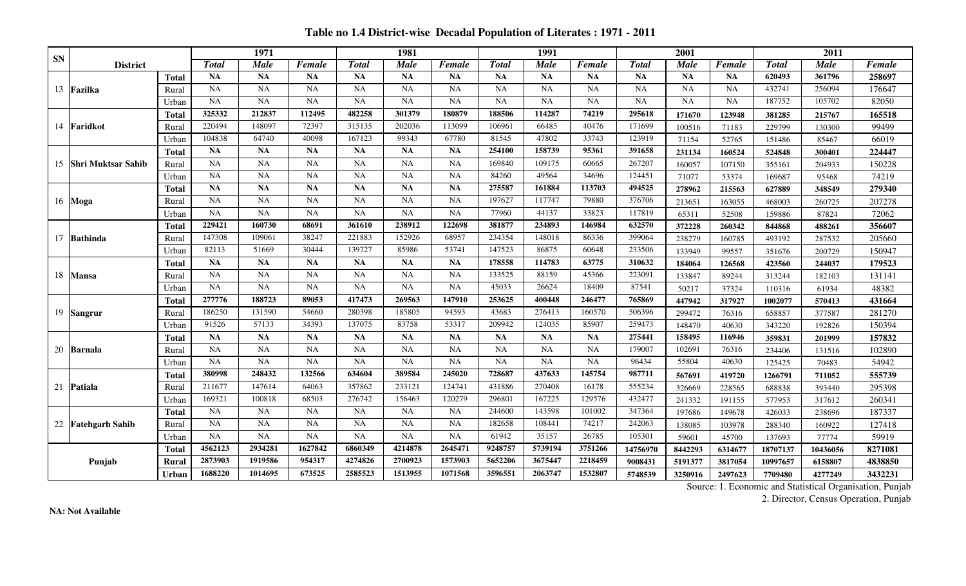**Table no 1.4 District-wise Decadal Population of Literates : 1971 - 2011**

|           |                           |              |              | 1971        |           |              | 1981        |           |                    | 1991      |           |              | 2001        |           |              | 2011        |         |
|-----------|---------------------------|--------------|--------------|-------------|-----------|--------------|-------------|-----------|--------------------|-----------|-----------|--------------|-------------|-----------|--------------|-------------|---------|
| <b>SN</b> | <b>District</b>           |              | <b>Total</b> | <b>Male</b> | Female    | <b>Total</b> | <b>Male</b> | Female    | <b>Total</b>       | Male      | Female    | <b>Total</b> | <b>Male</b> | Female    | <b>Total</b> | <b>Male</b> | Female  |
|           |                           | <b>Total</b> | <b>NA</b>    | <b>NA</b>   | NA        | <b>NA</b>    | <b>NA</b>   | <b>NA</b> | <b>NA</b>          | <b>NA</b> | <b>NA</b> | <b>NA</b>    | <b>NA</b>   | <b>NA</b> | 620493       | 361796      | 258697  |
| 13        | Fazilka                   | Rural        | <b>NA</b>    | <b>NA</b>   | <b>NA</b> | <b>NA</b>    | <b>NA</b>   | <b>NA</b> | <b>NA</b>          | <b>NA</b> | <b>NA</b> | <b>NA</b>    | NA          | <b>NA</b> | 432741       | 256094      | 176647  |
|           |                           | Urban        | <b>NA</b>    | <b>NA</b>   | <b>NA</b> | <b>NA</b>    | <b>NA</b>   | <b>NA</b> | <b>NA</b>          | <b>NA</b> | <b>NA</b> | <b>NA</b>    | NA          | <b>NA</b> | 187752       | 105702      | 82050   |
|           |                           | Total        | 325332       | 212837      | 112495    | 482258       | 301379      | 180879    | 188506             | 114287    | 74219     | 295618       | 171670      | 123948    | 381285       | 215767      | 165518  |
|           | 14 Faridkot               | <b>Rura</b>  | 220494       | 148097      | 72397     | 315135       | 202036      | 113099    | 106961             | 66485     | 40476     | 171699       | 100516      | 71183     | 229799       | 130300      | 99499   |
|           |                           | Urban        | 104838       | 64740       | 40098     | 167123       | 99343       | 67780     | $81\overline{545}$ | 47802     | 33743     | 123919       | 71154       | 52765     | 151486       | 85467       | 66019   |
|           |                           | Total        | NA           | <b>NA</b>   | NA        | <b>NA</b>    | <b>NA</b>   | <b>NA</b> | 254100             | 158739    | 95361     | 391658       | 231134      | 160524    | 524848       | 300401      | 224447  |
| 15        | <b>Shri Muktsar Sahib</b> | Rural        | NA           | <b>NA</b>   | <b>NA</b> | <b>NA</b>    | <b>NA</b>   | <b>NA</b> | 169840             | 109175    | 60665     | 267207       | 160057      | 107150    | 355161       | 204933      | 150228  |
|           |                           | Urban        | <b>NA</b>    | <b>NA</b>   | <b>NA</b> | <b>NA</b>    | <b>NA</b>   | NA        | 84260              | 49564     | 34696     | 124451       | 71077       | 53374     | 169687       | 95468       | 74219   |
|           |                           | <b>Total</b> | <b>NA</b>    | <b>NA</b>   | NA        | <b>NA</b>    | <b>NA</b>   | <b>NA</b> | 275587             | 161884    | 113703    | 494525       | 278962      | 215563    | 627889       | 348549      | 279340  |
|           | 16 Moga                   | Rural        | <b>NA</b>    | <b>NA</b>   | <b>NA</b> | <b>NA</b>    | <b>NA</b>   | <b>NA</b> | 197627             | 117747    | 79880     | 376706       | 213651      | 163055    | 468003       | 260725      | 207278  |
|           |                           | Urban        | <b>NA</b>    | <b>NA</b>   | <b>NA</b> | <b>NA</b>    | <b>NA</b>   | <b>NA</b> | 77960              | 44137     | 33823     | 117819       | 65311       | 52508     | 159886       | 87824       | 72062   |
|           |                           | Total        | 229421       | 160730      | 68691     | 361610       | 238912      | 122698    | 381877             | 234893    | 146984    | 632570       | 372228      | 260342    | 844868       | 488261      | 356607  |
| 17        | Bathinda                  | Rural        | 147308       | 109061      | 38247     | 221883       | 152926      | 68957     | 234354             | 148018    | 86336     | 399064       | 238279      | 160785    | 493192       | 287532      | 205660  |
|           |                           | Urban        | 82113        | 51669       | 30444     | 139727       | 85986       | 53741     | 147523             | 86875     | 60648     | 233506       | 133949      | 99557     | 351676       | 200729      | 150947  |
|           |                           | <b>Total</b> | <b>NA</b>    | <b>NA</b>   | <b>NA</b> | <b>NA</b>    | <b>NA</b>   | <b>NA</b> | 178558             | 114783    | 63775     | 310632       | 184064      | 126568    | 423560       | 244037      | 179523  |
| 18        | <b>Mansa</b>              | Rural        | <b>NA</b>    | <b>NA</b>   | <b>NA</b> | <b>NA</b>    | NA          | <b>NA</b> | 133525             | 88159     | 45366     | 223091       | 133847      | 89244     | 313244       | 182103      | 131141  |
|           |                           | Urbar        | <b>NA</b>    | <b>NA</b>   | NA        | <b>NA</b>    | <b>NA</b>   | <b>NA</b> | 45033              | 26624     | 18409     | 87541        | 50217       | 37324     | 110316       | 61934       | 48382   |
|           |                           | Total        | 277776       | 188723      | 89053     | 417473       | 269563      | 147910    | 253625             | 400448    | 246477    | 765869       | 447942      | 317927    | 1002077      | 570413      | 431664  |
|           | 19 Sangrur                | Rural        | 186250       | 131590      | 54660     | 280398       | 185805      | 94593     | 43683              | 276413    | 160570    | 506396       | 299472      | 76316     | 658857       | 377587      | 281270  |
|           |                           | Urban        | 91526        | 57133       | 34393     | 137075       | 83758       | 53317     | 209942             | 124035    | 85907     | 259473       | 148470      | 40630     | 343220       | 192826      | 150394  |
|           |                           | Total        | <b>NA</b>    | <b>NA</b>   | NA        | <b>NA</b>    | <b>NA</b>   | <b>NA</b> | <b>NA</b>          | <b>NA</b> | <b>NA</b> | 275441       | 158495      | 116946    | 359831       | 201999      | 157832  |
|           | 20 Barnala                | Rural        | <b>NA</b>    | <b>NA</b>   | NA        | <b>NA</b>    | <b>NA</b>   | <b>NA</b> | <b>NA</b>          | <b>NA</b> | <b>NA</b> | 179007       | 102691      | 76316     | 234406       | 131516      | 102890  |
|           |                           | Urban        | <b>NA</b>    | <b>NA</b>   | <b>NA</b> | <b>NA</b>    | <b>NA</b>   | <b>NA</b> | <b>NA</b>          | <b>NA</b> | NA        | 96434        | 55804       | 40630     | 125425       | 70483       | 54942   |
|           |                           | Total        | 380998       | 248432      | 132566    | 634604       | 389584      | 245020    | 728687             | 437633    | 145754    | 987711       | 567691      | 419720    | 1266791      | 711052      | 555739  |
| 21        | <b>Patiala</b>            | Rural        | 211677       | 147614      | 64063     | 357862       | 233121      | 124741    | 431886             | 270408    | 16178     | 555234       | 326669      | 228565    | 688838       | 393440      | 295398  |
|           |                           | Urbar        | 169321       | 100818      | 68503     | 276742       | 156463      | 120279    | 296801             | 167225    | 129576    | 432477       | 241332      | 191155    | 577953       | 317612      | 260341  |
|           |                           | <b>Total</b> | <b>NA</b>    | <b>NA</b>   | <b>NA</b> | <b>NA</b>    | <b>NA</b>   | <b>NA</b> | 244600             | 143598    | 101002    | 347364       | 197686      | 149678    | 426033       | 238696      | 187337  |
| 22        | <b>Fatehgarh Sahib</b>    | Rural        | <b>NA</b>    | <b>NA</b>   | <b>NA</b> | <b>NA</b>    | <b>NA</b>   | <b>NA</b> | 182658             | 108441    | 74217     | 242063       | 138085      | 103978    | 288340       | 160922      | 127418  |
|           |                           | Urban        | NA           | <b>NA</b>   | <b>NA</b> | <b>NA</b>    | <b>NA</b>   | <b>NA</b> | 61942              | 35157     | 26785     | 105301       | 59601       | 45700     | 137693       | 77774       | 59919   |
|           |                           | Total        | 4562123      | 2934281     | 1627842   | 6860349      | 4214878     | 2645471   | 9248757            | 5739194   | 3751266   | 14756970     | 8442293     | 6314677   | 18707137     | 10436056    | 8271081 |
|           | Punjab                    | Rural        | 2873903      | 1919586     | 954317    | 4274826      | 2700923     | 1573903   | 5652206            | 3675447   | 2218459   | 9008431      | 5191377     | 3817054   | 10997657     | 6158807     | 4838850 |
|           |                           | Urban        | 1688220      | 1014695     | 673525    | 2585523      | 1513955     | 1071568   | 3596551            | 2063747   | 1532807   | 5748539      | 3250916     | 2497623   | 7709480      | 4277249     | 3432231 |

2. Director, Census Operation, Punjab

**NA: Not Available**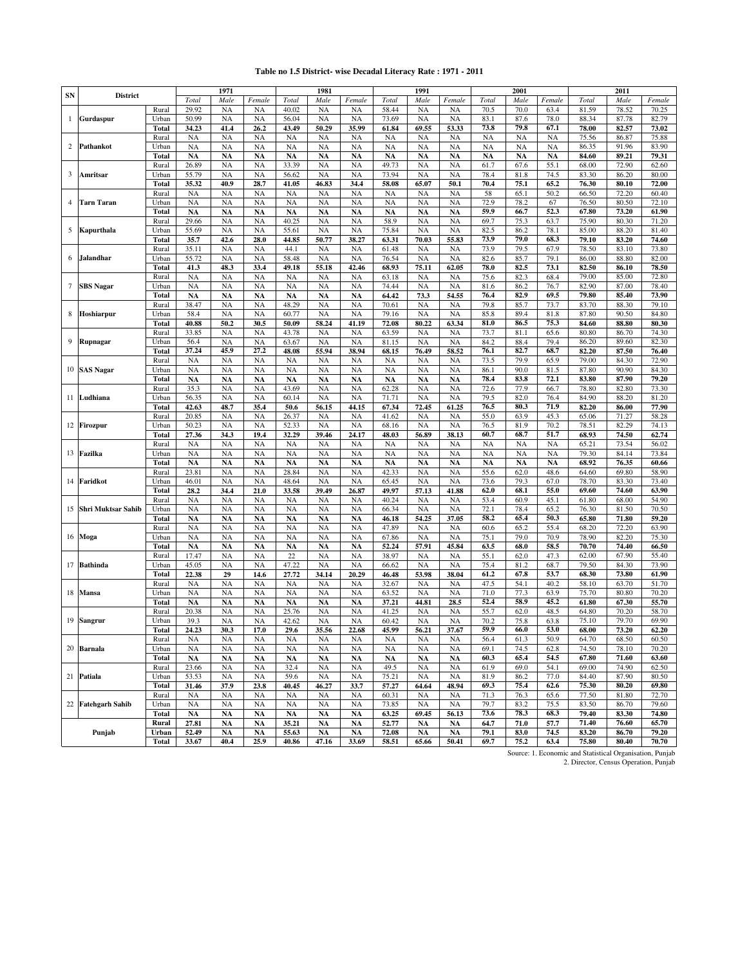#### **Table no 1.5 District- wise Decadal Literacy Rate : 1971 - 2011**

|           |                       |                       |                        | 1971                   |                        |                        | 1981                   |                        |                    | 1991                   |                        |                   | 2001              |              |                | 2011           |                |
|-----------|-----------------------|-----------------------|------------------------|------------------------|------------------------|------------------------|------------------------|------------------------|--------------------|------------------------|------------------------|-------------------|-------------------|--------------|----------------|----------------|----------------|
| <b>SN</b> | <b>District</b>       |                       | Total                  | Male                   | Female                 | Total                  | Male                   | Female                 | Total              | Male                   | Female                 | Total             | Male              | Female       | Total          | Male           | Female         |
|           |                       | Rural                 | 29.92                  | <b>NA</b>              | NA                     | 40.02                  | <b>NA</b>              | <b>NA</b>              | 58.44              | <b>NA</b>              | <b>NA</b>              | 70.5              | 70.0              | 63.4         | 81.59          | 78.52          | 70.25          |
| 1         | Gurdaspur             | Urban                 | 50.99                  | <b>NA</b>              | <b>NA</b>              | 56.04                  | <b>NA</b>              | <b>NA</b>              | 73.69              | <b>NA</b>              | <b>NA</b>              | 83.1              | 87.6              | 78.0         | 88.34          | 87.78          | 82.79          |
|           |                       | <b>Total</b>          | 34.23                  | 41.4                   | 26.2                   | 43.49                  | 50.29                  | 35.99                  | 61.84              | 69.55                  | 53.33                  | 73.8              | 79.8              | 67.1         | 78.00          | 82.57          | 73.02          |
|           |                       | Rural                 | <b>NA</b>              | <b>NA</b>              | NA                     | <b>NA</b>              | <b>NA</b>              | <b>NA</b>              | <b>NA</b>          | NA                     | <b>NA</b>              | <b>NA</b>         | <b>NA</b>         | <b>NA</b>    | 75.56          | 86.87          | 75.88          |
| 2         | Pathankot             | Urban                 | <b>NA</b>              | <b>NA</b>              | NA                     | <b>NA</b>              | <b>NA</b>              | <b>NA</b>              | <b>NA</b>          | <b>NA</b>              | <b>NA</b>              | <b>NA</b>         | <b>NA</b>         | <b>NA</b>    | 86.35          | 91.96          | 83.90          |
|           |                       | <b>Total</b>          | <b>NA</b>              | NA                     | <b>NA</b>              | <b>NA</b>              | <b>NA</b>              | <b>NA</b>              | <b>NA</b>          | <b>NA</b>              | <b>NA</b>              | <b>NA</b>         | <b>NA</b>         | <b>NA</b>    | 84.60          | 89.21          | 79.31          |
|           |                       | Rural                 | 26.89                  | <b>NA</b>              | <b>NA</b>              | 33.39                  | <b>NA</b>              | <b>NA</b>              | 49.73              | NA                     | <b>NA</b>              | 61.7              | 67.6              | 55.1         | 68.00          | 72.90          | 62.60          |
| 3         | Amritsar              | Urban                 | 55.79                  | <b>NA</b>              | <b>NA</b>              | 56.62                  | <b>NA</b>              | <b>NA</b>              | 73.94              | <b>NA</b>              | <b>NA</b>              | 78.4<br>70.4      | 81.8              | 74.5         | 83.30          | 86.20          | 80.00          |
|           |                       | <b>Total</b><br>Rural | 35.32<br>NA            | 40.9<br><b>NA</b>      | 28.7<br>NA             | 41.05<br><b>NA</b>     | 46.83<br><b>NA</b>     | 34.4<br><b>NA</b>      | 58.08<br>NA        | 65.07<br><b>NA</b>     | 50.1<br><b>NA</b>      | 58                | 75.1<br>65.1      | 65.2<br>50.2 | 76.30<br>66.50 | 80.10<br>72.20 | 72.00<br>60.40 |
| 4         | <b>Tarn Taran</b>     | Urban                 | <b>NA</b>              | <b>NA</b>              | NA                     | <b>NA</b>              | <b>NA</b>              | <b>NA</b>              | NA                 | <b>NA</b>              | <b>NA</b>              | 72.9              | 78.2              | 67           | 76.50          | 80.50          | 72.10          |
|           |                       | <b>Total</b>          | <b>NA</b>              | NA                     | NA                     | NA                     | <b>NA</b>              | <b>NA</b>              | NA                 | NA                     | <b>NA</b>              | 59.9              | 66.7              | 52.3         | 67.80          | 73.20          | 61.90          |
|           |                       | Rural                 | 29.66                  | <b>NA</b>              | <b>NA</b>              | 40.25                  | <b>NA</b>              | <b>NA</b>              | 58.9               | <b>NA</b>              | <b>NA</b>              | 69.7              | 75.3              | 63.7         | 75.90          | 80.30          | 71.20          |
| 5         | Kapurthala            | Urban                 | 55.69                  | <b>NA</b>              | <b>NA</b>              | 55.61                  | <b>NA</b>              | <b>NA</b>              | 75.84              | <b>NA</b>              | <b>NA</b>              | 82.5              | 86.2              | 78.1         | 85.00          | 88.20          | 81.40          |
|           |                       | <b>Total</b>          | 35.7                   | 42.6                   | 28.0                   | 44.85                  | 50.77                  | 38.27                  | 63.31              | 70.03                  | 55.83                  | 73.9              | 79.0              | 68.3         | 79.10          | 83.20          | 74.60          |
|           |                       | Rural                 | 35.11                  | <b>NA</b>              | <b>NA</b>              | 44.1                   | <b>NA</b>              | <b>NA</b>              | 61.48              | <b>NA</b>              | <b>NA</b>              | 73.9              | 79.5              | 67.9         | 78.50          | 83.10          | 73.80          |
| 6         | <b>Jalandhar</b>      | Urban                 | 55.72                  | <b>NA</b>              | <b>NA</b>              | 58.48                  | <b>NA</b>              | <b>NA</b>              | 76.54              | <b>NA</b>              | <b>NA</b>              | 82.6              | 85.7              | 79.1         | 86.00          | 88.80          | 82.00          |
|           |                       | <b>Total</b>          | 41.3                   | 48.3                   | 33.4                   | 49.18                  | 55.18                  | 42.46                  | 68.93              | 75.11                  | 62.05                  | 78.0              | 82.5              | 73.1         | 82.50          | 86.10          | 78.50          |
|           |                       | Rural                 | NA                     | <b>NA</b>              | <b>NA</b>              | NA                     | <b>NA</b>              | <b>NA</b>              | 63.18              | <b>NA</b>              | <b>NA</b>              | 75.6              | 82.3              | 68.4         | 79.00          | 85.00          | 72.80          |
| 7         | <b>SBS</b> Nagar      | Urban                 | <b>NA</b>              | <b>NA</b>              | NA                     | <b>NA</b>              | <b>NA</b>              | <b>NA</b>              | 74.44              | <b>NA</b>              | <b>NA</b>              | 81.6              | 86.2              | 76.7         | 82.90          | 87.00          | 78.40          |
|           |                       | <b>Total</b>          | <b>NA</b>              | NA                     | <b>NA</b>              | <b>NA</b>              | <b>NA</b>              | <b>NA</b>              | 64.42              | 73.3                   | 54.55                  | 76.4              | 82.9              | 69.5         | 79.80          | 85.40          | 73.90          |
|           |                       | Rural                 | 38.47                  | <b>NA</b>              | NA                     | 48.29                  | <b>NA</b>              | <b>NA</b>              | 70.61              | NA                     | <b>NA</b>              | 79.8              | 85.7              | 73.7         | 83.70          | 88.30          | 79.10          |
| 8         | Hoshiarpur            | Urban                 | 58.4                   | <b>NA</b>              | NA                     | 60.77                  | <b>NA</b>              | <b>NA</b>              | 79.16              | <b>NA</b>              | <b>NA</b>              | 85.8              | 89.4              | 81.8         | 87.80          | 90.50          | 84.80          |
|           |                       | <b>Total</b><br>Rural | 40.88<br>33.85         | 50.2<br><b>NA</b>      | 30.5<br>NA             | 50.09<br>43.78         | 58.24<br><b>NA</b>     | 41.19<br><b>NA</b>     | 72.08<br>63.59     | 80.22<br><b>NA</b>     | 63.34<br><b>NA</b>     | 81.0<br>73.7      | 86.5<br>81.1      | 75.3<br>65.6 | 84.60<br>80.80 | 88.80<br>86.70 | 80.30<br>74.30 |
| 9         | Rupnagar              | Urban                 | 56.4                   | <b>NA</b>              | <b>NA</b>              | 63.67                  | <b>NA</b>              | <b>NA</b>              | 81.15              | <b>NA</b>              | <b>NA</b>              | 84.2              | 88.4              | 79.4         | 86.20          | 89.60          | 82.30          |
|           |                       | <b>Total</b>          | 37.24                  | 45.9                   | 27.2                   | 48.08                  | 55.94                  | 38.94                  | 68.15              | 76.49                  | 58.52                  | 76.1              | 82.7              | 68.7         | 82.20          | 87.50          | 76.40          |
|           |                       | Rural                 | <b>NA</b>              | <b>NA</b>              | <b>NA</b>              | <b>NA</b>              | <b>NA</b>              | <b>NA</b>              | <b>NA</b>          | <b>NA</b>              | <b>NA</b>              | 73.5              | 79.9              | 65.9         | 79.00          | 84.30          | 72.90          |
|           | 10 SAS Nagar          | Urban                 | <b>NA</b>              | <b>NA</b>              | <b>NA</b>              | <b>NA</b>              | <b>NA</b>              | <b>NA</b>              | <b>NA</b>          | <b>NA</b>              | <b>NA</b>              | 86.1              | 90.0              | 81.5         | 87.80          | 90.90          | 84.30          |
|           |                       | <b>Total</b>          | <b>NA</b>              | <b>NA</b>              | <b>NA</b>              | <b>NA</b>              | <b>NA</b>              | <b>NA</b>              | <b>NA</b>          | <b>NA</b>              | <b>NA</b>              | 78.4              | 83.8              | 72.1         | 83.80          | 87.90          | 79.20          |
|           |                       | Rural                 | 35.3                   | <b>NA</b>              | <b>NA</b>              | 43.69                  | <b>NA</b>              | <b>NA</b>              | 62.28              | <b>NA</b>              | <b>NA</b>              | 72.6              | 77.9              | 66.7         | 78.80          | 82.80          | 73.30          |
|           | 11 Ludhiana           | Urban                 | 56.35                  | <b>NA</b>              | <b>NA</b>              | 60.14                  | <b>NA</b>              | <b>NA</b>              | 71.71              | <b>NA</b>              | <b>NA</b>              | 79.5              | 82.0              | 76.4         | 84.90          | 88.20          | 81.20          |
|           |                       | <b>Total</b>          | 42.63                  | 48.7                   | 35.4                   | 50.6                   | 56.15                  | 44.15                  | 67.34              | 72.45                  | 61.25                  | 76.5              | 80.3              | 71.9         | 82.20          | 86.00          | 77.90          |
|           |                       | Rural                 | 20.85                  | <b>NA</b>              | NA                     | 26.37                  | <b>NA</b>              | <b>NA</b>              | 41.62              | <b>NA</b>              | <b>NA</b>              | 55.0              | 63.9              | 45.3         | 65.06          | 71.27          | 58.28          |
|           | 12 Firozpur           | Urban                 | 50.23                  | <b>NA</b>              | NA                     | 52.33                  | <b>NA</b>              | <b>NA</b>              | 68.16              | <b>NA</b>              | <b>NA</b>              | 76.5              | 81.9              | 70.2         | 78.51          | 82.29          | 74.13          |
|           |                       | <b>Total</b>          | 27.36                  | 34.3                   | 19.4                   | 32.29                  | 39.46                  | 24.17                  | 48.03              | 56.89                  | 38.13                  | 60.7              | 68.7              | 51.7         | 68.93          | 74.50          | 62.74          |
|           |                       | Rural                 | NA                     | <b>NA</b>              | NA                     | <b>NA</b>              | NA                     | <b>NA</b>              | <b>NA</b>          | <b>NA</b>              | <b>NA</b>              | <b>NA</b>         | <b>NA</b>         | <b>NA</b>    | 65.21          | 73.54          | 56.02          |
|           | 13 Fazilka            | Urban                 | <b>NA</b>              | <b>NA</b>              | <b>NA</b>              | <b>NA</b>              | <b>NA</b>              | <b>NA</b>              | <b>NA</b>          | <b>NA</b>              | <b>NA</b>              | <b>NA</b>         | <b>NA</b>         | <b>NA</b>    | 79.30          | 84.14          | 73.84          |
|           |                       | <b>Total</b><br>Rural | <b>NA</b><br>23.81     | <b>NA</b><br><b>NA</b> | <b>NA</b><br><b>NA</b> | <b>NA</b><br>28.84     | <b>NA</b><br><b>NA</b> | <b>NA</b><br><b>NA</b> | <b>NA</b><br>42.33 | <b>NA</b><br><b>NA</b> | <b>NA</b><br><b>NA</b> | <b>NA</b><br>55.6 | <b>NA</b><br>62.0 | NA<br>48.6   | 68.92<br>64.60 | 76.35<br>69.80 | 60.66<br>58.90 |
|           | 14 Faridkot           | Urban                 | 46.01                  | <b>NA</b>              | <b>NA</b>              | 48.64                  | <b>NA</b>              | <b>NA</b>              | 65.45              | <b>NA</b>              | <b>NA</b>              | 73.6              | 79.3              | 67.0         | 78.70          | 83.30          | 73.40          |
|           |                       | <b>Total</b>          | 28.2                   | 34.4                   | 21.0                   | 33.58                  | 39.49                  | 26.87                  | 49.97              | 57.13                  | 41.88                  | 62.0              | 68.1              | 55.0         | 69.60          | 74.60          | 63.90          |
|           |                       | Rural                 | NA                     | <b>NA</b>              | <b>NA</b>              | NA                     | <b>NA</b>              | <b>NA</b>              | 40.24              | NA                     | <b>NA</b>              | 53.4              | 60.9              | 45.1         | 61.80          | 68.00          | 54.90          |
|           | 15 Shri Muktsar Sahib | Urban                 | <b>NA</b>              | <b>NA</b>              | <b>NA</b>              | <b>NA</b>              | <b>NA</b>              | <b>NA</b>              | 66.34              | <b>NA</b>              | <b>NA</b>              | 72.1              | 78.4              | 65.2         | 76.30          | 81.50          | 70.50          |
|           |                       | <b>Total</b>          | <b>NA</b>              | <b>NA</b>              | <b>NA</b>              | <b>NA</b>              | <b>NA</b>              | <b>NA</b>              | 46.18              | 54.25                  | 37.05                  | 58.2              | 65.4              | 50.3         | 65.80          | 71.80          | 59.20          |
|           |                       | Rural                 | NA                     | <b>NA</b>              | NA                     | <b>NA</b>              | <b>NA</b>              | <b>NA</b>              | 47.89              | NA                     | <b>NA</b>              | 60.6              | 65.2              | 55.4         | 68.20          | 72.20          | 63.90          |
|           | 16 Moga               | Urban                 | <b>NA</b>              | <b>NA</b>              | <b>NA</b>              | <b>NA</b>              | <b>NA</b>              | <b>NA</b>              | 67.86              | <b>NA</b>              | <b>NA</b>              | 75.1              | 79.0              | 70.9         | 78.90          | 82.20          | 75.30          |
|           |                       | <b>Total</b>          | NA                     | NA                     | NA                     | NA                     | <b>NA</b>              | <b>NA</b>              | 52.24              | 57.91                  | 45.84                  | 63.5              | 68.0              | 58.5         | 70.70          | 74.40          | 66.50          |
|           |                       | Rural                 | 17.47                  | <b>NA</b>              | <b>NA</b>              | 22                     | <b>NA</b>              | <b>NA</b>              | 38.97              | <b>NA</b>              | <b>NA</b>              | 55.1              | 62.0              | 47.3         | 62.00          | 67.90          | 55.40          |
|           | 17 Bathinda           | Urban                 | 45.05                  | <b>NA</b>              | NA                     | 47.22                  | NA                     | <b>NA</b>              | 66.62              | <b>NA</b>              | NA                     | 75.4              | 81.2              | 68.7         | 79.50          | 84.30          | 73.90          |
|           |                       | <b>Total</b>          | 22.38                  | 29                     | 14.6                   | 27.72                  | 34.14                  | 20.29                  | 46.48              | 53.98                  | 38.04                  | 61.2              | 67.8              | 53.7         | 68.30          | 73.80          | 61.90          |
|           | 18 Mansa              | Rural<br>Urban        | <b>NA</b><br><b>NA</b> | <b>NA</b><br><b>NA</b> | <b>NA</b><br><b>NA</b> | <b>NA</b><br><b>NA</b> | <b>NA</b><br><b>NA</b> | <b>NA</b><br><b>NA</b> | 32.67<br>63.52     | <b>NA</b><br><b>NA</b> | <b>NA</b><br><b>NA</b> | 47.5<br>71.0      | 54.1<br>77.3      | 40.2<br>63.9 | 58.10<br>75.70 | 63.70<br>80.80 | 51.70<br>70.20 |
|           |                       | <b>Total</b>          | <b>NA</b>              | NA                     | <b>NA</b>              | <b>NA</b>              | <b>NA</b>              | NA                     | 37.21              | 44.81                  | 28.5                   | 52.4              | 58.9              | 45.2         | 61.80          | 67.30          | 55.70          |
|           |                       | Rural                 | 20.38                  | <b>NA</b>              | NA                     | 25.76                  | <b>NA</b>              | <b>NA</b>              | 41.25              | <b>NA</b>              | <b>NA</b>              | 55.7              | 62.0              | 48.5         | 64.80          | 70.20          | 58.70          |
|           | 19 Sangrur            | Urban                 | 39.3                   | <b>NA</b>              | <b>NA</b>              | 42.62                  | <b>NA</b>              | <b>NA</b>              | 60.42              | <b>NA</b>              | <b>NA</b>              | 70.2              | 75.8              | 63.8         | 75.10          | 79.70          | 69.90          |
|           |                       | 1 otal                | 24.23                  | 30.3                   | 17.0                   | 29.6                   | 35.56                  | 22.68                  | 45.99              | 56.ZI                  | 37.67                  | 59.9              | 00.U              | 53.U         | <b>09.00</b>   | 73.ZU          | 62.ZU          |
|           |                       | Rural                 | NA                     | <b>NA</b>              | NA                     | <b>NA</b>              | <b>NA</b>              | <b>NA</b>              | <b>NA</b>          | <b>NA</b>              | <b>NA</b>              | 56.4              | 61.3              | 50.9         | 64.70          | 68.50          | 60.50          |
|           | 20 Barnala            | Urban                 | NA                     | <b>NA</b>              | NA                     | <b>NA</b>              | <b>NA</b>              | <b>NA</b>              | NA                 | NA                     | NA                     | 69.1              | 74.5              | 62.8         | 74.50          | 78.10          | 70.20          |
|           |                       | <b>Total</b>          | NA                     | <b>NA</b>              | <b>NA</b>              | <b>NA</b>              | <b>NA</b>              | <b>NA</b>              | <b>NA</b>          | <b>NA</b>              | <b>NA</b>              | 60.3              | 65.4              | 54.5         | 67.80          | 71.60          | 63.60          |
|           |                       | Rural                 | 23.66                  | <b>NA</b>              | NA                     | 32.4                   | NA                     | <b>NA</b>              | 49.5               | NA                     | NA                     | 61.9              | 69.0              | 54.1         | 69.00          | 74.90          | 62.50          |
|           | 21 Patiala            | Urban                 | 53.53                  | <b>NA</b>              | <b>NA</b>              | 59.6                   | <b>NA</b>              | <b>NA</b>              | 75.21              | <b>NA</b>              | <b>NA</b>              | 81.9              | 86.2              | 77.0         | 84.40          | 87.90          | 80.50          |
|           |                       | <b>Total</b>          | 31.46                  | 37.9                   | 23.8                   | 40.45                  | 46.27                  | 33.7                   | 57.27              | 64.64                  | 48.94                  | 69.3              | 75.4              | 62.6         | 75.30          | 80.20          | 69.80          |
|           |                       | Rural                 | <b>NA</b>              | <b>NA</b>              | <b>NA</b>              | <b>NA</b>              | <b>NA</b>              | <b>NA</b>              | 60.31              | <b>NA</b>              | <b>NA</b>              | 71.3              | 76.3              | 65.6         | 77.50          | 81.80          | 72.70          |
|           | 22 Fatehgarh Sahib    | Urban                 | NA                     | <b>NA</b>              | <b>NA</b>              | <b>NA</b>              | <b>NA</b>              | <b>NA</b>              | 73.85              | <b>NA</b>              | NA                     | 79.7              | 83.2              | 75.5         | 83.50          | 86.70          | 79.60          |
|           |                       | <b>Total</b>          | <b>NA</b>              | NA                     | <b>NA</b>              | <b>NA</b>              | <b>NA</b>              | <b>NA</b>              | 63.25              | 69.45                  | 56.13                  | 73.6              | 78.3              | 68.3         | 79.40<br>71.40 | 83.30<br>76.60 | 74.80          |
|           | Punjab                | Rural<br>Urban        | 27.81<br>52.49         | NA<br>NA               | <b>NA</b><br>NA        | 35.21<br>55.63         | NA<br>NA               | NA<br>NA               | 52.77<br>72.08     | NA<br>NA               | NA<br>NA               | 64.7<br>79.1      | 71.0<br>83.0      | 57.7<br>74.5 | 83.20          | 86.70          | 65.70<br>79.20 |
|           |                       | <b>Total</b>          | 33.67                  | 40.4                   | 25.9                   | 40.86                  | 47.16                  | 33.69                  | 58.51              | 65.66                  | 50.41                  | 69.7              | 75.2              | 63.4         | 75.80          | 80.40          | 70.70          |
|           |                       |                       |                        |                        |                        |                        |                        |                        |                    |                        |                        |                   |                   |              |                |                |                |

Source: 1. Economic and Statistical Organisation, Punjab 2. Director, Census Operation, Punjab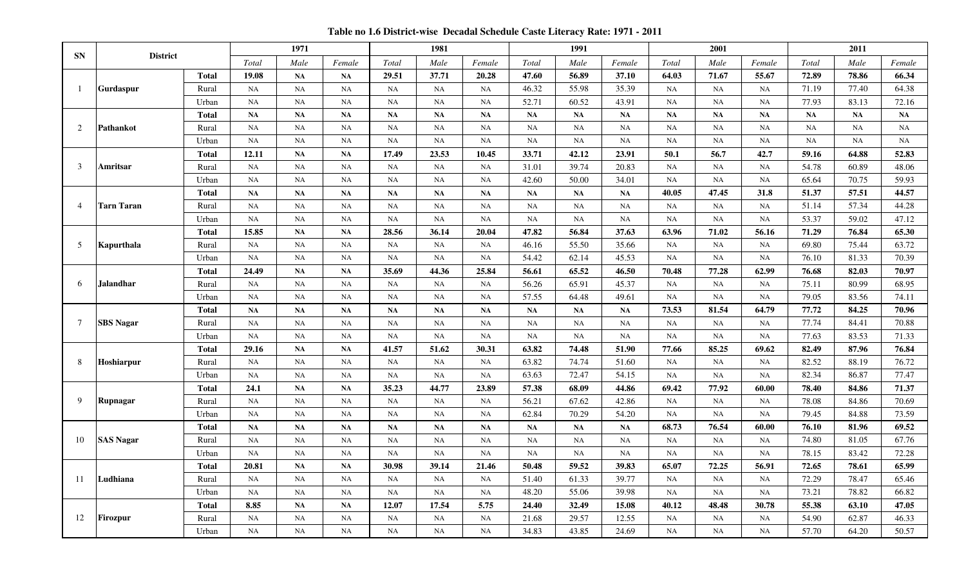**Table no 1.6 District-wise Decadal Schedule Caste Literacy Rate: 1971 - 2011**

|                |                   |              |               | 1971        |           |             | 1981      |               |           | 1991      |           |           | 2001      |           |       | 2011  |        |
|----------------|-------------------|--------------|---------------|-------------|-----------|-------------|-----------|---------------|-----------|-----------|-----------|-----------|-----------|-----------|-------|-------|--------|
| <b>SN</b>      | <b>District</b>   |              | Total         | Male        | Female    | Total       | Male      | Female        | Total     | Male      | Female    | Total     | Male      | Female    | Total | Male  | Female |
|                |                   | <b>Total</b> | 19.08         | <b>NA</b>   | <b>NA</b> | 29.51       | 37.71     | 20.28         | 47.60     | 56.89     | 37.10     | 64.03     | 71.67     | 55.67     | 72.89 | 78.86 | 66.34  |
|                | <b>Gurdaspur</b>  | Rural        | NA            | NA          | NA        | $_{\rm NA}$ | NA        | NA            | 46.32     | 55.98     | 35.39     | NA        | NA        | NA        | 71.19 | 77.40 | 64.38  |
|                |                   | Urban        | NA            | NA          | NA        | NA          | NA        | $\rm NA$      | 52.71     | 60.52     | 43.91     | NA        | NA        | NA        | 77.93 | 83.13 | 72.16  |
|                |                   | <b>Total</b> | $\mathbf{NA}$ | NA          | <b>NA</b> | <b>NA</b>   | NA        | $\mathbf{NA}$ | NA        | NA        | NA        | NA        | NA        | NA        | NA    | NA    | NA     |
| $\mathcal{D}$  | Pathankot         | Rural        | NA            | NA          | NA        | NA          | NA        | NA            | NA        | NA        | NA        | NA        | NA        | NA        | NA    | NA    | NA     |
|                |                   | Urban        | NA            | NA          | NA        | $_{\rm NA}$ | NA        | NA            | NA        | NA        | NA        | NA        | NA        | NA        | NA    | NA    | NA     |
|                |                   | <b>Total</b> | 12.11         | <b>NA</b>   | <b>NA</b> | 17.49       | 23.53     | 10.45         | 33.71     | 42.12     | 23.91     | 50.1      | 56.7      | 42.7      | 59.16 | 64.88 | 52.83  |
| 3              | Amritsar          | Rural        | NA            | <b>NA</b>   | <b>NA</b> | <b>NA</b>   | NA        | NA            | 31.01     | 39.74     | 20.83     | <b>NA</b> | <b>NA</b> | <b>NA</b> | 54.78 | 60.89 | 48.06  |
|                |                   | Urban        | NA            | <b>NA</b>   | <b>NA</b> | <b>NA</b>   | <b>NA</b> | NA            | 42.60     | 50.00     | 34.01     | <b>NA</b> | <b>NA</b> | <b>NA</b> | 65.64 | 70.75 | 59.93  |
|                |                   | <b>Total</b> | NA            | <b>NA</b>   | <b>NA</b> | <b>NA</b>   | NA        | <b>NA</b>     | NA        | NA        | NA        | 40.05     | 47.45     | 31.8      | 51.37 | 57.51 | 44.57  |
| $\overline{4}$ | <b>Tarn Taran</b> | Rural        | NA            | NA          | <b>NA</b> | <b>NA</b>   | <b>NA</b> | NA            | NA        | NA        | <b>NA</b> | NA        | NA        | <b>NA</b> | 51.14 | 57.34 | 44.28  |
|                |                   | Urban        | NA            | NA          | NA        | NA          | <b>NA</b> | <b>NA</b>     | NA        | NA        | NA        | NA        | NA        | NA        | 53.37 | 59.02 | 47.12  |
|                |                   | <b>Total</b> | 15.85         | NA          | <b>NA</b> | 28.56       | 36.14     | 20.04         | 47.82     | 56.84     | 37.63     | 63.96     | 71.02     | 56.16     | 71.29 | 76.84 | 65.30  |
| 5              | Kapurthala        | Rural        | NA            | NA          | NA        | $_{\rm NA}$ | NA        | NA            | 46.16     | 55.50     | 35.66     | NA        | NA        | NA        | 69.80 | 75.44 | 63.72  |
|                |                   | Urban        | NA            | NA          | <b>NA</b> | NA          | NA        | NA            | 54.42     | 62.14     | 45.53     | NA        | NA        | <b>NA</b> | 76.10 | 81.33 | 70.39  |
|                |                   | <b>Total</b> | 24.49         | NA          | <b>NA</b> | 35.69       | 44.36     | 25.84         | 56.61     | 65.52     | 46.50     | 70.48     | 77.28     | 62.99     | 76.68 | 82.03 | 70.97  |
| -6             | <b>Jalandhar</b>  | Rural        | $_{\rm NA}$   | $_{\rm NA}$ | NA        | $\rm NA$    | $\rm NA$  | $\rm NA$      | 56.26     | 65.91     | 45.37     | <b>NA</b> | NA        | NA        | 75.11 | 80.99 | 68.95  |
|                |                   | Urban        | NA            | NA          | NA        | NA          | <b>NA</b> | NA            | 57.55     | 64.48     | 49.61     | NA        | NA        | NA        | 79.05 | 83.56 | 74.11  |
|                |                   | <b>Total</b> | <b>NA</b>     | <b>NA</b>   | <b>NA</b> | <b>NA</b>   | <b>NA</b> | <b>NA</b>     | <b>NA</b> | <b>NA</b> | <b>NA</b> | 73.53     | 81.54     | 64.79     | 77.72 | 84.25 | 70.96  |
| 7              | <b>SBS Nagar</b>  | Rural        | NA            | NA          | <b>NA</b> | <b>NA</b>   | <b>NA</b> | <b>NA</b>     | <b>NA</b> | <b>NA</b> | <b>NA</b> | <b>NA</b> | <b>NA</b> | <b>NA</b> | 77.74 | 84.41 | 70.88  |
|                |                   | Urban        | NA            | NA          | <b>NA</b> | <b>NA</b>   | <b>NA</b> | <b>NA</b>     | <b>NA</b> | <b>NA</b> | <b>NA</b> | <b>NA</b> | NA        | <b>NA</b> | 77.63 | 83.53 | 71.33  |
|                |                   | <b>Total</b> | 29.16         | <b>NA</b>   | <b>NA</b> | 41.57       | 51.62     | 30.31         | 63.82     | 74.48     | 51.90     | 77.66     | 85.25     | 69.62     | 82.49 | 87.96 | 76.84  |
| -8             | Hoshiarpur        | Rural        | NA            | NA          | <b>NA</b> | <b>NA</b>   | <b>NA</b> | NA            | 63.82     | 74.74     | 51.60     | NA        | NA        | <b>NA</b> | 82.52 | 88.19 | 76.72  |
|                |                   | Urban        | NA            | NA          | NA        | $_{\rm NA}$ | NA        | NA            | 63.63     | 72.47     | 54.15     | NA        | NA        | NA        | 82.34 | 86.87 | 77.47  |
|                |                   | <b>Total</b> | 24.1          | NA          | <b>NA</b> | 35.23       | 44.77     | 23.89         | 57.38     | 68.09     | 44.86     | 69.42     | 77.92     | 60.00     | 78.40 | 84.86 | 71.37  |
| $\mathbf Q$    | Rupnagar          | Rural        | NA            | NA          | NA        | $_{\rm NA}$ | NA        | NA            | 56.21     | 67.62     | 42.86     | NA        | NA        | <b>NA</b> | 78.08 | 84.86 | 70.69  |
|                |                   | Urban        | NA            | NA          | NA        | NA          | <b>NA</b> | $\rm NA$      | 62.84     | 70.29     | 54.20     | NA        | NA        | <b>NA</b> | 79.45 | 84.88 | 73.59  |
|                |                   | <b>Total</b> | <b>NA</b>     | <b>NA</b>   | <b>NA</b> | <b>NA</b>   | NA        | NA            | NA        | <b>NA</b> | NA        | 68.73     | 76.54     | 60.00     | 76.10 | 81.96 | 69.52  |
| 10             | <b>SAS Nagar</b>  | Rural        | NA            | NA          | NA        | NA          | NA        | NA            | NA        | NA        | NA        | NA        | NA        | NA        | 74.80 | 81.05 | 67.76  |
|                |                   | Urban        | NA            | NA          | NA        | NA          | <b>NA</b> | NA            | NA        | NA        | NA        | NA        | NA        | NA        | 78.15 | 83.42 | 72.28  |
|                |                   | <b>Total</b> | 20.81         | <b>NA</b>   | <b>NA</b> | 30.98       | 39.14     | 21.46         | 50.48     | 59.52     | 39.83     | 65.07     | 72.25     | 56.91     | 72.65 | 78.61 | 65.99  |
| -11            | Ludhiana          | Rural        | NA            | NA          | <b>NA</b> | <b>NA</b>   | NA        | NA            | 51.40     | 61.33     | 39.77     | NA        | <b>NA</b> | <b>NA</b> | 72.29 | 78.47 | 65.46  |
|                |                   | Urban        | NA            | <b>NA</b>   | <b>NA</b> | <b>NA</b>   | <b>NA</b> | NA            | 48.20     | 55.06     | 39.98     | <b>NA</b> | NA        | <b>NA</b> | 73.21 | 78.82 | 66.82  |
|                |                   | <b>Total</b> | 8.85          | <b>NA</b>   | <b>NA</b> | 12.07       | 17.54     | 5.75          | 24.40     | 32.49     | 15.08     | 40.12     | 48.48     | 30.78     | 55.38 | 63.10 | 47.05  |
| 12             | Firozpur          | Rural        | <b>NA</b>     | <b>NA</b>   | <b>NA</b> | <b>NA</b>   | <b>NA</b> | NA            | 21.68     | 29.57     | 12.55     | <b>NA</b> | NA        | NA        | 54.90 | 62.87 | 46.33  |
|                |                   | Urban        | NA            | NA          | <b>NA</b> | <b>NA</b>   | <b>NA</b> | NA            | 34.83     | 43.85     | 24.69     | <b>NA</b> | <b>NA</b> | <b>NA</b> | 57.70 | 64.20 | 50.57  |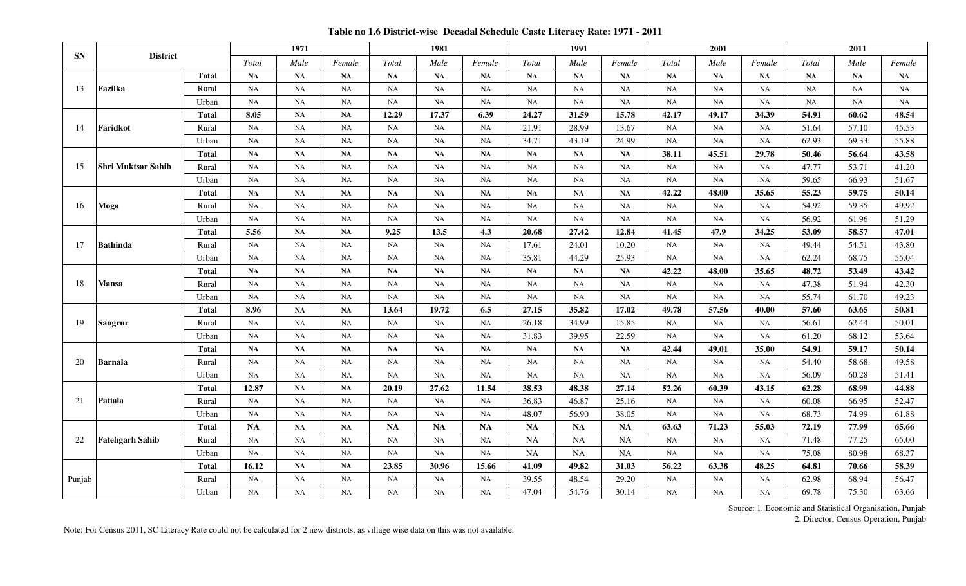**Table no 1.6 District-wise Decadal Schedule Caste Literacy Rate: 1971 - 2011**

|           |                           |              |           | 1971          |           |           | 1981      |           |           | 1991      |           |           | 2001      |           |           | 2011      |           |
|-----------|---------------------------|--------------|-----------|---------------|-----------|-----------|-----------|-----------|-----------|-----------|-----------|-----------|-----------|-----------|-----------|-----------|-----------|
| <b>SN</b> | <b>District</b>           |              | Total     | Male          | Female    | Total     | Male      | Female    | Total     | Male      | Female    | Total     | Male      | Female    | Total     | Male      | Female    |
|           |                           | <b>Total</b> | <b>NA</b> | NA            | <b>NA</b> | NA        | NA        | <b>NA</b> | NA        | NA        | <b>NA</b> | <b>NA</b> | NA        | <b>NA</b> | <b>NA</b> | NA        | <b>NA</b> |
| 13        | Fazilka                   | Rural        | NA        | NA            | NA        | NA        | NA        | NA        | NA        | NA        | NA        | NA        | NA        | NA        | NA        | NA        | NA        |
|           |                           | Urban        | NA        | NA            | NA        | NA        | NA        | NA        | <b>NA</b> | <b>NA</b> | NA        | <b>NA</b> | <b>NA</b> | NA        | <b>NA</b> | <b>NA</b> | NA        |
|           |                           | <b>Total</b> | 8.05      | $\mathbf{NA}$ | NA        | 12.29     | 17.37     | 6.39      | 24.27     | 31.59     | 15.78     | 42.17     | 49.17     | 34.39     | 54.91     | 60.62     | 48.54     |
| -14       | Faridkot                  | Rural        | <b>NA</b> | <b>NA</b>     | NA        | <b>NA</b> | <b>NA</b> | NA        | 21.91     | 28.99     | 13.67     | <b>NA</b> | <b>NA</b> | NA        | 51.64     | 57.10     | 45.53     |
|           |                           | Urban        | NA        | NA            | NA        | NA        | NA        | NA        | 34.71     | 43.19     | 24.99     | <b>NA</b> | <b>NA</b> | NA        | 62.93     | 69.33     | 55.88     |
|           |                           | <b>Total</b> | <b>NA</b> | NA            | NA        | <b>NA</b> | NA        | NA        | NA        | NA        | NA        | 38.11     | 45.51     | 29.78     | 50.46     | 56.64     | 43.58     |
| 15        | <b>Shri Muktsar Sahib</b> | Rural        | <b>NA</b> | NA            | NA        | <b>NA</b> | NA        | NA        | NA        | NA        | NA        | NA        | NA        | NA        | 47.77     | 53.71     | 41.20     |
|           |                           | Urban        | <b>NA</b> | <b>NA</b>     | NA        | <b>NA</b> | <b>NA</b> | <b>NA</b> | <b>NA</b> | <b>NA</b> | <b>NA</b> | <b>NA</b> | <b>NA</b> | NA        | 59.65     | 66.93     | 51.67     |
|           |                           | <b>Total</b> | NA        | NA            | NA        | NA        | NA        | NA        | NA        | NA        | NA        | 42.22     | 48.00     | 35.65     | 55.23     | 59.75     | 50.14     |
| 16        | Moga                      | Rural        | <b>NA</b> | NA            | NA        | NA        | NA        | NA        | NA        | NA        | NA        | NA        | NA        | NA        | 54.92     | 59.35     | 49.92     |
|           |                           | Urban        | NA        | NA            | NA        | NA        | NA        | NA        | NA        | NA        | NA        | NA        | NA        | NA        | 56.92     | 61.96     | 51.29     |
|           |                           | <b>Total</b> | 5.56      | $\mathbf{NA}$ | NA        | 9.25      | 13.5      | 4.3       | 20.68     | 27.42     | 12.84     | 41.45     | 47.9      | 34.25     | 53.09     | 58.57     | 47.01     |
| 17        | <b>Bathinda</b>           | Rural        | <b>NA</b> | NA            | NA        | NA        | <b>NA</b> | NA        | 17.61     | 24.01     | 10.20     | NA        | NA        | NA        | 49.44     | 54.51     | 43.80     |
|           |                           | Urban        | NA        | NA            | NA        | NA        | NA        | NA        | 35.81     | 44.29     | 25.93     | NA        | NA        | NA        | 62.24     | 68.75     | 55.04     |
|           |                           | <b>Total</b> | <b>NA</b> | <b>NA</b>     | <b>NA</b> | <b>NA</b> | <b>NA</b> | <b>NA</b> | <b>NA</b> | <b>NA</b> | <b>NA</b> | 42.22     | 48.00     | 35.65     | 48.72     | 53.49     | 43.42     |
| 18        | <b>Mansa</b>              | Rural        | NA        | NA            | NA        | NA        | NA        | NA        | NA        | NA        | NA        | NA        | NA        | NA        | 47.38     | 51.94     | 42.30     |
|           |                           | Urban        | <b>NA</b> | <b>NA</b>     | <b>NA</b> | NA        | <b>NA</b> | <b>NA</b> | <b>NA</b> | <b>NA</b> | <b>NA</b> | <b>NA</b> | <b>NA</b> | <b>NA</b> | 55.74     | 61.70     | 49.23     |
|           |                           | <b>Total</b> | 8.96      | NA            | NA        | 13.64     | 19.72     | 6.5       | 27.15     | 35.82     | 17.02     | 49.78     | 57.56     | 40.00     | 57.60     | 63.65     | 50.81     |
| 19        | <b>Sangrur</b>            | Rural        | <b>NA</b> | <b>NA</b>     | NA        | <b>NA</b> | <b>NA</b> | <b>NA</b> | 26.18     | 34.99     | 15.85     | <b>NA</b> | <b>NA</b> | <b>NA</b> | 56.61     | 62.44     | 50.01     |
|           |                           | Urban        | NA        | NA            | NA        | NA        | NA        | NA        | 31.83     | 39.95     | 22.59     | NA        | NA        | NA        | 61.20     | 68.12     | 53.64     |
|           |                           | <b>Total</b> | <b>NA</b> | <b>NA</b>     | <b>NA</b> | <b>NA</b> | NA        | <b>NA</b> | <b>NA</b> | NA        | <b>NA</b> | 42.44     | 49.01     | 35.00     | 54.91     | 59.17     | 50.14     |
| 20        | <b>Barnala</b>            | Rural        | NA        | NA            | NA        | NA        | <b>NA</b> | NA        | NA        | NA        | NA        | NA        | NA        | NA        | 54.40     | 58.68     | 49.58     |
|           |                           | Urban        | NA        | NA            | NA        | <b>NA</b> | NA        | NA        | NA        | <b>NA</b> | NA        | <b>NA</b> | <b>NA</b> | NA        | 56.09     | 60.28     | 51.41     |
|           |                           | <b>Total</b> | 12.87     | NA            | NA        | 20.19     | 27.62     | 11.54     | 38.53     | 48.38     | 27.14     | 52.26     | 60.39     | 43.15     | 62.28     | 68.99     | 44.88     |
| 21        | Patiala                   | Rural        | NA        | NA            | NA        | <b>NA</b> | NA        | NA        | 36.83     | 46.87     | 25.16     | NA        | NA        | NA        | 60.08     | 66.95     | 52.47     |
|           |                           | Urban        | NA        | NA            | NA        | NA        | NA        | NA        | 48.07     | 56.90     | 38.05     | NA        | NA        | NA        | 68.73     | 74.99     | 61.88     |
|           |                           | <b>Total</b> | <b>NA</b> | <b>NA</b>     | NA        | <b>NA</b> | <b>NA</b> | <b>NA</b> | <b>NA</b> | <b>NA</b> | <b>NA</b> | 63.63     | 71.23     | 55.03     | 72.19     | 77.99     | 65.66     |
| 22        | <b>Fatehgarh Sahib</b>    | Rural        | NA        | NA            | NA        | NA        | NA        | NA        | <b>NA</b> | <b>NA</b> | <b>NA</b> | <b>NA</b> | <b>NA</b> | NA        | 71.48     | 77.25     | 65.00     |
|           |                           | Urban        | NA        | NA            | NA        | NA        | NA        | NA        | <b>NA</b> | <b>NA</b> | <b>NA</b> | NA        | NA        | NA        | 75.08     | 80.98     | 68.37     |
|           |                           | <b>Total</b> | 16.12     | <b>NA</b>     | <b>NA</b> | 23.85     | 30.96     | 15.66     | 41.09     | 49.82     | 31.03     | 56.22     | 63.38     | 48.25     | 64.81     | 70.66     | 58.39     |
| Punjab    |                           | Rural        | NA        | NA            | NA        | NA        | NA        | NA        | 39.55     | 48.54     | 29.20     | NA        | NA        | NA        | 62.98     | 68.94     | 56.47     |
|           |                           | Urban        | NA        | NA            | NA        | NA        | NA        | NA        | 47.04     | 54.76     | 30.14     | <b>NA</b> | <b>NA</b> | NA        | 69.78     | 75.30     | 63.66     |

2. Director, Census Operation, Punjab

Note: For Census 2011, SC Literacy Rate could not be calculated for 2 new districts, as village wise data on this was not available.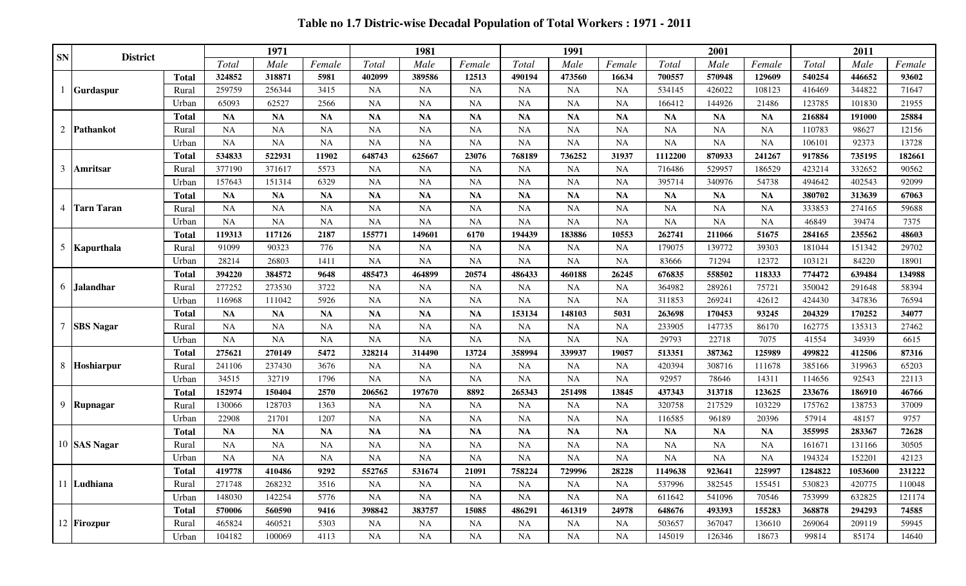**Table no 1.7 Distric-wise Decadal Population of Total Workers : 1971 - 2011**

| <b>SN</b>      | <b>District</b>   |              |           | 1971      |           |           | 1981      |           |           | 1991      |                |           | 2001      |           |         | 2011    |        |
|----------------|-------------------|--------------|-----------|-----------|-----------|-----------|-----------|-----------|-----------|-----------|----------------|-----------|-----------|-----------|---------|---------|--------|
|                |                   |              | Total     | Male      | Female    | Total     | Male      | Female    | Total     | Male      | Female         | Total     | Male      | Female    | Total   | Male    | Female |
|                |                   | <b>Total</b> | 324852    | 318871    | 5981      | 402099    | 389586    | 12513     | 490194    | 473560    | 16634          | 700557    | 570948    | 129609    | 540254  | 446652  | 93602  |
|                | <b>Gurdaspur</b>  | Rural        | 259759    | 256344    | 3415      | <b>NA</b> | <b>NA</b> | <b>NA</b> | <b>NA</b> | <b>NA</b> | <b>NA</b>      | 534145    | 426022    | 108123    | 416469  | 344822  | 71647  |
|                |                   | Urban        | 65093     | 62527     | 2566      | <b>NA</b> | <b>NA</b> | NA        | <b>NA</b> | <b>NA</b> | $\rm NA$       | 166412    | 144926    | 21486     | 123785  | 101830  | 21955  |
|                |                   | <b>Total</b> | <b>NA</b> | <b>NA</b> | <b>NA</b> | <b>NA</b> | <b>NA</b> | NA        | <b>NA</b> | <b>NA</b> | <b>NA</b>      | <b>NA</b> | <b>NA</b> | <b>NA</b> | 216884  | 191000  | 25884  |
| 2              | Pathankot         | Rural        | <b>NA</b> | <b>NA</b> | <b>NA</b> | <b>NA</b> | NA        | NA        | <b>NA</b> | <b>NA</b> | <b>NA</b>      | <b>NA</b> | <b>NA</b> | <b>NA</b> | 110783  | 98627   | 12156  |
|                |                   | Urban        | <b>NA</b> | <b>NA</b> | <b>NA</b> | <b>NA</b> | <b>NA</b> | <b>NA</b> | <b>NA</b> | <b>NA</b> | <b>NA</b>      | <b>NA</b> | NA        | <b>NA</b> | 106101  | 92373   | 13728  |
|                |                   | <b>Total</b> | 534833    | 522931    | 11902     | 648743    | 625667    | 23076     | 768189    | 736252    | 31937          | 1112200   | 870933    | 241267    | 917856  | 735195  | 182661 |
| 3              | <b>Amritsar</b>   | Rural        | 377190    | 371617    | 5573      | <b>NA</b> | <b>NA</b> | <b>NA</b> | <b>NA</b> | <b>NA</b> | NA             | 716486    | 529957    | 186529    | 423214  | 332652  | 90562  |
|                |                   | Urban        | 157643    | 151314    | 6329      | <b>NA</b> | <b>NA</b> | <b>NA</b> | <b>NA</b> | <b>NA</b> | $\rm NA$       | 395714    | 340976    | 54738     | 494642  | 402543  | 92099  |
|                |                   | <b>Total</b> | <b>NA</b> | <b>NA</b> | <b>NA</b> | <b>NA</b> | <b>NA</b> | NA        | <b>NA</b> | <b>NA</b> | NA             | <b>NA</b> | <b>NA</b> | <b>NA</b> | 380702  | 313639  | 67063  |
| $\overline{4}$ | <b>Tarn Taran</b> | Rural        | <b>NA</b> | <b>NA</b> | <b>NA</b> | <b>NA</b> | <b>NA</b> | NA        | <b>NA</b> | <b>NA</b> | <b>NA</b>      | <b>NA</b> | <b>NA</b> | <b>NA</b> | 333853  | 274165  | 59688  |
|                |                   | Urban        | <b>NA</b> | <b>NA</b> | <b>NA</b> | <b>NA</b> | <b>NA</b> | <b>NA</b> | <b>NA</b> | <b>NA</b> | <b>NA</b>      | <b>NA</b> | <b>NA</b> | <b>NA</b> | 46849   | 39474   | 7375   |
|                |                   | <b>Total</b> | 119313    | 117126    | 2187      | 155771    | 149601    | 6170      | 194439    | 183886    | 10553          | 262741    | 211066    | 51675     | 284165  | 235562  | 48603  |
| 5              | Kapurthala        | Rural        | 91099     | 90323     | 776       | <b>NA</b> | <b>NA</b> | <b>NA</b> | <b>NA</b> | <b>NA</b> | NA             | 179075    | 139772    | 39303     | 181044  | 151342  | 29702  |
|                |                   | Urban        | 28214     | 26803     | 1411      | <b>NA</b> | <b>NA</b> | <b>NA</b> | <b>NA</b> | <b>NA</b> | NA             | 83666     | 71294     | 12372     | 103121  | 84220   | 18901  |
|                |                   | Total        | 394220    | 384572    | 9648      | 485473    | 464899    | 20574     | 486433    | 460188    | 26245          | 676835    | 558502    | 118333    | 774472  | 639484  | 134988 |
| 6              | <b>Jalandhar</b>  | <b>Rura</b>  | 277252    | 273530    | 3722      | <b>NA</b> | <b>NA</b> | <b>NA</b> | <b>NA</b> | <b>NA</b> | $\rm NA$       | 364982    | 289261    | 75721     | 350042  | 291648  | 58394  |
|                |                   | Urban        | 116968    | 111042    | 5926      | <b>NA</b> | <b>NA</b> | <b>NA</b> | <b>NA</b> | <b>NA</b> | NA             | 311853    | 269241    | 42612     | 424430  | 347836  | 76594  |
|                |                   | <b>Total</b> | <b>NA</b> | <b>NA</b> | <b>NA</b> | <b>NA</b> | <b>NA</b> | NA        | 153134    | 148103    | 5031           | 263698    | 170453    | 93245     | 204329  | 170252  | 34077  |
|                | <b>SBS</b> Nagar  | Rural        | NA        | <b>NA</b> | NA        | <b>NA</b> | <b>NA</b> | <b>NA</b> | <b>NA</b> | <b>NA</b> | <b>NA</b>      | 233905    | 147735    | 86170     | 162775  | 135313  | 27462  |
|                |                   | Urban        | <b>NA</b> | <b>NA</b> | <b>NA</b> | <b>NA</b> | <b>NA</b> | <b>NA</b> | <b>NA</b> | <b>NA</b> | <b>NA</b>      | 29793     | 22718     | 7075      | 41554   | 34939   | 6615   |
|                |                   | <b>Total</b> | 275621    | 270149    | 5472      | 328214    | 314490    | 13724     | 358994    | 339937    | 19057          | 513351    | 387362    | 125989    | 499822  | 412506  | 87316  |
| 8              | Hoshiarpur        | Rural        | 241106    | 237430    | 3676      | <b>NA</b> | <b>NA</b> | <b>NA</b> | <b>NA</b> | <b>NA</b> | <b>NA</b>      | 420394    | 308716    | 111678    | 385166  | 319963  | 65203  |
|                |                   | Urban        | 34515     | 32719     | 1796      | <b>NA</b> | <b>NA</b> | <b>NA</b> | <b>NA</b> | <b>NA</b> | $\rm NA$       | 92957     | 78646     | 14311     | 114656  | 92543   | 22113  |
|                |                   | <b>Total</b> | 152974    | 150404    | 2570      | 206562    | 197670    | 8892      | 265343    | 251498    | 13845          | 437343    | 313718    | 123625    | 233676  | 186910  | 46766  |
|                | 9 Rupnagar        | Rural        | 130066    | 128703    | 1363      | <b>NA</b> | <b>NA</b> | <b>NA</b> | <b>NA</b> | <b>NA</b> | <b>NA</b>      | 320758    | 217529    | 103229    | 175762  | 138753  | 37009  |
|                |                   | Urban        | 22908     | 21701     | 1207      | <b>NA</b> | <b>NA</b> | <b>NA</b> | <b>NA</b> | <b>NA</b> | <b>NA</b>      | 116585    | 96189     | 20396     | 57914   | 48157   | 9757   |
|                |                   | <b>Total</b> | <b>NA</b> | <b>NA</b> | <b>NA</b> | <b>NA</b> | <b>NA</b> | NA        | <b>NA</b> | <b>NA</b> | <b>NA</b>      | <b>NA</b> | <b>NA</b> | <b>NA</b> | 355995  | 283367  | 72628  |
|                | 10 SAS Nagar      | Rural        | <b>NA</b> | <b>NA</b> | <b>NA</b> | <b>NA</b> | <b>NA</b> | <b>NA</b> | <b>NA</b> | <b>NA</b> | <b>NA</b>      | <b>NA</b> | <b>NA</b> | <b>NA</b> | 161671  | 131166  | 30505  |
|                |                   | Urban        | <b>NA</b> | <b>NA</b> | NA        | NA        | NA        | <b>NA</b> | <b>NA</b> | <b>NA</b> | NA             | <b>NA</b> | <b>NA</b> | <b>NA</b> | 194324  | 152201  | 42123  |
|                |                   | <b>Total</b> | 419778    | 410486    | 9292      | 552765    | 531674    | 21091     | 758224    | 729996    | 28228<br>2022C | 1149638   | 923641    | 225997    | 1284822 | 1053600 | 231222 |
|                | 11 Ludhiana       | Rural        | 271748    | 268232    | 3516      | <b>NA</b> | NA        | NA        | <b>NA</b> | <b>NA</b> | <b>NA</b>      | 537996    | 382545    | 155451    | 530823  | 420775  | 110048 |
|                |                   | Urban        | 148030    | 142254    | 5776      | NA        | <b>NA</b> | NA        | <b>NA</b> | NA        | <b>NA</b>      | 611642    | 541096    | 70546     | 753999  | 632825  | 121174 |
|                |                   | <b>Total</b> | 570006    | 560590    | 9416      | 398842    | 383757    | 15085     | 486291    | 461319    | 24978          | 648676    | 493393    | 155283    | 368878  | 294293  | 74585  |
|                | 12 Firozpur       | Rural        | 465824    | 460521    | 5303      | <b>NA</b> | <b>NA</b> | <b>NA</b> | NA        | NA        | NA             | 503657    | 367047    | 136610    | 269064  | 209119  | 59945  |
|                |                   | Urban        | 104182    | 100069    | 4113      | <b>NA</b> | <b>NA</b> | <b>NA</b> | NA        | NA        | <b>NA</b>      | 145019    | 126346    | 18673     | 99814   | 85174   | 14640  |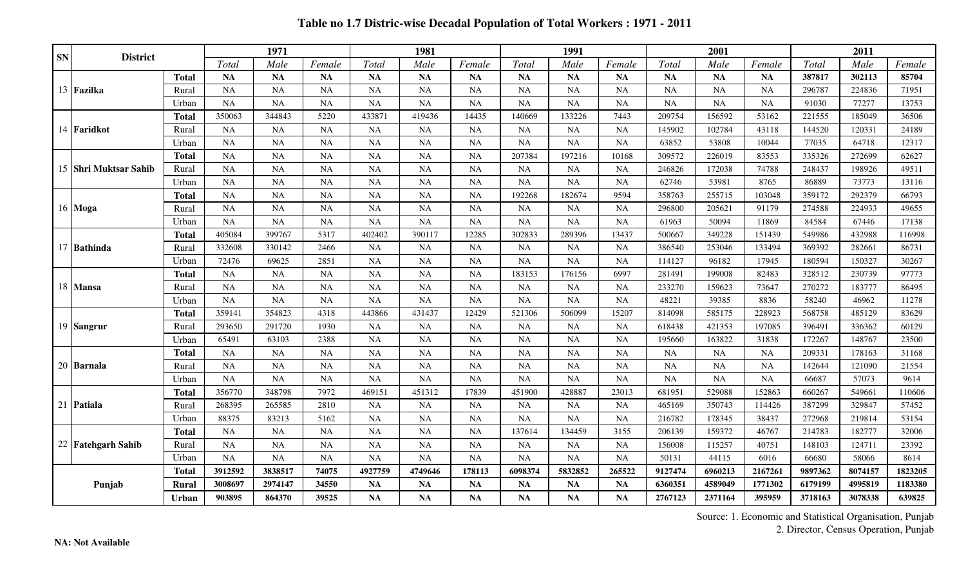**Table no 1.7 Distric-wise Decadal Population of Total Workers : 1971 - 2011**

| <b>SN</b> | <b>District</b>       |              |           | 1971      |           |           | 1981      |           |           | 1991      |           |           | 2001      |           |         | 2011    |         |
|-----------|-----------------------|--------------|-----------|-----------|-----------|-----------|-----------|-----------|-----------|-----------|-----------|-----------|-----------|-----------|---------|---------|---------|
|           |                       |              | Total     | Male      | Female    | Total     | Male      | Female    | Total     | Male      | Female    | Total     | Male      | Female    | Total   | Male    | Female  |
|           |                       | <b>Total</b> | <b>NA</b> | <b>NA</b> | <b>NA</b> | <b>NA</b> | <b>NA</b> | <b>NA</b> | <b>NA</b> | <b>NA</b> | <b>NA</b> | NA        | <b>NA</b> | <b>NA</b> | 387817  | 302113  | 85704   |
|           | 13 Fazilka            | Rural        | <b>NA</b> | <b>NA</b> | <b>NA</b> | <b>NA</b> | <b>NA</b> | <b>NA</b> | <b>NA</b> | <b>NA</b> | <b>NA</b> | <b>NA</b> | <b>NA</b> | <b>NA</b> | 296787  | 224836  | 71951   |
|           |                       | Urban        | <b>NA</b> | <b>NA</b> | <b>NA</b> | <b>NA</b> | <b>NA</b> | <b>NA</b> | <b>NA</b> | <b>NA</b> | <b>NA</b> | <b>NA</b> | <b>NA</b> | <b>NA</b> | 91030   | 77277   | 13753   |
|           |                       | <b>Total</b> | 350063    | 344843    | 5220      | 433871    | 419436    | 14435     | 140669    | 133226    | 7443      | 209754    | 156592    | 53162     | 221555  | 185049  | 36506   |
|           | 14 Faridkot           | Rural        | NA        | <b>NA</b> | <b>NA</b> | <b>NA</b> | <b>NA</b> | <b>NA</b> | <b>NA</b> | <b>NA</b> | <b>NA</b> | 145902    | 102784    | 43118     | 144520  | 120331  | 24189   |
|           |                       | Urban        | <b>NA</b> | <b>NA</b> | NA        | <b>NA</b> | <b>NA</b> | <b>NA</b> | <b>NA</b> | <b>NA</b> | <b>NA</b> | 63852     | 53808     | 10044     | 77035   | 64718   | 12317   |
|           |                       | <b>Total</b> | <b>NA</b> | <b>NA</b> | NA        | <b>NA</b> | <b>NA</b> | <b>NA</b> | 207384    | 197216    | 10168     | 309572    | 226019    | 83553     | 335326  | 272699  | 62627   |
|           | 15 Shri Muktsar Sahib | Rural        | $\rm NA$  | <b>NA</b> | <b>NA</b> | <b>NA</b> | <b>NA</b> | <b>NA</b> | <b>NA</b> | <b>NA</b> | <b>NA</b> | 246826    | 172038    | 74788     | 248437  | 198926  | 49511   |
|           |                       | Urban        | <b>NA</b> | <b>NA</b> | <b>NA</b> | <b>NA</b> | <b>NA</b> | <b>NA</b> | <b>NA</b> | <b>NA</b> | <b>NA</b> | 62746     | 53981     | 8765      | 86889   | 73773   | 13116   |
|           |                       | <b>Total</b> | NA        | <b>NA</b> | <b>NA</b> | <b>NA</b> | <b>NA</b> | <b>NA</b> | 192268    | 182674    | 9594      | 358763    | 255715    | 103048    | 359172  | 292379  | 66793   |
|           | 16 Moga               | Rural        | <b>NA</b> | <b>NA</b> | <b>NA</b> | <b>NA</b> | <b>NA</b> | <b>NA</b> | <b>NA</b> | <b>NA</b> | <b>NA</b> | 296800    | 205621    | 91179     | 274588  | 224933  | 49655   |
|           |                       | Urban        | <b>NA</b> | <b>NA</b> | <b>NA</b> | <b>NA</b> | <b>NA</b> | <b>NA</b> | <b>NA</b> | <b>NA</b> | <b>NA</b> | 61963     | 50094     | 11869     | 84584   | 67446   | 17138   |
|           |                       | <b>Total</b> | 405084    | 399767    | 5317      | 402402    | 390117    | 12285     | 302833    | 289396    | 13437     | 500667    | 349228    | 151439    | 549986  | 432988  | 116998  |
|           | 17 Bathinda           | Rural        | 332608    | 330142    | 2466      | <b>NA</b> | <b>NA</b> | <b>NA</b> | <b>NA</b> | <b>NA</b> | <b>NA</b> | 386540    | 253046    | 133494    | 369392  | 282661  | 86731   |
|           |                       | Urban        | 72476     | 69625     | 2851      | <b>NA</b> | <b>NA</b> | <b>NA</b> | <b>NA</b> | <b>NA</b> | <b>NA</b> | 114127    | 96182     | 17945     | 180594  | 150327  | 30267   |
|           |                       | <b>Total</b> | <b>NA</b> | <b>NA</b> | NA        | <b>NA</b> | <b>NA</b> | <b>NA</b> | 183153    | 176156    | 6997      | 281491    | 199008    | 82483     | 328512  | 230739  | 97773   |
|           | 18 Mansa              | Rural        | <b>NA</b> | <b>NA</b> | <b>NA</b> | <b>NA</b> | <b>NA</b> | <b>NA</b> | <b>NA</b> | <b>NA</b> | <b>NA</b> | 233270    | 159623    | 73647     | 270272  | 183777  | 86495   |
|           |                       | Urban        | <b>NA</b> | <b>NA</b> | <b>NA</b> | <b>NA</b> | <b>NA</b> | <b>NA</b> | <b>NA</b> | <b>NA</b> | <b>NA</b> | 48221     | 39385     | 8836      | 58240   | 46962   | 11278   |
|           |                       | <b>Total</b> | 359141    | 354823    | 4318      | 443866    | 431437    | 12429     | 521306    | 506099    | 15207     | 814098    | 585175    | 228923    | 568758  | 485129  | 83629   |
|           | 19 Sangrur            | Rural        | 293650    | 291720    | 1930      | NA        | <b>NA</b> | <b>NA</b> | <b>NA</b> | <b>NA</b> | <b>NA</b> | 618438    | 421353    | 197085    | 396491  | 336362  | 60129   |
|           |                       | Urban        | 65491     | 63103     | 2388      | <b>NA</b> | <b>NA</b> | <b>NA</b> | <b>NA</b> | <b>NA</b> | <b>NA</b> | 195660    | 163822    | 31838     | 172267  | 148767  | 23500   |
|           |                       | <b>Total</b> | <b>NA</b> | <b>NA</b> | <b>NA</b> | <b>NA</b> | <b>NA</b> | <b>NA</b> | <b>NA</b> | <b>NA</b> | <b>NA</b> | NA        | <b>NA</b> | <b>NA</b> | 209331  | 178163  | 31168   |
|           | 20 Barnala            | Rural        | <b>NA</b> | <b>NA</b> | NA        | <b>NA</b> | <b>NA</b> | <b>NA</b> | <b>NA</b> | <b>NA</b> | <b>NA</b> | NA        | <b>NA</b> | <b>NA</b> | 142644  | 121090  | 21554   |
|           |                       | Urban        | NA        | <b>NA</b> | <b>NA</b> | NA        | <b>NA</b> | <b>NA</b> | <b>NA</b> | <b>NA</b> | <b>NA</b> | NA        | <b>NA</b> | NA        | 66687   | 57073   | 9614    |
|           |                       | Total        | 356770    | 348798    | 7972      | 469151    | 451312    | 17839     | 451900    | 428887    | 23013     | 681951    | 529088    | 152863    | 660267  | 549661  | 110606  |
|           | 21 Patiala            | Rural        | 268395    | 265585    | 2810      | <b>NA</b> | <b>NA</b> | <b>NA</b> | <b>NA</b> | <b>NA</b> | <b>NA</b> | 465169    | 350743    | 114426    | 387299  | 329847  | 57452   |
|           |                       | Urban        | 88375     | 83213     | 5162      | <b>NA</b> | <b>NA</b> | <b>NA</b> | <b>NA</b> | <b>NA</b> | <b>NA</b> | 216782    | 178345    | 38437     | 272968  | 219814  | 53154   |
|           |                       | <b>Total</b> | <b>NA</b> | <b>NA</b> | <b>NA</b> | <b>NA</b> | <b>NA</b> | <b>NA</b> | 137614    | 134459    | 3155      | 206139    | 159372    | 46767     | 214783  | 182777  | 32006   |
|           | 22 Fatehgarh Sahib    | Rural        | <b>NA</b> | <b>NA</b> | <b>NA</b> | <b>NA</b> | <b>NA</b> | <b>NA</b> | <b>NA</b> | <b>NA</b> | <b>NA</b> | 156008    | 115257    | 40751     | 148103  | 124711  | 23392   |
|           |                       | Urban        | <b>NA</b> | <b>NA</b> | <b>NA</b> | <b>NA</b> | <b>NA</b> | <b>NA</b> | <b>NA</b> | <b>NA</b> | <b>NA</b> | 50131     | 44115     | 6016      | 66680   | 58066   | 8614    |
|           |                       | <b>Total</b> | 3912592   | 3838517   | 74075     | 4927759   | 4749646   | 178113    | 6098374   | 5832852   | 265522    | 9127474   | 6960213   | 2167261   | 9897362 | 8074157 | 1823205 |
|           | Punjab                | <b>Rural</b> | 3008697   | 2974147   | 34550     | <b>NA</b> | <b>NA</b> | <b>NA</b> | <b>NA</b> | NA        | <b>NA</b> | 6360351   | 4589049   | 1771302   | 6179199 | 4995819 | 1183380 |
|           |                       | Urban        | 903895    | 864370    | 39525     | <b>NA</b> | NA        | <b>NA</b> | <b>NA</b> | <b>NA</b> | <b>NA</b> | 2767123   | 2371164   | 395959    | 3718163 | 3078338 | 639825  |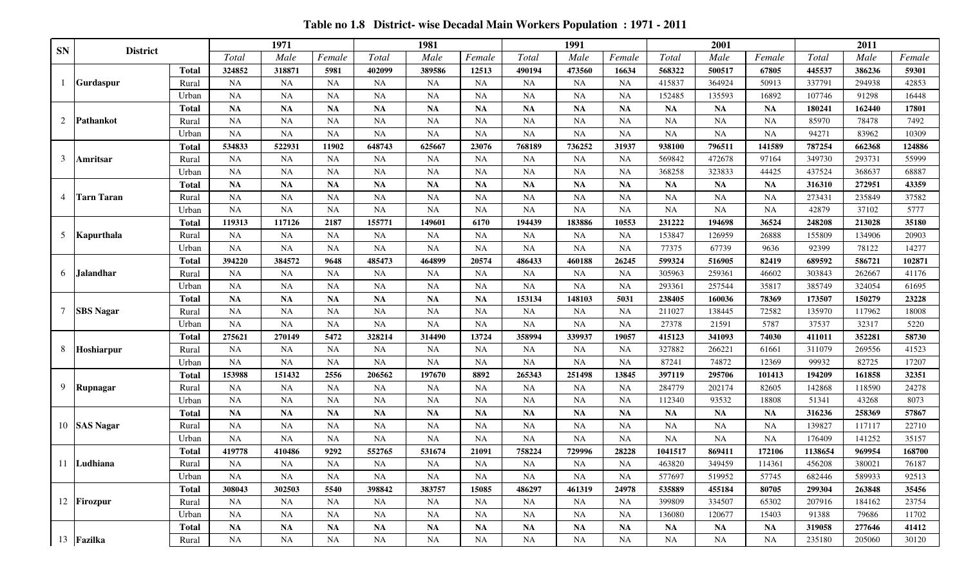*Total Male Female Total Male Female Total Male Female Total Male Female Total Male Female* **Total 324852 318871 5981 402099 389586 12513 490194 473560 16634 568322 500517 67805 445537 386236 59301** Rural NA NA NA NA NA NA NA NA NA 415837 364924 50913 337791 294938 42853 Urban NA NA NA NA NA NA NA NA NA 152485 135593 16892 107746 91298 16448 **Total NA NA NA NA NA NA NA NA NA NA NA NA 180241 162440 17801** Rural NA NA NA NA NA NA NA NA NA NA NA NA 85970 78478 7492 Urban NA NA NA NA NA NA NA NA NA NA NA NA 94271 83962 10309 **Total 534833 522931 11902 648743 625667 23076 768189 736252 31937 938100 796511 141589 787254 662368 124886** Rural NA NA NA NA NA NA NA NA NA 569842 472678 97164 349730 293731 55999 Urban NA NA NA NA NA NA NA NA NA 368258 323833 44425 437524 368637 68887 **Total NA NA NA NA NA NA NA NA NA NA NA NA 316310 272951 43359** Rural NA NA NA NA NA NA NA NA NA NA NA NA 273431 235849 37582 Urban NA NA NA NA NA NA NA NA NA NA NA NA 42879 37102 5777 **Total 119313 117126 2187 155771 149601 6170 194439 183886 10553 231222 194698 36524 248208 213028 35180** Rural NA NA NA NA NA NA NA NA NA 153847 126959 26888 155809 134906 20903 Urban NA NA NA NA NA NA NA NA NA 77375 67739 9636 92399 78122 14277 **Total 394220 384572 9648 485473 464899 20574 486433 460188 26245 599324 516905 82419 689592 586721 102871** Rural NA NA NA NA NA NA NA NA NA 305963 259361 46602 303843 262667 41176 Urban NA NA NA NA NA NA NA NA NA 293361 257544 35817 385749 324054 61695 **Total NA NA NA NA NA NA 153134 148103 5031 238405 160036 78369 173507 150279 23228** Rural NA NA NA NA NA NA NA NA NA 211027 138445 72582 135970 117962 18008 Urban NA NA NA NA NA NA NA NA NA 27378 21591 5787 37537 32317 5220 **Total 275621 270149 5472 328214 314490 13724 358994 339937 19057 415123 341093 74030 411011 352281 58730** Rural NA NA NA NA NA NA NA NA NA 327882 266221 61661 311079 269556 41523 Urban NA NA NA NA NA NA NA NA NA 87241 74872 12369 99932 82725 17207 **Total 153988 151432 2556 206562 197670 8892 265343 251498 13845 397119 295706 101413 194209 161858 32351** Rural NA NA NA NA NA NA NA NA NA 284779 202174 82605 142868 118590 24278 Urban NA NA NA NA NA NA NA NA NA 112340 93532 18808 51341 43268 8073 **Total NA NA NA NA NA NA NA NA NA NA NA NA 316236 258369 57867** Rural NA NA NA NA NA NA NA NA NA NA NA NA 139827 117117 22710 Urban NA NA NA NA NA NA NA NA NA NA NA NA 176409 141252 35157 **Total 419778 410486 9292 552765 531674 21091 758224 729996 28228 1041517 869411 172106 1138654 969954 168700** Rural NA NA NA NA NA NA NA NA NA 463820 349459 114361 456208 380021 76187 Urban NA NA NA NA NA NA NA NA NA 577697 519952 57745 682446 589933 92513 **Total 308043 302503 5540 398842 383757 15085 486297 461319 24978 535889 455184 80705 299304 263848 35456** Rural NA NA NA NA NA NA NA NA NA 399809 334507 65302 207916 184162 23754 Urban NA NA NA NA NA NA NA NA NA 136080 120677 15403 91388 79686 11702 **Total NA NA NA NA NA NA NA NA NA NA NA NA 319058 277646 41412** Rural NA NA NA NA NA NA NA NA NA NA NA NA 235180 205060 30120 **<sup>2011</sup> District 1971 1981 Kapurthala Jalandhar Gurdaspur Pathankot Amritsar Tarn Taran 1991 2001 SAS Nagar** 10 **Ludhiana Firozpur Fazilka SBS Nagar Hoshiarpur** 7 **Rupnagar** 12 13 1 2 3 4 5 6 8 9 11 **SN**

**Table no 1.8 District- wise Decadal Main Workers Population : 1971 - 2011**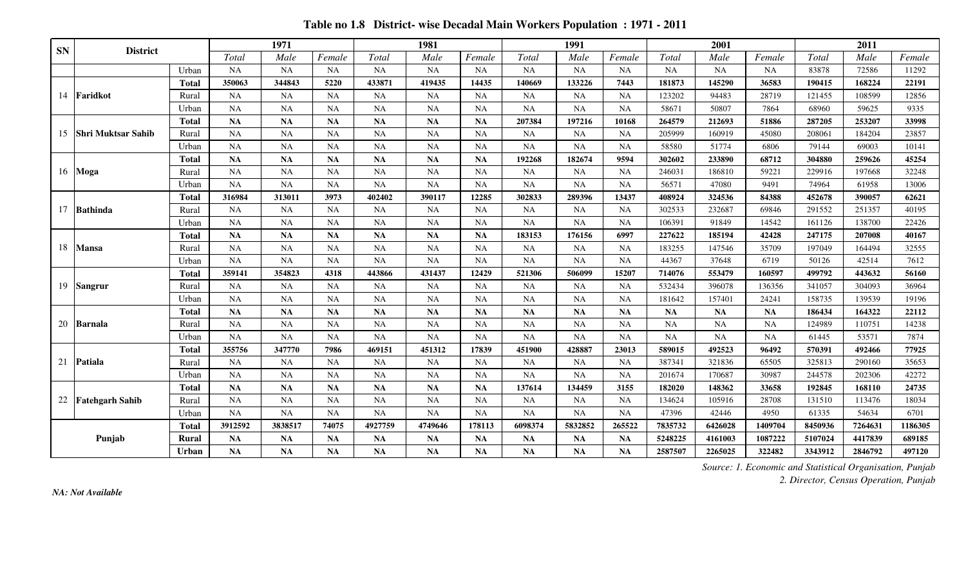|           |                           |              |           | 1971      |           |           | 1981      |           |             | 1991      |           |           | 2001      |           |         | 2011    |         |
|-----------|---------------------------|--------------|-----------|-----------|-----------|-----------|-----------|-----------|-------------|-----------|-----------|-----------|-----------|-----------|---------|---------|---------|
| <b>SN</b> | <b>District</b>           |              | Total     | Male      | Female    | Total     | Male      | Female    | Total       | Male      | Female    | Total     | Male      | Female    | Total   | Male    | Female  |
|           |                           | Urban        | <b>NA</b> | <b>NA</b> | NA        | NA        | <b>NA</b> | <b>NA</b> | <b>NA</b>   | NA        | NA        | NA        | <b>NA</b> | NA        | 83878   | 72586   | 11292   |
|           |                           | <b>Total</b> | 350063    | 344843    | 5220      | 433871    | 419435    | 14435     | 140669      | 133226    | 7443      | 181873    | 145290    | 36583     | 190415  | 168224  | 22191   |
| 14        | Faridkot                  | Rural        | NA        | <b>NA</b> | NA        | NA        | NA        | <b>NA</b> | NA          | NA        | NA        | 123202    | 94483     | 28719     | 121455  | 108599  | 12856   |
|           |                           | Urban        | <b>NA</b> | <b>NA</b> | <b>NA</b> | <b>NA</b> | NA        | <b>NA</b> | <b>NA</b>   | NA        | NA        | 58671     | 50807     | 7864      | 68960   | 59625   | 9335    |
|           |                           | <b>Total</b> | <b>NA</b> | <b>NA</b> | <b>NA</b> | <b>NA</b> | <b>NA</b> | <b>NA</b> | 207384      | 197216    | 10168     | 264579    | 212693    | 51886     | 287205  | 253207  | 33998   |
| 15        | <b>Shri Muktsar Sahib</b> | Rural        | NA        | <b>NA</b> | <b>NA</b> | NA        | NA        | <b>NA</b> | $_{\rm NA}$ | <b>NA</b> | NA        | 205999    | 160919    | 45080     | 208061  | 184204  | 23857   |
|           |                           | Urban        | <b>NA</b> | <b>NA</b> | <b>NA</b> | <b>NA</b> | NA        | <b>NA</b> | <b>NA</b>   | <b>NA</b> | <b>NA</b> | 58580     | 51774     | 6806      | 79144   | 69003   | 10141   |
|           |                           | <b>Total</b> | <b>NA</b> | <b>NA</b> | <b>NA</b> | <b>NA</b> | <b>NA</b> | <b>NA</b> | 192268      | 182674    | 9594      | 302602    | 233890    | 68712     | 304880  | 259626  | 45254   |
| 16        | Moga                      | Rural        | NA        | <b>NA</b> | <b>NA</b> | NA        | NA        | <b>NA</b> | <b>NA</b>   | <b>NA</b> | NA        | 246031    | 186810    | 59221     | 229916  | 197668  | 32248   |
|           |                           | Urban        | NA        | <b>NA</b> | NA        | NA        | NA        | <b>NA</b> | <b>NA</b>   | NA        | NA        | 56571     | 47080     | 9491      | 74964   | 61958   | 13006   |
|           |                           | <b>Total</b> | 316984    | 313011    | 3973      | 402402    | 390117    | 12285     | 302833      | 289396    | 13437     | 408924    | 324536    | 84388     | 452678  | 390057  | 62621   |
| 17        | Bathinda                  | Rural        | <b>NA</b> | <b>NA</b> | <b>NA</b> | <b>NA</b> | NA        | <b>NA</b> | <b>NA</b>   | <b>NA</b> | <b>NA</b> | 302533    | 232687    | 69846     | 291552  | 251357  | 40195   |
|           |                           | Urban        | NA        | NA        | NA        | NA        | NA        | NA        | <b>NA</b>   | NA        | NA        | 106391    | 91849     | 14542     | 161126  | 138700  | 22426   |
|           |                           | <b>Total</b> | <b>NA</b> | <b>NA</b> | <b>NA</b> | <b>NA</b> | <b>NA</b> | <b>NA</b> | 183153      | 176156    | 6997      | 227622    | 185194    | 42428     | 247175  | 207008  | 40167   |
| 18        | <b>Mansa</b>              | Rural        | NA        | <b>NA</b> | <b>NA</b> | <b>NA</b> | NA        | <b>NA</b> | $_{\rm NA}$ | <b>NA</b> | NA        | 183255    | 147546    | 35709     | 197049  | 164494  | 32555   |
|           |                           | Urban        | NA        | <b>NA</b> | <b>NA</b> | NA        | <b>NA</b> | <b>NA</b> | $_{\rm NA}$ | NA        | <b>NA</b> | 44367     | 37648     | 6719      | 50126   | 42514   | 7612    |
|           |                           | <b>Total</b> | 359141    | 354823    | 4318      | 443866    | 431437    | 12429     | 521306      | 506099    | 15207     | 714076    | 553479    | 160597    | 499792  | 443632  | 56160   |
| 19        | Sangrur                   | Rural        | <b>NA</b> | <b>NA</b> | <b>NA</b> | NA        | NA        | <b>NA</b> | NA          | <b>NA</b> | NA        | 532434    | 396078    | 136356    | 341057  | 304093  | 36964   |
|           |                           | Urban        | NA        | NA        | NA        | NA        | <b>NA</b> | NA        | NA          | NA        | NA        | 181642    | 157401    | 24241     | 158735  | 139539  | 19196   |
|           |                           | <b>Total</b> | <b>NA</b> | <b>NA</b> | <b>NA</b> | <b>NA</b> | <b>NA</b> | NA        | <b>NA</b>   | <b>NA</b> | <b>NA</b> | <b>NA</b> | <b>NA</b> | <b>NA</b> | 186434  | 164322  | 22112   |
| 20        | <b>Barnala</b>            | Rural        | NA        | NA        | <b>NA</b> | NA        | NA        | <b>NA</b> | <b>NA</b>   | NA        | <b>NA</b> | <b>NA</b> | <b>NA</b> | <b>NA</b> | 124989  | 110751  | 14238   |
|           |                           | Urban        | NA        | <b>NA</b> | <b>NA</b> | NA        | <b>NA</b> | <b>NA</b> | <b>NA</b>   | NA        | <b>NA</b> | NA        | <b>NA</b> | <b>NA</b> | 61445   | 53571   | 7874    |
|           |                           | <b>Total</b> | 355756    | 347770    | 7986      | 469151    | 451312    | 17839     | 451900      | 428887    | 23013     | 589015    | 492523    | 96492     | 570391  | 492466  | 77925   |
| 21        | <b>Patiala</b>            | Rural        | <b>NA</b> | <b>NA</b> | <b>NA</b> | <b>NA</b> | NA        | <b>NA</b> | <b>NA</b>   | <b>NA</b> | <b>NA</b> | 387341    | 321836    | 65505     | 325813  | 290160  | 35653   |
|           |                           | Urban        | <b>NA</b> | <b>NA</b> | <b>NA</b> | <b>NA</b> | <b>NA</b> | <b>NA</b> | <b>NA</b>   | <b>NA</b> | NA        | 201674    | 170687    | 30987     | 244578  | 202306  | 42272   |
|           |                           | <b>Total</b> | <b>NA</b> | <b>NA</b> | <b>NA</b> | NA        | <b>NA</b> | <b>NA</b> | 137614      | 134459    | 3155      | 182020    | 148362    | 33658     | 192845  | 168110  | 24735   |
| 22        | <b>Fatehgarh Sahib</b>    | Rural        | NA        | NA        | NA        | NA        | NA        | <b>NA</b> | <b>NA</b>   | <b>NA</b> | NA        | 134624    | 105916    | 28708     | 131510  | 113476  | 18034   |
|           |                           | Urban        | <b>NA</b> | <b>NA</b> | <b>NA</b> | <b>NA</b> | <b>NA</b> | <b>NA</b> | <b>NA</b>   | NA        | <b>NA</b> | 47396     | 42446     | 4950      | 61335   | 54634   | 6701    |
|           |                           | Total        | 3912592   | 3838517   | 74075     | 4927759   | 4749646   | 178113    | 6098374     | 5832852   | 265522    | 7835732   | 6426028   | 1409704   | 8450936 | 7264631 | 1186305 |
|           | Punjab                    | <b>Rural</b> | <b>NA</b> | <b>NA</b> | <b>NA</b> | <b>NA</b> | <b>NA</b> | <b>NA</b> | <b>NA</b>   | <b>NA</b> | <b>NA</b> | 5248225   | 4161003   | 1087222   | 5107024 | 4417839 | 689185  |
|           |                           | Urban        | <b>NA</b> | <b>NA</b> | <b>NA</b> | <b>NA</b> | <b>NA</b> | NA        | <b>NA</b>   | <b>NA</b> | NA        | 2587507   | 2265025   | 322482    | 3343912 | 2846792 | 497120  |

**Table no 1.8 District- wise Decadal Main Workers Population : 1971 - 2011**

*2. Director, Census Operation, Punjab*

*NA: Not Available*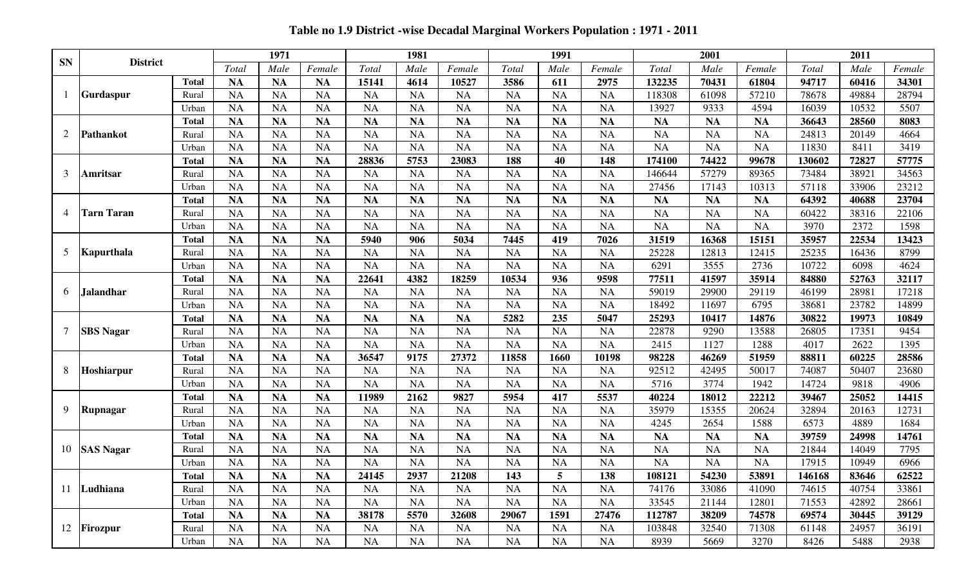| Table no 1.9 District -wise Decadal Marginal Workers Population: 1971 - 2011 |  |  |  |  |  |
|------------------------------------------------------------------------------|--|--|--|--|--|
|------------------------------------------------------------------------------|--|--|--|--|--|

|                |                   |              |           | 1971      |           |           | 1981      |           |           | 1991              |           |           | 2001      |           |        | 2011  |        |
|----------------|-------------------|--------------|-----------|-----------|-----------|-----------|-----------|-----------|-----------|-------------------|-----------|-----------|-----------|-----------|--------|-------|--------|
| <b>SN</b>      | <b>District</b>   |              | Total     | Male      | Female    | Total     | Male      | Female    | Total     | Male              | Female    | Total     | Male      | Female    | Total  | Male  | Female |
|                |                   | <b>Total</b> | <b>NA</b> | <b>NA</b> | <b>NA</b> | 15141     | 4614      | 10527     | 3586      | 611               | 2975      | 132235    | 70431     | 61804     | 94717  | 60416 | 34301  |
|                | Gurdaspur         | Rural        | <b>NA</b> | <b>NA</b> | <b>NA</b> | <b>NA</b> | <b>NA</b> | <b>NA</b> | <b>NA</b> | <b>NA</b>         | <b>NA</b> | 118308    | 61098     | 57210     | 78678  | 49884 | 28794  |
|                |                   | Urban        | <b>NA</b> | <b>NA</b> | <b>NA</b> | <b>NA</b> | <b>NA</b> | <b>NA</b> | <b>NA</b> | <b>NA</b>         | <b>NA</b> | 13927     | 9333      | 4594      | 16039  | 10532 | 5507   |
|                |                   | <b>Total</b> | <b>NA</b> | <b>NA</b> | <b>NA</b> | <b>NA</b> | <b>NA</b> | <b>NA</b> | <b>NA</b> | <b>NA</b>         | <b>NA</b> | <b>NA</b> | <b>NA</b> | <b>NA</b> | 36643  | 28560 | 8083   |
| $\overline{2}$ | <b>Pathankot</b>  | Rural        | <b>NA</b> | <b>NA</b> | <b>NA</b> | <b>NA</b> | <b>NA</b> | <b>NA</b> | <b>NA</b> | <b>NA</b>         | <b>NA</b> | <b>NA</b> | <b>NA</b> | <b>NA</b> | 24813  | 20149 | 4664   |
|                |                   | Urban        | <b>NA</b> | <b>NA</b> | <b>NA</b> | <b>NA</b> | <b>NA</b> | <b>NA</b> | <b>NA</b> | <b>NA</b>         | <b>NA</b> | <b>NA</b> | <b>NA</b> | <b>NA</b> | 11830  | 8411  | 3419   |
|                |                   | <b>Total</b> | <b>NA</b> | <b>NA</b> | <b>NA</b> | 28836     | 5753      | 23083     | 188       | 40                | 148       | 174100    | 74422     | 99678     | 130602 | 72827 | 57775  |
| 3              | Amritsar          | Rural        | <b>NA</b> | <b>NA</b> | <b>NA</b> | <b>NA</b> | <b>NA</b> | <b>NA</b> | NA        | <b>NA</b>         | <b>NA</b> | 146644    | 57279     | 89365     | 73484  | 38921 | 34563  |
|                |                   | Urban        | <b>NA</b> | <b>NA</b> | <b>NA</b> | <b>NA</b> | <b>NA</b> | <b>NA</b> | <b>NA</b> | <b>NA</b>         | <b>NA</b> | 27456     | 17143     | 10313     | 57118  | 33906 | 23212  |
|                |                   | <b>Total</b> | <b>NA</b> | <b>NA</b> | <b>NA</b> | <b>NA</b> | <b>NA</b> | <b>NA</b> | <b>NA</b> | <b>NA</b>         | <b>NA</b> | <b>NA</b> | <b>NA</b> | <b>NA</b> | 64392  | 40688 | 23704  |
| $\overline{4}$ | <b>Tarn Taran</b> | Rural        | <b>NA</b> | <b>NA</b> | <b>NA</b> | <b>NA</b> | <b>NA</b> | <b>NA</b> | <b>NA</b> | <b>NA</b>         | <b>NA</b> | <b>NA</b> | <b>NA</b> | <b>NA</b> | 60422  | 38316 | 22106  |
|                |                   | Urban        | <b>NA</b> | <b>NA</b> | <b>NA</b> | <b>NA</b> | <b>NA</b> | <b>NA</b> | <b>NA</b> | <b>NA</b>         | <b>NA</b> | <b>NA</b> | <b>NA</b> | <b>NA</b> | 3970   | 2372  | 1598   |
|                |                   | <b>Total</b> | <b>NA</b> | <b>NA</b> | <b>NA</b> | 5940      | 906       | 5034      | 7445      | 419               | 7026      | 31519     | 16368     | 15151     | 35957  | 22534 | 13423  |
| 5              | Kapurthala        | Rural        | <b>NA</b> | <b>NA</b> | <b>NA</b> | <b>NA</b> | <b>NA</b> | <b>NA</b> | <b>NA</b> | <b>NA</b>         | <b>NA</b> | 25228     | 12813     | 12415     | 25235  | 16436 | 8799   |
|                |                   | Urban        | <b>NA</b> | <b>NA</b> | <b>NA</b> | <b>NA</b> | <b>NA</b> | <b>NA</b> | NA        | <b>NA</b>         | <b>NA</b> | 6291      | 3555      | 2736      | 10722  | 6098  | 4624   |
|                |                   | <b>Total</b> | <b>NA</b> | <b>NA</b> | <b>NA</b> | 22641     | 4382      | 18259     | 10534     | 936               | 9598      | 77511     | 41597     | 35914     | 84880  | 52763 | 32117  |
| 6              | Jalandhar         | Rural        | <b>NA</b> | <b>NA</b> | <b>NA</b> | <b>NA</b> | <b>NA</b> | <b>NA</b> | <b>NA</b> | <b>NA</b>         | <b>NA</b> | 59019     | 29900     | 29119     | 46199  | 28981 | 17218  |
|                |                   | Urban        | <b>NA</b> | <b>NA</b> | <b>NA</b> | <b>NA</b> | <b>NA</b> | <b>NA</b> | <b>NA</b> | <b>NA</b>         | <b>NA</b> | 18492     | 11697     | 6795      | 38681  | 23782 | 14899  |
|                |                   | <b>Total</b> | <b>NA</b> | <b>NA</b> | <b>NA</b> | <b>NA</b> | <b>NA</b> | <b>NA</b> | 5282      | 235               | 5047      | 25293     | 10417     | 14876     | 30822  | 19973 | 10849  |
| $\overline{7}$ | <b>SBS Nagar</b>  | Rural        | <b>NA</b> | <b>NA</b> | <b>NA</b> | <b>NA</b> | <b>NA</b> | <b>NA</b> | <b>NA</b> | <b>NA</b>         | <b>NA</b> | 22878     | 9290      | 13588     | 26805  | 17351 | 9454   |
|                |                   | Urban        | <b>NA</b> | <b>NA</b> | <b>NA</b> | <b>NA</b> | <b>NA</b> | <b>NA</b> | <b>NA</b> | <b>NA</b>         | <b>NA</b> | 2415      | 1127      | 1288      | 4017   | 2622  | 1395   |
|                |                   | <b>Total</b> | <b>NA</b> | <b>NA</b> | <b>NA</b> | 36547     | 9175      | 27372     | 11858     | 1660              | 10198     | 98228     | 46269     | 51959     | 88811  | 60225 | 28586  |
| 8              | Hoshiarpur        | Rural        | <b>NA</b> | <b>NA</b> | <b>NA</b> | <b>NA</b> | <b>NA</b> | <b>NA</b> | <b>NA</b> | <b>NA</b>         | <b>NA</b> | 92512     | 42495     | 50017     | 74087  | 50407 | 23680  |
|                |                   | Urban        | <b>NA</b> | <b>NA</b> | <b>NA</b> | <b>NA</b> | <b>NA</b> | <b>NA</b> | <b>NA</b> | <b>NA</b>         | <b>NA</b> | 5716      | 3774      | 1942      | 14724  | 9818  | 4906   |
|                |                   | <b>Total</b> | <b>NA</b> | <b>NA</b> | <b>NA</b> | 11989     | 2162      | 9827      | 5954      | 417               | 5537      | 40224     | 18012     | 22212     | 39467  | 25052 | 14415  |
| 9              | Rupnagar          | Rural        | <b>NA</b> | <b>NA</b> | <b>NA</b> | <b>NA</b> | <b>NA</b> | <b>NA</b> | <b>NA</b> | <b>NA</b>         | <b>NA</b> | 35979     | 15355     | 20624     | 32894  | 20163 | 12731  |
|                |                   | Urban        | <b>NA</b> | <b>NA</b> | <b>NA</b> | <b>NA</b> | <b>NA</b> | <b>NA</b> | <b>NA</b> | <b>NA</b>         | <b>NA</b> | 4245      | 2654      | 1588      | 6573   | 4889  | 1684   |
|                |                   | <b>Total</b> | <b>NA</b> | <b>NA</b> | <b>NA</b> | <b>NA</b> | <b>NA</b> | <b>NA</b> | <b>NA</b> | <b>NA</b>         | <b>NA</b> | <b>NA</b> | <b>NA</b> | <b>NA</b> | 39759  | 24998 | 14761  |
| 10             | <b>SAS Nagar</b>  | Rural        | <b>NA</b> | <b>NA</b> | <b>NA</b> | <b>NA</b> | <b>NA</b> | <b>NA</b> | <b>NA</b> | <b>NA</b>         | <b>NA</b> | <b>NA</b> | <b>NA</b> | <b>NA</b> | 21844  | 14049 | 7795   |
|                |                   | Urban        | <b>NA</b> | <b>NA</b> | <b>NA</b> | <b>NA</b> | <b>NA</b> | <b>NA</b> | <b>NA</b> | <b>NA</b>         | <b>NA</b> | <b>NA</b> | <b>NA</b> | <b>NA</b> | 17915  | 10949 | 6966   |
|                |                   | <b>Total</b> | <b>NA</b> | <b>NA</b> | <b>NA</b> | 24145     | 2937      | 21208     | 143       | E<br>$\mathbf{v}$ | 138       | 108121    | 54230     | 53891     | 146168 | 83646 | 62522  |
|                | 11 Ludhiana       | Rural        | <b>NA</b> | <b>NA</b> | <b>NA</b> | <b>NA</b> | <b>NA</b> | <b>NA</b> | <b>NA</b> | <b>NA</b>         | <b>NA</b> | 74176     | 33086     | 41090     | 74615  | 40754 | 33861  |
|                |                   | Urban        | <b>NA</b> | <b>NA</b> | <b>NA</b> | <b>NA</b> | <b>NA</b> | <b>NA</b> | <b>NA</b> | <b>NA</b>         | <b>NA</b> | 33545     | 21144     | 12801     | 71553  | 42892 | 28661  |
|                |                   | <b>Total</b> | <b>NA</b> | <b>NA</b> | <b>NA</b> | 38178     | 5570      | 32608     | 29067     | 1591              | 27476     | 112787    | 38209     | 74578     | 69574  | 30445 | 39129  |
|                | 12 Firozpur       | Rural        | <b>NA</b> | <b>NA</b> | <b>NA</b> | <b>NA</b> | <b>NA</b> | <b>NA</b> | <b>NA</b> | <b>NA</b>         | <b>NA</b> | 103848    | 32540     | 71308     | 61148  | 24957 | 36191  |
|                |                   | Urban        | <b>NA</b> | <b>NA</b> | <b>NA</b> | NA        | <b>NA</b> | <b>NA</b> | NA        | <b>NA</b>         | <b>NA</b> | 8939      | 5669      | 3270      | 8426   | 5488  | 2938   |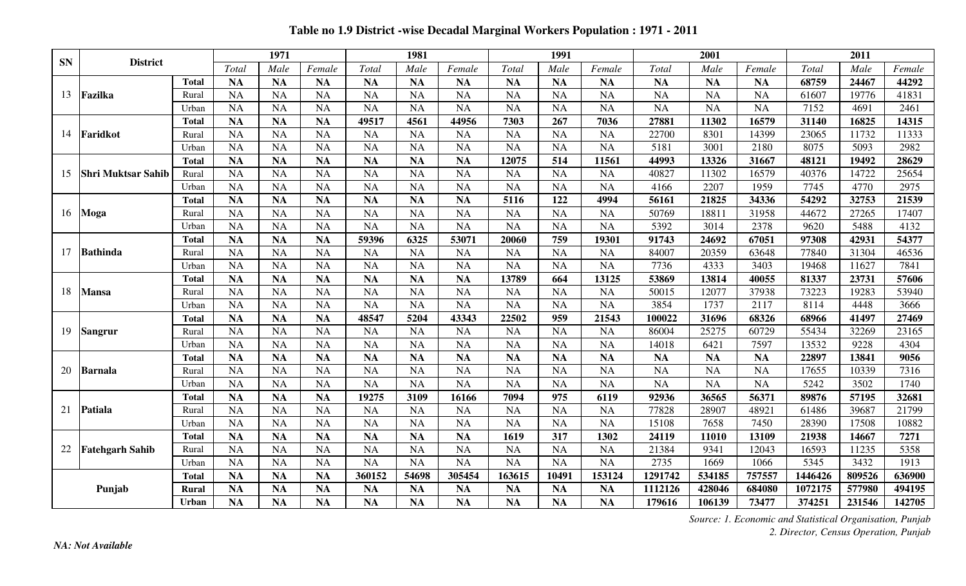| <b>SN</b> | <b>District</b>        |              |           | 1971      |           |           | 1981      |           |           | 1991      |           |           | 2001      |           |         | 2011   |        |
|-----------|------------------------|--------------|-----------|-----------|-----------|-----------|-----------|-----------|-----------|-----------|-----------|-----------|-----------|-----------|---------|--------|--------|
|           |                        |              | Total     | Male      | Female    | Total     | Male      | Female    | Total     | Male      | Female    | Total     | Male      | Female    | Total   | Male   | Female |
|           |                        | <b>Total</b> | <b>NA</b> | <b>NA</b> | <b>NA</b> | <b>NA</b> | <b>NA</b> | <b>NA</b> | <b>NA</b> | <b>NA</b> | <b>NA</b> | <b>NA</b> | <b>NA</b> | <b>NA</b> | 68759   | 24467  | 44292  |
| 13        | Fazilka                | Rural        | <b>NA</b> | <b>NA</b> | <b>NA</b> | <b>NA</b> | <b>NA</b> | <b>NA</b> | <b>NA</b> | <b>NA</b> | <b>NA</b> | <b>NA</b> | <b>NA</b> | <b>NA</b> | 61607   | 19776  | 41831  |
|           |                        | Urban        | <b>NA</b> | <b>NA</b> | <b>NA</b> | <b>NA</b> | <b>NA</b> | <b>NA</b> | <b>NA</b> | <b>NA</b> | <b>NA</b> | <b>NA</b> | <b>NA</b> | <b>NA</b> | 7152    | 4691   | 2461   |
|           |                        | <b>Total</b> | <b>NA</b> | <b>NA</b> | <b>NA</b> | 49517     | 4561      | 44956     | 7303      | 267       | 7036      | 27881     | 11302     | 16579     | 31140   | 16825  | 14315  |
| 14        | Faridkot               | Rural        | NA        | <b>NA</b> | <b>NA</b> | <b>NA</b> | <b>NA</b> | <b>NA</b> | <b>NA</b> | <b>NA</b> | <b>NA</b> | 22700     | 8301      | 14399     | 23065   | 11732  | 11333  |
|           |                        | Urban        | <b>NA</b> | <b>NA</b> | <b>NA</b> | <b>NA</b> | NA        | <b>NA</b> | NA        | <b>NA</b> | <b>NA</b> | 5181      | 3001      | 2180      | 8075    | 5093   | 2982   |
|           |                        | <b>Total</b> | <b>NA</b> | <b>NA</b> | <b>NA</b> | <b>NA</b> | <b>NA</b> | <b>NA</b> | 12075     | 514       | 11561     | 44993     | 13326     | 31667     | 48121   | 19492  | 28629  |
| 15        | Shri Muktsar Sahib     | Rural        | <b>NA</b> | <b>NA</b> | NA        | <b>NA</b> | <b>NA</b> | <b>NA</b> | <b>NA</b> | <b>NA</b> | <b>NA</b> | 40827     | 11302     | 16579     | 40376   | 14722  | 25654  |
|           |                        | Urban        | <b>NA</b> | <b>NA</b> | <b>NA</b> | <b>NA</b> | <b>NA</b> | <b>NA</b> | <b>NA</b> | <b>NA</b> | <b>NA</b> | 4166      | 2207      | 1959      | 7745    | 4770   | 2975   |
|           |                        | <b>Total</b> | <b>NA</b> | <b>NA</b> | <b>NA</b> | <b>NA</b> | <b>NA</b> | <b>NA</b> | 5116      | 122       | 4994      | 56161     | 21825     | 34336     | 54292   | 32753  | 21539  |
| 16        | <b>Moga</b>            | Rural        | <b>NA</b> | <b>NA</b> | <b>NA</b> | <b>NA</b> | <b>NA</b> | <b>NA</b> | <b>NA</b> | <b>NA</b> | <b>NA</b> | 50769     | 18811     | 31958     | 44672   | 27265  | 17407  |
|           |                        | Urban        | <b>NA</b> | <b>NA</b> | <b>NA</b> | <b>NA</b> | <b>NA</b> | <b>NA</b> | <b>NA</b> | <b>NA</b> | <b>NA</b> | 5392      | 3014      | 2378      | 9620    | 5488   | 4132   |
|           |                        | <b>Total</b> | <b>NA</b> | <b>NA</b> | <b>NA</b> | 59396     | 6325      | 53071     | 20060     | 759       | 19301     | 91743     | 24692     | 67051     | 97308   | 42931  | 54377  |
| 17        | <b>Bathinda</b>        | Rural        | <b>NA</b> | <b>NA</b> | <b>NA</b> | <b>NA</b> | NA        | <b>NA</b> | <b>NA</b> | <b>NA</b> | <b>NA</b> | 84007     | 20359     | 63648     | 77840   | 31304  | 46536  |
|           |                        | Urban        | <b>NA</b> | <b>NA</b> | NA        | <b>NA</b> | <b>NA</b> | <b>NA</b> | <b>NA</b> | <b>NA</b> | <b>NA</b> | 7736      | 4333      | 3403      | 19468   | 11627  | 7841   |
|           |                        | <b>Total</b> | <b>NA</b> | <b>NA</b> | <b>NA</b> | <b>NA</b> | <b>NA</b> | <b>NA</b> | 13789     | 664       | 13125     | 53869     | 13814     | 40055     | 81337   | 23731  | 57606  |
| 18        | <b>Mansa</b>           | Rural        | <b>NA</b> | <b>NA</b> | <b>NA</b> | <b>NA</b> | <b>NA</b> | <b>NA</b> | <b>NA</b> | <b>NA</b> | <b>NA</b> | 50015     | 12077     | 37938     | 73223   | 19283  | 53940  |
|           |                        | Urbar        | <b>NA</b> | <b>NA</b> | <b>NA</b> | <b>NA</b> | <b>NA</b> | <b>NA</b> | <b>NA</b> | <b>NA</b> | <b>NA</b> | 3854      | 1737      | 2117      | 8114    | 4448   | 3666   |
|           |                        | <b>Total</b> | <b>NA</b> | <b>NA</b> | <b>NA</b> | 48547     | 5204      | 43343     | 22502     | 959       | 21543     | 100022    | 31696     | 68326     | 68966   | 41497  | 27469  |
| 19        | <b>Sangrur</b>         | Rural        | <b>NA</b> | <b>NA</b> | <b>NA</b> | <b>NA</b> | <b>NA</b> | <b>NA</b> | <b>NA</b> | <b>NA</b> | <b>NA</b> | 86004     | 25275     | 60729     | 55434   | 32269  | 23165  |
|           |                        | Urban        | <b>NA</b> | <b>NA</b> | <b>NA</b> | <b>NA</b> | NA        | <b>NA</b> | <b>NA</b> | <b>NA</b> | <b>NA</b> | 14018     | 6421      | 7597      | 13532   | 9228   | 4304   |
|           |                        | <b>Total</b> | <b>NA</b> | <b>NA</b> | <b>NA</b> | <b>NA</b> | <b>NA</b> | <b>NA</b> | <b>NA</b> | <b>NA</b> | <b>NA</b> | <b>NA</b> | <b>NA</b> | <b>NA</b> | 22897   | 13841  | 9056   |
| 20        | <b>Barnala</b>         | Rural        | <b>NA</b> | <b>NA</b> | <b>NA</b> | <b>NA</b> | <b>NA</b> | <b>NA</b> | <b>NA</b> | <b>NA</b> | <b>NA</b> | <b>NA</b> | <b>NA</b> | <b>NA</b> | 17655   | 10339  | 7316   |
|           |                        | Urban        | <b>NA</b> | <b>NA</b> | <b>NA</b> | <b>NA</b> | <b>NA</b> | NA        | <b>NA</b> | <b>NA</b> | <b>NA</b> | <b>NA</b> | <b>NA</b> | <b>NA</b> | 5242    | 3502   | 1740   |
|           |                        | <b>Total</b> | <b>NA</b> | <b>NA</b> | <b>NA</b> | 19275     | 3109      | 16166     | 7094      | 975       | 6119      | 92936     | 36565     | 56371     | 89876   | 57195  | 32681  |
| 21        | Patiala                | Rural        | <b>NA</b> | <b>NA</b> | <b>NA</b> | <b>NA</b> | <b>NA</b> | <b>NA</b> | <b>NA</b> | <b>NA</b> | <b>NA</b> | 77828     | 28907     | 48921     | 61486   | 39687  | 21799  |
|           |                        | Urban        | <b>NA</b> | <b>NA</b> | <b>NA</b> | <b>NA</b> | <b>NA</b> | <b>NA</b> | <b>NA</b> | <b>NA</b> | <b>NA</b> | 15108     | 7658      | 7450      | 28390   | 17508  | 10882  |
|           |                        | <b>Total</b> | <b>NA</b> | <b>NA</b> | NA        | <b>NA</b> | <b>NA</b> | <b>NA</b> | 1619      | 317       | 1302      | 24119     | 11010     | 13109     | 21938   | 14667  | 7271   |
| 22        | <b>Fatehgarh Sahib</b> | Rural        | <b>NA</b> | <b>NA</b> | <b>NA</b> | <b>NA</b> | <b>NA</b> | <b>NA</b> | <b>NA</b> | <b>NA</b> | <b>NA</b> | 21384     | 9341      | 12043     | 16593   | 11235  | 5358   |
|           |                        | Urban        | <b>NA</b> | <b>NA</b> | <b>NA</b> | <b>NA</b> | <b>NA</b> | <b>NA</b> | <b>NA</b> | <b>NA</b> | <b>NA</b> | 2735      | 1669      | 1066      | 5345    | 3432   | 1913   |
|           |                        | <b>Total</b> | <b>NA</b> | <b>NA</b> | <b>NA</b> | 360152    | 54698     | 305454    | 163615    | 10491     | 153124    | 1291742   | 534185    | 757557    | 1446426 | 809526 | 636900 |
|           | Punjab                 | Rural        | <b>NA</b> | <b>NA</b> | <b>NA</b> | <b>NA</b> | NA        | <b>NA</b> | <b>NA</b> | <b>NA</b> | <b>NA</b> | 1112126   | 428046    | 684080    | 1072175 | 577980 | 494195 |
|           |                        | Urban        | <b>NA</b> | <b>NA</b> | <b>NA</b> | <b>NA</b> | <b>NA</b> | <b>NA</b> | <b>NA</b> | <b>NA</b> | <b>NA</b> | 179616    | 106139    | 73477     | 374251  | 231546 | 142705 |

## **Table no 1.9 District -wise Decadal Marginal Workers Population : 1971 - 2011**

*2. Director, Census Operation, Punjab Source: 1. Economic and Statistical Organisation, Punjab*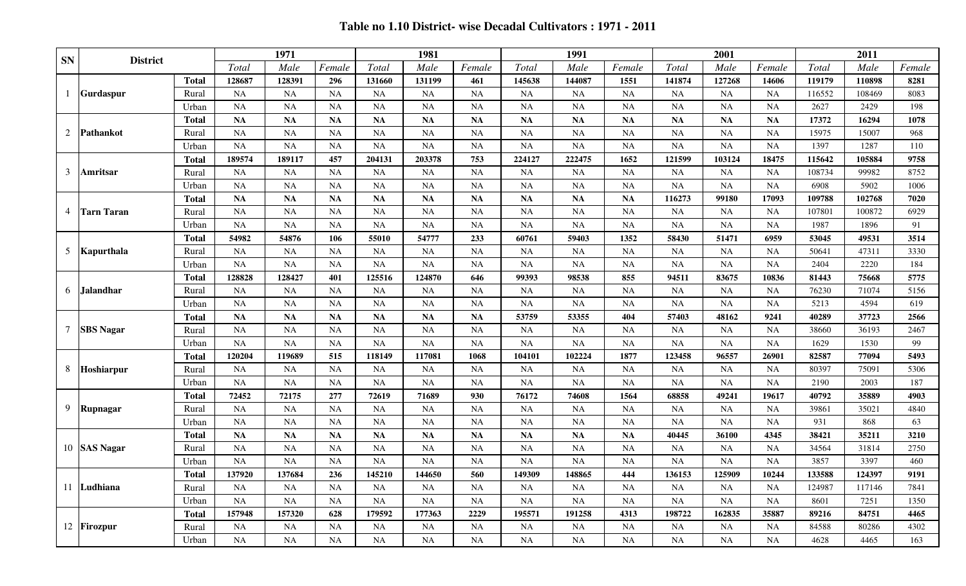## **Table no 1.10 District- wise Decadal Cultivators : 1971 - 2011**

| <b>SN</b>      | <b>District</b>   |              |           | 1971      |           |           | 1981      |           |               | 1991          |               |           | 2001      |                |        | 2011   |        |
|----------------|-------------------|--------------|-----------|-----------|-----------|-----------|-----------|-----------|---------------|---------------|---------------|-----------|-----------|----------------|--------|--------|--------|
|                |                   |              | Total     | Male      | Female    | Total     | Male      | Female    | Total         | Male          | Female        | Total     | Male      | Female         | Total  | Male   | Female |
|                |                   | <b>Total</b> | 128687    | 128391    | 296       | 131660    | 131199    | 461       | 145638        | 144087        | 1551          | 141874    | 127268    | 14606          | 119179 | 110898 | 8281   |
|                | Gurdaspur         | Rural        | <b>NA</b> | NA        | <b>NA</b> | <b>NA</b> | NA        | NA        | <b>NA</b>     | <b>NA</b>     | NA            | <b>NA</b> | <b>NA</b> | <b>NA</b>      | 116552 | 108469 | 8083   |
|                |                   | Urban        | <b>NA</b> | <b>NA</b> | <b>NA</b> | <b>NA</b> | <b>NA</b> | <b>NA</b> | NA            | NA            | <b>NA</b>     | NA        | <b>NA</b> | <b>NA</b>      | 2627   | 2429   | 198    |
|                |                   | <b>Total</b> | <b>NA</b> | <b>NA</b> | <b>NA</b> | <b>NA</b> | <b>NA</b> | <b>NA</b> | <b>NA</b>     | $\mathbf{NA}$ | <b>NA</b>     | <b>NA</b> | <b>NA</b> | <b>NA</b>      | 17372  | 16294  | 1078   |
| 2              | Pathankot         | Rural        | <b>NA</b> | <b>NA</b> | <b>NA</b> | <b>NA</b> | <b>NA</b> | <b>NA</b> | <b>NA</b>     | NA            | <b>NA</b>     | NA        | <b>NA</b> | <b>NA</b>      | 15975  | 15007  | 968    |
|                |                   | Urban        | <b>NA</b> | <b>NA</b> | <b>NA</b> | NA        | <b>NA</b> | <b>NA</b> | <b>NA</b>     | <b>NA</b>     | <b>NA</b>     | <b>NA</b> | <b>NA</b> | <b>NA</b>      | 1397   | 1287   | 110    |
|                |                   | <b>Total</b> | 189574    | 189117    | 457       | 204131    | 203378    | 753       | 224127        | 222475        | 1652          | 121599    | 103124    | 18475          | 115642 | 105884 | 9758   |
| 3              | Amritsar          | Rural        | <b>NA</b> | <b>NA</b> | <b>NA</b> | <b>NA</b> | <b>NA</b> | <b>NA</b> | <b>NA</b>     | NA            | NA            | NA        | <b>NA</b> | <b>NA</b>      | 108734 | 99982  | 8752   |
|                |                   | Urban        | <b>NA</b> | <b>NA</b> | <b>NA</b> | <b>NA</b> | <b>NA</b> | <b>NA</b> | <b>NA</b>     | NA            | <b>NA</b>     | <b>NA</b> | <b>NA</b> | <b>NA</b>      | 6908   | 5902   | 1006   |
|                |                   | <b>Total</b> | <b>NA</b> | <b>NA</b> | <b>NA</b> | <b>NA</b> | <b>NA</b> | <b>NA</b> | $\mathbf{NA}$ | <b>NA</b>     | $\mathbf{NA}$ | 116273    | 99180     | 17093          | 109788 | 102768 | 7020   |
| $\overline{4}$ | <b>Tarn Taran</b> | Rural        | <b>NA</b> | <b>NA</b> | <b>NA</b> | <b>NA</b> | <b>NA</b> | <b>NA</b> | <b>NA</b>     | NA            | <b>NA</b>     | <b>NA</b> | <b>NA</b> | <b>NA</b>      | 107801 | 100872 | 6929   |
|                |                   | Urban        | <b>NA</b> | <b>NA</b> | <b>NA</b> | <b>NA</b> | <b>NA</b> | <b>NA</b> | <b>NA</b>     | NA            | $\rm NA$      | NA        | <b>NA</b> | <b>NA</b>      | 1987   | 1896   | 91     |
|                |                   | <b>Total</b> | 54982     | 54876     | 106       | 55010     | 54777     | 233       | 60761         | 59403         | 1352          | 58430     | 51471     | 6959           | 53045  | 49531  | 3514   |
|                | 5 Kapurthala      | Rural        | <b>NA</b> | <b>NA</b> | NA        | <b>NA</b> | <b>NA</b> | <b>NA</b> | <b>NA</b>     | <b>NA</b>     | <b>NA</b>     | <b>NA</b> | NA        | <b>NA</b>      | 50641  | 47311  | 3330   |
|                |                   | Urban        | <b>NA</b> | <b>NA</b> | NA        | <b>NA</b> | <b>NA</b> | <b>NA</b> | <b>NA</b>     | NA            | NA            | <b>NA</b> | <b>NA</b> | <b>NA</b>      | 2404   | 2220   | 184    |
|                |                   | <b>Total</b> | 128828    | 128427    | 401       | 125516    | 124870    | 646       | 99393         | 98538         | 855           | 94511     | 83675     | 10836          | 81443  | 75668  | 5775   |
| 6              | Jalandhar         | Rural        | <b>NA</b> | <b>NA</b> | <b>NA</b> | <b>NA</b> | <b>NA</b> | <b>NA</b> | NA            | NA            | <b>NA</b>     | NA        | <b>NA</b> | <b>NA</b>      | 76230  | 71074  | 5156   |
|                |                   | Urban        | <b>NA</b> | <b>NA</b> | NA        | <b>NA</b> | <b>NA</b> | <b>NA</b> | <b>NA</b>     | NA            | <b>NA</b>     | <b>NA</b> | NA        | <b>NA</b>      | 5213   | 4594   | 619    |
|                |                   | <b>Total</b> | <b>NA</b> | <b>NA</b> | <b>NA</b> | <b>NA</b> | <b>NA</b> | <b>NA</b> | 53759         | 53355         | 404           | 57403     | 48162     | 9241           | 40289  | 37723  | 2566   |
| $\tau$         | <b>SBS</b> Nagar  | Rural        | <b>NA</b> | <b>NA</b> | NA        | <b>NA</b> | <b>NA</b> | <b>NA</b> | <b>NA</b>     | <b>NA</b>     | <b>NA</b>     | <b>NA</b> | <b>NA</b> | NA             | 38660  | 36193  | 2467   |
|                |                   | Urban        | <b>NA</b> | <b>NA</b> | <b>NA</b> | <b>NA</b> | <b>NA</b> | <b>NA</b> | <b>NA</b>     | NA            | NA            | NA        | NA        | <b>NA</b>      | 1629   | 1530   | 99     |
|                |                   | <b>Total</b> | 120204    | 119689    | 515       | 118149    | 117081    | 1068      | 104101        | 102224        | 1877          | 123458    | 96557     | 26901          | 82587  | 77094  | 5493   |
| 8              | Hoshiarpur        | Rural        | <b>NA</b> | NA        | NA        | <b>NA</b> | <b>NA</b> | <b>NA</b> | <b>NA</b>     | <b>NA</b>     | NA            | <b>NA</b> | <b>NA</b> | <b>NA</b>      | 80397  | 75091  | 5306   |
|                |                   | Urban        | <b>NA</b> | <b>NA</b> | NA        | <b>NA</b> | <b>NA</b> | <b>NA</b> | NA            | <b>NA</b>     | NA            | NA        | $\rm NA$  | <b>NA</b>      | 2190   | 2003   | 187    |
|                |                   | <b>Total</b> | 72452     | 72175     | 277       | 72619     | 71689     | 930       | 76172         | 74608         | 1564          | 68858     | 49241     | 19617          | 40792  | 35889  | 4903   |
| 9              | Rupnagar          | Rural        | <b>NA</b> | <b>NA</b> | <b>NA</b> | <b>NA</b> | <b>NA</b> | <b>NA</b> | <b>NA</b>     | NA            | NA            | <b>NA</b> | <b>NA</b> | <b>NA</b>      | 39861  | 35021  | 4840   |
|                |                   | Urban        | <b>NA</b> | <b>NA</b> | <b>NA</b> | <b>NA</b> | <b>NA</b> | <b>NA</b> | <b>NA</b>     | <b>NA</b>     | <b>NA</b>     | <b>NA</b> | <b>NA</b> | <b>NA</b>      | 931    | 868    | 63     |
|                |                   | <b>Total</b> | <b>NA</b> | <b>NA</b> | <b>NA</b> | <b>NA</b> | <b>NA</b> | <b>NA</b> | NA            | NA            | NA            | 40445     | 36100     | 4345           | 38421  | 35211  | 3210   |
|                | 10 SAS Nagar      | Rural        | <b>NA</b> | <b>NA</b> | NA        | <b>NA</b> | <b>NA</b> | <b>NA</b> | <b>NA</b>     | NA            | NA            | <b>NA</b> | <b>NA</b> | <b>NA</b>      | 34564  | 31814  | 2750   |
|                |                   | Urban        | <b>NA</b> | <b>NA</b> | <b>NA</b> | <b>NA</b> | <b>NA</b> | <b>NA</b> | NA            | NA            | <b>NA</b>     | <b>NA</b> | <b>NA</b> | <b>NA</b>      | 3857   | 3397   | 460    |
|                |                   | <b>Total</b> | 137920    | 137684    | 236       | 145210    | 144650    | 560       | 149309        | 148865        | 444<br>---    | 136153    | 125909    | 10244<br>10277 | 133588 | 124397 | 9191   |
|                | 11 Ludhiana       | Rural        | NA        | NA.       | NA        | NA        | NA        | <b>NA</b> | NA.           | NA            | <b>NA</b>     | NA        | <b>NA</b> | <b>NA</b>      | 124987 | 117146 | 7841   |
|                |                   | Urban        | NA        | NA        | NA        | <b>NA</b> | NA        | NA        | NA            | NA            | <b>NA</b>     | NA        | NA        | <b>NA</b>      | 8601   | 7251   | 1350   |
|                |                   | <b>Total</b> | 157948    | 157320    | 628       | 179592    | 177363    | 2229      | 195571        | 191258        | 4313          | 198722    | 162835    | 35887          | 89216  | 84751  | 4465   |
|                | 12 Firozpur       | Rural        | <b>NA</b> | <b>NA</b> | NA        | <b>NA</b> | NA        | <b>NA</b> | <b>NA</b>     | NA            | NA            | NA        | NA        | <b>NA</b>      | 84588  | 80286  | 4302   |
|                |                   | Urban        | NA        | NA        | NA        | <b>NA</b> | NA        | <b>NA</b> | NA            | NA            | NA            | NA        | NA        | <b>NA</b>      | 4628   | 4465   | 163    |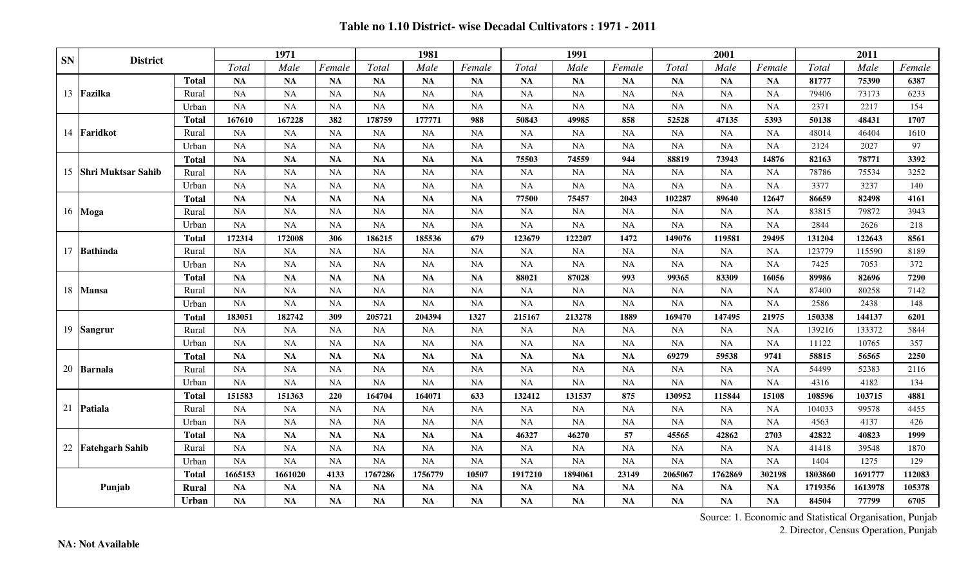#### **Table no 1.10 District- wise Decadal Cultivators : 1971 - 2011**

| <b>SN</b> |                           |              |           | 1971      |           |           | 1981      |           |           | 1991      |           |           | 2001      |           |         | 2011    |        |
|-----------|---------------------------|--------------|-----------|-----------|-----------|-----------|-----------|-----------|-----------|-----------|-----------|-----------|-----------|-----------|---------|---------|--------|
|           | <b>District</b>           |              | Total     | Male      | Female    | Total     | Male      | Female    | Total     | Male      | Female    | Total     | Male      | Female    | Total   | Male    | Female |
|           |                           | <b>Total</b> | <b>NA</b> | <b>NA</b> | <b>NA</b> | <b>NA</b> | <b>NA</b> | <b>NA</b> | <b>NA</b> | <b>NA</b> | <b>NA</b> | <b>NA</b> | <b>NA</b> | <b>NA</b> | 81777   | 75390   | 6387   |
| 13        | Fazilka                   | Rural        | <b>NA</b> | <b>NA</b> | NA        | <b>NA</b> | <b>NA</b> | <b>NA</b> | <b>NA</b> | <b>NA</b> | <b>NA</b> | NA        | <b>NA</b> | NA        | 79406   | 73173   | 6233   |
|           |                           | Urban        | <b>NA</b> | <b>NA</b> | <b>NA</b> | <b>NA</b> | NA        | <b>NA</b> | <b>NA</b> | NA        | <b>NA</b> | <b>NA</b> | NA        | <b>NA</b> | 2371    | 2217    | 154    |
|           |                           | <b>Total</b> | 167610    | 167228    | 382       | 178759    | 177771    | 988       | 50843     | 49985     | 858       | 52528     | 47135     | 5393      | 50138   | 48431   | 1707   |
| 14        | Faridkot                  | Rural        | <b>NA</b> | <b>NA</b> | <b>NA</b> | <b>NA</b> | <b>NA</b> | <b>NA</b> | <b>NA</b> | <b>NA</b> | <b>NA</b> | <b>NA</b> | <b>NA</b> | <b>NA</b> | 48014   | 46404   | 1610   |
|           |                           | Urban        | <b>NA</b> | <b>NA</b> | <b>NA</b> | <b>NA</b> | <b>NA</b> | <b>NA</b> | NA        | <b>NA</b> | <b>NA</b> | <b>NA</b> | <b>NA</b> | NA        | 2124    | 2027    | 97     |
|           |                           | <b>Total</b> | NA        | NA        | <b>NA</b> | <b>NA</b> | <b>NA</b> | <b>NA</b> | 75503     | 74559     | 944       | 88819     | 73943     | 14876     | 82163   | 78771   | 3392   |
| 15        | <b>Shri Muktsar Sahib</b> | Rural        | <b>NA</b> | <b>NA</b> | <b>NA</b> | <b>NA</b> | <b>NA</b> | <b>NA</b> | <b>NA</b> | <b>NA</b> | <b>NA</b> | <b>NA</b> | <b>NA</b> | NA        | 78786   | 75534   | 3252   |
|           |                           | Urban        | <b>NA</b> | <b>NA</b> | <b>NA</b> | <b>NA</b> | <b>NA</b> | <b>NA</b> | <b>NA</b> | NA        | <b>NA</b> | NA        | <b>NA</b> | <b>NA</b> | 3377    | 3237    | 140    |
|           |                           | <b>Total</b> | NA        | <b>NA</b> | <b>NA</b> | <b>NA</b> | <b>NA</b> | <b>NA</b> | 77500     | 75457     | 2043      | 102287    | 89640     | 12647     | 86659   | 82498   | 4161   |
| 16        | Moga                      | Rural        | <b>NA</b> | <b>NA</b> | <b>NA</b> | <b>NA</b> | <b>NA</b> | <b>NA</b> | <b>NA</b> | <b>NA</b> | <b>NA</b> | <b>NA</b> | <b>NA</b> | <b>NA</b> | 83815   | 79872   | 3943   |
|           |                           | Urban        | <b>NA</b> | <b>NA</b> | <b>NA</b> | <b>NA</b> | <b>NA</b> | <b>NA</b> | <b>NA</b> | NA        | <b>NA</b> | NA        | <b>NA</b> | NA        | 2844    | 2626    | 218    |
|           |                           | <b>Total</b> | 172314    | 172008    | 306       | 186215    | 185536    | 679       | 123679    | 122207    | 1472      | 149076    | 119581    | 29495     | 131204  | 122643  | 8561   |
|           | 17 Bathinda               | Rural        | <b>NA</b> | <b>NA</b> | <b>NA</b> | <b>NA</b> | <b>NA</b> | <b>NA</b> | <b>NA</b> | <b>NA</b> | <b>NA</b> | <b>NA</b> | <b>NA</b> | <b>NA</b> | 123779  | 115590  | 8189   |
|           |                           | Urban        | <b>NA</b> | <b>NA</b> | <b>NA</b> | <b>NA</b> | <b>NA</b> | <b>NA</b> | NA        | NA        | <b>NA</b> | <b>NA</b> | <b>NA</b> | <b>NA</b> | 7425    | 7053    | 372    |
|           |                           | <b>Total</b> | <b>NA</b> | <b>NA</b> | <b>NA</b> | <b>NA</b> | <b>NA</b> | <b>NA</b> | 88021     | 87028     | 993       | 99365     | 83309     | 16056     | 89986   | 82696   | 7290   |
| 18        | <b>Mansa</b>              | Rural        | <b>NA</b> | <b>NA</b> | <b>NA</b> | <b>NA</b> | <b>NA</b> | <b>NA</b> | <b>NA</b> | <b>NA</b> | <b>NA</b> | <b>NA</b> | <b>NA</b> | <b>NA</b> | 87400   | 80258   | 7142   |
|           |                           | Urban        | <b>NA</b> | <b>NA</b> | <b>NA</b> | <b>NA</b> | NA        | <b>NA</b> | <b>NA</b> | <b>NA</b> | <b>NA</b> | <b>NA</b> | <b>NA</b> | <b>NA</b> | 2586    | 2438    | 148    |
|           |                           | <b>Total</b> | 183051    | 182742    | 309       | 205721    | 204394    | 1327      | 215167    | 213278    | 1889      | 169470    | 147495    | 21975     | 150338  | 144137  | 6201   |
| 19        | <b>Sangrur</b>            | Rural        | <b>NA</b> | <b>NA</b> | <b>NA</b> | <b>NA</b> | <b>NA</b> | <b>NA</b> | <b>NA</b> | NA        | <b>NA</b> | NA        | <b>NA</b> | NA        | 139216  | 133372  | 5844   |
|           |                           | Urban        | <b>NA</b> | <b>NA</b> | <b>NA</b> | <b>NA</b> | <b>NA</b> | <b>NA</b> | <b>NA</b> | <b>NA</b> | <b>NA</b> | NA        | <b>NA</b> | <b>NA</b> | 11122   | 10765   | 357    |
|           |                           | <b>Total</b> | <b>NA</b> | NA        | <b>NA</b> | <b>NA</b> | <b>NA</b> | <b>NA</b> | <b>NA</b> | <b>NA</b> | <b>NA</b> | 69279     | 59538     | 9741      | 58815   | 56565   | 2250   |
| 20        | <b>Barnala</b>            | Rural        | <b>NA</b> | NA        | <b>NA</b> | <b>NA</b> | <b>NA</b> | <b>NA</b> | <b>NA</b> | NA        | <b>NA</b> | NA        | <b>NA</b> | NA        | 54499   | 52383   | 2116   |
|           |                           | Urban        | <b>NA</b> | <b>NA</b> | <b>NA</b> | <b>NA</b> | <b>NA</b> | <b>NA</b> | <b>NA</b> | NA        | <b>NA</b> | <b>NA</b> | <b>NA</b> | <b>NA</b> | 4316    | 4182    | 134    |
|           |                           | <b>Total</b> | 151583    | 151363    | 220       | 164704    | 164071    | 633       | 132412    | 131537    | 875       | 130952    | 115844    | 15108     | 108596  | 103715  | 4881   |
| 21        | Patiala                   | Rural        | <b>NA</b> | <b>NA</b> | <b>NA</b> | <b>NA</b> | <b>NA</b> | <b>NA</b> | <b>NA</b> | <b>NA</b> | <b>NA</b> | <b>NA</b> | <b>NA</b> | <b>NA</b> | 104033  | 99578   | 4455   |
|           |                           | Urban        | <b>NA</b> | <b>NA</b> | <b>NA</b> | NA        | <b>NA</b> | <b>NA</b> | <b>NA</b> | NA        | <b>NA</b> | <b>NA</b> | <b>NA</b> | <b>NA</b> | 4563    | 4137    | 426    |
|           |                           | <b>Total</b> | <b>NA</b> | <b>NA</b> | <b>NA</b> | <b>NA</b> | <b>NA</b> | <b>NA</b> | 46327     | 46270     | 57        | 45565     | 42862     | 2703      | 42822   | 40823   | 1999   |
|           | 22 Fatehgarh Sahib        | Rural        | <b>NA</b> | <b>NA</b> | <b>NA</b> | <b>NA</b> | <b>NA</b> | <b>NA</b> | <b>NA</b> | <b>NA</b> | <b>NA</b> | <b>NA</b> | <b>NA</b> | NA        | 41418   | 39548   | 1870   |
|           |                           | Urban        | NA        | <b>NA</b> | <b>NA</b> | <b>NA</b> | <b>NA</b> | <b>NA</b> | $\rm NA$  | NA        | <b>NA</b> | <b>NA</b> | <b>NA</b> | NA        | 1404    | 1275    | 129    |
|           |                           | <b>Total</b> | 1665153   | 1661020   | 4133      | 1767286   | 1756779   | 10507     | 1917210   | 1894061   | 23149     | 2065067   | 1762869   | 302198    | 1803860 | 1691777 | 112083 |
|           | Punjab                    | <b>Rural</b> | <b>NA</b> | <b>NA</b> | <b>NA</b> | <b>NA</b> | <b>NA</b> | <b>NA</b> | <b>NA</b> | NA        | <b>NA</b> | <b>NA</b> | <b>NA</b> | NA        | 1719356 | 1613978 | 105378 |
|           |                           | Urban        | NA        | NA        | <b>NA</b> | NA        | NA        | <b>NA</b> | <b>NA</b> | NA        | <b>NA</b> | <b>NA</b> | <b>NA</b> | <b>NA</b> | 84504   | 77799   | 6705   |

Source: 1. Economic and Statistical Organisation, Punjab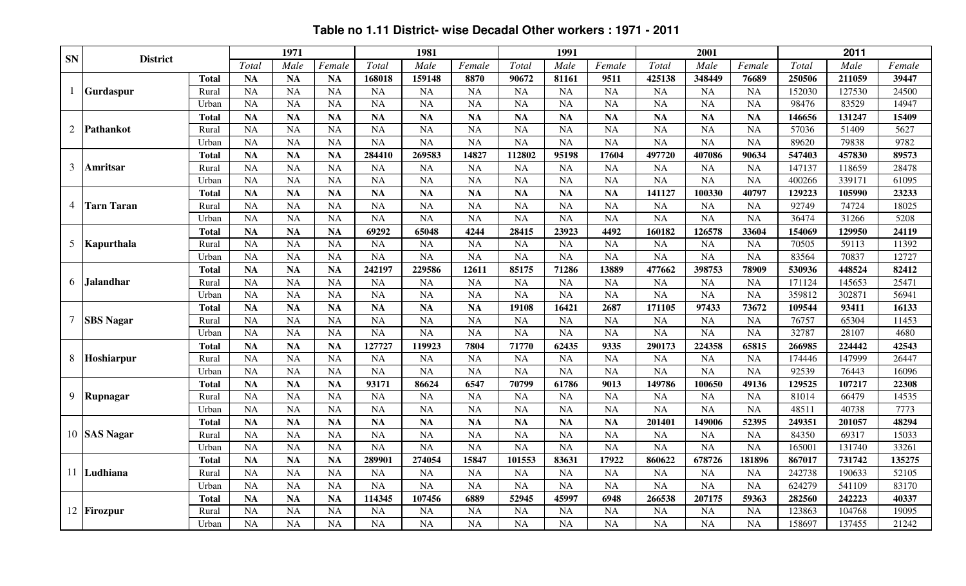|                |                   |              |           | 1971      |           |           | 1981      |           |           | 1991      |           |           | 2001      |           |        | 2011   |        |
|----------------|-------------------|--------------|-----------|-----------|-----------|-----------|-----------|-----------|-----------|-----------|-----------|-----------|-----------|-----------|--------|--------|--------|
| <b>SN</b>      | <b>District</b>   |              | Total     | Male      | Female    | Total     | Male      | Female    | Total     | Male      | Female    | Total     | Male      | Female    | Total  | Male   | Female |
|                |                   | <b>Total</b> | <b>NA</b> | <b>NA</b> | <b>NA</b> | 168018    | 159148    | 8870      | 90672     | 81161     | 9511      | 425138    | 348449    | 76689     | 250506 | 211059 | 39447  |
|                | Gurdaspur         | Rural        | <b>NA</b> | <b>NA</b> | <b>NA</b> | <b>NA</b> | <b>NA</b> | <b>NA</b> | <b>NA</b> | <b>NA</b> | <b>NA</b> | <b>NA</b> | <b>NA</b> | <b>NA</b> | 152030 | 127530 | 24500  |
|                |                   | Urban        | <b>NA</b> | <b>NA</b> | <b>NA</b> | <b>NA</b> | <b>NA</b> | <b>NA</b> | <b>NA</b> | <b>NA</b> | <b>NA</b> | <b>NA</b> | <b>NA</b> | <b>NA</b> | 98476  | 83529  | 14947  |
|                |                   | <b>Total</b> | <b>NA</b> | <b>NA</b> | <b>NA</b> | <b>NA</b> | <b>NA</b> | <b>NA</b> | <b>NA</b> | <b>NA</b> | <b>NA</b> | <b>NA</b> | <b>NA</b> | <b>NA</b> | 146656 | 131247 | 15409  |
| $\overline{2}$ | Pathankot         | Rural        | <b>NA</b> | <b>NA</b> | <b>NA</b> | <b>NA</b> | <b>NA</b> | <b>NA</b> | <b>NA</b> | <b>NA</b> | <b>NA</b> | <b>NA</b> | <b>NA</b> | <b>NA</b> | 57036  | 51409  | 5627   |
|                |                   | Urban        | <b>NA</b> | <b>NA</b> | <b>NA</b> | <b>NA</b> | <b>NA</b> | <b>NA</b> | <b>NA</b> | <b>NA</b> | <b>NA</b> | <b>NA</b> | <b>NA</b> | <b>NA</b> | 89620  | 79838  | 9782   |
|                |                   | <b>Total</b> | NA        | <b>NA</b> | <b>NA</b> | 284410    | 269583    | 14827     | 112802    | 95198     | 17604     | 497720    | 407086    | 90634     | 547403 | 457830 | 89573  |
| 3              | Amritsar          | Rural        | <b>NA</b> | <b>NA</b> | <b>NA</b> | <b>NA</b> | <b>NA</b> | <b>NA</b> | <b>NA</b> | <b>NA</b> | NA        | <b>NA</b> | <b>NA</b> | <b>NA</b> | 147137 | 118659 | 28478  |
|                |                   | Urban        | <b>NA</b> | NA        | NA        | <b>NA</b> | <b>NA</b> | <b>NA</b> | NA        | <b>NA</b> | <b>NA</b> | NA        | <b>NA</b> | <b>NA</b> | 400266 | 339171 | 61095  |
|                |                   | <b>Total</b> | <b>NA</b> | NA        | NA        | <b>NA</b> | <b>NA</b> | <b>NA</b> | <b>NA</b> | <b>NA</b> | NA        | 141127    | 100330    | 40797     | 129223 | 105990 | 23233  |
| 4              | <b>Tarn Taran</b> | Rural        | <b>NA</b> | <b>NA</b> | <b>NA</b> | <b>NA</b> | <b>NA</b> | <b>NA</b> | <b>NA</b> | <b>NA</b> | <b>NA</b> | <b>NA</b> | <b>NA</b> | <b>NA</b> | 92749  | 74724  | 18025  |
|                |                   | Urban        | <b>NA</b> | <b>NA</b> | <b>NA</b> | <b>NA</b> | <b>NA</b> | <b>NA</b> | <b>NA</b> | <b>NA</b> | <b>NA</b> | <b>NA</b> | <b>NA</b> | <b>NA</b> | 36474  | 31266  | 5208   |
|                |                   | <b>Total</b> | NA        | <b>NA</b> | <b>NA</b> | 69292     | 65048     | 4244      | 28415     | 23923     | 4492      | 160182    | 126578    | 33604     | 154069 | 129950 | 24119  |
| 5              | Kapurthala        | Rural        | <b>NA</b> | <b>NA</b> | <b>NA</b> | <b>NA</b> | <b>NA</b> | <b>NA</b> | <b>NA</b> | <b>NA</b> | <b>NA</b> | <b>NA</b> | <b>NA</b> | <b>NA</b> | 70505  | 59113  | 11392  |
|                |                   | Urban        | <b>NA</b> | <b>NA</b> | <b>NA</b> | <b>NA</b> | <b>NA</b> | <b>NA</b> | <b>NA</b> | <b>NA</b> | <b>NA</b> | <b>NA</b> | <b>NA</b> | <b>NA</b> | 83564  | 70837  | 12727  |
|                |                   | <b>Total</b> | <b>NA</b> | <b>NA</b> | <b>NA</b> | 242197    | 229586    | 12611     | 85175     | 71286     | 13889     | 477662    | 398753    | 78909     | 530936 | 448524 | 82412  |
| 6              | <b>Jalandhar</b>  | Rural        | <b>NA</b> | <b>NA</b> | <b>NA</b> | <b>NA</b> | <b>NA</b> | <b>NA</b> | <b>NA</b> | <b>NA</b> | <b>NA</b> | <b>NA</b> | <b>NA</b> | <b>NA</b> | 171124 | 145653 | 25471  |
|                |                   | Urban        | <b>NA</b> | <b>NA</b> | <b>NA</b> | <b>NA</b> | <b>NA</b> | <b>NA</b> | <b>NA</b> | <b>NA</b> | <b>NA</b> | <b>NA</b> | <b>NA</b> | <b>NA</b> | 359812 | 302871 | 56941  |
|                |                   | <b>Total</b> | <b>NA</b> | <b>NA</b> | <b>NA</b> | <b>NA</b> | <b>NA</b> | <b>NA</b> | 19108     | 16421     | 2687      | 171105    | 97433     | 73672     | 109544 | 93411  | 16133  |
| $\tau$         | <b>SBS</b> Nagar  | Rural        | <b>NA</b> | <b>NA</b> | <b>NA</b> | <b>NA</b> | <b>NA</b> | <b>NA</b> | <b>NA</b> | <b>NA</b> | <b>NA</b> | <b>NA</b> | <b>NA</b> | <b>NA</b> | 76757  | 65304  | 11453  |
|                |                   | Urban        | <b>NA</b> | <b>NA</b> | <b>NA</b> | <b>NA</b> | NA        | <b>NA</b> | <b>NA</b> | <b>NA</b> | <b>NA</b> | <b>NA</b> | <b>NA</b> | <b>NA</b> | 32787  | 28107  | 4680   |
|                |                   | <b>Total</b> | <b>NA</b> | <b>NA</b> | <b>NA</b> | 127727    | 119923    | 7804      | 71770     | 62435     | 9335      | 290173    | 224358    | 65815     | 266985 | 224442 | 42543  |
| 8              | Hoshiarpur        | Rural        | <b>NA</b> | <b>NA</b> | <b>NA</b> | <b>NA</b> | <b>NA</b> | <b>NA</b> | <b>NA</b> | <b>NA</b> | <b>NA</b> | <b>NA</b> | <b>NA</b> | <b>NA</b> | 174446 | 147999 | 26447  |
|                |                   | Urban        | <b>NA</b> | NA        | <b>NA</b> | <b>NA</b> | <b>NA</b> | <b>NA</b> | <b>NA</b> | <b>NA</b> | <b>NA</b> | NA        | <b>NA</b> | <b>NA</b> | 92539  | 76443  | 16096  |
|                |                   | <b>Total</b> | <b>NA</b> | <b>NA</b> | <b>NA</b> | 93171     | 86624     | 6547      | 70799     | 61786     | 9013      | 149786    | 100650    | 49136     | 129525 | 107217 | 22308  |
| 9              | Rupnagar          | Rural        | <b>NA</b> | <b>NA</b> | <b>NA</b> | <b>NA</b> | <b>NA</b> | <b>NA</b> | <b>NA</b> | <b>NA</b> | <b>NA</b> | <b>NA</b> | <b>NA</b> | <b>NA</b> | 81014  | 66479  | 14535  |
|                |                   | Urban        | <b>NA</b> | <b>NA</b> | <b>NA</b> | <b>NA</b> | <b>NA</b> | <b>NA</b> | <b>NA</b> | <b>NA</b> | <b>NA</b> | <b>NA</b> | <b>NA</b> | <b>NA</b> | 48511  | 40738  | 7773   |
|                |                   | <b>Total</b> | <b>NA</b> | NA        | <b>NA</b> | <b>NA</b> | <b>NA</b> | <b>NA</b> | <b>NA</b> | <b>NA</b> | <b>NA</b> | 201401    | 149006    | 52395     | 249351 | 201057 | 48294  |
|                | 10 SAS Nagar      | Rural        | <b>NA</b> | <b>NA</b> | <b>NA</b> | <b>NA</b> | <b>NA</b> | <b>NA</b> | <b>NA</b> | <b>NA</b> | <b>NA</b> | <b>NA</b> | <b>NA</b> | <b>NA</b> | 84350  | 69317  | 15033  |
|                |                   | Urban        | <b>NA</b> | <b>NA</b> | <b>NA</b> | <b>NA</b> | <b>NA</b> | <b>NA</b> | <b>NA</b> | <b>NA</b> | <b>NA</b> | <b>NA</b> | <b>NA</b> | <b>NA</b> | 165001 | 131740 | 33261  |
|                |                   | <b>Total</b> | NA        | <b>NA</b> | <b>NA</b> | 289901    | 274054    | 15847     | 101553    | 83631     | 17922     | 860622    | 678726    | 181896    | 867017 | 731742 | 135275 |
|                | 11 Ludhiana       | Rural        | <b>NA</b> | <b>NA</b> | <b>NA</b> | NA        | <b>NA</b> | <b>NA</b> | <b>NA</b> | <b>NA</b> | NA        | <b>NA</b> | <b>NA</b> | <b>NA</b> | 242738 | 190633 | 52105  |
|                |                   | Urban        | <b>NA</b> | <b>NA</b> | <b>NA</b> | <b>NA</b> | <b>NA</b> | <b>NA</b> | <b>NA</b> | <b>NA</b> | <b>NA</b> | <b>NA</b> | <b>NA</b> | <b>NA</b> | 624279 | 541109 | 83170  |
|                |                   | <b>Total</b> | <b>NA</b> | <b>NA</b> | <b>NA</b> | 114345    | 107456    | 6889      | 52945     | 45997     | 6948      | 266538    | 207175    | 59363     | 282560 | 242223 | 40337  |
|                | 12 Firozpur       | Rural        | <b>NA</b> | <b>NA</b> | <b>NA</b> | <b>NA</b> | <b>NA</b> | <b>NA</b> | <b>NA</b> | <b>NA</b> | <b>NA</b> | <b>NA</b> | <b>NA</b> | <b>NA</b> | 123863 | 104768 | 19095  |
|                |                   | Urban        | <b>NA</b> | <b>NA</b> | <b>NA</b> | <b>NA</b> | <b>NA</b> | <b>NA</b> | <b>NA</b> | <b>NA</b> | <b>NA</b> | <b>NA</b> | <b>NA</b> | <b>NA</b> | 158697 | 137455 | 21242  |

#### **Table no 1.11 District- wise Decadal Other workers : 1971 - 2011**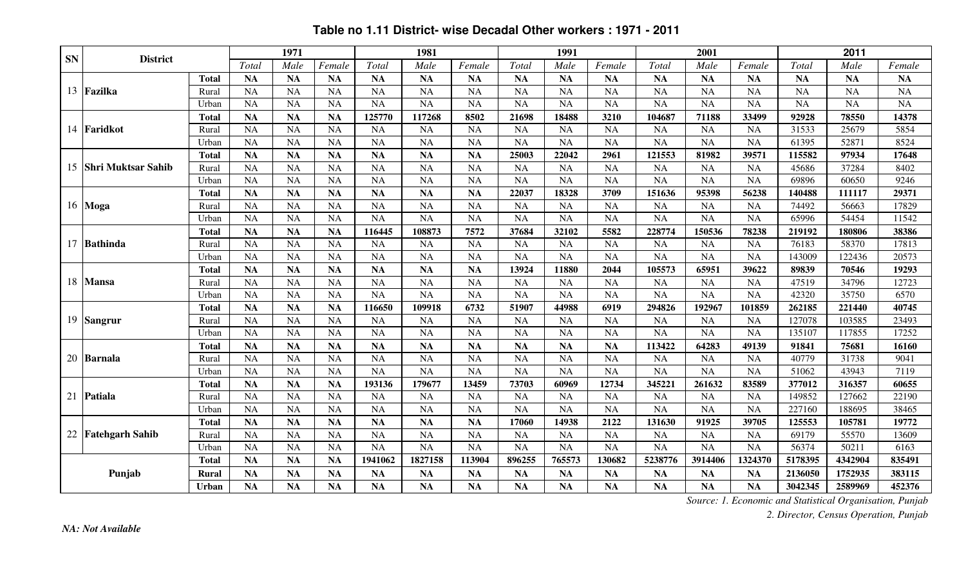| <b>SN</b> | <b>District</b>           |              |           | 1971      |           |           | 1981      |           |           | 1991      |           |           | 2001      |           |           | 2011      |           |
|-----------|---------------------------|--------------|-----------|-----------|-----------|-----------|-----------|-----------|-----------|-----------|-----------|-----------|-----------|-----------|-----------|-----------|-----------|
|           |                           |              | Total     | Male      | Female    | Total     | Male      | Female    | Total     | Male      | Female    | Total     | Male      | Female    | Total     | Male      | Female    |
|           |                           | <b>Total</b> | <b>NA</b> | <b>NA</b> | <b>NA</b> | <b>NA</b> | <b>NA</b> | <b>NA</b> | <b>NA</b> | <b>NA</b> | <b>NA</b> | <b>NA</b> | <b>NA</b> | <b>NA</b> | <b>NA</b> | <b>NA</b> | <b>NA</b> |
|           | 13 Fazilka                | Rural        | <b>NA</b> | <b>NA</b> | <b>NA</b> | <b>NA</b> | <b>NA</b> | <b>NA</b> | <b>NA</b> | <b>NA</b> | <b>NA</b> | <b>NA</b> | <b>NA</b> | <b>NA</b> | <b>NA</b> | <b>NA</b> | <b>NA</b> |
|           |                           | Urban        | <b>NA</b> | <b>NA</b> | <b>NA</b> | <b>NA</b> | <b>NA</b> | <b>NA</b> | <b>NA</b> | <b>NA</b> | <b>NA</b> | <b>NA</b> | <b>NA</b> | <b>NA</b> | <b>NA</b> | <b>NA</b> | <b>NA</b> |
|           |                           | <b>Total</b> | <b>NA</b> | <b>NA</b> | <b>NA</b> | 125770    | 117268    | 8502      | 21698     | 18488     | 3210      | 104687    | 71188     | 33499     | 92928     | 78550     | 14378     |
|           | 14 Faridkot               | Rural        | <b>NA</b> | <b>NA</b> | <b>NA</b> | <b>NA</b> | <b>NA</b> | <b>NA</b> | <b>NA</b> | <b>NA</b> | <b>NA</b> | <b>NA</b> | <b>NA</b> | <b>NA</b> | 31533     | 25679     | 5854      |
|           |                           | Urban        | <b>NA</b> | <b>NA</b> | <b>NA</b> | <b>NA</b> | <b>NA</b> | <b>NA</b> | <b>NA</b> | <b>NA</b> | <b>NA</b> | <b>NA</b> | <b>NA</b> | <b>NA</b> | 61395     | 52871     | 8524      |
|           |                           | <b>Total</b> | <b>NA</b> | <b>NA</b> | <b>NA</b> | <b>NA</b> | <b>NA</b> | <b>NA</b> | 25003     | 22042     | 2961      | 121553    | 81982     | 39571     | 115582    | 97934     | 17648     |
| 15        | <b>Shri Muktsar Sahib</b> | Rural        | <b>NA</b> | <b>NA</b> | <b>NA</b> | <b>NA</b> | <b>NA</b> | <b>NA</b> | <b>NA</b> | <b>NA</b> | <b>NA</b> | <b>NA</b> | <b>NA</b> | <b>NA</b> | 45686     | 37284     | 8402      |
|           |                           | Urban        | <b>NA</b> | <b>NA</b> | <b>NA</b> | <b>NA</b> | <b>NA</b> | <b>NA</b> | <b>NA</b> | <b>NA</b> | <b>NA</b> | <b>NA</b> | <b>NA</b> | <b>NA</b> | 69896     | 60650     | 9246      |
|           |                           | <b>Total</b> | <b>NA</b> | <b>NA</b> | <b>NA</b> | <b>NA</b> | <b>NA</b> | <b>NA</b> | 22037     | 18328     | 3709      | 151636    | 95398     | 56238     | 140488    | 111117    | 29371     |
|           | 16 Moga                   | Rural        | <b>NA</b> | <b>NA</b> | <b>NA</b> | <b>NA</b> | <b>NA</b> | <b>NA</b> | <b>NA</b> | <b>NA</b> | <b>NA</b> | <b>NA</b> | <b>NA</b> | <b>NA</b> | 74492     | 56663     | 17829     |
|           |                           | Urban        | <b>NA</b> | <b>NA</b> | <b>NA</b> | <b>NA</b> | <b>NA</b> | <b>NA</b> | <b>NA</b> | <b>NA</b> | <b>NA</b> | <b>NA</b> | <b>NA</b> | <b>NA</b> | 65996     | 54454     | 11542     |
|           |                           | <b>Total</b> | <b>NA</b> | <b>NA</b> | <b>NA</b> | 116445    | 108873    | 7572      | 37684     | 32102     | 5582      | 228774    | 150536    | 78238     | 219192    | 180806    | 38386     |
|           | 17 Bathinda               | Rural        | <b>NA</b> | <b>NA</b> | <b>NA</b> | <b>NA</b> | <b>NA</b> | <b>NA</b> | <b>NA</b> | <b>NA</b> | <b>NA</b> | <b>NA</b> | <b>NA</b> | <b>NA</b> | 76183     | 58370     | 17813     |
|           |                           | Urban        | <b>NA</b> | <b>NA</b> | <b>NA</b> | <b>NA</b> | <b>NA</b> | <b>NA</b> | <b>NA</b> | <b>NA</b> | <b>NA</b> | <b>NA</b> | <b>NA</b> | <b>NA</b> | 143009    | 122436    | 20573     |
|           |                           | <b>Total</b> | <b>NA</b> | <b>NA</b> | <b>NA</b> | <b>NA</b> | <b>NA</b> | <b>NA</b> | 13924     | 11880     | 2044      | 105573    | 65951     | 39622     | 89839     | 70546     | 19293     |
| 18        | <b>Mansa</b>              | Rural        | <b>NA</b> | <b>NA</b> | <b>NA</b> | <b>NA</b> | <b>NA</b> | <b>NA</b> | NA        | <b>NA</b> | <b>NA</b> | <b>NA</b> | <b>NA</b> | <b>NA</b> | 47519     | 34796     | 12723     |
|           |                           | Urban        | <b>NA</b> | <b>NA</b> | <b>NA</b> | <b>NA</b> | <b>NA</b> | <b>NA</b> | <b>NA</b> | <b>NA</b> | <b>NA</b> | <b>NA</b> | <b>NA</b> | <b>NA</b> | 42320     | 35750     | 6570      |
|           |                           | <b>Total</b> | <b>NA</b> | <b>NA</b> | <b>NA</b> | 116650    | 109918    | 6732      | 51907     | 44988     | 6919      | 294826    | 192967    | 101859    | 262185    | 221440    | 40745     |
|           | 19 Sangrur                | Rural        | <b>NA</b> | <b>NA</b> | <b>NA</b> | <b>NA</b> | <b>NA</b> | <b>NA</b> | <b>NA</b> | <b>NA</b> | <b>NA</b> | <b>NA</b> | <b>NA</b> | <b>NA</b> | 127078    | 103585    | 23493     |
|           |                           | Urban        | <b>NA</b> | <b>NA</b> | <b>NA</b> | <b>NA</b> | <b>NA</b> | <b>NA</b> | <b>NA</b> | <b>NA</b> | <b>NA</b> | <b>NA</b> | <b>NA</b> | <b>NA</b> | 135107    | 117855    | 17252     |
|           |                           | <b>Total</b> | <b>NA</b> | <b>NA</b> | <b>NA</b> | <b>NA</b> | <b>NA</b> | <b>NA</b> | <b>NA</b> | <b>NA</b> | <b>NA</b> | 113422    | 64283     | 49139     | 91841     | 75681     | 16160     |
|           | 20 Barnala                | Rural        | <b>NA</b> | <b>NA</b> | <b>NA</b> | <b>NA</b> | <b>NA</b> | <b>NA</b> | <b>NA</b> | <b>NA</b> | <b>NA</b> | <b>NA</b> | <b>NA</b> | <b>NA</b> | 40779     | 31738     | 9041      |
|           |                           | Urban        | <b>NA</b> | <b>NA</b> | <b>NA</b> | <b>NA</b> | <b>NA</b> | <b>NA</b> | NA        | <b>NA</b> | <b>NA</b> | <b>NA</b> | <b>NA</b> | <b>NA</b> | 51062     | 43943     | 7119      |
|           |                           | <b>Total</b> | <b>NA</b> | <b>NA</b> | <b>NA</b> | 193136    | 179677    | 13459     | 73703     | 60969     | 12734     | 345221    | 261632    | 83589     | 377012    | 316357    | 60655     |
|           | 21 Patiala                | Rural        | <b>NA</b> | <b>NA</b> | <b>NA</b> | <b>NA</b> | <b>NA</b> | <b>NA</b> | <b>NA</b> | <b>NA</b> | <b>NA</b> | <b>NA</b> | <b>NA</b> | <b>NA</b> | 149852    | 127662    | 22190     |
|           |                           | Urban        | <b>NA</b> | <b>NA</b> | <b>NA</b> | <b>NA</b> | <b>NA</b> | <b>NA</b> | NA        | <b>NA</b> | <b>NA</b> | <b>NA</b> | <b>NA</b> | <b>NA</b> | 227160    | 188695    | 38465     |
|           |                           | <b>Total</b> | <b>NA</b> | <b>NA</b> | <b>NA</b> | <b>NA</b> | <b>NA</b> | <b>NA</b> | 17060     | 14938     | 2122      | 131630    | 91925     | 39705     | 125553    | 105781    | 19772     |
| 22        | <b>Fatehgarh Sahib</b>    | Rural        | <b>NA</b> | <b>NA</b> | <b>NA</b> | <b>NA</b> | <b>NA</b> | <b>NA</b> | <b>NA</b> | <b>NA</b> | <b>NA</b> | <b>NA</b> | <b>NA</b> | <b>NA</b> | 69179     | 55570     | 13609     |
|           |                           | Urban        | <b>NA</b> | <b>NA</b> | <b>NA</b> | <b>NA</b> | <b>NA</b> | NA        | NA        | <b>NA</b> | <b>NA</b> | <b>NA</b> | <b>NA</b> | <b>NA</b> | 56374     | 50211     | 6163      |
|           |                           | <b>Total</b> | <b>NA</b> | <b>NA</b> | <b>NA</b> | 1941062   | 1827158   | 113904    | 896255    | 765573    | 130682    | 5238776   | 3914406   | 1324370   | 5178395   | 4342904   | 835491    |
|           | Punjab                    | <b>Rural</b> | <b>NA</b> | <b>NA</b> | <b>NA</b> | <b>NA</b> | <b>NA</b> | <b>NA</b> | <b>NA</b> | <b>NA</b> | <b>NA</b> | <b>NA</b> | <b>NA</b> | <b>NA</b> | 2136050   | 1752935   | 383115    |
|           |                           | <b>Urban</b> | <b>NA</b> | <b>NA</b> | <b>NA</b> | <b>NA</b> | <b>NA</b> | <b>NA</b> | <b>NA</b> | <b>NA</b> | <b>NA</b> | <b>NA</b> | <b>NA</b> | <b>NA</b> | 3042345   | 2589969   | 452376    |

#### **Table no 1.11 District- wise Decadal Other workers : 1971 - 2011**

*Source: 1. Economic and Statistical Organisation, Punjab*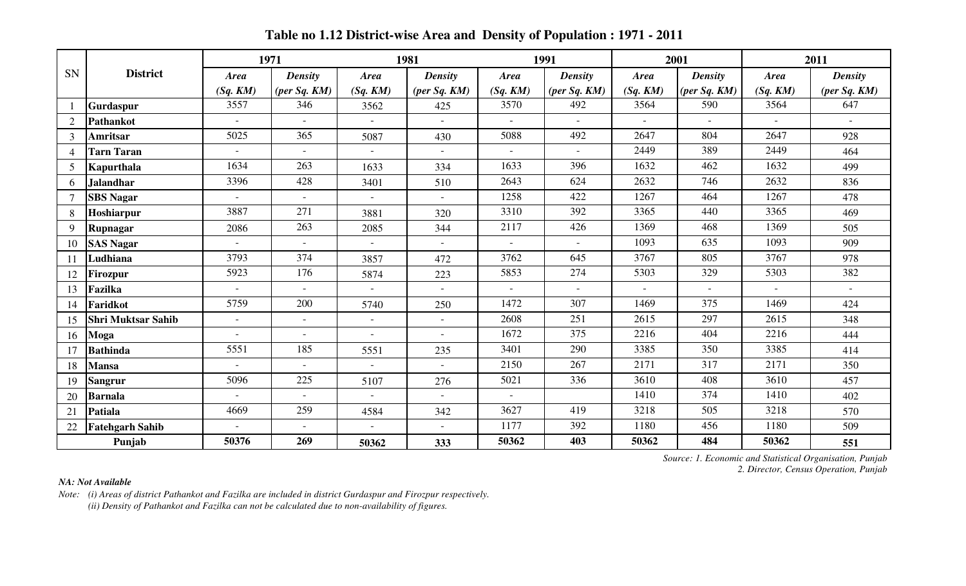|                |                           |                             | 1971                     |                          | 1981                     |                | 1991                           |             | 2001           |             | 2011                        |
|----------------|---------------------------|-----------------------------|--------------------------|--------------------------|--------------------------|----------------|--------------------------------|-------------|----------------|-------------|-----------------------------|
| <b>SN</b>      | <b>District</b>           | <b>Area</b>                 | <b>Density</b>           | <b>Area</b>              | <b>Density</b>           | <b>Area</b>    | <b>Density</b>                 | <b>Area</b> | <b>Density</b> | <b>Area</b> | <b>Density</b>              |
|                |                           | (Sq. KM)                    | $(\textit{per Sq. KM})$  | (Sq. KM)                 | $(\textit{per Sq. KM})$  | (Sq, KM)       | $(\text{per } Sq. \text{ KM})$ | (Sq. KM)    | per Sq. KM     | (Sq. KM)    | $(\textit{per Sq. KM})$     |
|                | <b>Gurdaspur</b>          | 3557                        | 346                      | 3562                     | 425                      | 3570           | 492                            | 3564        | 590            | 3564        | 647                         |
| $\overline{2}$ | Pathankot                 | $\sim$                      | $\sim$                   | $\sim$                   | $\sim$                   | $\sim$         | $\sim$                         | $\sim$      | $\sim$         | $\sim$      | $\sim$                      |
| $\mathcal{E}$  | Amritsar                  | 5025                        | 365                      | 5087                     | 430                      | 5088           | 492                            | 2647        | 804            | 2647        | 928                         |
|                | <b>Tarn Taran</b>         | $\sim$                      |                          |                          |                          |                |                                | 2449        | 389            | 2449        | 464                         |
| 5              | Kapurthala                | 1634                        | 263                      | 1633                     | 334                      | 1633           | 396                            | 1632        | 462            | 1632        | 499                         |
| 6              | <b>Jalandhar</b>          | 3396                        | 428                      | 3401                     | 510                      | 2643           | 624                            | 2632        | 746            | 2632        | 836                         |
|                | <b>SBS Nagar</b>          | $\sim$                      | $\sim$                   | $\sim$                   | $\sim$                   | 1258           | 422                            | 1267        | 464            | 1267        | 478                         |
| 8              | Hoshiarpur                | 3887                        | 271                      | 3881                     | 320                      | 3310           | 392                            | 3365        | 440            | 3365        | 469                         |
| 9              | Rupnagar                  | 2086                        | 263                      | 2085                     | 344                      | 2117           | 426                            | 1369        | 468            | 1369        | 505                         |
|                | <b>SAS Nagar</b>          | $\sim$                      | $\sim$                   | $\overline{\phantom{a}}$ | $\sim$                   |                |                                | 1093        | 635            | 1093        | 909                         |
|                | Ludhiana                  | 3793                        | 374                      | 3857                     | 472                      | 3762           | 645                            | 3767        | 805            | 3767        | 978                         |
|                | Firozpur                  | 5923                        | 176                      | 5874                     | 223                      | 5853           | 274                            | 5303        | 329            | 5303        | 382                         |
|                | Fazilka                   | $\sim$                      | $\sim$                   | $\sim$                   | $\sim$                   | $\overline{a}$ | $\sim$                         | $\sim$      | $\sim$         | $\sim$      | $\mathcal{L}_{\mathcal{A}}$ |
| 14             | Faridkot                  | 5759                        | 200                      | 5740                     | 250                      | 1472           | 307                            | 1469        | 375            | 1469        | 424                         |
| 15             | <b>Shri Muktsar Sahib</b> | $\mathcal{L}_{\mathcal{A}}$ | $\overline{\phantom{a}}$ | $\blacksquare$           | $\overline{\phantom{a}}$ | 2608           | 251                            | 2615        | 297            | 2615        | 348                         |
| 16             | Moga                      | $\blacksquare$              | $\sim$                   | $\overline{\phantom{a}}$ | $\sim$                   | 1672           | 375                            | 2216        | 404            | 2216        | 444                         |
|                | <b>Bathinda</b>           | 5551                        | 185                      | 5551                     | 235                      | 3401           | 290                            | 3385        | 350            | 3385        | 414                         |
| 18             | <b>Mansa</b>              | $\sim$                      | $\sim$                   | $\blacksquare$           |                          | 2150           | 267                            | 2171        | 317            | 2171        | 350                         |
| 19             | <b>Sangrur</b>            | 5096                        | 225                      | 5107                     | 276                      | 5021           | 336                            | 3610        | 408            | 3610        | 457                         |
| 20             | <b>Barnala</b>            | $\omega$                    | $\sim$                   | $\overline{\phantom{a}}$ | $\blacksquare$           |                |                                | 1410        | 374            | 1410        | 402                         |
| 21             | Patiala                   | 4669                        | 259                      | 4584                     | 342                      | 3627           | 419                            | 3218        | 505            | 3218        | 570                         |
| 22             | <b>Fatehgarh Sahib</b>    | $\sim$                      | $\sim$                   | $\omega$                 | $\sim$                   | 1177           | 392                            | 1180        | 456            | 1180        | 509                         |
|                | Punjab                    | 50376                       | 269                      | 50362                    | 333                      | 50362          | 403                            | 50362       | 484            | 50362       | 551                         |

**Table no 1.12 District-wise Area and Density of Population : 1971 - 2011**

*Source: 1. Economic and Statistical Organisation, Punjab 2. Director, Census Operation, Punjab*

#### *NA: Not Available*

*Note: (i) Areas of district Pathankot and Fazilka are included in district Gurdaspur and Firozpur respectively. (ii) Density of Pathankot and Fazilka can not be calculated due to non-availability of figures.*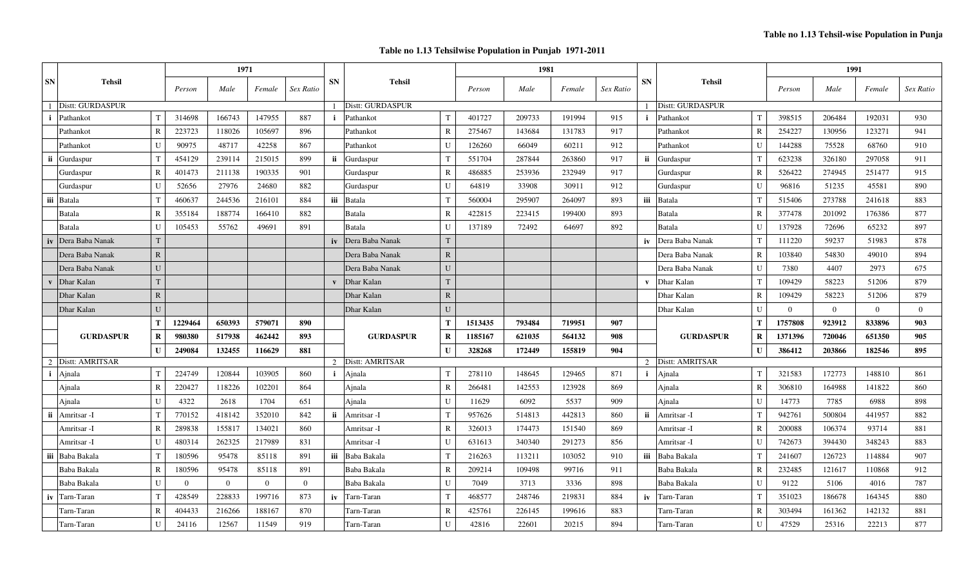#### **Table no 1.13 Tehsilwise Population in Punjab 1971-2011**

|                  | <b>Tehsil</b>     |              | 1971     |          |          |           |                  |                   |                        |         | 1981   |        |           |                  |                     | 1991           |          |                |          |           |
|------------------|-------------------|--------------|----------|----------|----------|-----------|------------------|-------------------|------------------------|---------|--------|--------|-----------|------------------|---------------------|----------------|----------|----------------|----------|-----------|
| <b>SN</b>        |                   |              | Person   | Male     | Female   | Sex Ratio | <b>SN</b>        | <b>Tehsil</b>     |                        | Person  | Male   | Female | Sex Ratio | <b>SN</b>        | <b>Tehsil</b>       |                | Person   | Male           | Female   | Sex Ratio |
| Distt: GURDASPUR |                   |              |          |          |          |           | Distt: GURDASPUR |                   |                        |         |        |        |           | Distt: GURDASPUR |                     |                |          |                |          |           |
| $\mathbf{i}$     | Pathankot         |              | 314698   | 166743   | 147955   | 887       | $\mathbf{i}$     | Pathankot         | $\mathbf T$            | 401727  | 209733 | 191994 | 915       | $\mathbf{i}$     | Pathankot           | T              | 398515   | 206484         | 192031   | 930       |
|                  | Pathankot         | $\mathbf R$  | 223723   | 118026   | 105697   | 896       |                  | Pathankot         | $\mathbb{R}$           | 275467  | 143684 | 131783 | 917       |                  | Pathankot           | $\overline{R}$ | 254227   | 130956         | 123271   | 941       |
|                  | Pathankot         | U            | 90975    | 48717    | 42258    | 867       |                  | Pathankot         | U                      | 126260  | 66049  | 60211  | 912       |                  | Pathankot           | U              | 144288   | 75528          | 68760    | 910       |
| ii               | Gurdaspur         |              | 454129   | 239114   | 215015   | 899       | ii               | Gurdaspur         | $\mathbf T$            | 551704  | 287844 | 263860 | 917       | ii               | Gurdaspur           | T              | 623238   | 326180         | 297058   | 911       |
|                  | Gurdaspur         | $\mathbf R$  | 401473   | 211138   | 190335   | 901       |                  | Gurdaspur         | $\mathbf R$            | 486885  | 253936 | 232949 | 917       |                  | Gurdaspur           | $\overline{R}$ | 526422   | 274945         | 251477   | 915       |
|                  | Gurdaspur         | U            | 52656    | 27976    | 24680    | 882       |                  | Gurdaspur         | $\mathbf{U}$           | 64819   | 33908  | 30911  | 912       |                  | Gurdaspur           | $\mathbf{I}$   | 96816    | 51235          | 45581    | 890       |
| iii              | Batala            |              | 460637   | 244536   | 216101   | 884       |                  | iii Batala        | $\mathbf T$            | 560004  | 295907 | 264097 | 893       |                  | iii Batala          | T              | 515406   | 273788         | 241618   | 883       |
|                  | Batala            | $\mathbf R$  | 355184   | 188774   | 166410   | 882       |                  | <b>Batala</b>     | $\mathbb{R}$           | 422815  | 223415 | 199400 | 893       |                  | Batala              | $\mathbf R$    | 377478   | 201092         | 176386   | 877       |
|                  | Batala            | U            | 105453   | 55762    | 49691    | 891       |                  | Batala            | U                      | 137189  | 72492  | 64697  | 892       |                  | Batala              | U              | 137928   | 72696          | 65232    | 897       |
| iv               | Dera Baba Nanak   | T            |          |          |          |           | iv               | Dera Baba Nanak   | T                      |         |        |        |           | iv               | Dera Baba Nanak     | T              | 111220   | 59237          | 51983    | 878       |
|                  | Dera Baba Nanak   | ${\bf R}$    |          |          |          |           |                  | Dera Baba Nanak   | $\mathbf R$            |         |        |        |           |                  | Dera Baba Nanak     | $\overline{R}$ | 103840   | 54830          | 49010    | 894       |
|                  | Dera Baba Nanak   | U            |          |          |          |           |                  | Dera Baba Nanak   | $\mathbf{U}$           |         |        |        |           |                  | Dera Baba Nanak     | $\mathbf{U}$   | 7380     | 4407           | 2973     | 675       |
| $\mathbf{v}$     | Dhar Kalan        | T            |          |          |          |           | $\mathbf{V}$     | Dhar Kalan        | T                      |         |        |        |           | $\mathbf{v}$     | Dhar Kalan          | T              | 109429   | 58223          | 51206    | 879       |
|                  | Dhar Kalan        | ${\bf R}$    |          |          |          |           |                  | Dhar Kalan        | $\mathbf R$            |         |        |        |           |                  | Dhar Kalan          | $\mathbf R$    | 109429   | 58223          | 51206    | 879       |
|                  | Dhar Kalan        | U            |          |          |          |           |                  | Dhar Kalan        | $\mathbf{U}$           |         |        |        |           |                  | Dhar Kalan          | U              | $\theta$ | $\overline{0}$ | $\theta$ | $\Omega$  |
|                  |                   | T            | 1229464  | 650393   | 579071   | 890       |                  |                   | Т                      | 1513435 | 793484 | 719951 | 907       |                  |                     | T              | 1757808  | 923912         | 833896   | 903       |
|                  | <b>GURDASPUR</b>  | $\mathbf R$  | 980380   | 517938   | 462442   | 893       |                  | <b>GURDASPUR</b>  | $\mathbf R$            | 1185167 | 621035 | 564132 | 908       |                  | <b>GURDASPUR</b>    | $\mathbf R$    | 1371396  | 720046         | 651350   | 905       |
|                  |                   | $\mathbf{U}$ | 249084   | 132455   | 116629   | 881       |                  |                   | 328268<br>$\mathbf{I}$ |         |        | 155819 | 904       |                  | $\mathbf{I}$        |                | 386412   | 203866         | 182546   | 895       |
|                  | 2 Distt: AMRITSAR |              |          |          |          |           |                  | 2 Distt: AMRITSAR |                        |         |        |        |           |                  | 2   Distt: AMRITSAR |                |          |                |          |           |
| $\mathbf{i}$     | Ajnala            | T            | 224749   | 120844   | 103905   | 860       | $\mathbf{i}$     | Ajnala            | T                      | 278110  | 148645 | 129465 | 871       | $\mathbf{i}$     | Ajnala              | T              | 321583   | 172773         | 148810   | 861       |
|                  | Ajnala            | $\mathbf R$  | 220427   | 118226   | 102201   | 864       |                  | Ajnala            | $\mathbb{R}$           | 266481  | 142553 | 123928 | 869       |                  | Ajnala              | $\overline{R}$ | 306810   | 164988         | 141822   | 860       |
|                  | Ajnala            | $\mathbf{U}$ | 4322     | 2618     | 1704     | 651       |                  | Ajnala            | U                      | 11629   | 6092   | 5537   | 909       |                  | Ajnala              | $\mathbf{I}$   | 14773    | 7785           | 6988     | 898       |
| ii               | Amritsar -I       |              | 770152   | 418142   | 352010   | 842       | ii               | Amritsar -I       | $\mathbf{T}$           | 957626  | 514813 | 442813 | 860       | ii               | Amritsar -I         | T              | 942761   | 500804         | 441957   | 882       |
|                  | Amritsar -I       | $\mathbf R$  | 289838   | 155817   | 134021   | 860       |                  | Amritsar -I       | $\mathbf R$            | 326013  | 174473 | 151540 | 869       |                  | Amritsar -I         | $\overline{R}$ | 200088   | 106374         | 93714    | 881       |
|                  | Amritsar -I       | U            | 480314   | 262325   | 217989   | 831       |                  | Amritsar -I       | U                      | 631613  | 340340 | 291273 | 856       |                  | Amritsar -I         | $\mathbf{U}$   | 742673   | 394430         | 348243   | 883       |
| iii              | Baba Bakala       |              | 180596   | 95478    | 85118    | 891       | iii              | Baba Bakala       | $\mathbf{T}$           | 216263  | 113211 | 103052 | 910       |                  | iii Baba Bakala     | T              | 241607   | 126723         | 114884   | 907       |
|                  | Baba Bakala       | $\mathbf R$  | 180596   | 95478    | 85118    | 891       |                  | Baba Bakala       | R                      | 209214  | 109498 | 99716  | 911       |                  | Baba Bakala         | $\mathbf R$    | 232485   | 121617         | 110868   | 912       |
|                  | Baba Bakala       | $\mathbf{U}$ | $\Omega$ | $\theta$ | $\Omega$ | $\Omega$  |                  | Baba Bakala       | $\mathbf{U}$           | 7049    | 3713   | 3336   | 898       |                  | Baba Bakala         | $\mathbf{U}$   | 9122     | 5106           | 4016     | 787       |
|                  | iv Tarn-Taran     |              | 428549   | 228833   | 199716   | 873       |                  | iv Tarn-Taran     | $\mathbf T$            | 468577  | 248746 | 219831 | 884       |                  | iv Tarn-Taran       | T              | 351023   | 186678         | 164345   | 880       |
|                  | Tarn-Taran        | R            | 404433   | 216266   | 188167   | 870       |                  | Tarn-Taran        | R                      | 425761  | 226145 | 199616 | 883       |                  | Tarn-Taran          | $\mathbb{R}$   | 303494   | 161362         | 142132   | 881       |
|                  | Tarn-Taran        | U            | 24116    | 12567    | 11549    | 919       |                  | Tarn-Taran        | $\mathbf{I}$           | 42816   | 22601  | 20215  | 894       |                  | Tarn-Taran          | U              | 47529    | 25316          | 22213    | 877       |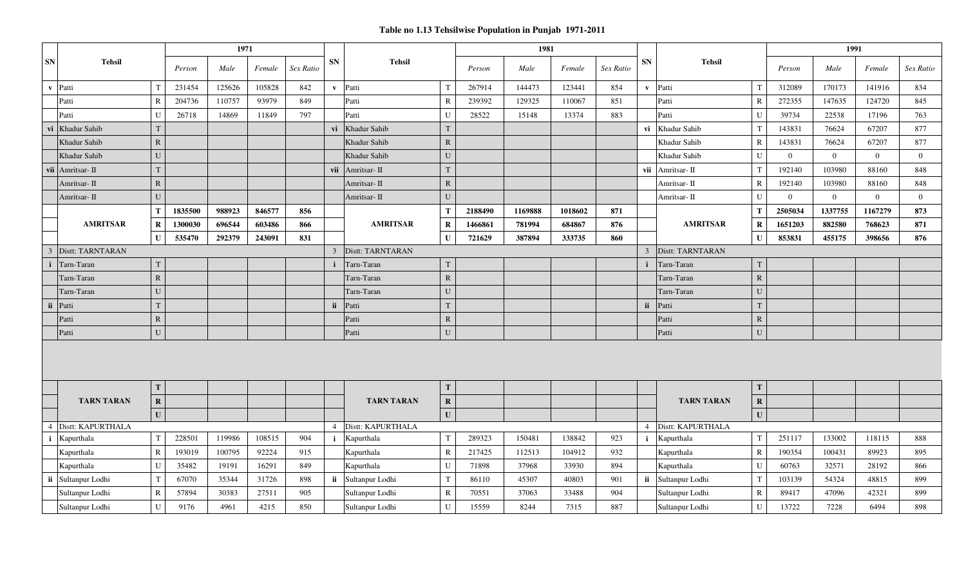#### **Table no 1.13 Tehsilwise Population in Punjab 1971-2011**

| SN<br><b>SN</b><br><b>Tehsil</b><br><b>SN</b><br><b>Tehsil</b><br><b>Tehsil</b><br>Male<br>Male<br>Female<br>Sex Ratio<br>Female<br>Sex Ratio<br>Person<br>Male<br>Female<br>Sex Ratio<br>Person<br>Person<br>105828<br>v Patti<br>231454<br>125626<br>842<br>Patti<br>267914<br>144473<br>123441<br>854<br>312089<br>170173<br>141916<br>$\mathbf{T}$<br>$\mathbf{T}$<br>834<br>v Patti<br>$\mathbf{v}$<br>T<br>204736<br>110757<br>93979<br>849<br>239392<br>129325<br>110067<br>851<br>272355<br>147635<br>124720<br>$\mathbb{R}$<br>Patti<br>Patti<br>$\mathbf R$<br>845<br>Patti<br>R<br>797<br>26718<br>Patti<br>28522<br>15148<br>13374<br>883<br>U<br>39734<br>22538<br>763<br>Patti<br>U<br>14869<br>11849<br>U<br>Patti<br>17196<br>Khadur Sahib<br>Khadur Sahib<br>Khadur Sahib<br>67207<br>T<br>vi<br>T<br>vi<br>T<br>143831<br>76624<br>877<br>vi<br>Khadur Sahib<br>$\mathbf R$<br>Khadur Sahib<br>$\mathbf R$<br>143831<br>76624<br>67207<br>877<br>Khadur Sahib<br>$\mathbf{R}$<br>U<br>$\overline{0}$<br>$\overline{0}$<br>Khadur Sahib<br>U<br>Khadur Sahib<br>U<br>$\overline{0}$<br>$\overline{0}$<br>Khadur Sahib<br>T<br>T<br>vii<br>192140<br>103980<br>88160<br>Amritsar-II<br>$\mathsf{T}$<br>848<br>Amritsar-II<br>vii<br>Amritsar-II<br>vii<br>$\mathbf R$<br>$\mathbb{R}$<br>$\mathbf R$<br>192140<br>103980<br>88160<br>848<br>Amritsar- II<br>Amritsar- II<br>Amritsar- II<br>U<br>U<br>$\mathbf U$<br>$\overline{0}$<br>$\overline{0}$<br>$\overline{0}$<br>$\overline{0}$<br>Amritsar- II<br>Amritsar- II<br>Amritsar- II<br>846577<br>1169888<br>2505034<br>1337755<br>T<br>1835500<br>988923<br>856<br>T<br>2188490<br>1018602<br>871<br>T<br>1167279<br>873<br>$\mathbf R$<br>$\bf R$<br><b>AMRITSAR</b><br>1300030<br>696544<br>603486<br>866<br><b>AMRITSAR</b><br>$\bf R$<br>1466861<br>781994<br>684867<br>876<br><b>AMRITSAR</b><br>1651203<br>882580<br>768623<br>871<br>535470<br>292379<br>243091<br>831<br>387894<br>333735<br>860<br>$\mathbf{U}$<br>853831<br>455175<br>398656<br>876<br>$\mathbf I$<br>U<br>721629<br>Distt: TARNTARAN<br><b>Distt: TARNTARAN</b><br>Distt: TARNTARAN<br>$\overline{3}$<br>$\overline{3}$<br>3<br>$\mathbf T$<br>T<br>Tarn-Taran<br>T<br>Tarn-Taran<br>Tarn-Taran<br>$\mathbf i$<br>${\bf R}$<br>${\bf R}$<br>Tarn-Taran<br>$\mathbf{R}$<br>Tarn-Taran<br>Tarn-Taran |  |  |  |  |  |  |  |  |  |  |  |  |  |
|-----------------------------------------------------------------------------------------------------------------------------------------------------------------------------------------------------------------------------------------------------------------------------------------------------------------------------------------------------------------------------------------------------------------------------------------------------------------------------------------------------------------------------------------------------------------------------------------------------------------------------------------------------------------------------------------------------------------------------------------------------------------------------------------------------------------------------------------------------------------------------------------------------------------------------------------------------------------------------------------------------------------------------------------------------------------------------------------------------------------------------------------------------------------------------------------------------------------------------------------------------------------------------------------------------------------------------------------------------------------------------------------------------------------------------------------------------------------------------------------------------------------------------------------------------------------------------------------------------------------------------------------------------------------------------------------------------------------------------------------------------------------------------------------------------------------------------------------------------------------------------------------------------------------------------------------------------------------------------------------------------------------------------------------------------------------------------------------------------------------------------------------------------------------------------------------------------------------------------------------------------------------------------------------------------------------------------------------------------|--|--|--|--|--|--|--|--|--|--|--|--|--|
|                                                                                                                                                                                                                                                                                                                                                                                                                                                                                                                                                                                                                                                                                                                                                                                                                                                                                                                                                                                                                                                                                                                                                                                                                                                                                                                                                                                                                                                                                                                                                                                                                                                                                                                                                                                                                                                                                                                                                                                                                                                                                                                                                                                                                                                                                                                                                     |  |  |  |  |  |  |  |  |  |  |  |  |  |
|                                                                                                                                                                                                                                                                                                                                                                                                                                                                                                                                                                                                                                                                                                                                                                                                                                                                                                                                                                                                                                                                                                                                                                                                                                                                                                                                                                                                                                                                                                                                                                                                                                                                                                                                                                                                                                                                                                                                                                                                                                                                                                                                                                                                                                                                                                                                                     |  |  |  |  |  |  |  |  |  |  |  |  |  |
|                                                                                                                                                                                                                                                                                                                                                                                                                                                                                                                                                                                                                                                                                                                                                                                                                                                                                                                                                                                                                                                                                                                                                                                                                                                                                                                                                                                                                                                                                                                                                                                                                                                                                                                                                                                                                                                                                                                                                                                                                                                                                                                                                                                                                                                                                                                                                     |  |  |  |  |  |  |  |  |  |  |  |  |  |
|                                                                                                                                                                                                                                                                                                                                                                                                                                                                                                                                                                                                                                                                                                                                                                                                                                                                                                                                                                                                                                                                                                                                                                                                                                                                                                                                                                                                                                                                                                                                                                                                                                                                                                                                                                                                                                                                                                                                                                                                                                                                                                                                                                                                                                                                                                                                                     |  |  |  |  |  |  |  |  |  |  |  |  |  |
|                                                                                                                                                                                                                                                                                                                                                                                                                                                                                                                                                                                                                                                                                                                                                                                                                                                                                                                                                                                                                                                                                                                                                                                                                                                                                                                                                                                                                                                                                                                                                                                                                                                                                                                                                                                                                                                                                                                                                                                                                                                                                                                                                                                                                                                                                                                                                     |  |  |  |  |  |  |  |  |  |  |  |  |  |
|                                                                                                                                                                                                                                                                                                                                                                                                                                                                                                                                                                                                                                                                                                                                                                                                                                                                                                                                                                                                                                                                                                                                                                                                                                                                                                                                                                                                                                                                                                                                                                                                                                                                                                                                                                                                                                                                                                                                                                                                                                                                                                                                                                                                                                                                                                                                                     |  |  |  |  |  |  |  |  |  |  |  |  |  |
|                                                                                                                                                                                                                                                                                                                                                                                                                                                                                                                                                                                                                                                                                                                                                                                                                                                                                                                                                                                                                                                                                                                                                                                                                                                                                                                                                                                                                                                                                                                                                                                                                                                                                                                                                                                                                                                                                                                                                                                                                                                                                                                                                                                                                                                                                                                                                     |  |  |  |  |  |  |  |  |  |  |  |  |  |
|                                                                                                                                                                                                                                                                                                                                                                                                                                                                                                                                                                                                                                                                                                                                                                                                                                                                                                                                                                                                                                                                                                                                                                                                                                                                                                                                                                                                                                                                                                                                                                                                                                                                                                                                                                                                                                                                                                                                                                                                                                                                                                                                                                                                                                                                                                                                                     |  |  |  |  |  |  |  |  |  |  |  |  |  |
|                                                                                                                                                                                                                                                                                                                                                                                                                                                                                                                                                                                                                                                                                                                                                                                                                                                                                                                                                                                                                                                                                                                                                                                                                                                                                                                                                                                                                                                                                                                                                                                                                                                                                                                                                                                                                                                                                                                                                                                                                                                                                                                                                                                                                                                                                                                                                     |  |  |  |  |  |  |  |  |  |  |  |  |  |
|                                                                                                                                                                                                                                                                                                                                                                                                                                                                                                                                                                                                                                                                                                                                                                                                                                                                                                                                                                                                                                                                                                                                                                                                                                                                                                                                                                                                                                                                                                                                                                                                                                                                                                                                                                                                                                                                                                                                                                                                                                                                                                                                                                                                                                                                                                                                                     |  |  |  |  |  |  |  |  |  |  |  |  |  |
|                                                                                                                                                                                                                                                                                                                                                                                                                                                                                                                                                                                                                                                                                                                                                                                                                                                                                                                                                                                                                                                                                                                                                                                                                                                                                                                                                                                                                                                                                                                                                                                                                                                                                                                                                                                                                                                                                                                                                                                                                                                                                                                                                                                                                                                                                                                                                     |  |  |  |  |  |  |  |  |  |  |  |  |  |
|                                                                                                                                                                                                                                                                                                                                                                                                                                                                                                                                                                                                                                                                                                                                                                                                                                                                                                                                                                                                                                                                                                                                                                                                                                                                                                                                                                                                                                                                                                                                                                                                                                                                                                                                                                                                                                                                                                                                                                                                                                                                                                                                                                                                                                                                                                                                                     |  |  |  |  |  |  |  |  |  |  |  |  |  |
|                                                                                                                                                                                                                                                                                                                                                                                                                                                                                                                                                                                                                                                                                                                                                                                                                                                                                                                                                                                                                                                                                                                                                                                                                                                                                                                                                                                                                                                                                                                                                                                                                                                                                                                                                                                                                                                                                                                                                                                                                                                                                                                                                                                                                                                                                                                                                     |  |  |  |  |  |  |  |  |  |  |  |  |  |
|                                                                                                                                                                                                                                                                                                                                                                                                                                                                                                                                                                                                                                                                                                                                                                                                                                                                                                                                                                                                                                                                                                                                                                                                                                                                                                                                                                                                                                                                                                                                                                                                                                                                                                                                                                                                                                                                                                                                                                                                                                                                                                                                                                                                                                                                                                                                                     |  |  |  |  |  |  |  |  |  |  |  |  |  |
|                                                                                                                                                                                                                                                                                                                                                                                                                                                                                                                                                                                                                                                                                                                                                                                                                                                                                                                                                                                                                                                                                                                                                                                                                                                                                                                                                                                                                                                                                                                                                                                                                                                                                                                                                                                                                                                                                                                                                                                                                                                                                                                                                                                                                                                                                                                                                     |  |  |  |  |  |  |  |  |  |  |  |  |  |
|                                                                                                                                                                                                                                                                                                                                                                                                                                                                                                                                                                                                                                                                                                                                                                                                                                                                                                                                                                                                                                                                                                                                                                                                                                                                                                                                                                                                                                                                                                                                                                                                                                                                                                                                                                                                                                                                                                                                                                                                                                                                                                                                                                                                                                                                                                                                                     |  |  |  |  |  |  |  |  |  |  |  |  |  |
| U<br>U<br>Tarn-Taran<br>Tarn-Taran<br>$\mathbf U$<br>Tarn-Taran                                                                                                                                                                                                                                                                                                                                                                                                                                                                                                                                                                                                                                                                                                                                                                                                                                                                                                                                                                                                                                                                                                                                                                                                                                                                                                                                                                                                                                                                                                                                                                                                                                                                                                                                                                                                                                                                                                                                                                                                                                                                                                                                                                                                                                                                                     |  |  |  |  |  |  |  |  |  |  |  |  |  |
| ii<br>T<br>ii -<br>T<br>ii Patti<br>T<br>Patti<br>Patti                                                                                                                                                                                                                                                                                                                                                                                                                                                                                                                                                                                                                                                                                                                                                                                                                                                                                                                                                                                                                                                                                                                                                                                                                                                                                                                                                                                                                                                                                                                                                                                                                                                                                                                                                                                                                                                                                                                                                                                                                                                                                                                                                                                                                                                                                             |  |  |  |  |  |  |  |  |  |  |  |  |  |
| $\mathbf R$<br>$\mathbb{R}$<br>Patti<br>${\bf R}$<br>Patti<br>Patti                                                                                                                                                                                                                                                                                                                                                                                                                                                                                                                                                                                                                                                                                                                                                                                                                                                                                                                                                                                                                                                                                                                                                                                                                                                                                                                                                                                                                                                                                                                                                                                                                                                                                                                                                                                                                                                                                                                                                                                                                                                                                                                                                                                                                                                                                 |  |  |  |  |  |  |  |  |  |  |  |  |  |
| $\mathbf{U}$<br>$\mathbf{U}$<br>${\bf U}$<br>Patti<br>Patti<br>Patti                                                                                                                                                                                                                                                                                                                                                                                                                                                                                                                                                                                                                                                                                                                                                                                                                                                                                                                                                                                                                                                                                                                                                                                                                                                                                                                                                                                                                                                                                                                                                                                                                                                                                                                                                                                                                                                                                                                                                                                                                                                                                                                                                                                                                                                                                |  |  |  |  |  |  |  |  |  |  |  |  |  |
|                                                                                                                                                                                                                                                                                                                                                                                                                                                                                                                                                                                                                                                                                                                                                                                                                                                                                                                                                                                                                                                                                                                                                                                                                                                                                                                                                                                                                                                                                                                                                                                                                                                                                                                                                                                                                                                                                                                                                                                                                                                                                                                                                                                                                                                                                                                                                     |  |  |  |  |  |  |  |  |  |  |  |  |  |
| T<br>T<br>T                                                                                                                                                                                                                                                                                                                                                                                                                                                                                                                                                                                                                                                                                                                                                                                                                                                                                                                                                                                                                                                                                                                                                                                                                                                                                                                                                                                                                                                                                                                                                                                                                                                                                                                                                                                                                                                                                                                                                                                                                                                                                                                                                                                                                                                                                                                                         |  |  |  |  |  |  |  |  |  |  |  |  |  |
| $\mathbf{R}$<br>$\mathbf R$<br>$\mathbf R$<br><b>TARN TARAN</b><br><b>TARN TARAN</b><br><b>TARN TARAN</b>                                                                                                                                                                                                                                                                                                                                                                                                                                                                                                                                                                                                                                                                                                                                                                                                                                                                                                                                                                                                                                                                                                                                                                                                                                                                                                                                                                                                                                                                                                                                                                                                                                                                                                                                                                                                                                                                                                                                                                                                                                                                                                                                                                                                                                           |  |  |  |  |  |  |  |  |  |  |  |  |  |
| $\mathbf{U}$<br>$\mathbf{U}$<br>$\mathbf{U}$<br>Distt: KAPURTHALA<br>4 Distt: KAPURTHALA<br>4 Distt: KAPURTHALA<br>$\overline{4}$                                                                                                                                                                                                                                                                                                                                                                                                                                                                                                                                                                                                                                                                                                                                                                                                                                                                                                                                                                                                                                                                                                                                                                                                                                                                                                                                                                                                                                                                                                                                                                                                                                                                                                                                                                                                                                                                                                                                                                                                                                                                                                                                                                                                                   |  |  |  |  |  |  |  |  |  |  |  |  |  |
| T<br>228501<br>904<br>$\mathbf T$<br>119986<br>108515<br>T<br>289323<br>150481<br>138842<br>923<br>251117<br>133002<br>118115<br>888<br>Kapurthala<br>Kapurthala<br>$\mathbf{i}$<br>Kapurthala<br>$\mathbf{i}$                                                                                                                                                                                                                                                                                                                                                                                                                                                                                                                                                                                                                                                                                                                                                                                                                                                                                                                                                                                                                                                                                                                                                                                                                                                                                                                                                                                                                                                                                                                                                                                                                                                                                                                                                                                                                                                                                                                                                                                                                                                                                                                                      |  |  |  |  |  |  |  |  |  |  |  |  |  |
| $\mathbf R$<br>92224<br>$\mathbf R$<br>193019<br>100795<br>915<br>217425<br>112513<br>104912<br>932<br>190354<br>100431<br>89923<br>895<br>Kapurthala<br>Kapurthala<br>$\mathbf R$<br>Kapurthala                                                                                                                                                                                                                                                                                                                                                                                                                                                                                                                                                                                                                                                                                                                                                                                                                                                                                                                                                                                                                                                                                                                                                                                                                                                                                                                                                                                                                                                                                                                                                                                                                                                                                                                                                                                                                                                                                                                                                                                                                                                                                                                                                    |  |  |  |  |  |  |  |  |  |  |  |  |  |
| $\mathbf U$<br>849<br>894<br>35482<br>19191<br>16291<br>71898<br>37968<br>33930<br>Kapurthala<br>U<br>60763<br>32571<br>28192<br>866<br>Kapurthala<br>Kapurthala<br>U                                                                                                                                                                                                                                                                                                                                                                                                                                                                                                                                                                                                                                                                                                                                                                                                                                                                                                                                                                                                                                                                                                                                                                                                                                                                                                                                                                                                                                                                                                                                                                                                                                                                                                                                                                                                                                                                                                                                                                                                                                                                                                                                                                               |  |  |  |  |  |  |  |  |  |  |  |  |  |
| 67070<br>35344<br>31726<br>898<br>T<br>86110<br>45307<br>40803<br>901<br>103139<br>54324<br>48815<br>ii Sultanpur Lodhi<br>T<br>ii -<br>Sultanpur Lodhi<br>ii Sultanpur Lodhi<br>$\mathbf T$<br>899                                                                                                                                                                                                                                                                                                                                                                                                                                                                                                                                                                                                                                                                                                                                                                                                                                                                                                                                                                                                                                                                                                                                                                                                                                                                                                                                                                                                                                                                                                                                                                                                                                                                                                                                                                                                                                                                                                                                                                                                                                                                                                                                                 |  |  |  |  |  |  |  |  |  |  |  |  |  |
| $\mathbb{R}$<br>57894<br>30383<br>27511<br>905<br>70551<br>37063<br>33488<br>904<br>$\mathbf R$<br>89417<br>47096<br>42321<br>899<br>Sultanpur Lodhi<br>Sultanpur Lodhi<br>R<br>Sultanpur Lodhi                                                                                                                                                                                                                                                                                                                                                                                                                                                                                                                                                                                                                                                                                                                                                                                                                                                                                                                                                                                                                                                                                                                                                                                                                                                                                                                                                                                                                                                                                                                                                                                                                                                                                                                                                                                                                                                                                                                                                                                                                                                                                                                                                     |  |  |  |  |  |  |  |  |  |  |  |  |  |
| $\mathbf U$<br>850<br>887<br>U<br>13722<br>7228<br>Sultanpur Lodhi<br>9176<br>4961<br>4215<br>Sultanpur Lodhi<br>15559<br>8244<br>7315<br>Sultanpur Lodhi<br>6494<br>898<br>U                                                                                                                                                                                                                                                                                                                                                                                                                                                                                                                                                                                                                                                                                                                                                                                                                                                                                                                                                                                                                                                                                                                                                                                                                                                                                                                                                                                                                                                                                                                                                                                                                                                                                                                                                                                                                                                                                                                                                                                                                                                                                                                                                                       |  |  |  |  |  |  |  |  |  |  |  |  |  |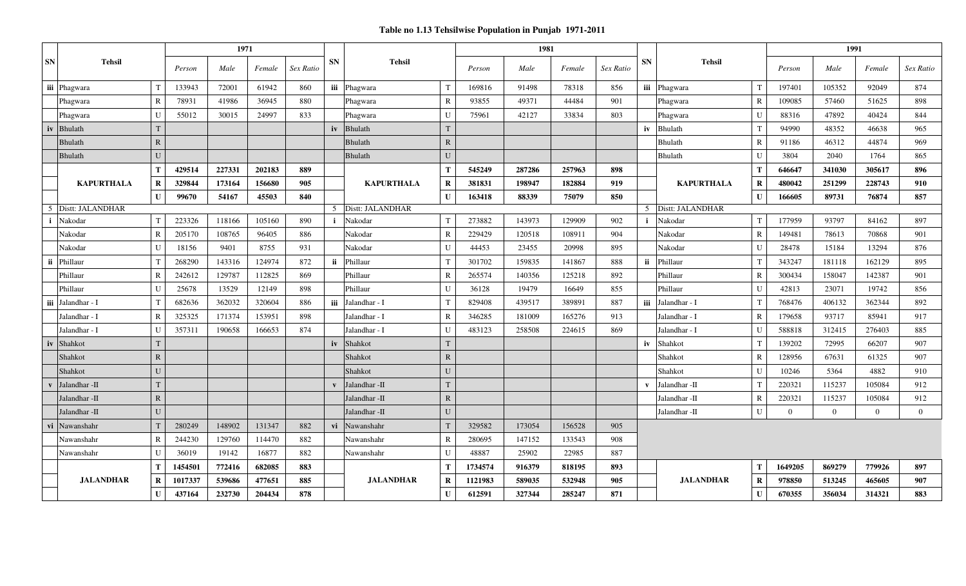|                    | <b>Tehsil</b>     |              | 1971    |        |                    |           |              |                   |              | 1981    |        |                    |           |              |                   |                | 1991           |                |                |                |  |
|--------------------|-------------------|--------------|---------|--------|--------------------|-----------|--------------|-------------------|--------------|---------|--------|--------------------|-----------|--------------|-------------------|----------------|----------------|----------------|----------------|----------------|--|
| SN                 |                   |              | Person  | Male   | Female             | Sex Ratio | <b>SN</b>    | <b>Tehsil</b>     |              | Person  | Male   | Female             | Sex Ratio | <b>SN</b>    | <b>Tehsil</b>     |                | Person         | Male           | Female         | Sex Ratio      |  |
|                    | iii Phagwara      | T            | 133943  | 72001  | 61942              | 860       |              | iii Phagwara      | $\mathbf T$  | 169816  | 91498  | 78318              | 856       |              | iii Phagwara      |                | 197401         | 105352         | 92049          | 874            |  |
|                    | Phagwara          | $\mathbb{R}$ | 78931   | 41986  | 36945              | 880       |              | Phagwara          | $\mathbb{R}$ | 93855   | 49371  | 44484              | 901       |              | Phagwara          | $\mathbf R$    | 109085         | 57460          | 51625          | 898            |  |
|                    | Phagwara          | U            | 55012   | 30015  | 24997              | 833       |              | Phagwara          | U            | 75961   | 42127  | 33834              | 803       |              | Phagwara          | $\mathbf{I}$   | 88316          | 47892          | 40424          | 844            |  |
| iv                 | <b>Bhulath</b>    | T            |         |        |                    |           | iv           | <b>Bhulath</b>    | T            |         |        |                    |           | iv           | <b>Bhulath</b>    | T              | 94990          | 48352          | 46638          | 965            |  |
|                    | <b>Bhulath</b>    | $\mathbb{R}$ |         |        |                    |           |              | <b>Bhulath</b>    | $\mathbb{R}$ |         |        |                    |           |              | Bhulath           | $\mathbf R$    | 91186          | 46312          | 44874          | 969            |  |
|                    | <b>Bhulath</b>    | ${\bf U}$    |         |        |                    |           |              | <b>Bhulath</b>    | U            |         |        |                    |           |              | Bhulath           | $\mathbf{I}$   | 3804           | 2040           | 1764           | 865            |  |
|                    |                   | T            | 429514  | 227331 | 202183             | 889       |              |                   | T            | 545249  | 287286 | 257963             | 898       |              | <b>KAPURTHALA</b> | Т              | 646647         | 341030         | 305617         | 896            |  |
|                    | <b>KAPURTHALA</b> | R            | 329844  | 173164 | 156680             | 905       |              | <b>KAPURTHALA</b> | R            | 381831  | 198947 | 182884             | 919       |              |                   | $\bf{R}$       | 480042         | 251299         | 228743         | 910            |  |
|                    |                   | $\mathbf U$  | 99670   | 54167  | 45503              | 840       |              |                   | $\mathbf I$  | 163418  | 88339  | 75079              | 850       |              |                   | $\mathbf{U}$   | 166605         | 89731          | 76874          | 857            |  |
| 5 Distt: JALANDHAR |                   |              |         |        | 5 Distt: JALANDHAR |           |              |                   |              |         |        | 5 Distt: JALANDHAR |           |              |                   |                |                |                |                |                |  |
| ÷                  | Nakodar           | T            | 223326  | 118166 | 105160             | 890       | $\mathbf{i}$ | Nakodar           | $\mathsf{T}$ | 273882  | 143973 | 129909             | 902       | $\mathbf{i}$ | Nakodar           | T              | 177959         | 93797          | 84162          | 897            |  |
|                    | Nakodar           | $\mathbb{R}$ | 205170  | 108765 | 96405              | 886       |              | Nakodar           | $\mathbb{R}$ | 229429  | 120518 | 108911             | 904       |              | Nakodar           | R              | 149481         | 78613          | 70868          | 901            |  |
|                    | Nakodar           | U            | 18156   | 9401   | 8755               | 931       |              | Nakodar           | $\mathbf{U}$ | 44453   | 23455  | 20998              | 895       |              | Nakodar           | $\mathbf{I}$   | 28478          | 15184          | 13294          | 876            |  |
| ii                 | Phillaur          | T            | 268290  | 143316 | 124974             | 872       | ii           | Phillaur          | $\mathbf T$  | 301702  | 159835 | 141867             | 888       | ii           | Phillaur          |                | 343247         | 181118         | 162129         | 895            |  |
|                    | Phillaur          | $\mathbb{R}$ | 242612  | 129787 | 112825             | 869       |              | Phillaur          | $\mathbb{R}$ | 265574  | 140356 | 125218             | 892       |              | Phillaur          | R              | 300434         | 158047         | 142387         | 901            |  |
|                    | Phillaur          | U            | 25678   | 13529  | 12149              | 898       |              | Phillaur          | $\mathbf{U}$ | 36128   | 19479  | 16649              | 855       |              | Phillaur          | $\mathbf{U}$   | 42813          | 23071          | 19742          | 856            |  |
| iii                | Jalandhar - I     | T            | 682636  | 362032 | 320604             | 886       |              | iii Jalandhar - I | $\mathbf T$  | 829408  | 439517 | 389891             | 887       |              | iii Jalandhar - I |                | 768476         | 406132         | 362344         | 892            |  |
|                    | Jalandhar - I     | $\mathbb{R}$ | 325325  | 171374 | 153951             | 898       |              | Jalandhar - I     | $\mathbf R$  | 346285  | 181009 | 165276             | 913       |              | Jalandhar - I     | $\overline{R}$ | 179658         | 93717          | 85941          | 917            |  |
|                    | Jalandhar - I     | U            | 357311  | 190658 | 166653             | 874       |              | Jalandhar - I     | U            | 483123  | 258508 | 224615             | 869       |              | Jalandhar - I     | $\mathbf{I}$   | 588818         | 312415         | 276403         | 885            |  |
| iv                 | Shahkot           | T            |         |        |                    |           | iv           | Shahkot           | T            |         |        |                    |           |              | iv Shahkot        | T              | 139202         | 72995          | 66207          | 907            |  |
|                    | Shahkot           | ${\bf R}$    |         |        |                    |           |              | Shahkot           | $\mathbf{R}$ |         |        |                    |           |              | Shahkot           | R              | 128956         | 67631          | 61325          | 907            |  |
|                    | Shahkot           | U            |         |        |                    |           |              | Shahkot           | U            |         |        |                    |           |              | Shahkot           | $\mathbf{I}$   | 10246          | 5364           | 4882           | 910            |  |
| $\mathbf{v}$       | Jalandhar -II     | T            |         |        |                    |           | $\mathbf{v}$ | Jalandhar -II     | T            |         |        |                    |           | $\mathbf{v}$ | Jalandhar -II     | ா              | 220321         | 115237         | 105084         | 912            |  |
|                    | Jalandhar -II     | ${\bf R}$    |         |        |                    |           |              | Jalandhar -II     | $\mathbf{R}$ |         |        |                    |           |              | Jalandhar -II     | R              | 220321         | 115237         | 105084         | 912            |  |
|                    | Jalandhar -II     | U            |         |        |                    |           |              | Jalandhar -II     | $\mathbf{U}$ |         |        |                    |           |              | Jalandhar -II     | $\mathbf{U}$   | $\overline{0}$ | $\overline{0}$ | $\overline{0}$ | $\overline{0}$ |  |
| vi                 | Nawanshahr        | T            | 280249  | 148902 | 131347             | 882       | vi           | Nawanshahr        |              | 329582  | 173054 | 156528             | 905       |              |                   |                |                |                |                |                |  |
|                    | Nawanshahr        | $\mathbb{R}$ | 244230  | 129760 | 114470             | 882       |              | Nawanshahr        | $\mathbb{R}$ | 280695  | 147152 | 133543             | 908       |              |                   |                |                |                |                |                |  |
|                    | Nawanshahr        | $\mathbf{U}$ | 36019   | 19142  | 16877              | 882       |              | Nawanshahr        | $\mathbf U$  | 48887   | 25902  | 22985              | 887       |              |                   |                |                |                |                |                |  |
|                    |                   | т            | 1454501 | 772416 | 682085             | 883       |              |                   | Т            | 1734574 | 916379 | 818195             | 893       |              |                   | Т              | 1649205        | 869279         | 779926         | 897            |  |
|                    | <b>JALANDHAR</b>  | $\bf R$      | 1017337 | 539686 | 477651             | 885       |              | <b>JALANDHAR</b>  | $\bf{R}$     | 1121983 | 589035 | 532948             | 905       |              | <b>JALANDHAR</b>  | $\bf{R}$       | 978850         | 513245         | 465605         | 907            |  |
|                    | $\mathbf U$       | 437164       | 232730  | 204434 | 878                |           |              | $\mathbf{I}$      | 612591       | 327344  | 285247 | 871                |           |              | $\mathbf{U}$      | 670355         | 356034         | 314321         | 883            |                |  |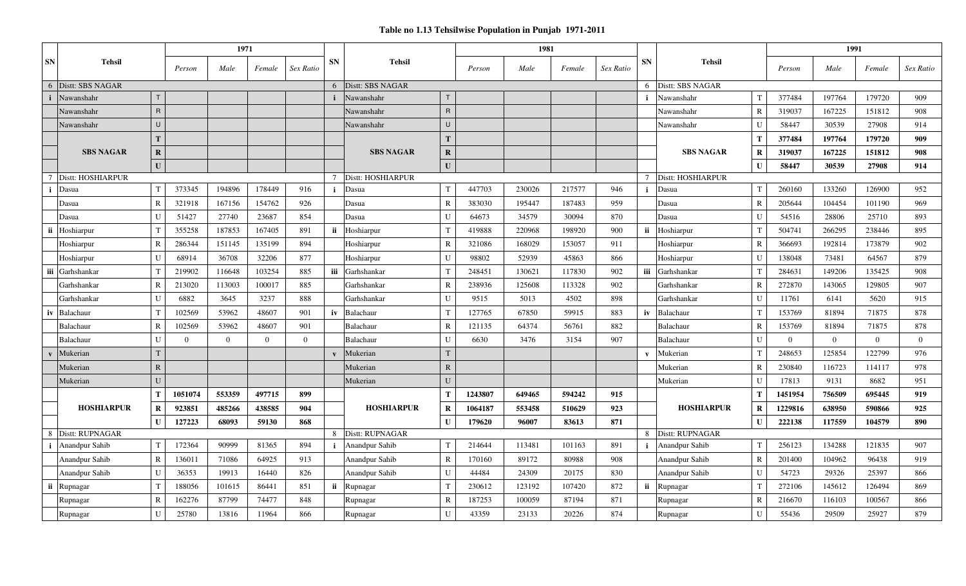#### **Table no 1.13 Tehsilwise Population in Punjab 1971-2011**

|           | <b>Tehsil</b>           |                | 1971           |          |          |                |                 | 1981              |              |         |        |        |           |                 |                   | 1991            |                |                |                |                |
|-----------|-------------------------|----------------|----------------|----------|----------|----------------|-----------------|-------------------|--------------|---------|--------|--------|-----------|-----------------|-------------------|-----------------|----------------|----------------|----------------|----------------|
| <b>SN</b> |                         |                | Male<br>Person |          | Female   | Sex Ratio      | <b>SN</b>       | <b>Tehsil</b>     |              | Person  | Male   | Female | Sex Ratio | <b>SN</b>       | <b>Tehsil</b>     |                 | Person         | Male           | Female         | Sex Ratio      |
|           | 6 Distt: SBS NAGAR      |                |                |          |          |                | 6               | Distt: SBS NAGAR  |              |         |        |        |           |                 | Distt: SBS NAGAR  |                 |                |                |                |                |
|           | Nawanshahr              |                |                |          |          |                | $\mathbf i$     | Nawanshahr        |              |         |        |        |           |                 | Nawanshahr        | $^{\mathsf{T}}$ | 377484         | 197764         | 179720         | 909            |
|           | Nawanshahr              | $\mathsf{R}$   |                |          |          |                |                 | Nawanshahr        | $\mathsf{R}$ |         |        |        |           |                 | Nawanshahr        | $\mathbb{R}$    | 319037         | 167225         | 151812         | 908            |
|           | Nawanshahr              | $\mathbf{U}$   |                |          |          |                |                 | Nawanshahr        | $\cup$       |         |        |        |           |                 | Nawanshahr        | $\mathbf{U}$    | 58447          | 30539          | 27908          | 914            |
|           |                         | T.             |                |          |          |                |                 |                   | T            |         |        |        |           |                 |                   | Т               | 377484         | 197764         | 179720         | 909            |
|           | <b>SBS NAGAR</b>        | $\bf R$        |                |          |          |                |                 | <b>SBS NAGAR</b>  | $\mathbf R$  |         |        |        |           |                 | <b>SBS NAGAR</b>  | $\mathbf R$     | 319037         | 167225         | 151812         | 908            |
|           |                         | U              |                |          |          |                |                 |                   | $\mathbf{U}$ |         |        |        |           |                 |                   | $\mathbf I$     | 58447          | 30539          | 27908          | 914            |
|           | Distt: HOSHIARPUR       |                |                |          |          |                | $7\phantom{.0}$ | Distt: HOSHIARPUR |              |         |        |        |           | $7\phantom{.0}$ | Distt: HOSHIARPUR |                 |                |                |                |                |
| j.        | Dasua                   | $\mathbf T$    | 373345         | 194896   | 178449   | 916            | i               | Dasua             | T            | 447703  | 230026 | 217577 | 946       | i.              | Dasua             | $\mathbf T$     | 260160         | 133260         | 126900         | 952            |
|           | Dasua                   | R              | 321918         | 167156   | 154762   | 926            |                 | Dasua             | R            | 383030  | 195447 | 187483 | 959       |                 | Dasua             | $\mathbb{R}$    | 205644         | 104454         | 101190         | 969            |
|           | Dasua                   |                | 51427          | 27740    | 23687    | 854            |                 | Dasua             |              | 64673   | 34579  | 30094  | 870       |                 | Dasua             | $\mathbf{I}$    | 54516          | 28806          | 25710          | 893            |
|           | ii Hoshiarpur           |                | 355258         | 187853   | 167405   | 891            | ii              | Hoshiarpur        |              | 419888  | 220968 | 198920 | 900       | ii              | Hoshiarpur        |                 | 504741         | 266295         | 238446         | 895            |
|           | Hoshiarpur              | $\mathbf R$    | 286344         | 151145   | 135199   | 894            |                 | Hoshiarpur        | R            | 321086  | 168029 | 153057 | 911       |                 | Hoshiarpur        | $\mathbb{R}$    | 366693         | 192814         | 173879         | 902            |
|           | Hoshiarpur              | $\mathbf{I}$   | 68914          | 36708    | 32206    | 877            |                 | Hoshiarpur        | $\mathbf{U}$ | 98802   | 52939  | 45863  | 866       |                 | Hoshiarpur        | $\mathbf{U}$    | 138048         | 73481          | 64567          | 879            |
|           | iii Garhshankar         | T              | 219902         | 116648   | 103254   | 885            | iii             | Garhshankar       | $\mathbf T$  | 248451  | 130621 | 117830 | 902       | <b>iii</b>      | Garhshankar       | $^{\mathsf{T}}$ | 284631         | 149206         | 135425         | 908            |
|           | Garhshankar             | $\overline{R}$ | 213020         | 113003   | 100017   | 885            |                 | Garhshankar       | R            | 238936  | 125608 | 113328 | 902       |                 | Garhshankar       | $\mathbb{R}$    | 272870         | 143065         | 129805         | 907            |
|           | Garhshankar             |                | 6882           | 3645     | 3237     | 888            |                 | Garhshankar       | $\mathbf{U}$ | 9515    | 5013   | 4502   | 898       |                 | Garhshankar       | $\mathbf{I}$    | 11761          | 6141           | 5620           | 915            |
| iv        | Balachaur               |                | 102569         | 53962    | 48607    | 901            | iv              | Balachaur         |              | 127765  | 67850  | 59915  | 883       | iv              | Balachaur         | $\mathbf T$     | 153769         | 81894          | 71875          | 878            |
|           | Balachaur               | R              | 102569         | 53962    | 48607    | 901            |                 | Balachaur         | R            | 121135  | 64374  | 56761  | 882       |                 | Balachaur         | $\mathbb{R}$    | 153769         | 81894          | 71875          | 878            |
|           | Balachaur               | $\mathbf{U}$   | $\overline{0}$ | $\theta$ | $\Omega$ | $\overline{0}$ |                 | Balachaur         | $\mathbf{U}$ | 6630    | 3476   | 3154   | 907       |                 | Balachaur         | $\mathbf{U}$    | $\overline{0}$ | $\overline{0}$ | $\overline{0}$ | $\overline{0}$ |
|           | Mukerian                | T.             |                |          |          |                | $\mathbf{v}$    | Mukerian          | <sup>T</sup> |         |        |        |           | $\mathbf{v}$    | Mukerian          | $\mathbf T$     | 248653         | 125854         | 122799         | 976            |
|           | Mukerian                | $\mathbb{R}$   |                |          |          |                |                 | Mukerian          | $\mathbf{R}$ |         |        |        |           |                 | Mukerian          | $\mathbf R$     | 230840         | 116723         | 114117         | 978            |
|           | Mukerian                |                |                |          |          |                |                 | Mukerian          | $\mathbf{U}$ |         |        |        |           |                 | Mukerian          | $\mathbf{I}$    | 17813          | 9131           | 8682           | 951            |
|           |                         | T              | 1051074        | 553359   | 497715   | 899            |                 |                   |              | 1243807 | 649465 | 594242 | 915       |                 |                   | Т               | 1451954        | 756509         | 695445         | 919            |
|           | <b>HOSHIARPUR</b>       | R              | 923851         | 485266   | 438585   | 904            |                 | <b>HOSHIARPUR</b> | R            | 1064187 | 553458 | 510629 | 923       |                 | <b>HOSHIARPUR</b> | $\mathbf R$     | 1229816        | 638950         | 590866         | 925            |
|           |                         | $\mathbf T$    | 127223         | 68093    | 59130    | 868            |                 |                   |              | 179620  | 96007  | 83613  | 871       |                 |                   | $\mathbf{I}$    | 222138         | 117559         | 104579         | 890            |
|           | 8 Distt: RUPNAGAR       |                |                |          |          |                |                 | Distt: RUPNAGAR   |              |         |        |        | 8         | Distt: RUPNAGAR |                   |                 |                |                |                |                |
|           | <i>i</i> Anandpur Sahib | T              | 172364         | 90999    | 81365    | 894            | $\mathbf{i}$    | Anandpur Sahib    |              | 214644  | 113481 | 101163 | 891       | $\mathbf{i}$    | Anandpur Sahib    |                 | 256123         | 134288         | 121835         | 907            |
|           | Anandpur Sahib          | R              | 136011         | 71086    | 64925    | 913            |                 | Anandpur Sahib    | R            | 170160  | 89172  | 80988  | 908       |                 | Anandpur Sahib    | $\mathbb{R}$    | 201400         | 104962         | 96438          | 919            |
|           | Anandpur Sahib          | U              | 36353          | 19913    | 16440    | 826            |                 | Anandpur Sahib    | U            | 44484   | 24309  | 20175  | 830       |                 | Anandpur Sahib    | U               | 54723          | 29326          | 25397          | 866            |
|           | ii Rupnagar             |                | 188056         | 101615   | 86441    | 851            | ii              | Rupnagar          |              | 230612  | 123192 | 107420 | 872       | ii              | Rupnagar          | $^{\mathsf{T}}$ | 272106         | 145612         | 126494         | 869            |
|           | Rupnagar                | $\mathbf R$    | 162276         | 87799    | 74477    | 848            |                 | Rupnagar          |              | 187253  | 100059 | 87194  | 871       |                 | Rupnagar          | $\overline{R}$  | 216670         | 116103         | 100567         | 866            |
|           | Rupnagar                | $\mathbf{I}$   | 25780          | 13816    | 11964    | 866            |                 | Rupnagar          | U            | 43359   | 23133  | 20226  | 874       |                 | Rupnagar          | $\mathbf{I}$    | 55436          | 29509          | 25927          | 879            |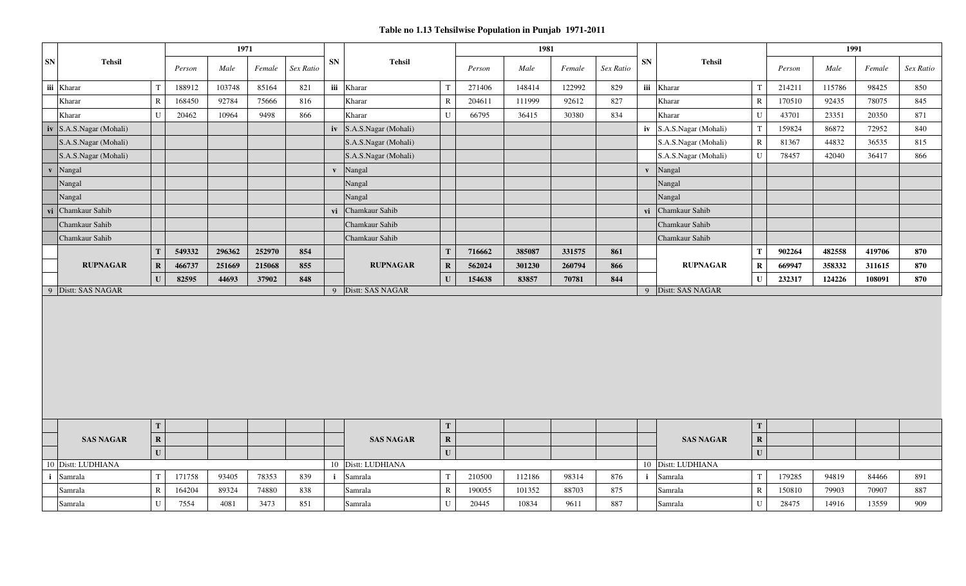|                                 |              |        | 1971   |        |           |              |                                 |              |        | 1981   |        |           |            |                                 |              |        | 1991   |        |           |
|---------------------------------|--------------|--------|--------|--------|-----------|--------------|---------------------------------|--------------|--------|--------|--------|-----------|------------|---------------------------------|--------------|--------|--------|--------|-----------|
| <b>SN</b><br><b>Tehsil</b>      |              | Person | Male   | Female | Sex Ratio | ${\bf SN}$   | <b>Tehsil</b>                   |              | Person | Male   | Female | Sex Ratio | ${\bf SN}$ | <b>Tehsil</b>                   |              | Person | Male   | Female | Sex Ratio |
| iii Kharar                      | T            | 188912 | 103748 | 85164  | 821       |              | iii Kharar                      | $\mathsf{T}$ | 271406 | 148414 | 122992 | 829       |            | iii Kharar                      | $\mathsf{T}$ | 214211 | 115786 | 98425  | 850       |
| Kharar                          | $\mathbb{R}$ | 168450 | 92784  | 75666  | 816       |              | Kharar                          | R            | 204611 | 111999 | 92612  | 827       |            | Kharar                          | $\bf R$      | 170510 | 92435  | 78075  | 845       |
| Kharar                          | $\mathbf U$  | 20462  | 10964  | 9498   | 866       |              | Kharar                          | $\mathbf U$  | 66795  | 36415  | 30380  | 834       |            | Kharar                          | $\mathbf U$  | 43701  | 23351  | 20350  | 871       |
| iv S.A.S.Nagar (Mohali)         |              |        |        |        |           |              | $iv$ S.A.S.Nagar (Mohali)       |              |        |        |        |           |            | $iv$ S.A.S.Nagar (Mohali)       | T            | 159824 | 86872  | 72952  | 840       |
| S.A.S.Nagar (Mohali)            |              |        |        |        |           |              | S.A.S.Nagar (Mohali)            |              |        |        |        |           |            | S.A.S.Nagar (Mohali)            | $\mathbf R$  | 81367  | 44832  | 36535  | 815       |
| S.A.S.Nagar (Mohali)            |              |        |        |        |           |              | S.A.S.Nagar (Mohali)            |              |        |        |        |           |            | S.A.S.Nagar (Mohali)            | $\mathbf U$  | 78457  | 42040  | 36417  | 866       |
| Nangal<br>$\mathbf{v}$          |              |        |        |        |           | $\mathbf{v}$ | Nangal                          |              |        |        |        |           |            | v Nangal                        |              |        |        |        |           |
| Nangal                          |              |        |        |        |           |              | Nangal                          |              |        |        |        |           |            | Nangal                          |              |        |        |        |           |
| Nangal                          |              |        |        |        |           |              | Nangal                          |              |        |        |        |           |            | Nangal                          |              |        |        |        |           |
| vi Chamkaur Sahib               |              |        |        |        |           | vi           | Chamkaur Sahib                  |              |        |        |        |           | vi         | Chamkaur Sahib                  |              |        |        |        |           |
| Chamkaur Sahib                  |              |        |        |        |           |              | Chamkaur Sahib                  |              |        |        |        |           |            | Chamkaur Sahib                  |              |        |        |        |           |
| Chamkaur Sahib                  |              |        |        |        |           |              | Chamkaur Sahib                  |              |        |        |        |           |            | Chamkaur Sahib                  |              |        |        |        |           |
|                                 | $\mathbf T$  | 549332 | 296362 | 252970 | 854       |              |                                 | T            | 716662 | 385087 | 331575 | 861       |            |                                 | T            | 902264 | 482558 | 419706 | 870       |
| <b>RUPNAGAR</b>                 | $\mathbf R$  | 466737 | 251669 | 215068 | 855       |              | <b>RUPNAGAR</b>                 | $\mathbf{R}$ | 562024 | 301230 | 260794 | 866       |            | <b>RUPNAGAR</b>                 | $\mathbf R$  | 669947 | 358332 | 311615 | 870       |
|                                 | $\mathbf{U}$ | 82595  | 44693  | 37902  | 848       |              |                                 | $\mathbf{U}$ | 154638 | 83857  | 70781  | 844       |            |                                 | $\mathbf U$  | 232317 | 124226 | 108091 | 870       |
| Distt: SAS NAGAR<br>$\mathbf Q$ |              |        |        |        |           | 9            | Distt: SAS NAGAR                |              |        |        |        |           |            | 9 Distt: SAS NAGAR              |              |        |        |        |           |
|                                 |              |        |        |        |           |              |                                 |              |        |        |        |           |            |                                 |              |        |        |        |           |
|                                 | T            |        |        |        |           |              |                                 | T            |        |        |        |           |            |                                 | T            |        |        |        |           |
| <b>SAS NAGAR</b>                | $\mathbf R$  |        |        |        |           |              | <b>SAS NAGAR</b>                | $\mathbf R$  |        |        |        |           |            | <b>SAS NAGAR</b>                | $\mathbf R$  |        |        |        |           |
|                                 | $\mathbf{U}$ |        |        |        |           |              |                                 | ${\bf U}$    |        |        |        |           |            |                                 | $\mathbf{U}$ |        |        |        |           |
| 10 Distt: LUDHIANA<br>Samrala   | $\mathbf T$  | 171758 | 93405  | 78353  | 839       |              | 10 Distt: LUDHIANA<br>i Samrala | T            | 210500 | 112186 | 98314  | 876       |            | 10 Distt: LUDHIANA<br>i Samrala | $\mathbf T$  | 179285 | 94819  | 84466  | 891       |
| $\mathbf i$                     |              | 164204 | 89324  | 74880  | 838       |              |                                 |              |        |        | 88703  | 875       |            |                                 |              |        |        | 70907  |           |
| Samrala                         | $\mathbb{R}$ |        |        |        |           |              | Samrala                         | $\mathbf R$  | 190055 | 101352 |        |           |            | Samrala                         | $\mathbf R$  | 150810 | 79903  |        | 887       |
| Samrala                         | $\mathbf U$  | 7554   | 4081   | 3473   | 851       |              | Samrala                         | U            | 20445  | 10834  | 9611   | 887       |            | Samrala                         | $\mathbf U$  | 28475  | 14916  | 13559  | 909       |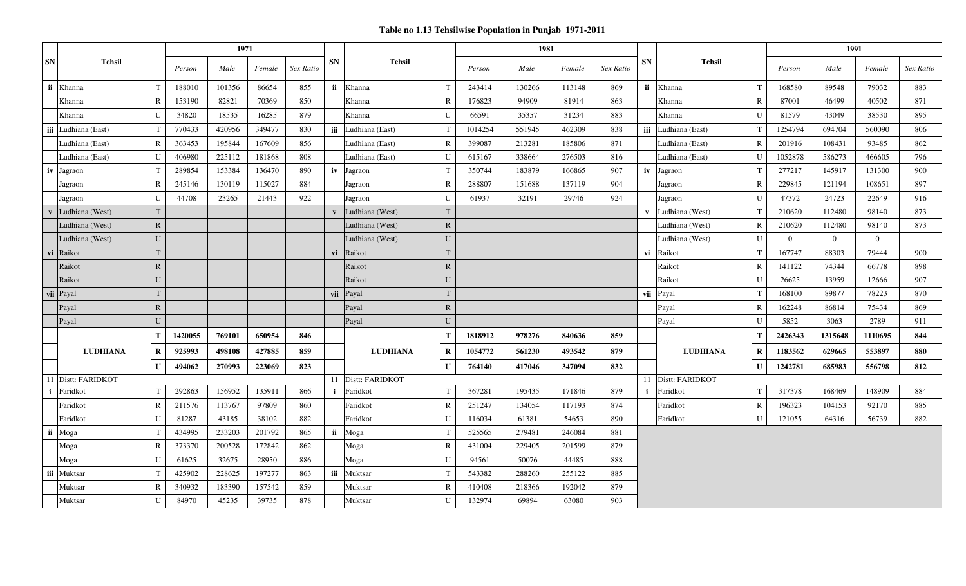|           |                    |              |         | 1971   |        |           |              |                 |              |         | 1981   |        |           |              |                     |                |              | 1991           |                |           |
|-----------|--------------------|--------------|---------|--------|--------|-----------|--------------|-----------------|--------------|---------|--------|--------|-----------|--------------|---------------------|----------------|--------------|----------------|----------------|-----------|
| <b>SN</b> | <b>Tehsil</b>      |              | Person  | Male   | Female | Sex Ratio | <b>SN</b>    | <b>Tehsil</b>   |              | Person  | Male   | Female | Sex Ratio | <b>SN</b>    | <b>Tehsil</b>       |                | Person       | Male           | Female         | Sex Ratio |
| ii        | Khanna             | T            | 188010  | 101356 | 86654  | 855       | ii           | Khanna          | $\mathbf{T}$ | 243414  | 130266 | 113148 | 869       |              | ii Khanna           | T              | 168580       | 89548          | 79032          | 883       |
|           | Khanna             | ${\bf R}$    | 153190  | 82821  | 70369  | 850       |              | Khanna          | $\mathbf R$  | 176823  | 94909  | 81914  | 863       |              | Khanna              | $\mathbb{R}$   | 87001        | 46499          | 40502          | 871       |
|           | Khanna             | U            | 34820   | 18535  | 16285  | 879       |              | Khanna          | U            | 66591   | 35357  | 31234  | 883       |              | Khanna              | $\mathbf{I}$   | 81579        | 43049          | 38530          | 895       |
| iii       | Ludhiana (East)    | T            | 770433  | 420956 | 349477 | 830       | iii          | Ludhiana (East) | $\mathbf T$  | 1014254 | 551945 | 462309 | 838       |              | iii Ludhiana (East) | T              | 1254794      | 694704         | 560090         | 806       |
|           | Ludhiana (East)    | $\mathbb{R}$ | 363453  | 195844 | 167609 | 856       |              | udhiana (East). | $\mathbb{R}$ | 399087  | 213281 | 185806 | 871       |              | Ludhiana (East)     | $\mathbb{R}$   | 201916       | 108431         | 93485          | 862       |
|           | Ludhiana (East)    | U            | 406980  | 225112 | 181868 | 808       |              | Ludhiana (East) | U            | 615167  | 338664 | 276503 | 816       |              | Ludhiana (East)     | $\mathbf{U}$   | 1052878      | 586273         | 466605         | 796       |
| iv        | Jagraon            | T            | 289854  | 153384 | 136470 | 890       |              | iv Jagraon      | T            | 350744  | 183879 | 166865 | 907       |              | iv Jagraon          | T              | 277217       | 145917         | 131300         | 900       |
|           | Jagraon            | $\mathbb{R}$ | 245146  | 130119 | 115027 | 884       |              | Jagraon         | $\mathbb{R}$ | 288807  | 151688 | 137119 | 904       |              | Jagraon             | R              | 229845       | 121194         | 108651         | 897       |
|           | Jagraon            | U            | 44708   | 23265  | 21443  | 922       |              | Jagraon         | $\mathbf U$  | 61937   | 32191  | 29746  | 924       |              | Jagraon             | $\mathbf{U}$   | 47372        | 24723          | 22649          | 916       |
|           | Ludhiana (West)    | $\mathbf T$  |         |        |        |           |              | Ludhiana (West) | T            |         |        |        |           | $\mathbf{v}$ | Ludhiana (West)     | T              | 210620       | 112480         | 98140          | 873       |
|           | Ludhiana (West)    | ${\bf R}$    |         |        |        |           |              | Ludhiana (West) | $\mathbf R$  |         |        |        |           |              | Ludhiana (West)     | $\mathbb{R}$   | 210620       | 112480         | 98140          | 873       |
|           | Ludhiana (West)    | $\mathbf U$  |         |        |        |           |              | Ludhiana (West) | U            |         |        |        |           |              | Ludhiana (West)     | $\mathbf{U}$   | $\mathbf{0}$ | $\overline{0}$ | $\overline{0}$ |           |
|           | vi Raikot          | $\mathbf T$  |         |        |        |           | vi           | Raikot          | T            |         |        |        |           |              | vi Raikot           | $\mathsf{T}$   | 167747       | 88303          | 79444          | 900       |
|           | Raikot             | ${\bf R}$    |         |        |        |           |              | Raikot          | $\mathbf R$  |         |        |        |           |              | Raikot              | $\mathbb{R}$   | 141122       | 74344          | 66778          | 898       |
|           | Raikot             | ${\bf U}$    |         |        |        |           |              | Raikot          | $\mathbf{U}$ |         |        |        |           |              | Raikot              | $\mathbf{U}$   | 26625        | 13959          | 12666          | 907       |
| vii       | Payal              | $\mathbf T$  |         |        |        |           | vii          | Payal           | T            |         |        |        |           |              | vii Payal           | T              | 168100       | 89877          | 78223          | 870       |
|           | Payal              | ${\bf R}$    |         |        |        |           |              | Payal           | $\mathbf R$  |         |        |        |           |              | Payal               | $\overline{R}$ | 162248       | 86814          | 75434          | 869       |
|           | Payal              | U            |         |        |        |           |              | Payal           | $\mathbf{U}$ |         |        |        |           |              | Payal               | $\mathbf{U}$   | 5852         | 3063           | 2789           | 911       |
|           |                    | $\mathbf T$  | 1420055 | 769101 | 650954 | 846       |              |                 | T            | 1818912 | 978276 | 840636 | 859       |              |                     | T              | 2426343      | 1315648        | 1110695        | 844       |
|           | <b>LUDHIANA</b>    | $\bf R$      | 925993  | 498108 | 427885 | 859       |              | <b>LUDHIANA</b> | $\mathbf R$  | 1054772 | 561230 | 493542 | 879       |              | <b>LUDHIANA</b>     | $\bf{R}$       | 1183562      | 629665         | 553897         | 880       |
|           |                    | $\mathbf{U}$ | 494062  | 270993 | 223069 | 823       |              |                 | $\mathbf U$  | 764140  | 417046 | 347094 | 832       |              |                     | $\mathbf{U}$   | 1242781      | 685983         | 556798         | 812       |
|           | 11 Distt: FARIDKOT |              |         |        |        |           | 11           | Distt: FARIDKOT |              |         |        |        |           |              | 11 Distt: FARIDKOT  |                |              |                |                |           |
| i         | Faridkot           | T            | 292863  | 156952 | 135911 | 866       | $\mathbf{i}$ | Faridkot        | T            | 367281  | 195435 | 171846 | 879       | $\mathbf{i}$ | Faridkot            | T              | 317378       | 168469         | 148909         | 884       |
|           | Faridkot           | ${\bf R}$    | 211576  | 113767 | 97809  | 860       |              | Faridkot        | $\mathbb{R}$ | 251247  | 134054 | 117193 | 874       |              | Faridkot            | $\mathbb{R}$   | 196323       | 104153         | 92170          | 885       |
|           | Faridkot           | U            | 81287   | 43185  | 38102  | 882       |              | Faridkot        | U            | 116034  | 61381  | 54653  | 890       |              | Faridkot            | $\mathbf{U}$   | 121055       | 64316          | 56739          | 882       |
| $\,$ ii   | Moga               | T            | 434995  | 233203 | 201792 | 865       | ii           | Moga            | T            | 525565  | 279481 | 246084 | 881       |              |                     |                |              |                |                |           |
|           | Moga               | ${\bf R}$    | 373370  | 200528 | 172842 | 862       |              | Moga            | $\mathbf R$  | 431004  | 229405 | 201599 | 879       |              |                     |                |              |                |                |           |
|           | Moga               | U            | 61625   | 32675  | 28950  | 886       |              | Moga            | U            | 94561   | 50076  | 44485  | 888       |              |                     |                |              |                |                |           |
| iii       | Muktsar            | T            | 425902  | 228625 | 197277 | 863       | iii          | Muktsar         | T            | 543382  | 288260 | 255122 | 885       |              |                     |                |              |                |                |           |
|           | Muktsar            | $\mathbb{R}$ | 340932  | 183390 | 157542 | 859       |              | Muktsar         | R            | 410408  | 218366 | 192042 | 879       |              |                     |                |              |                |                |           |
|           | Muktsar            | U            | 84970   | 45235  | 39735  | 878       |              | Muktsar         | $\mathbf U$  | 132974  | 69894  | 63080  | 903       |              |                     |                |              |                |                |           |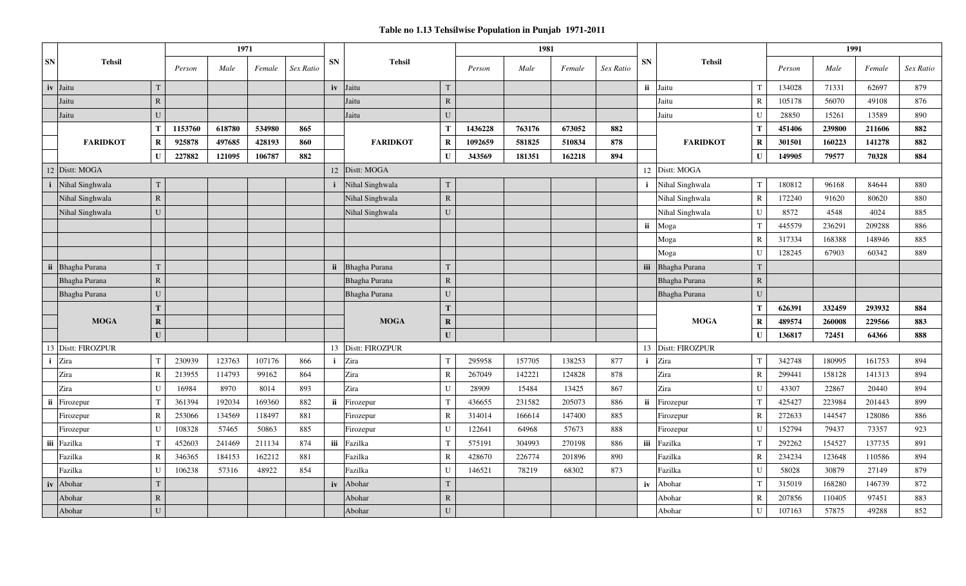|             |                 |                 |         | 1971   |        |           |              |                 |              |         | 1981   |        |           |              |                 |                 |        | 1991   |        |           |
|-------------|-----------------|-----------------|---------|--------|--------|-----------|--------------|-----------------|--------------|---------|--------|--------|-----------|--------------|-----------------|-----------------|--------|--------|--------|-----------|
| SN          | <b>Tehsil</b>   |                 | Person  | Male   | Female | Sex Ratio | <b>SN</b>    | <b>Tehsil</b>   |              | Person  | Male   | Female | Sex Ratio | <b>SN</b>    | <b>Tehsil</b>   |                 | Person | Male   | Female | Sex Ratio |
| iv          | Jaitu           | T               |         |        |        |           | iv           | Jaitu           | T.           |         |        |        |           | ii           | Jaitu           | $\mathbf{T}$    | 134028 | 71331  | 62697  | 879       |
|             | Jaitu           | $\mathbf R$     |         |        |        |           |              | Jaitu           | $\mathbf{R}$ |         |        |        |           |              | Jaitu           | $\mathbf R$     | 105178 | 56070  | 49108  | 876       |
|             | Jaitu           | U               |         |        |        |           |              | Jaitu           | $\mathbf{U}$ |         |        |        |           |              | Jaitu           | $\mathbf{U}$    | 28850  | 15261  | 13589  | 890       |
|             |                 | T               | 1153760 | 618780 | 534980 | 865       |              |                 | т            | 1436228 | 763176 | 673052 | 882       |              |                 | T               | 451406 | 239800 | 211606 | 882       |
|             | <b>FARIDKOT</b> | $\bf{R}$        | 925878  | 497685 | 428193 | 860       |              | <b>FARIDKOT</b> | $\bf R$      | 1092659 | 581825 | 510834 | 878       |              | <b>FARIDKOT</b> | $\mathbf R$     | 301501 | 160223 | 141278 | 882       |
|             |                 | $\mathbf{U}$    | 227882  | 121095 | 106787 | 882       |              |                 | $\mathbf{I}$ | 343569  | 181351 | 162218 | 894       |              |                 | $\mathbf{U}$    | 149905 | 79577  | 70328  | 884       |
|             | 12 Distt: MOGA  |                 |         |        |        |           | 12           | Distt: MOGA     |              |         |        |        |           | 12           | Distt: MOGA     |                 |        |        |        |           |
| $\mathbf i$ | Nihal Singhwala | T               |         |        |        |           | $\mathbf{i}$ | Nihal Singhwala | <sup>T</sup> |         |        |        |           | j.           | Nihal Singhwala | T               | 180812 | 96168  | 84644  | 880       |
|             | Nihal Singhwala | ${\bf R}$       |         |        |        |           |              | Nihal Singhwala | $\mathbb{R}$ |         |        |        |           |              | Nihal Singhwala | $\mathbf R$     | 172240 | 91620  | 80620  | 880       |
|             | Nihal Singhwala | U               |         |        |        |           |              | Nihal Singhwala | $\mathbf{U}$ |         |        |        |           |              | Nihal Singhwala | $\mathbf U$     | 8572   | 4548   | 4024   | 885       |
|             |                 |                 |         |        |        |           |              |                 |              |         |        |        |           | ii           | Moga            | T               | 445579 | 236291 | 209288 | 886       |
|             |                 |                 |         |        |        |           |              |                 |              |         |        |        |           |              | Moga            | $\mathbb{R}$    | 317334 | 168388 | 148946 | 885       |
|             |                 |                 |         |        |        |           |              |                 |              |         |        |        |           |              | Moga            | $\mathbf U$     | 128245 | 67903  | 60342  | 889       |
| ii          | Bhagha Purana   | $\mathbf T$     |         |        |        |           | <i>ii</i>    | Bhagha Purana   | $\mathbf T$  |         |        |        |           | iii          | Bhagha Purana   | T               |        |        |        |           |
|             | Bhagha Purana   | $\mathbf R$     |         |        |        |           |              | Bhagha Purana   | $\mathbb{R}$ |         |        |        |           |              | Bhagha Purana   | ${\bf R}$       |        |        |        |           |
|             | Bhagha Purana   | $\mathbf U$     |         |        |        |           |              | Bhagha Purana   | U            |         |        |        |           |              | Bhagha Purana   | $\mathbf{U}$    |        |        |        |           |
|             |                 | $\mathbf T$     |         |        |        |           |              |                 | T            |         |        |        |           |              |                 | Т               | 626391 | 332459 | 293932 | 884       |
|             | <b>MOGA</b>     | $\mathbf R$     |         |        |        |           |              | <b>MOGA</b>     | $\mathbf{R}$ |         |        |        |           |              | <b>MOGA</b>     | $\mathbf R$     | 489574 | 260008 | 229566 | 883       |
|             |                 | $\mathbf{U}$    |         |        |        |           |              |                 | $\mathbf{U}$ |         |        |        |           |              |                 | $\mathbf{I}$    | 136817 | 72451  | 64366  | 888       |
| 13          | Distt: FIROZPUR |                 |         |        |        |           | 13           | Distt: FIROZPUR |              |         |        |        |           | 13           | Distt: FIROZPUR |                 |        |        |        |           |
|             | <i>i</i> Zira   | $\mathbf T$     | 230939  | 123763 | 107176 | 866       | $\mathbf{i}$ | Zira            |              | 295958  | 157705 | 138253 | 877       | $\mathbf{i}$ | Zira            | $^{\mathsf{T}}$ | 342748 | 180995 | 161753 | 894       |
|             | Zira            | $\mathbb{R}$    | 213955  | 114793 | 99162  | 864       |              | Zira            | $\mathsf{R}$ | 267049  | 142221 | 124828 | 878       |              | Zira            | $\mathbb{R}$    | 299441 | 158128 | 141313 | 894       |
|             | Zira            | U               | 16984   | 8970   | 8014   | 893       |              | Zira            | $\mathbf{U}$ | 28909   | 15484  | 13425  | 867       |              | Zira            | $\mathbf U$     | 43307  | 22867  | 20440  | 894       |
| ii          | Firozepur       | $\mathbf{T}$    | 361394  | 192034 | 169360 | 882       | ii           | Firozepur       |              | 436655  | 231582 | 205073 | 886       | ii           | Firozepur       | T               | 425427 | 223984 | 201443 | 899       |
|             | Firozepur       | $\mathbb{R}$    | 253066  | 134569 | 118497 | 881       |              | Firozepur       | $\mathsf{R}$ | 314014  | 166614 | 147400 | 885       |              | Firozepur       | $\mathbf R$     | 272633 | 144547 | 128086 | 886       |
|             | Firozepur       | $\mathbf{U}$    | 108328  | 57465  | 50863  | 885       |              | Firozepur       | $\mathbf{I}$ | 122641  | 64968  | 57673  | 888       |              | Firozepur       | $\mathbf{U}$    | 152794 | 79437  | 73357  | 923       |
|             | iii Fazilka     | $^{\mathrm{T}}$ | 452603  | 241469 | 211134 | 874       | iii          | Fazilka         |              | 575191  | 304993 | 270198 | 886       | iii          | Fazilka         | $\mathbf{T}$    | 292262 | 154527 | 137735 | 891       |
|             | Fazilka         | $\mathbb{R}$    | 346365  | 184153 | 162212 | 881       |              | Fazilka         | R            | 428670  | 226774 | 201896 | 890       |              | Fazilka         | $\mathbf R$     | 234234 | 123648 | 110586 | 894       |
|             | Fazilka         | $\mathbf{U}$    | 106238  | 57316  | 48922  | 854       |              | Fazilka         |              | 146521  | 78219  | 68302  | 873       |              | Fazilka         | $\mathbf U$     | 58028  | 30879  | 27149  | 879       |
| iv          | Abohar          | T               |         |        |        |           | iv           | Abohar          | T            |         |        |        |           | iv           | Abohar          | $\mathbf{T}$    | 315019 | 168280 | 146739 | 872       |
|             | Abohar          | $\mathbf R$     |         |        |        |           |              | Abohar          | $\mathbb{R}$ |         |        |        |           |              | Abohar          | $\mathbb{R}$    | 207856 | 110405 | 97451  | 883       |
|             | Abohar          | $\mathbf{U}$    |         |        |        |           |              | Abohar          | $\mathbf{U}$ |         |        |        |           |              | Abohar          | $\mathbf{I}$    | 107163 | 57875  | 49288  | 852       |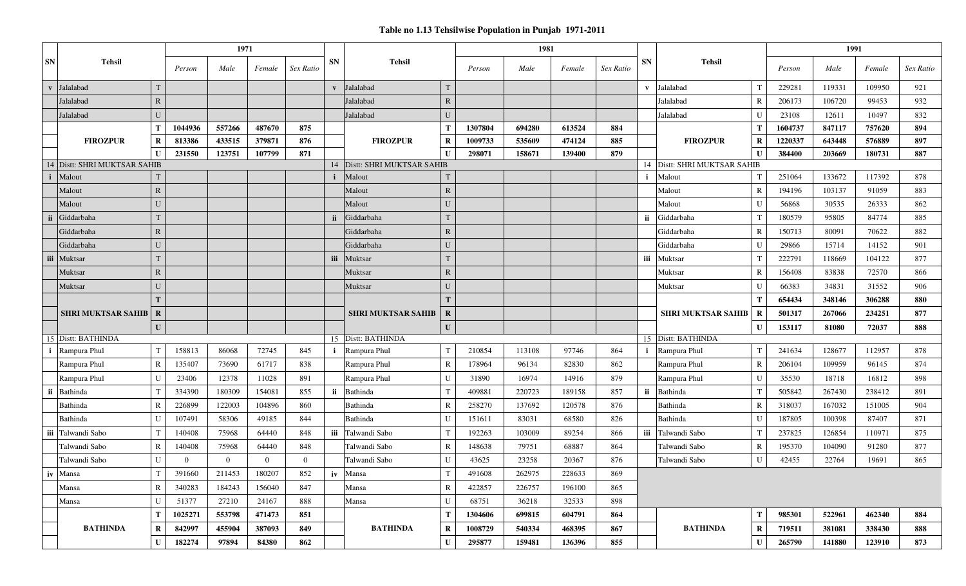|           |                               |              |                | 1971           |                |                |              |                           |              |         | 1981   |        |           |           |                              |              |         | 1991   |        |           |
|-----------|-------------------------------|--------------|----------------|----------------|----------------|----------------|--------------|---------------------------|--------------|---------|--------|--------|-----------|-----------|------------------------------|--------------|---------|--------|--------|-----------|
| <b>SN</b> | <b>Tehsil</b>                 |              | Person         | Male           | Female         | Sex Ratio      | <b>SN</b>    | <b>Tehsil</b>             |              | Person  | Male   | Female | Sex Ratio | <b>SN</b> | <b>Tehsil</b>                |              | Person  | Male   | Female | Sex Ratio |
|           | v Jalalabad                   |              |                |                |                |                |              | v Jalalabad               |              |         |        |        |           |           | v Jalalabad                  |              | 229281  | 119331 | 109950 | 921       |
|           | Jalalabad                     | $\mathbf R$  |                |                |                |                |              | Jalalabad                 | $\mathbb{R}$ |         |        |        |           |           | Jalalabad                    | R            | 206173  | 106720 | 99453  | 932       |
|           | Jalalabad                     | $\mathbf{U}$ |                |                |                |                |              | Jalalabad                 |              |         |        |        |           |           | Jalalabad                    | $\mathbf{I}$ | 23108   | 12611  | 10497  | 832       |
|           |                               | T            | 1044936        | 557266         | 487670         | 875            |              |                           |              | 1307804 | 694280 | 613524 | 884       |           |                              | Т            | 1604737 | 847117 | 757620 | 894       |
|           | <b>FIROZPUR</b>               | $\mathbf R$  | 813386         | 433515         | 379871         | 876            |              | <b>FIROZPUR</b>           | R            | 1009733 | 535609 | 474124 | 885       |           | <b>FIROZPUR</b>              | $\bf{R}$     | 1220337 | 643448 | 576889 | 897       |
|           |                               | U            | 231550         | 123751         | 107799         | 871            |              |                           |              | 298071  | 158671 | 139400 | 879       |           |                              | $\mathbf I$  | 384400  | 203669 | 180731 | 887       |
| 14        | Distt: SHRI MUKTSAR SAHIB     |              |                |                |                |                | 14           | Distt: SHRI MUKTSAR SAHIB |              |         |        |        |           |           | 14 Distt: SHRI MUKTSAR SAHIB |              |         |        |        |           |
|           | Malout                        |              |                |                |                |                | $\mathbf{i}$ | Malout                    |              |         |        |        |           | j.        | Malout                       |              | 251064  | 133672 | 117392 | 878       |
|           | Malout                        | $\mathbf R$  |                |                |                |                |              | Malout                    | $\mathbb{R}$ |         |        |        |           |           | Malout                       | $\mathbb{R}$ | 194196  | 103137 | 91059  | 883       |
|           | Malout                        | U            |                |                |                |                |              | Malout                    | U            |         |        |        |           |           | Malout                       | $\mathbf{U}$ | 56868   | 30535  | 26333  | 862       |
|           | Giddarbaha                    |              |                |                |                |                | ii           | Giddarbaha                |              |         |        |        |           | ii.       | Giddarbaha                   |              | 180579  | 95805  | 84774  | 885       |
|           | Giddarbaha                    | $\mathbb{R}$ |                |                |                |                |              | Giddarbaha                | $\mathbb{R}$ |         |        |        |           |           | Giddarbaha                   | $\mathbb{R}$ | 150713  | 80091  | 70622  | 882       |
|           | Giddarbaha                    | U            |                |                |                |                |              | Giddarbaha                |              |         |        |        |           |           | Giddarbaha                   | $\mathbf{I}$ | 29866   | 15714  | 14152  | 901       |
|           | iii Muktsar                   |              |                |                |                |                | <b>iii</b>   | Muktsar                   |              |         |        |        |           | iii       | Muktsar                      |              | 222791  | 118669 | 104122 | 877       |
|           | Muktsar                       | $\mathbf R$  |                |                |                |                |              | Muktsar                   | $\mathbb{R}$ |         |        |        |           |           | Muktsar                      | R            | 156408  | 83838  | 72570  | 866       |
|           | Muktsar                       | U            |                |                |                |                |              | Muktsar                   | $\mathbf{U}$ |         |        |        |           |           | Muktsar                      | $\mathbf{I}$ | 66383   | 34831  | 31552  | 906       |
|           |                               | $\mathbf T$  |                |                |                |                |              |                           |              |         |        |        |           |           |                              | Т            | 654434  | 348146 | 306288 | 880       |
|           | <b>SHRI MUKTSAR SAHIB   R</b> |              |                |                |                |                |              | <b>SHRI MUKTSAR SAHIB</b> | $\bf R$      |         |        |        |           |           | <b>SHRI MUKTSAR SAHIB</b>    | R            | 501317  | 267066 | 234251 | 877       |
|           |                               | $\mathbf{U}$ |                |                |                |                |              |                           | $\mathbf{U}$ |         |        |        |           |           |                              | $\mathbf{I}$ | 153117  | 81080  | 72037  | 888       |
|           | 15 Distt: BATHINDA            |              |                |                |                |                |              | 15 Distt: BATHINDA        |              |         |        |        |           |           | 15 Distt: BATHINDA           |              |         |        |        |           |
|           | <i>i</i> Rampura Phul         | $\mathbf{T}$ | 158813         | 86068          | 72745          | 845            | $\mathbf{i}$ | Rampura Phul              |              | 210854  | 113108 | 97746  | 864       |           | Rampura Phul                 |              | 241634  | 128677 | 112957 | 878       |
|           | Rampura Phul                  | $\mathbf R$  | 135407         | 73690          | 61717          | 838            |              | Rampura Phul              | R            | 178964  | 96134  | 82830  | 862       |           | Rampura Phul                 | $\mathbb{R}$ | 206104  | 109959 | 96145  | 874       |
|           | Rampura Phul                  | U            | 23406          | 12378          | 11028          | 891            |              | Rampura Phul              |              | 31890   | 16974  | 14916  | 879       |           | Rampura Phul                 | $\mathbf{I}$ | 35530   | 18718  | 16812  | 898       |
|           | ii Bathinda                   | $\mathbf{T}$ | 334390         | 180309         | 154081         | 855            |              | ii Bathinda               |              | 409881  | 220723 | 189158 | 857       | ii        | Bathinda                     |              | 505842  | 267430 | 238412 | 891       |
|           | Bathinda                      | $\mathbb{R}$ | 226899         | 122003         | 104896         | 860            |              | Bathinda                  |              | 258270  | 137692 | 120578 | 876       |           | Bathinda                     | R            | 318037  | 167032 | 151005 | 904       |
|           | Bathinda                      | $\mathbf{I}$ | 107491         | 58306          | 49185          | 844            |              | Bathinda                  |              | 151611  | 83031  | 68580  | 826       |           | Bathinda                     | $\mathbf{I}$ | 187805  | 100398 | 87407  | 871       |
|           | iii Talwandi Sabo             | $\mathbf{T}$ | 140408         | 75968          | 64440          | 848            | iii          | Talwandi Sabo             |              | 192263  | 103009 | 89254  | 866       | iii       | Talwandi Sabo                | $\mathsf{T}$ | 237825  | 126854 | 110971 | 875       |
|           | Talwandi Sabo                 | $\mathbf R$  | 140408         | 75968          | 64440          | 848            |              | Talwandi Sabo             | R            | 148638  | 79751  | 68887  | 864       |           | Talwandi Sabo                | R            | 195370  | 104090 | 91280  | 877       |
|           | Talwandi Sabo                 | U            | $\overline{0}$ | $\overline{0}$ | $\overline{0}$ | $\overline{0}$ |              | Talwandi Sabo             | $\mathbf{U}$ | 43625   | 23258  | 20367  | 876       |           | Talwandi Sabo                | $\mathbf{I}$ | 42455   | 22764  | 19691  | 865       |
|           | iv Mansa                      | $\mathbf{r}$ | 391660         | 211453         | 180207         | 852            |              | iv Mansa                  |              | 491608  | 262975 | 228633 | 869       |           |                              |              |         |        |        |           |
|           | Mansa                         | $\mathbb{R}$ | 340283         | 184243         | 156040         | 847            |              | Mansa                     | $\mathbb{R}$ | 422857  | 226757 | 196100 | 865       |           |                              |              |         |        |        |           |
|           | Mansa                         | $\mathbf U$  | 51377          | 27210          | 24167          | 888            |              | Mansa                     | U            | 68751   | 36218  | 32533  | 898       |           |                              |              |         |        |        |           |
|           |                               | T            | 1025271        | 553798         | 471473         | 851            |              |                           | Т            | 1304606 | 699815 | 604791 | 864       |           |                              | T            | 985301  | 522961 | 462340 | 884       |
|           | <b>BATHINDA</b>               | $\bf R$      | 842997         | 455904         | 387093         | 849            |              | <b>BATHINDA</b>           | R            | 1008729 | 540334 | 468395 | 867       |           | <b>BATHINDA</b>              | $\bf{R}$     | 719511  | 381081 | 338430 | 888       |
|           |                               | $\mathbf U$  | 182274         | 97894          | 84380          | 862            |              |                           | $\mathbf{U}$ | 295877  | 159481 | 136396 | 855       |           |                              | $\mathbf{U}$ | 265790  | 141880 | 123910 | 873       |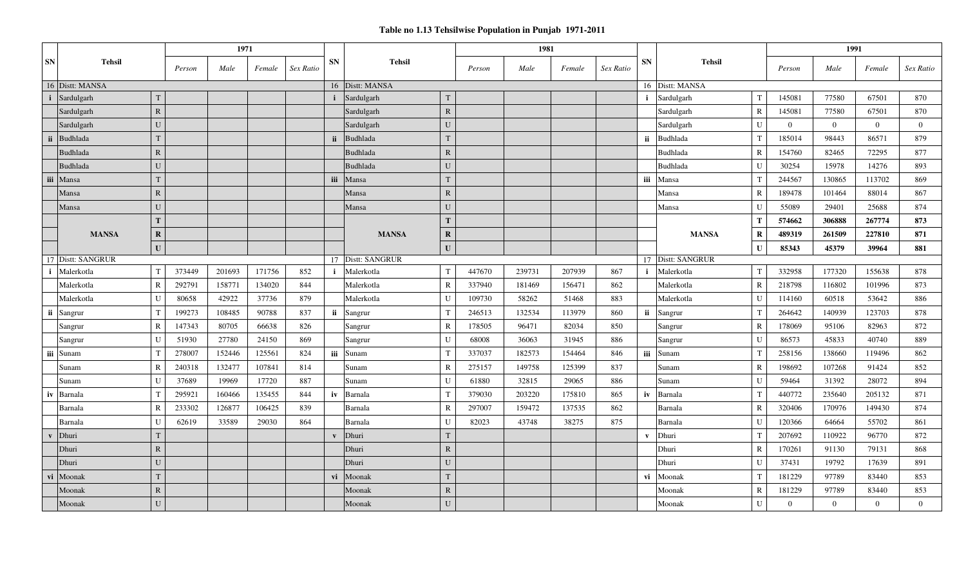|                            |                          | 1971   |        |           |              |                 |                |        | 1981   |        |           |                            |                 |                | 1991           |                |                |
|----------------------------|--------------------------|--------|--------|-----------|--------------|-----------------|----------------|--------|--------|--------|-----------|----------------------------|-----------------|----------------|----------------|----------------|----------------|
| <b>SN</b><br><b>Tehsil</b> | Person                   | Male   | Female | Sex Ratio | <b>SN</b>    | <b>Tehsil</b>   |                | Person | Male   | Female | Sex Ratio | <b>SN</b><br><b>Tehsil</b> |                 | Person         | Male           | Female         | Sex Ratio      |
| 16 Distt: MANSA            |                          |        |        |           |              | 16 Distt: MANSA |                |        |        |        |           | 16 Distt: MANSA            |                 |                |                |                |                |
| <i>i</i> Sardulgarh        | $\mathbf{T}$             |        |        |           |              | Sardulgarh      |                |        |        |        |           | Sardulgarh                 |                 | 145081         | 77580          | 67501          | 870            |
| Sardulgarh                 | $\mathbf R$              |        |        |           |              | Sardulgarh      | $\mathbb{R}$   |        |        |        |           | Sardulgarh                 | $\mathbb{R}$    | 145081         | 77580          | 67501          | 870            |
| Sardulgarh                 | U                        |        |        |           |              | Sardulgarh      | U              |        |        |        |           | Sardulgarh                 | $\mathbf{U}$    | $\overline{0}$ | $\overline{0}$ | $\overline{0}$ | $\overline{0}$ |
| Budhlada<br>-ii            | $\mathbf{T}$             |        |        |           | ii.          | Budhlada        | T              |        |        |        |           | ii.<br>Budhlada            | $\mathsf{T}$    | 185014         | 98443          | 86571          | 879            |
| Budhlada                   | $\mathbf R$              |        |        |           |              | Budhlada        | $\mathbb{R}$   |        |        |        |           | Budhlada                   | $\mathbf R$     | 154760         | 82465          | 72295          | 877            |
| <b>Budhlada</b>            | U                        |        |        |           |              | <b>Budhlada</b> | $\mathbf{U}$   |        |        |        |           | Budhlada                   | $\mathbf{I}$    | 30254          | 15978          | 14276          | 893            |
| iii Mansa                  | T                        |        |        |           | iii          | Mansa           | T              |        |        |        |           | iii<br>Mansa               | $\mathbf{T}$    | 244567         | 130865         | 113702         | 869            |
| Mansa                      | $\mathbf R$              |        |        |           |              | Mansa           | $\mathbb{R}$   |        |        |        |           | Mansa                      | $\mathbb{R}$    | 189478         | 101464         | 88014          | 867            |
| Mansa                      | $\mathbf{U}$             |        |        |           |              | Mansa           | U              |        |        |        |           | Mansa                      | $\mathbf{U}$    | 55089          | 29401          | 25688          | 874            |
|                            | T                        |        |        |           |              |                 | T              |        |        |        |           |                            | T               | 574662         | 306888         | 267774         | 873            |
| <b>MANSA</b>               | $\mathbf R$              |        |        |           |              | <b>MANSA</b>    | $\mathbf R$    |        |        |        |           | <b>MANSA</b>               | $\bf{R}$        | 489319         | 261509         | 227810         | 871            |
|                            | $\mathbf{U}$             |        |        |           |              |                 | $\mathbf{U}$   |        |        |        |           |                            | $\mathbf{I}$    | 85343          | 45379          | 39964          | 881            |
| 17 Distt: SANGRUR          |                          |        |        |           | 17           | Distt: SANGRUR  |                |        |        |        |           | 17 Distt: SANGRUR          |                 |                |                |                |                |
| Malerkotla                 | T<br>373449              | 201693 | 171756 | 852       | $\mathbf{i}$ | Malerkotla      | T              | 447670 | 239731 | 207939 | 867       | Malerkotla<br>j.           | $^{\mathrm{T}}$ | 332958         | 177320         | 155638         | 878            |
| Malerkotla                 | $\overline{R}$<br>292791 | 158771 | 134020 | 844       |              | Malerkotla      | R              | 337940 | 181469 | 156471 | 862       | Malerkotla                 | $\mathbf R$     | 218798         | 116802         | 101996         | 873            |
| Malerkotla                 | U<br>80658               | 42922  | 37736  | 879       |              | Malerkotla      | $\mathbf{I}$   | 109730 | 58262  | 51468  | 883       | Malerkotla                 | $\mathbf{I}$    | 114160         | 60518          | 53642          | 886            |
| ii<br>Sangrur              | 199273<br>$\mathbf{T}$   | 108485 | 90788  | 837       |              | ii Sangrur      |                | 246513 | 132534 | 113979 | 860       | ii Sangrur                 | T               | 264642         | 140939         | 123703         | 878            |
| Sangrur                    | $\mathbf R$<br>147343    | 80705  | 66638  | 826       |              | Sangrur         | $\mathbb{R}$   | 178505 | 96471  | 82034  | 850       | Sangrur                    | $\mathbb{R}$    | 178069         | 95106          | 82963          | 872            |
| Sangrur                    | U<br>51930               | 27780  | 24150  | 869       |              | Sangrur         | $\mathbf{I}$   | 68008  | 36063  | 31945  | 886       | Sangrur                    | $\mathbf{I}$    | 86573          | 45833          | 40740          | 889            |
| iii Sunam                  | 278007<br>$\mathsf{T}$   | 152446 | 125561 | 824       |              | iii Sunam       | T              | 337037 | 182573 | 154464 | 846       | iii<br>Sunam               | $\mathbf T$     | 258156         | 138660         | 119496         | 862            |
| Sunam                      | $\mathbf R$<br>240318    | 132477 | 107841 | 814       |              | Sunam           | R              | 275157 | 149758 | 125399 | 837       | Sunam                      | $\mathbf R$     | 198692         | 107268         | 91424          | 852            |
| Sunam                      | U<br>37689               | 19969  | 17720  | 887       |              | Sunam           | $\mathbf{I}$   | 61880  | 32815  | 29065  | 886       | Sunam                      | $\mathbf{I}$    | 59464          | 31392          | 28072          | 894            |
| iv<br>Barnala              | 295921<br>$\mathbf T$    | 160466 | 135455 | 844       | iv           | Barnala         |                | 379030 | 203220 | 175810 | 865       | iv<br>Barnala              |                 | 440772         | 235640         | 205132         | 871            |
| Barnala                    | $\mathbf R$<br>233302    | 126877 | 106425 | 839       |              | Barnala         | R              | 297007 | 159472 | 137535 | 862       | Barnala                    | $\mathbb{R}$    | 320406         | 170976         | 149430         | 874            |
| Barnala                    | $\mathbf U$<br>62619     | 33589  | 29030  | 864       |              | Barnala         | $\mathbf{I}$   | 82023  | 43748  | 38275  | 875       | Barnala                    | $\mathbf{I}$    | 120366         | 64664          | 55702          | 861            |
| Dhuri                      | $\mathbf{T}$             |        |        |           | $\mathbf{V}$ | Dhuri           | T              |        |        |        |           | Dhuri<br>$\mathbf{v}$      | $\mathbf T$     | 207692         | 110922         | 96770          | 872            |
| Dhuri                      | $\mathbf R$              |        |        |           |              | Dhuri           | $\mathbb{R}$   |        |        |        |           | Dhuri                      | R               | 170261         | 91130          | 79131          | 868            |
| Dhuri                      | $\mathbf{U}$             |        |        |           |              | Dhuri           | U              |        |        |        |           | Dhuri                      | $\mathbf{I}$    | 37431          | 19792          | 17639          | 891            |
| Moonak<br>vi               | T                        |        |        |           | vi           | Moonak          | T              |        |        |        |           | vi<br>Moonak               | T               | 181229         | 97789          | 83440          | 853            |
| Moonak                     | $\mathbf R$              |        |        |           |              | Moonak          | $\overline{R}$ |        |        |        |           | Moonak                     | $\mathbb{R}$    | 181229         | 97789          | 83440          | 853            |
| Moonak                     | U                        |        |        |           |              | Moonak          | U              |        |        |        |           | Moonak                     | $\mathbf{U}$    | $\overline{0}$ | $\overline{0}$ | $\overline{0}$ | $\overline{0}$ |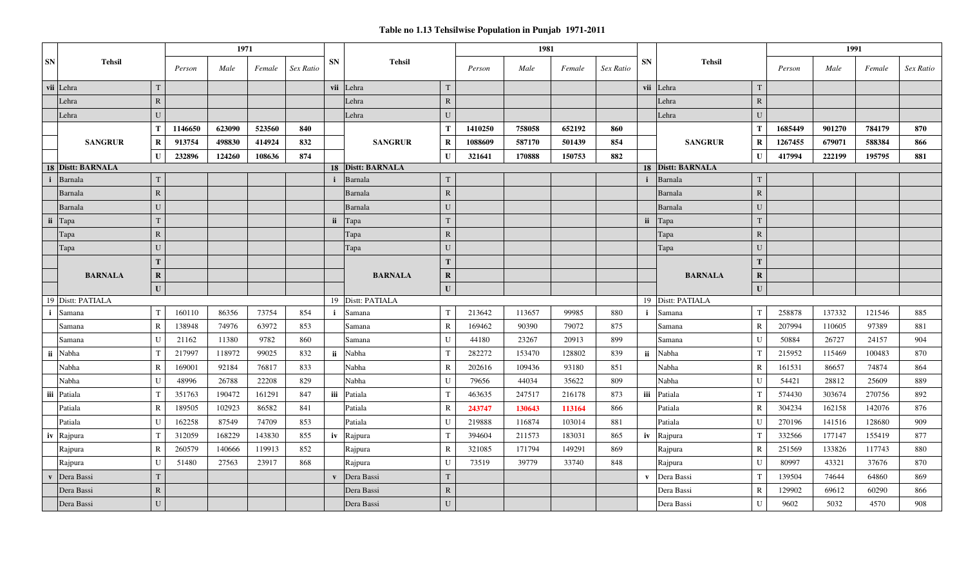|                                       |              |         | 1971   |        |           |              |                   |              |         | 1981   |        |           |              |                   |              |         | 1991   |        |           |
|---------------------------------------|--------------|---------|--------|--------|-----------|--------------|-------------------|--------------|---------|--------|--------|-----------|--------------|-------------------|--------------|---------|--------|--------|-----------|
| ${\bf SN}$<br><b>Tehsil</b>           |              | Person  | Male   | Female | Sex Ratio | <b>SN</b>    | <b>Tehsil</b>     |              | Person  | Male   | Female | Sex Ratio | SN           | <b>Tehsil</b>     |              | Person  | Male   | Female | Sex Ratio |
| vii Lehra                             | T            |         |        |        |           |              | vii Lehra         | T            |         |        |        |           |              | vii Lehra         | $\mathbf T$  |         |        |        |           |
| Lehra                                 | $\mathbf R$  |         |        |        |           |              | Lehra             | $\mathbf R$  |         |        |        |           |              | Lehra             | $\mathbb{R}$ |         |        |        |           |
| Lehra                                 | U            |         |        |        |           |              | Lehra             | U            |         |        |        |           |              | Lehra             | $\mathbf U$  |         |        |        |           |
|                                       | Т            | 1146650 | 623090 | 523560 | 840       |              |                   | $\mathbf T$  | 1410250 | 758058 | 652192 | 860       |              |                   | $\mathbf T$  | 1685449 | 901270 | 784179 | 870       |
| <b>SANGRUR</b>                        | $\mathbf R$  | 913754  | 498830 | 414924 | 832       |              | <b>SANGRUR</b>    | $\mathbf R$  | 1088609 | 587170 | 501439 | 854       |              | <b>SANGRUR</b>    | $\mathbf R$  | 1267455 | 679071 | 588384 | 866       |
|                                       | $\mathbf{U}$ | 232896  | 124260 | 108636 | 874       |              |                   | U            | 321641  | 170888 | 150753 | 882       |              |                   | $\mathbf{U}$ | 417994  | 222199 | 195795 | 881       |
| 18 Distt: BARNALA                     |              |         |        |        |           |              | 18 Distt: BARNALA |              |         |        |        |           |              | 18 Distt: BARNALA |              |         |        |        |           |
| Barnala<br>i                          |              |         |        |        |           |              | Barnala           | $\mathsf{T}$ |         |        |        |           | i            | Barnala           | $\mathbf T$  |         |        |        |           |
| Barnala                               | $\mathbb{R}$ |         |        |        |           |              | Barnala           | ${\bf R}$    |         |        |        |           |              | Barnala           | ${\bf R}$    |         |        |        |           |
| Barnala                               | U            |         |        |        |           |              | Barnala           | $\mathbf{U}$ |         |        |        |           |              | Barnala           | U            |         |        |        |           |
| ii Tapa                               |              |         |        |        |           | ii           | Tapa              | T            |         |        |        |           | ii           | Tapa              | $\mathbf T$  |         |        |        |           |
| Tapa                                  | ${\bf R}$    |         |        |        |           |              | Tapa              | ${\bf R}$    |         |        |        |           |              | Tapa              | ${\bf R}$    |         |        |        |           |
| Tapa                                  | U            |         |        |        |           |              | Tapa              | $\mathbf{U}$ |         |        |        |           |              | Tapa              | $\mathbf U$  |         |        |        |           |
|                                       | T            |         |        |        |           |              |                   | T            |         |        |        |           |              |                   | T            |         |        |        |           |
| <b>BARNALA</b>                        | $\mathbf R$  |         |        |        |           |              | <b>BARNALA</b>    | $\mathbf R$  |         |        |        |           |              | <b>BARNALA</b>    | $\mathbf R$  |         |        |        |           |
|                                       | $\mathbf U$  |         |        |        |           |              |                   | $\mathbf{U}$ |         |        |        |           |              |                   | $\mathbf U$  |         |        |        |           |
| 19 Distt: PATIALA                     |              |         |        |        |           |              | 19 Distt: PATIALA |              |         |        |        |           |              | 19 Distt: PATIALA |              |         |        |        |           |
| -i<br>Samana                          | T            | 160110  | 86356  | 73754  | 854       | $\mathbf{i}$ | Samana            | T            | 213642  | 113657 | 99985  | 880       | $\mathbf{i}$ | Samana            | T            | 258878  | 137332 | 121546 | 885       |
| Samana                                | $\mathbb{R}$ | 138948  | 74976  | 63972  | 853       |              | Samana            | $\mathbf R$  | 169462  | 90390  | 79072  | 875       |              | Samana            | $\mathbf R$  | 207994  | 110605 | 97389  | 881       |
| Samana                                | $\mathbf{U}$ | 21162   | 11380  | 9782   | 860       |              | Samana            | U            | 44180   | 23267  | 20913  | 899       |              | Samana            | ${\bf U}$    | 50884   | 26727  | 24157  | 904       |
| ii Nabha                              |              | 217997  | 118972 | 99025  | 832       | ii           | Nabha             | T            | 282272  | 153470 | 128802 | 839       |              | ii Nabha          | T            | 215952  | 115469 | 100483 | 870       |
| Nabha                                 | $\mathbf R$  | 169001  | 92184  | 76817  | 833       |              | Nabha             | $\mathbf R$  | 202616  | 109436 | 93180  | 851       |              | Nabha             | ${\bf R}$    | 161531  | 86657  | 74874  | 864       |
| Nabha                                 | $\mathbf{U}$ | 48996   | 26788  | 22208  | 829       |              | Nabha             | $\mathbf U$  | 79656   | 44034  | 35622  | 809       |              | Nabha             | ${\bf U}$    | 54421   | 28812  | 25609  | 889       |
| iii Patiala                           |              | 351763  | 190472 | 161291 | 847       |              | iii Patiala       | $\mathsf{T}$ | 463635  | 247517 | 216178 | 873       | iii          | Patiala           | $\mathbf T$  | 574430  | 303674 | 270756 | 892       |
| Patiala                               | $\mathbb{R}$ | 189505  | 102923 | 86582  | 841       |              | Patiala           | $\mathbb{R}$ | 243747  | 130643 | 113164 | 866       |              | Patiala           | $\mathbf R$  | 304234  | 162158 | 142076 | 876       |
| Patiala                               | $\mathbf{U}$ | 162258  | 87549  | 74709  | 853       |              | Patiala           | $\mathbf{U}$ | 219888  | 116874 | 103014 | 881       |              | Patiala           | U            | 270196  | 141516 | 128680 | 909       |
| iv Rajpura                            | $\mathbf T$  | 312059  | 168229 | 143830 | 855       |              | iv Rajpura        | T            | 394604  | 211573 | 183031 | 865       |              | iv Rajpura        | $\mathbf T$  | 332566  | 177147 | 155419 | 877       |
| Rajpura                               | R            | 260579  | 140666 | 119913 | 852       |              | Rajpura           | $\mathbb{R}$ | 321085  | 171794 | 149291 | 869       |              | Rajpura           | ${\bf R}$    | 251569  | 133826 | 117743 | 880       |
| Rajpura                               | $\mathbf{U}$ | 51480   | 27563  | 23917  | 868       |              | Rajpura           | U            | 73519   | 39779  | 33740  | 848       |              | Rajpura           | U            | 80997   | 43321  | 37676  | 870       |
| Dera Bassi<br>$\overline{\mathbf{v}}$ |              |         |        |        |           |              | Dera Bassi        | T            |         |        |        |           | $\mathbf{v}$ | Dera Bassi        | $\mathbf T$  | 139504  | 74644  | 64860  | 869       |
| Dera Bassi                            | $\mathbb{R}$ |         |        |        |           |              | Dera Bassi        | $\mathbf R$  |         |        |        |           |              | Dera Bassi        | $\mathbb{R}$ | 129902  | 69612  | 60290  | 866       |
| Dera Bassi                            | U            |         |        |        |           |              | Dera Bassi        | ${\bf U}$    |         |        |        |           |              | Dera Bassi        | U            | 9602    | 5032   | 4570   | 908       |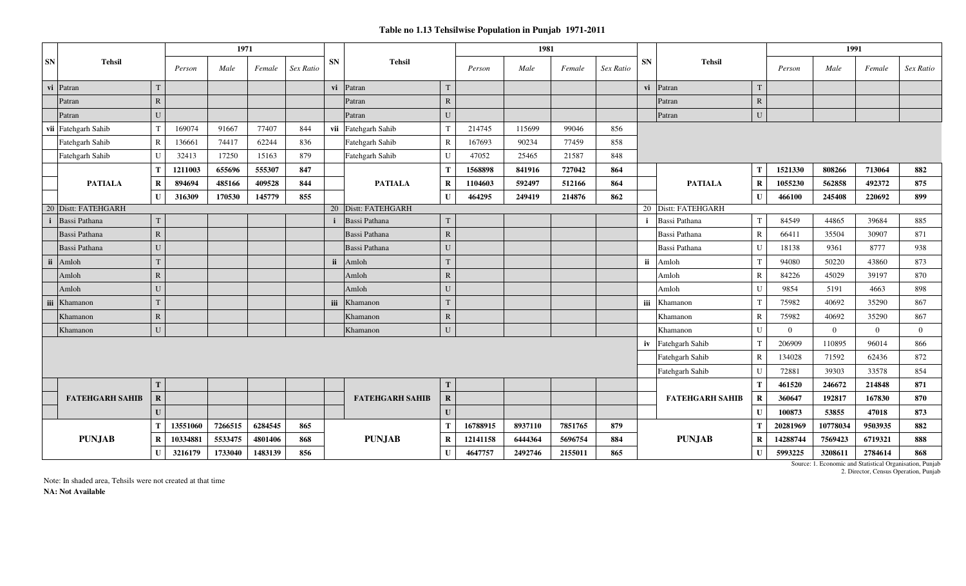|                               |              |          | 1971    |         |           |           |                        |                         |          | 1981    |         |                                           |           |                        |              |                | 1991     |                |           |
|-------------------------------|--------------|----------|---------|---------|-----------|-----------|------------------------|-------------------------|----------|---------|---------|-------------------------------------------|-----------|------------------------|--------------|----------------|----------|----------------|-----------|
| ${\bf SN}$<br><b>Tehsil</b>   |              | Person   | Male    | Female  | Sex Ratio | <b>SN</b> | <b>Tehsil</b>          |                         | Person   | Male    | Female  | Sex Ratio                                 | <b>SN</b> | <b>Tehsil</b>          |              | Person         | Male     | Female         | Sex Ratio |
| vi Patran                     | T            |          |         |         |           | vi        | Patran                 |                         |          |         |         |                                           | vi        | Patran                 | T            |                |          |                |           |
| Patran                        | ${\bf R}$    |          |         |         |           |           | Patran                 | $\overline{\mathsf{R}}$ |          |         |         |                                           |           | Patran                 | $\mathbb{R}$ |                |          |                |           |
| Patran                        | U            |          |         |         |           |           | Patran                 | $\mathbf{U}$            |          |         |         |                                           |           | Patran                 | ${\bf U}$    |                |          |                |           |
| vii Fatehgarh Sahib           | $\mathbf T$  | 169074   | 91667   | 77407   | 844       |           | vii Fatehgarh Sahib    | $\mathbf T$             | 214745   | 115699  | 99046   | 856                                       |           |                        |              |                |          |                |           |
| Fatehgarh Sahib               | $\mathbb{R}$ | 136661   | 74417   | 62244   | 836       |           | Fatehgarh Sahib        | $\mathbf R$             | 167693   | 90234   | 77459   | 858                                       |           |                        |              |                |          |                |           |
| Fatehgarh Sahib               | $\mathbf{U}$ | 32413    | 17250   | 15163   | 879       |           | Fatehgarh Sahib        | U                       | 47052    | 25465   | 21587   | 848                                       |           |                        |              |                |          |                |           |
|                               | T            | 1211003  | 655696  | 555307  | 847       |           |                        | Т                       | 1568898  | 841916  | 727042  | 864                                       |           |                        | T            | 1521330        | 808266   | 713064         | 882       |
| <b>PATIALA</b>                | $\bf{R}$     | 894694   | 485166  | 409528  | 844       |           | <b>PATIALA</b>         | $\mathbf R$             | 1104603  | 592497  | 512166  | 864                                       |           | <b>PATIALA</b>         | $\bf R$      | 1055230        | 562858   | 492372         | 875       |
|                               | $\mathbf{I}$ | 316309   | 170530  | 145779  | 855       |           |                        |                         | 464295   | 249419  | 214876  | 862                                       |           |                        | $\mathbf{U}$ | 466100         | 245408   | 220692         | 899       |
| 20 Distt: FATEHGARH           |              |          |         |         |           |           | 20 Distt: FATEHGARH    |                         |          |         |         |                                           |           | 20 Distt: FATEHGARH    |              |                |          |                |           |
| $\mathbf{i}$<br>Bassi Pathana | $\mathbf T$  |          |         |         |           |           | Bassi Pathana          | T                       |          |         |         |                                           |           | Bassi Pathana          | T            | 84549          | 44865    | 39684          | 885       |
| Bassi Pathana                 | ${\bf R}$    |          |         |         |           |           | Bassi Pathana          | $\mathbf R$             |          |         |         |                                           |           | Bassi Pathana          | $\mathbb{R}$ | 66411          | 35504    | 30907          | 871       |
| Bassi Pathana                 | U            |          |         |         |           |           | Bassi Pathana          | U                       |          |         |         |                                           |           | Bassi Pathana          | U            | 18138          | 9361     | 8777           | 938       |
| $\mathbf{ii}$<br>Amloh        | T            |          |         |         |           | ii        | Amloh                  |                         |          |         |         |                                           | ii        | Amloh                  | T            | 94080          | 50220    | 43860          | 873       |
| Amloh                         | ${\bf R}$    |          |         |         |           |           | Amloh                  | $\overline{R}$          |          |         |         |                                           |           | Amloh                  | $\mathbf R$  | 84226          | 45029    | 39197          | 870       |
| Amloh                         | ${\bf U}$    |          |         |         |           |           | Amloh                  | U                       |          |         |         |                                           |           | Amloh                  | U            | 9854           | 5191     | 4663           | 898       |
| iii<br>Khamanon               |              |          |         |         |           | iii       | Khamanon               | T                       |          |         |         |                                           | iii       | Khamanon               | T            | 75982          | 40692    | 35290          | 867       |
| Khamanon                      | ${\bf R}$    |          |         |         |           |           | Khamanon               | $\mathbb{R}$            |          |         |         |                                           |           | Khamanon               | $\mathbf R$  | 75982          | 40692    | 35290          | 867       |
| Khamanon                      | ${\bf U}$    |          |         |         |           |           | Khamanon               | U                       |          |         |         |                                           |           | Khamanon               | U            | $\overline{0}$ | $\Omega$ | $\overline{0}$ | $\Omega$  |
|                               |              |          |         |         |           |           |                        |                         |          |         |         |                                           | iv        | Fatehgarh Sahib        | T            | 206909         | 110895   | 96014          | 866       |
|                               |              |          |         |         |           |           |                        |                         |          |         |         |                                           |           | Fatehgarh Sahib        | $\mathbf R$  | 134028         | 71592    | 62436          | 872       |
|                               |              |          |         |         |           |           |                        |                         |          |         |         |                                           |           | Fatehgarh Sahib        | $\mathbf U$  | 72881          | 39303    | 33578          | 854       |
|                               | T            |          |         |         |           |           |                        |                         |          |         |         |                                           |           |                        | T            | 461520         | 246672   | 214848         | 871       |
| <b>FATEHGARH SAHIB</b>        | $\mathbf R$  |          |         |         |           |           | <b>FATEHGARH SAHIB</b> | $\overline{\mathbf{R}}$ |          |         |         |                                           |           | <b>FATEHGARH SAHIB</b> | $\mathbf R$  | 360647         | 192817   | 167830         | 870       |
|                               | $\mathbf{U}$ |          |         |         |           |           |                        |                         |          |         |         |                                           |           |                        | $\mathbf{U}$ | 100873         | 53855    | 47018          | 873       |
|                               | Т            | 13551060 | 7266515 | 6284545 | 865       |           |                        | Т                       | 16788915 | 8937110 | 7851765 | 879                                       |           |                        | Т            | 20281969       | 10778034 | 9503935        | 882       |
| <b>PUNJAB</b>                 | $\bf{R}$     | 10334881 | 5533475 | 4801406 | 868       |           | <b>PUNJAB</b>          | $\mathbf R$             | 12141158 | 6444364 | 5696754 | <b>PUNJAB</b><br>884                      |           |                        | $\bf{R}$     | 14288744       | 7569423  | 6719321        | 888       |
|                               | $\mathbf{U}$ | 3216179  | 1733040 | 1483139 | 856       |           |                        | $\mathbf U$             | 4647757  | 2492746 | 2155011 | 5993225<br>865<br>$\mathbf{U}$<br>3208611 |           |                        |              |                | 2784614  | 868            |           |

2. Director, Census Operation, Punjab Source: 1. Economic and Statistical Organisation, Punjab

Note: In shaded area, Tehsils were not created at that time **NA: Not Available**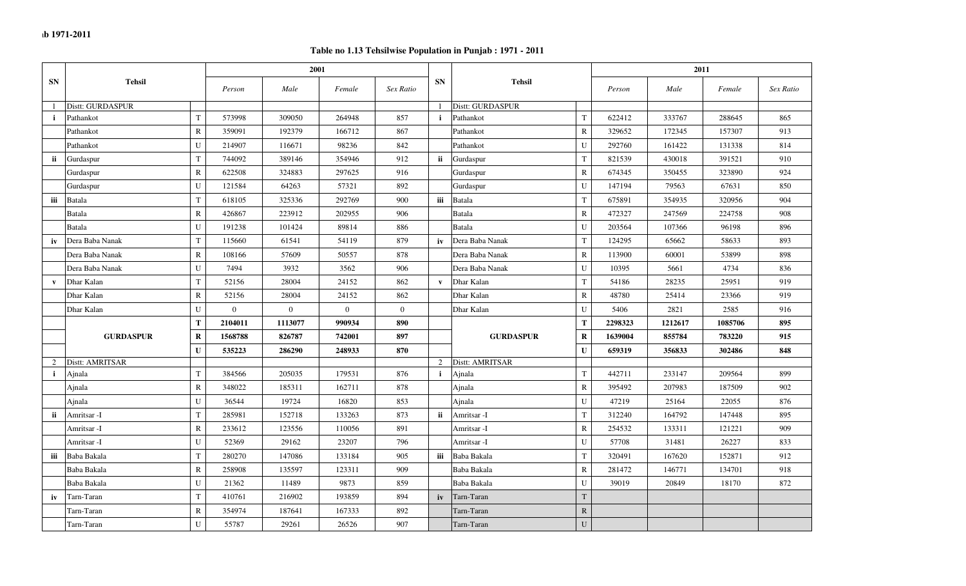|              |                  |              |                | 2001     |              |                |              |                  |                |         | 2011    |         |           |
|--------------|------------------|--------------|----------------|----------|--------------|----------------|--------------|------------------|----------------|---------|---------|---------|-----------|
| <b>SN</b>    | <b>Tehsil</b>    |              | Person         | Male     | Female       | Sex Ratio      | <b>SN</b>    | <b>Tehsil</b>    |                | Person  | Male    | Female  | Sex Ratio |
|              | Distt: GURDASPUR |              |                |          |              |                |              | Distt: GURDASPUR |                |         |         |         |           |
| i.           | Pathankot        | $\mathbf T$  | 573998         | 309050   | 264948       | 857            | j.           | Pathankot        | $\mathbf T$    | 622412  | 333767  | 288645  | 865       |
|              | Pathankot        | $\mathbb{R}$ | 359091         | 192379   | 166712       | 867            |              | Pathankot        | $\mathbb{R}$   | 329652  | 172345  | 157307  | 913       |
|              | Pathankot        | $\mathbf U$  | 214907         | 116671   | 98236        | 842            |              | Pathankot        | $\mathbf U$    | 292760  | 161422  | 131338  | 814       |
| ii           | Gurdaspur        | $\mathbf T$  | 744092         | 389146   | 354946       | 912            | ii           | Gurdaspur        | $\mathbf T$    | 821539  | 430018  | 391521  | 910       |
|              | Gurdaspur        | $\mathbb{R}$ | 622508         | 324883   | 297625       | 916            |              | Gurdaspur        | $\mathbb{R}$   | 674345  | 350455  | 323890  | 924       |
|              | Gurdaspur        | U            | 121584         | 64263    | 57321        | 892            |              | Gurdaspur        | $\mathbf U$    | 147194  | 79563   | 67631   | 850       |
| iii          | <b>Batala</b>    | $\mathbf T$  | 618105         | 325336   | 292769       | 900            | iii          | <b>Batala</b>    | $\mathbf T$    | 675891  | 354935  | 320956  | 904       |
|              | Batala           | $\mathbf R$  | 426867         | 223912   | 202955       | 906            |              | Batala           | $\mathbb{R}$   | 472327  | 247569  | 224758  | 908       |
|              | Batala           | U            | 191238         | 101424   | 89814        | 886            |              | Batala           | ${\bf U}$      | 203564  | 107366  | 96198   | 896       |
| iv           | Dera Baba Nanak  | T            | 115660         | 61541    | 54119        | 879            | iv           | Dera Baba Nanak  | $\mathbf T$    | 124295  | 65662   | 58633   | 893       |
|              | Dera Baba Nanak  | $\mathbb R$  | 108166         | 57609    | 50557        | 878            |              | Dera Baba Nanak  | $\mathbf R$    | 113900  | 60001   | 53899   | 898       |
|              | Dera Baba Nanak  | U            | 7494           | 3932     | 3562         | 906            |              | Dera Baba Nanak  | U              | 10395   | 5661    | 4734    | 836       |
| $\mathbf{v}$ | Dhar Kalan       | $\mathbf T$  | 52156          | 28004    | 24152        | 862            | $\mathbf{v}$ | Dhar Kalan       | $\mathbf T$    | 54186   | 28235   | 25951   | 919       |
|              | Dhar Kalan       | $\mathbb R$  | 52156          | 28004    | 24152        | 862            |              | Dhar Kalan       | ${\bf R}$      | 48780   | 25414   | 23366   | 919       |
|              | Dhar Kalan       | U            | $\overline{0}$ | $\theta$ | $\mathbf{0}$ | $\overline{0}$ |              | Dhar Kalan       | U              | 5406    | 2821    | 2585    | 916       |
|              |                  | T            | 2104011        | 1113077  | 990934       | 890            |              |                  | $\mathbf T$    | 2298323 | 1212617 | 1085706 | 895       |
|              | <b>GURDASPUR</b> | $\bf R$      | 1568788        | 826787   | 742001       | 897            |              | <b>GURDASPUR</b> | $\bf{R}$       | 1639004 | 855784  | 783220  | 915       |
|              |                  | $\mathbf{U}$ | 535223         | 286290   | 248933       | 870            |              |                  | $\mathbf U$    | 659319  | 356833  | 302486  | 848       |
| 2            | Distt: AMRITSAR  |              |                |          |              |                | 2            | Distt: AMRITSAR  |                |         |         |         |           |
| $\mathbf{i}$ | Ajnala           | T            | 384566         | 205035   | 179531       | 876            | j.           | Ajnala           | $\mathbf T$    | 442711  | 233147  | 209564  | 899       |
|              | Ajnala           | $\mathbb{R}$ | 348022         | 185311   | 162711       | 878            |              | Ainala           | $\mathbb{R}$   | 395492  | 207983  | 187509  | 902       |
|              | Ajnala           | U            | 36544          | 19724    | 16820        | 853            |              | Ajnala           | $\mathbf U$    | 47219   | 25164   | 22055   | 876       |
| ii           | Amritsar -I      | $\mathbf T$  | 285981         | 152718   | 133263       | 873            | ii           | Amritsar -I      | $\mathbf T$    | 312240  | 164792  | 147448  | 895       |
|              | Amritsar -I      | $\mathbb R$  | 233612         | 123556   | 110056       | 891            |              | Amritsar -I      | ${\bf R}$      | 254532  | 133311  | 121221  | 909       |
|              | Amritsar -I      | U            | 52369          | 29162    | 23207        | 796            |              | Amritsar -I      | $\mathbf U$    | 57708   | 31481   | 26227   | 833       |
| iii          | Baba Bakala      | $\mathbf T$  | 280270         | 147086   | 133184       | 905            | iii          | Baba Bakala      | $\mathbf T$    | 320491  | 167620  | 152871  | 912       |
|              | Baba Bakala      | $\mathbb R$  | 258908         | 135597   | 123311       | 909            |              | Baba Bakala      | $\mathbb{R}$   | 281472  | 146771  | 134701  | 918       |
|              | Baba Bakala      | U            | 21362          | 11489    | 9873         | 859            |              | Baba Bakala      | ${\bf U}$      | 39019   | 20849   | 18170   | 872       |
| iv           | Tarn-Taran       | $\mathbf T$  | 410761         | 216902   | 193859       | 894            | iv           | Tarn-Taran       | $\mathbf T$    |         |         |         |           |
|              | Tarn-Taran       | ${\bf R}$    | 354974         | 187641   | 167333       | 892            |              | Tarn-Taran       | ${\bf R}$      |         |         |         |           |
|              | Tarn-Taran       | $\mathbf U$  | 55787          | 29261    | 26526        | 907            |              | Tarn-Taran       | $\overline{U}$ |         |         |         |           |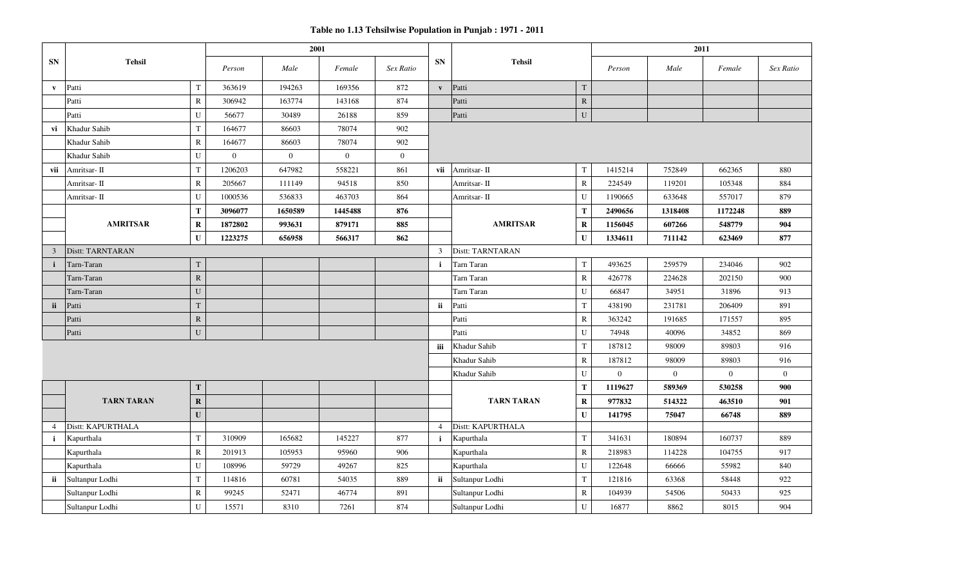|                |                   |              |                | 2001           |                |                |                |                   |              |              | 2011           |                |                  |
|----------------|-------------------|--------------|----------------|----------------|----------------|----------------|----------------|-------------------|--------------|--------------|----------------|----------------|------------------|
| <b>SN</b>      | <b>Tehsil</b>     |              | Person         | Male           | Female         | Sex Ratio      | <b>SN</b>      | <b>Tehsil</b>     |              | Person       | Male           | Female         | Sex Ratio        |
| $\mathbf{v}$   | Patti             | T            | 363619         | 194263         | 169356         | 872            | $\mathbf{v}$   | Patti             | $\mathbf T$  |              |                |                |                  |
|                | Patti             | $\mathbb{R}$ | 306942         | 163774         | 143168         | 874            |                | Patti             | ${\bf R}$    |              |                |                |                  |
|                | Patti             | U            | 56677          | 30489          | 26188          | 859            |                | Patti             | ${\bf U}$    |              |                |                |                  |
| vi             | Khadur Sahib      | T            | 164677         | 86603          | 78074          | 902            |                |                   |              |              |                |                |                  |
|                | Khadur Sahib      | R            | 164677         | 86603          | 78074          | 902            |                |                   |              |              |                |                |                  |
|                | Khadur Sahib      | U            | $\overline{0}$ | $\overline{0}$ | $\overline{0}$ | $\overline{0}$ |                |                   |              |              |                |                |                  |
| vii            | Amritsar- II      | $\mathbf T$  | 1206203        | 647982         | 558221         | 861            | vii            | Amritsar-II       | T            | 1415214      | 752849         | 662365         | 880              |
|                | Amritsar- II      | $\mathbb{R}$ | 205667         | 111149         | 94518          | 850            |                | Amritsar-II       | ${\bf R}$    | 224549       | 119201         | 105348         | 884              |
|                | Amritsar- II      | U            | 1000536        | 536833         | 463703         | 864            |                | Amritsar-II       | ${\bf U}$    | 1190665      | 633648         | 557017         | 879              |
|                |                   | Т            | 3096077        | 1650589        | 1445488        | 876            |                |                   | $\mathbf T$  | 2490656      | 1318408        | 1172248        | 889              |
|                | <b>AMRITSAR</b>   | $\mathbf R$  | 1872802        | 993631         | 879171         | 885            |                | <b>AMRITSAR</b>   | $\bf R$      | 1156045      | 607266         | 548779         | 904              |
|                |                   | $\mathbf{U}$ | 1223275        | 656958         | 566317         | 862            |                |                   | $\mathbf{U}$ | 1334611      | 711142         | 623469         | 877              |
| $\overline{3}$ | Distt: TARNTARAN  |              |                |                |                |                | $\overline{3}$ | Distt: TARNTARAN  |              |              |                |                |                  |
| $\mathbf{i}$   | Tarn-Taran        | $\mathbf T$  |                |                |                |                | $\mathbf{i}$   | Tarn Taran        | $\mathbf T$  | 493625       | 259579         | 234046         | 902              |
|                | Tarn-Taran        | $\mathbf R$  |                |                |                |                |                | <b>Tarn Taran</b> | $\mathbb{R}$ | 426778       | 224628         | 202150         | 900              |
|                | Tarn-Taran        | U            |                |                |                |                |                | Tarn Taran        | ${\bf U}$    | 66847        | 34951          | 31896          | 913              |
| ii             | Patti             | T            |                |                |                |                | ii             | Patti             | $\mathbf T$  | 438190       | 231781         | 206409         | 891              |
|                | Patti             | $\mathbf R$  |                |                |                |                |                | Patti             | ${\bf R}$    | 363242       | 191685         | 171557         | 895              |
|                | Patti             | ${\bf U}$    |                |                |                |                |                | Patti             | ${\bf U}$    | 74948        | 40096          | 34852          | 869              |
|                |                   |              |                |                |                |                | iii            | Khadur Sahib      | $\mathbf T$  | 187812       | 98009          | 89803          | 916              |
|                |                   |              |                |                |                |                |                | Khadur Sahib      | ${\bf R}$    | 187812       | 98009          | 89803          | 916              |
|                |                   |              |                |                |                |                |                | Khadur Sahib      | ${\bf U}$    | $\mathbf{0}$ | $\overline{0}$ | $\overline{0}$ | $\boldsymbol{0}$ |
|                |                   | $\mathbf T$  |                |                |                |                |                |                   | T            | 1119627      | 589369         | 530258         | 900              |
|                | <b>TARN TARAN</b> | $\mathbf R$  |                |                |                |                |                | <b>TARN TARAN</b> | $\bf R$      | 977832       | 514322         | 463510         | 901              |
|                |                   | $\mathbf{U}$ |                |                |                |                |                |                   | ${\bf U}$    | 141795       | 75047          | 66748          | 889              |
| $\overline{4}$ | Distt: KAPURTHALA |              |                |                |                |                | $\overline{4}$ | Distt: KAPURTHALA |              |              |                |                |                  |
| $\mathbf{i}$   | Kapurthala        | T            | 310909         | 165682         | 145227         | 877            | $\mathbf{i}$   | Kapurthala        | $\mathbf T$  | 341631       | 180894         | 160737         | 889              |
|                | Kapurthala        | $\mathbf R$  | 201913         | 105953         | 95960          | 906            |                | Kapurthala        | ${\bf R}$    | 218983       | 114228         | 104755         | 917              |
|                | Kapurthala        | ${\bf U}$    | 108996         | 59729          | 49267          | 825            |                | Kapurthala        | ${\bf U}$    | 122648       | 66666          | 55982          | 840              |
| ii             | Sultanpur Lodhi   | T            | 114816         | 60781          | 54035          | 889            | ii -           | Sultanpur Lodhi   | $\mathbf T$  | 121816       | 63368          | 58448          | 922              |
|                | Sultanpur Lodhi   | $\mathbb{R}$ | 99245          | 52471          | 46774          | 891            |                | Sultanpur Lodhi   | $\mathbb{R}$ | 104939       | 54506          | 50433          | 925              |
|                | Sultanpur Lodhi   | ${\bf U}$    | 15571          | 8310           | 7261           | 874            |                | Sultanpur Lodhi   | ${\bf U}$    | 16877        | 8862           | 8015           | 904              |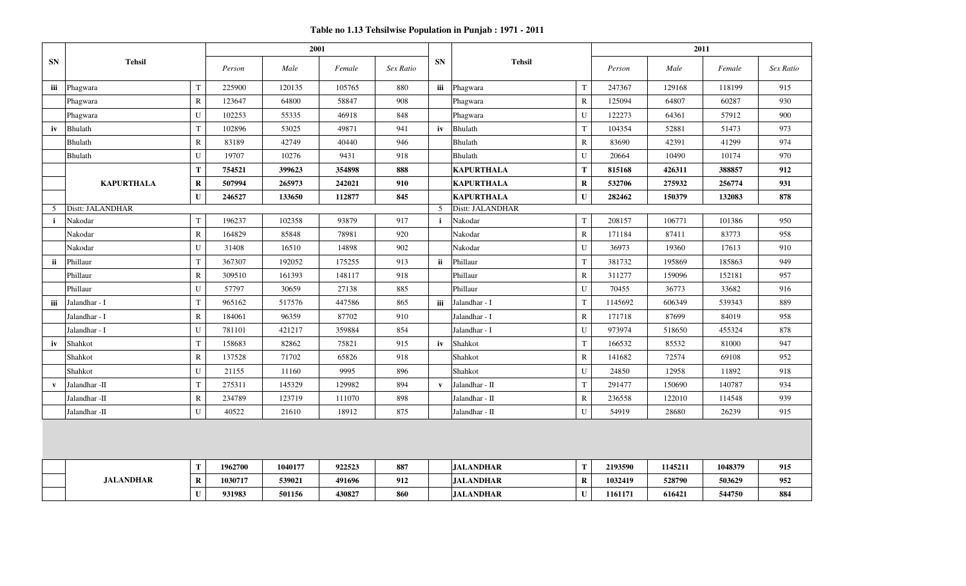**Table no 1.13 Tehsilwise Population in Punjab : 1971 - 2011**

|              |                   |              |         | 2001    |        |           |              |                   |              |         | 2011    |         |           |
|--------------|-------------------|--------------|---------|---------|--------|-----------|--------------|-------------------|--------------|---------|---------|---------|-----------|
| <b>SN</b>    | <b>Tehsil</b>     |              | Person  | Male    | Female | Sex Ratio | <b>SN</b>    | <b>Tehsil</b>     |              | Person  | Male    | Female  | Sex Ratio |
| iii          | Phagwara          | $\mathbf T$  | 225900  | 120135  | 105765 | 880       | iii          | Phagwara          | $\mathbf T$  | 247367  | 129168  | 118199  | 915       |
|              | Phagwara          | $\mathbf R$  | 123647  | 64800   | 58847  | 908       |              | Phagwara          | $\mathbb{R}$ | 125094  | 64807   | 60287   | 930       |
|              | Phagwara          | U            | 102253  | 55335   | 46918  | 848       |              | Phagwara          | U            | 122273  | 64361   | 57912   | 900       |
| iv           | Bhulath           | T            | 102896  | 53025   | 49871  | 941       | iv           | <b>Bhulath</b>    | $\mathbf T$  | 104354  | 52881   | 51473   | 973       |
|              | Bhulath           | $\mathbb{R}$ | 83189   | 42749   | 40440  | 946       |              | Bhulath           | $\mathbb{R}$ | 83690   | 42391   | 41299   | 974       |
|              | Bhulath           | U            | 19707   | 10276   | 9431   | 918       |              | Bhulath           | ${\bf U}$    | 20664   | 10490   | 10174   | 970       |
|              |                   | Т            | 754521  | 399623  | 354898 | 888       |              | <b>KAPURTHALA</b> | T            | 815168  | 426311  | 388857  | 912       |
|              | <b>KAPURTHALA</b> | $\bf R$      | 507994  | 265973  | 242021 | 910       |              | <b>KAPURTHALA</b> | $\bf R$      | 532706  | 275932  | 256774  | 931       |
|              |                   | $\mathbf{U}$ | 246527  | 133650  | 112877 | 845       |              | <b>KAPURTHALA</b> | ${\bf U}$    | 282462  | 150379  | 132083  | 878       |
| 5            | Distt: JALANDHAR  |              |         |         |        |           | 5            | Distt: JALANDHAR  |              |         |         |         |           |
| $\mathbf{i}$ | Nakodar           | $\mathbf T$  | 196237  | 102358  | 93879  | 917       | $\mathbf{i}$ | Nakodar           | ${\bf T}$    | 208157  | 106771  | 101386  | 950       |
|              | Nakodar           | $\mathbb{R}$ | 164829  | 85848   | 78981  | 920       |              | Nakodar           | $\mathbf R$  | 171184  | 87411   | 83773   | 958       |
|              | Nakodar           | U            | 31408   | 16510   | 14898  | 902       |              | Nakodar           | U            | 36973   | 19360   | 17613   | 910       |
| ii           | Phillaur          | T            | 367307  | 192052  | 175255 | 913       | ii.          | Phillaur          | $\mathbf T$  | 381732  | 195869  | 185863  | 949       |
|              | Phillaur          | $\mathbf R$  | 309510  | 161393  | 148117 | 918       |              | Phillaur          | $\bf R$      | 311277  | 159096  | 152181  | 957       |
|              | Phillaur          | U            | 57797   | 30659   | 27138  | 885       |              | Phillaur          | U            | 70455   | 36773   | 33682   | 916       |
| iii          | Jalandhar - I     | $\mathbf T$  | 965162  | 517576  | 447586 | 865       | iii          | Jalandhar - I     | $\mathbf T$  | 1145692 | 606349  | 539343  | 889       |
|              | Jalandhar - I     | $\mathbb{R}$ | 184061  | 96359   | 87702  | 910       |              | Jalandhar - I     | $\bf R$      | 171718  | 87699   | 84019   | 958       |
|              | Jalandhar - I     | U            | 781101  | 421217  | 359884 | 854       |              | Jalandhar - I     | $\mathbf U$  | 973974  | 518650  | 455324  | 878       |
| iv           | Shahkot           | $\mathbf T$  | 158683  | 82862   | 75821  | 915       | iv           | Shahkot           | $\mathbf T$  | 166532  | 85532   | 81000   | 947       |
|              | Shahkot           | $\mathbb{R}$ | 137528  | 71702   | 65826  | 918       |              | Shahkot           | $\mathbf R$  | 141682  | 72574   | 69108   | 952       |
|              | Shahkot           | U            | 21155   | 11160   | 9995   | 896       |              | Shahkot           | U            | 24850   | 12958   | 11892   | 918       |
| $\mathbf{v}$ | Jalandhar -II     | $\mathbf T$  | 275311  | 145329  | 129982 | 894       | $\mathbf{v}$ | Jalandhar - II    | $\mathbf T$  | 291477  | 150690  | 140787  | 934       |
|              | Jalandhar -II     | $\mathbb{R}$ | 234789  | 123719  | 111070 | 898       |              | Jalandhar - II    | $\mathbb{R}$ | 236558  | 122010  | 114548  | 939       |
|              | Jalandhar -II     | U            | 40522   | 21610   | 18912  | 875       |              | Jalandhar - II    | U            | 54919   | 28680   | 26239   | 915       |
|              |                   |              |         |         |        |           |              |                   |              |         |         |         |           |
|              |                   |              |         |         |        |           |              |                   |              |         |         |         |           |
|              |                   | Т            | 1962700 | 1040177 | 922523 | 887       |              | <b>JALANDHAR</b>  | T            | 2193590 | 1145211 | 1048379 | 915       |
|              | <b>JALANDHAR</b>  | $\bf R$      | 1030717 | 539021  | 491696 | 912       |              | <b>JALANDHAR</b>  | $\mathbf R$  | 1032419 | 528790  | 503629  | 952       |
|              |                   | $\mathbf U$  | 931983  | 501156  | 430827 | 860       |              | <b>JALANDHAR</b>  | $\mathbf U$  | 1161171 | 616421  | 544750  | 884       |
|              |                   |              |         |         |        |           |              |                   |              |         |         |         |           |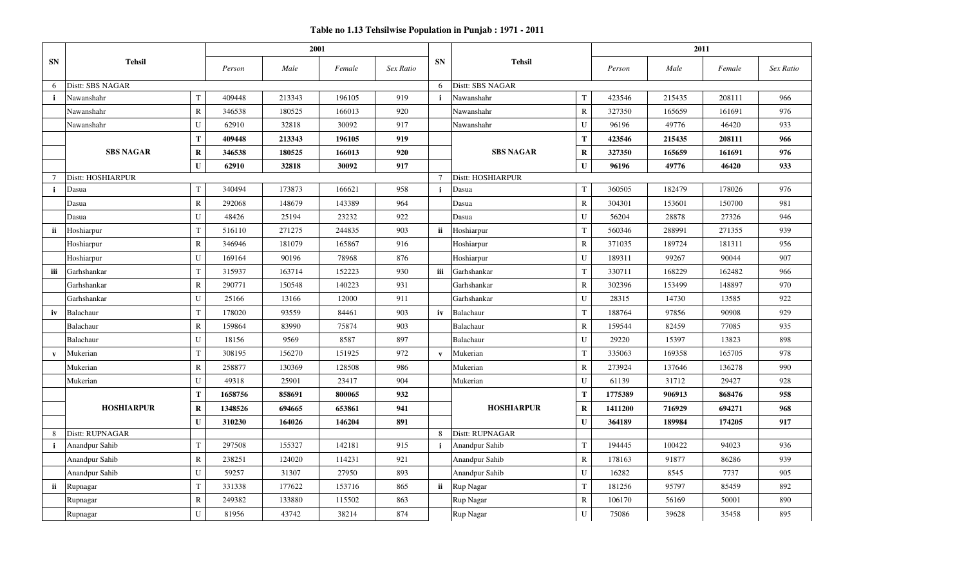|              |                   |              |         | 2001   |        |           |              |                   |              |         | 2011   |        |           |
|--------------|-------------------|--------------|---------|--------|--------|-----------|--------------|-------------------|--------------|---------|--------|--------|-----------|
| <b>SN</b>    | <b>Tehsil</b>     |              | Person  | Male   | Female | Sex Ratio | <b>SN</b>    | <b>Tehsil</b>     |              | Person  | Male   | Female | Sex Ratio |
| 6            | Distt: SBS NAGAR  |              |         |        |        |           | 6            | Distt: SBS NAGAR  |              |         |        |        |           |
| $\mathbf{i}$ | Nawanshahr        | T            | 409448  | 213343 | 196105 | 919       | $\mathbf{i}$ | Nawanshahr        | T            | 423546  | 215435 | 208111 | 966       |
|              | Nawanshahr        | $\mathbf R$  | 346538  | 180525 | 166013 | 920       |              | Nawanshahr        | $\mathbb{R}$ | 327350  | 165659 | 161691 | 976       |
|              | Nawanshahr        | U            | 62910   | 32818  | 30092  | 917       |              | Nawanshahr        | $\mathbf U$  | 96196   | 49776  | 46420  | 933       |
|              |                   | T            | 409448  | 213343 | 196105 | 919       |              |                   | T            | 423546  | 215435 | 208111 | 966       |
|              | <b>SBS NAGAR</b>  | $\bf R$      | 346538  | 180525 | 166013 | 920       |              | <b>SBS NAGAR</b>  | $\bf{R}$     | 327350  | 165659 | 161691 | 976       |
|              |                   | $\mathbf{U}$ | 62910   | 32818  | 30092  | 917       |              |                   | U            | 96196   | 49776  | 46420  | 933       |
| $\tau$       | Distt: HOSHIARPUR |              |         |        |        |           | $\tau$       | Distt: HOSHIARPUR |              |         |        |        |           |
| $\mathbf{i}$ | Dasua             | $\mathbf T$  | 340494  | 173873 | 166621 | 958       | $\mathbf{i}$ | Dasua             | $\mathbf T$  | 360505  | 182479 | 178026 | 976       |
|              | Dasua             | $\mathbb{R}$ | 292068  | 148679 | 143389 | 964       |              | Dasua             | $\mathbb{R}$ | 304301  | 153601 | 150700 | 981       |
|              | Dasua             | U            | 48426   | 25194  | 23232  | 922       |              | Dasua             | $\mathbf U$  | 56204   | 28878  | 27326  | 946       |
| ii           | Hoshiarpur        | T            | 516110  | 271275 | 244835 | 903       | ii           | Hoshiarpur        | T            | 560346  | 288991 | 271355 | 939       |
|              | Hoshiarpur        | $\mathbb{R}$ | 346946  | 181079 | 165867 | 916       |              | Hoshiarpur        | $\mathbf R$  | 371035  | 189724 | 181311 | 956       |
|              | Hoshiarpur        | U            | 169164  | 90196  | 78968  | 876       |              | Hoshiarpur        | U            | 189311  | 99267  | 90044  | 907       |
| iii          | Garhshankar       | T            | 315937  | 163714 | 152223 | 930       | iii          | Garhshankar       | T            | 330711  | 168229 | 162482 | 966       |
|              | Garhshankar       | $\mathbf R$  | 290771  | 150548 | 140223 | 931       |              | Garhshankar       | $\mathbf R$  | 302396  | 153499 | 148897 | 970       |
|              | Garhshankar       | U            | 25166   | 13166  | 12000  | 911       |              | Garhshankar       | ${\bf U}$    | 28315   | 14730  | 13585  | 922       |
| iv           | Balachaur         | T            | 178020  | 93559  | 84461  | 903       | iv           | Balachaur         | T            | 188764  | 97856  | 90908  | 929       |
|              | Balachaur         | $\mathbb{R}$ | 159864  | 83990  | 75874  | 903       |              | Balachaur         | $\mathbb{R}$ | 159544  | 82459  | 77085  | 935       |
|              | Balachaur         | U            | 18156   | 9569   | 8587   | 897       |              | Balachaur         | ${\bf U}$    | 29220   | 15397  | 13823  | 898       |
| $\mathbf{v}$ | Mukerian          | T            | 308195  | 156270 | 151925 | 972       | $\mathbf{v}$ | Mukerian          | T            | 335063  | 169358 | 165705 | 978       |
|              | Mukerian          | $\mathbb{R}$ | 258877  | 130369 | 128508 | 986       |              | Mukerian          | $\mathbf R$  | 273924  | 137646 | 136278 | 990       |
|              | Mukerian          | U            | 49318   | 25901  | 23417  | 904       |              | Mukerian          | U            | 61139   | 31712  | 29427  | 928       |
|              |                   | $\mathbf T$  | 1658756 | 858691 | 800065 | 932       |              |                   | $\mathbf T$  | 1775389 | 906913 | 868476 | 958       |
|              | <b>HOSHIARPUR</b> | $\mathbf R$  | 1348526 | 694665 | 653861 | 941       |              | <b>HOSHIARPUR</b> | $\mathbf R$  | 1411200 | 716929 | 694271 | 968       |
|              |                   | $\mathbf{U}$ | 310230  | 164026 | 146204 | 891       |              |                   | $\mathbf{U}$ | 364189  | 189984 | 174205 | 917       |
| 8            | Distt: RUPNAGAR   |              |         |        |        |           | 8            | Distt: RUPNAGAR   |              |         |        |        |           |
| $\mathbf{i}$ | Anandpur Sahib    | T            | 297508  | 155327 | 142181 | 915       | $\mathbf{i}$ | Anandpur Sahib    | T            | 194445  | 100422 | 94023  | 936       |
|              | Anandpur Sahib    | $\mathbb{R}$ | 238251  | 124020 | 114231 | 921       |              | Anandpur Sahib    | $\mathbf R$  | 178163  | 91877  | 86286  | 939       |
|              | Anandpur Sahib    | U            | 59257   | 31307  | 27950  | 893       |              | Anandpur Sahib    | ${\bf U}$    | 16282   | 8545   | 7737   | 905       |
| ii.          | Rupnagar          | T            | 331338  | 177622 | 153716 | 865       | ii           | Rup Nagar         | T            | 181256  | 95797  | 85459  | 892       |
|              | Rupnagar          | $\mathbb{R}$ | 249382  | 133880 | 115502 | 863       |              | Rup Nagar         | $\mathbb{R}$ | 106170  | 56169  | 50001  | 890       |
|              | Rupnagar          | U            | 81956   | 43742  | 38214  | 874       |              | Rup Nagar         | ${\bf U}$    | 75086   | 39628  | 35458  | 895       |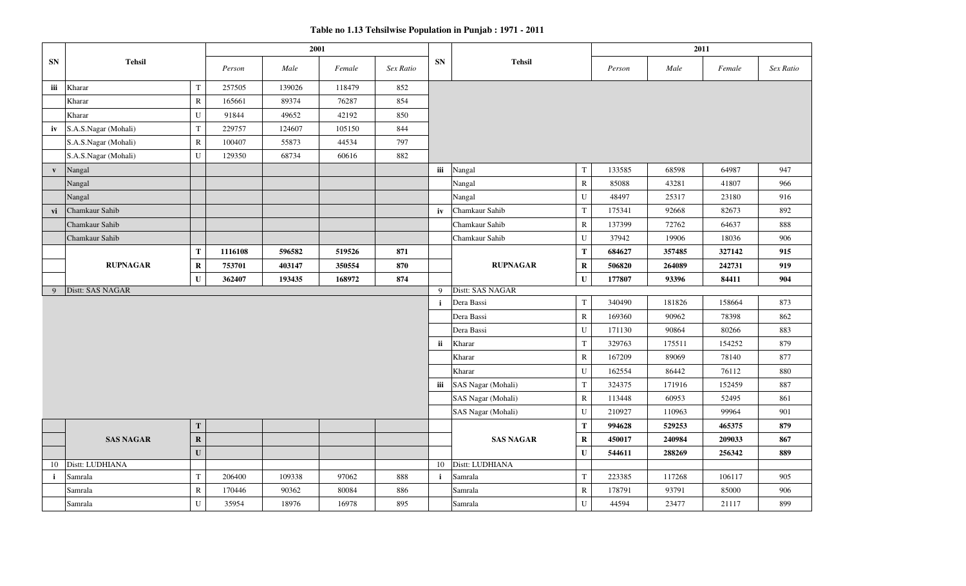**Table no 1.13 Tehsilwise Population in Punjab : 1971 - 2011**

|              |                      |              |         | 2001   |        |           |              |                    |             |        | 2011   |        |           |
|--------------|----------------------|--------------|---------|--------|--------|-----------|--------------|--------------------|-------------|--------|--------|--------|-----------|
| <b>SN</b>    | <b>Tehsil</b>        |              | Person  | Male   | Female | Sex Ratio | <b>SN</b>    | <b>Tehsil</b>      |             | Person | Male   | Female | Sex Ratio |
| iii          | Kharar               | $\mathbf T$  | 257505  | 139026 | 118479 | 852       |              |                    |             |        |        |        |           |
|              | Kharar               | ${\bf R}$    | 165661  | 89374  | 76287  | 854       |              |                    |             |        |        |        |           |
|              | Kharar               | U            | 91844   | 49652  | 42192  | 850       |              |                    |             |        |        |        |           |
| iv           | S.A.S.Nagar (Mohali) | ${\bf T}$    | 229757  | 124607 | 105150 | 844       |              |                    |             |        |        |        |           |
|              | S.A.S.Nagar (Mohali) | ${\bf R}$    | 100407  | 55873  | 44534  | 797       |              |                    |             |        |        |        |           |
|              | S.A.S.Nagar (Mohali) | ${\bf U}$    | 129350  | 68734  | 60616  | 882       |              |                    |             |        |        |        |           |
| $\mathbf{v}$ | Nangal               |              |         |        |        |           | iii          | Nangal             | $\mathbf T$ | 133585 | 68598  | 64987  | 947       |
|              | Nangal               |              |         |        |        |           |              | Nangal             | ${\bf R}$   | 85088  | 43281  | 41807  | 966       |
|              | Nangal               |              |         |        |        |           |              | Nangal             | ${\bf U}$   | 48497  | 25317  | 23180  | 916       |
| vi           | Chamkaur Sahib       |              |         |        |        |           | iv           | Chamkaur Sahib     | $\mathbf T$ | 175341 | 92668  | 82673  | 892       |
|              | Chamkaur Sahib       |              |         |        |        |           |              | Chamkaur Sahib     | ${\bf R}$   | 137399 | 72762  | 64637  | 888       |
|              | Chamkaur Sahib       |              |         |        |        |           |              | Chamkaur Sahib     | U           | 37942  | 19906  | 18036  | 906       |
|              |                      | T            | 1116108 | 596582 | 519526 | 871       |              |                    | $\mathbf T$ | 684627 | 357485 | 327142 | 915       |
|              | <b>RUPNAGAR</b>      | $\bf R$      | 753701  | 403147 | 350554 | 870       |              | <b>RUPNAGAR</b>    | $\mathbf R$ | 506820 | 264089 | 242731 | 919       |
|              |                      | $\mathbf{U}$ | 362407  | 193435 | 168972 | 874       |              |                    | $\mathbf U$ | 177807 | 93396  | 84411  | 904       |
| 9            | Distt: SAS NAGAR     |              |         |        |        |           | 9            | Distt: SAS NAGAR   |             |        |        |        |           |
|              |                      |              |         |        |        |           | $\mathbf{i}$ | Dera Bassi         | $\mathbf T$ | 340490 | 181826 | 158664 | 873       |
|              |                      |              |         |        |        |           |              | Dera Bassi         | ${\bf R}$   | 169360 | 90962  | 78398  | 862       |
|              |                      |              |         |        |        |           |              | Dera Bassi         | ${\bf U}$   | 171130 | 90864  | 80266  | 883       |
|              |                      |              |         |        |        |           | ii           | Kharar             | $\mathbf T$ | 329763 | 175511 | 154252 | 879       |
|              |                      |              |         |        |        |           |              | Kharar             | ${\bf R}$   | 167209 | 89069  | 78140  | 877       |
|              |                      |              |         |        |        |           |              | Kharar             | ${\bf U}$   | 162554 | 86442  | 76112  | 880       |
|              |                      |              |         |        |        |           | iii          | SAS Nagar (Mohali) | $\mathbf T$ | 324375 | 171916 | 152459 | 887       |
|              |                      |              |         |        |        |           |              | SAS Nagar (Mohali) | ${\bf R}$   | 113448 | 60953  | 52495  | 861       |
|              |                      |              |         |        |        |           |              | SAS Nagar (Mohali) | ${\bf U}$   | 210927 | 110963 | 99964  | 901       |
|              |                      | T            |         |        |        |           |              |                    | T           | 994628 | 529253 | 465375 | 879       |
|              | <b>SAS NAGAR</b>     | $\bf{R}$     |         |        |        |           |              | <b>SAS NAGAR</b>   | $\bf R$     | 450017 | 240984 | 209033 | 867       |
|              |                      | $\mathbf{U}$ |         |        |        |           |              |                    | ${\bf U}$   | 544611 | 288269 | 256342 | 889       |
| 10           | Distt: LUDHIANA      |              |         |        |        |           | 10           | Distt: LUDHIANA    |             |        |        |        |           |
| $\mathbf{i}$ | Samrala              | $\mathbf T$  | 206400  | 109338 | 97062  | 888       | $\mathbf{i}$ | Samrala            | $\mathbf T$ | 223385 | 117268 | 106117 | 905       |
|              | Samrala              | ${\bf R}$    | 170446  | 90362  | 80084  | 886       |              | Samrala            | ${\bf R}$   | 178791 | 93791  | 85000  | 906       |
|              | Samrala              | U            | 35954   | 18976  | 16978  | 895       |              | Samrala            | U           | 44594  | 23477  | 21117  | 899       |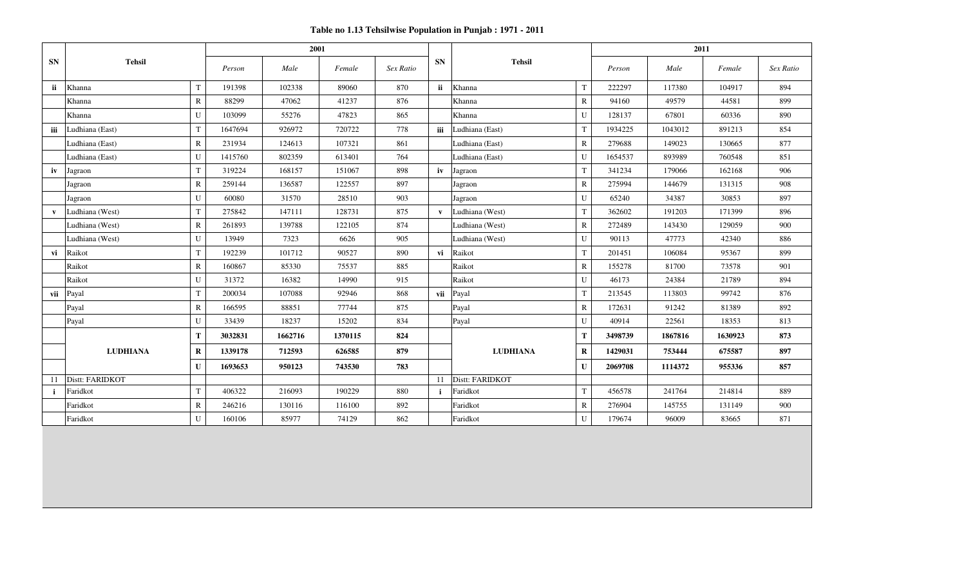**Table no 1.13 Tehsilwise Population in Punjab : 1971 - 2011**

|              |                 |              |         | 2001    |         |           |              |                 |              | 2011    |         |         |           |
|--------------|-----------------|--------------|---------|---------|---------|-----------|--------------|-----------------|--------------|---------|---------|---------|-----------|
| <b>SN</b>    | <b>Tehsil</b>   |              | Person  | Male    | Female  | Sex Ratio | <b>SN</b>    | <b>Tehsil</b>   |              | Person  | Male    | Female  | Sex Ratio |
| ii.          | Khanna          | $\mathbf T$  | 191398  | 102338  | 89060   | 870       | ii.          | Khanna          | T            | 222297  | 117380  | 104917  | 894       |
|              | Khanna          | $\mathbb{R}$ | 88299   | 47062   | 41237   | 876       |              | Khanna          | $\mathbb{R}$ | 94160   | 49579   | 44581   | 899       |
|              | Khanna          | U            | 103099  | 55276   | 47823   | 865       |              | Khanna          | U            | 128137  | 67801   | 60336   | 890       |
| iii          | Ludhiana (East) | $\mathbf T$  | 1647694 | 926972  | 720722  | 778       | iii          | Ludhiana (East) | T            | 1934225 | 1043012 | 891213  | 854       |
|              | Ludhiana (East) | $\mathbb{R}$ | 231934  | 124613  | 107321  | 861       |              | Ludhiana (East) | $\mathbb{R}$ | 279688  | 149023  | 130665  | 877       |
|              | Ludhiana (East) | U            | 1415760 | 802359  | 613401  | 764       |              | Ludhiana (East) | U            | 1654537 | 893989  | 760548  | 851       |
| iv           | Jagraon         | $\mathbf T$  | 319224  | 168157  | 151067  | 898       | iv           | Jagraon         | T            | 341234  | 179066  | 162168  | 906       |
|              | Jagraon         | $\mathbb{R}$ | 259144  | 136587  | 122557  | 897       |              | Jagraon         | $\mathbb{R}$ | 275994  | 144679  | 131315  | 908       |
|              | Jagraon         | ${\bf U}$    | 60080   | 31570   | 28510   | 903       |              | Jagraon         | U            | 65240   | 34387   | 30853   | 897       |
| $\mathbf{v}$ | Ludhiana (West) | $\mathbf T$  | 275842  | 147111  | 128731  | 875       | $\mathbf{v}$ | Ludhiana (West) | T            | 362602  | 191203  | 171399  | 896       |
|              | Ludhiana (West) | $\mathbb{R}$ | 261893  | 139788  | 122105  | 874       |              | Ludhiana (West) | $\mathbb{R}$ | 272489  | 143430  | 129059  | 900       |
|              | Ludhiana (West) | U            | 13949   | 7323    | 6626    | 905       |              | Ludhiana (West) | U            | 90113   | 47773   | 42340   | 886       |
| vi           | Raikot          | $\mathbf T$  | 192239  | 101712  | 90527   | 890       | vi           | Raikot          | T            | 201451  | 106084  | 95367   | 899       |
|              | Raikot          | $\mathbb{R}$ | 160867  | 85330   | 75537   | 885       |              | Raikot          | $\mathbb{R}$ | 155278  | 81700   | 73578   | 901       |
|              | Raikot          | U            | 31372   | 16382   | 14990   | 915       |              | Raikot          | U            | 46173   | 24384   | 21789   | 894       |
| vii          | Payal           | $\mathbf T$  | 200034  | 107088  | 92946   | 868       | vii          | Payal           | $\mathbf T$  | 213545  | 113803  | 99742   | 876       |
|              | Payal           | ${\bf R}$    | 166595  | 88851   | 77744   | 875       |              | Payal           | ${\bf R}$    | 172631  | 91242   | 81389   | 892       |
|              | Payal           | U            | 33439   | 18237   | 15202   | 834       |              | Payal           | $\mathbf U$  | 40914   | 22561   | 18353   | 813       |
|              |                 | T            | 3032831 | 1662716 | 1370115 | 824       |              |                 | T            | 3498739 | 1867816 | 1630923 | 873       |
|              | <b>LUDHIANA</b> | $\bf R$      | 1339178 | 712593  | 626585  | 879       |              | <b>LUDHIANA</b> | $\bf R$      | 1429031 | 753444  | 675587  | 897       |
|              |                 | $\mathbf{U}$ | 1693653 | 950123  | 743530  | 783       |              | $\mathbf{U}$    |              | 2069708 | 1114372 | 955336  | 857       |
| 11           | Distt: FARIDKOT |              |         |         |         |           | -11          | Distt: FARIDKOT |              |         |         |         |           |
| $\mathbf{i}$ | Faridkot        | $\mathbf T$  | 406322  | 216093  | 190229  | 880       |              | Faridkot        | T            | 456578  | 241764  | 214814  | 889       |
|              | Faridkot        | $\mathbf R$  | 246216  | 130116  | 116100  | 892       |              | Faridkot        | $\mathbf R$  | 276904  | 145755  | 131149  | 900       |
|              | Faridkot        | U            | 160106  | 85977   | 74129   | 862       |              | Faridkot        | U            | 179674  | 96009   | 83665   | 871       |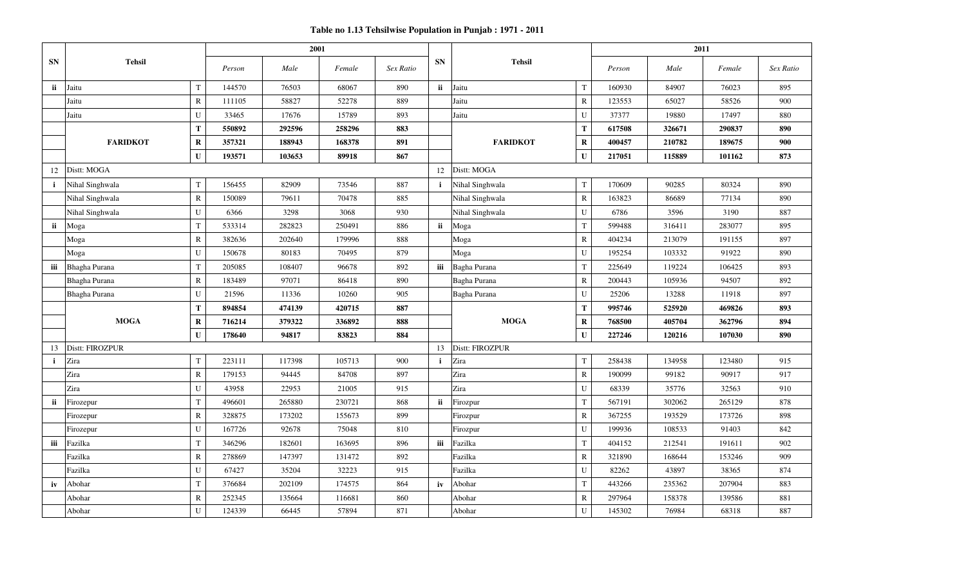|              |                      |              |        | 2001   |        |           |              |                 |              |        | 2011   |        |           |
|--------------|----------------------|--------------|--------|--------|--------|-----------|--------------|-----------------|--------------|--------|--------|--------|-----------|
| SN           | <b>Tehsil</b>        |              | Person | Male   | Female | Sex Ratio | <b>SN</b>    | <b>Tehsil</b>   |              | Person | Male   | Female | Sex Ratio |
| ii           | Jaitu                | $\mathbf T$  | 144570 | 76503  | 68067  | 890       | ii           | Jaitu           | $\mathbf T$  | 160930 | 84907  | 76023  | 895       |
|              | Jaitu                | $\mathbb{R}$ | 111105 | 58827  | 52278  | 889       |              | Jaitu           | $\mathbf R$  | 123553 | 65027  | 58526  | 900       |
|              | Jaitu                | U            | 33465  | 17676  | 15789  | 893       |              | Jaitu           | $\mathbf U$  | 37377  | 19880  | 17497  | 880       |
|              |                      | T            | 550892 | 292596 | 258296 | 883       |              |                 | ${\bf T}$    | 617508 | 326671 | 290837 | 890       |
|              | <b>FARIDKOT</b>      | $\mathbf R$  | 357321 | 188943 | 168378 | 891       |              | <b>FARIDKOT</b> | $\mathbf R$  | 400457 | 210782 | 189675 | 900       |
|              |                      | $\mathbf{U}$ | 193571 | 103653 | 89918  | 867       |              |                 | $\mathbf U$  | 217051 | 115889 | 101162 | 873       |
| 12           | Distt: MOGA          |              |        |        |        |           | 12           | Distt: MOGA     |              |        |        |        |           |
| $\mathbf{i}$ | Nihal Singhwala      | $\mathbf T$  | 156455 | 82909  | 73546  | 887       | $\mathbf{i}$ | Nihal Singhwala | $\mathbf T$  | 170609 | 90285  | 80324  | 890       |
|              | Nihal Singhwala      | ${\bf R}$    | 150089 | 79611  | 70478  | 885       |              | Nihal Singhwala | ${\bf R}$    | 163823 | 86689  | 77134  | 890       |
|              | Nihal Singhwala      | U            | 6366   | 3298   | 3068   | 930       |              | Nihal Singhwala | $\mathbf U$  | 6786   | 3596   | 3190   | 887       |
| ii.          | Moga                 | $\mathbf T$  | 533314 | 282823 | 250491 | 886       | <i>ii</i>    | Moga            | $\mathbf T$  | 599488 | 316411 | 283077 | 895       |
|              | Moga                 | $\mathbb{R}$ | 382636 | 202640 | 179996 | 888       |              | Moga            | $\mathbf R$  | 404234 | 213079 | 191155 | 897       |
|              | Moga                 | U            | 150678 | 80183  | 70495  | 879       |              | Moga            | $\mathbf U$  | 195254 | 103332 | 91922  | 890       |
| iii          | <b>Bhagha Purana</b> | $\mathbf T$  | 205085 | 108407 | 96678  | 892       | iii          | Bagha Purana    | $\mathbf T$  | 225649 | 119224 | 106425 | 893       |
|              | Bhagha Purana        | $\mathbb{R}$ | 183489 | 97071  | 86418  | 890       |              | Bagha Purana    | ${\bf R}$    | 200443 | 105936 | 94507  | 892       |
|              | <b>Bhagha Purana</b> | U            | 21596  | 11336  | 10260  | 905       |              | Bagha Purana    | U            | 25206  | 13288  | 11918  | 897       |
|              |                      | T            | 894854 | 474139 | 420715 | 887       |              |                 | $\mathbf T$  | 995746 | 525920 | 469826 | 893       |
|              | <b>MOGA</b>          | $\bf R$      | 716214 | 379322 | 336892 | 888       |              | <b>MOGA</b>     | $\mathbf R$  | 768500 | 405704 | 362796 | 894       |
|              |                      | $\mathbf{U}$ | 178640 | 94817  | 83823  | 884       |              |                 | $\mathbf U$  | 227246 | 120216 | 107030 | 890       |
| 13           | Distt: FIROZPUR      |              |        |        |        |           | 13           | Distt: FIROZPUR |              |        |        |        |           |
| $\mathbf{i}$ | Zira                 | $\mathbf T$  | 223111 | 117398 | 105713 | 900       | $\mathbf{i}$ | Zira            | $\mathbf T$  | 258438 | 134958 | 123480 | 915       |
|              | Zira                 | $\mathbb{R}$ | 179153 | 94445  | 84708  | 897       |              | Zira            | ${\bf R}$    | 190099 | 99182  | 90917  | 917       |
|              | Zira                 | U            | 43958  | 22953  | 21005  | 915       |              | Zira            | ${\bf U}$    | 68339  | 35776  | 32563  | 910       |
| ii           | Firozepur            | $\mathbf T$  | 496601 | 265880 | 230721 | 868       | ii           | Firozpur        | $\mathbf T$  | 567191 | 302062 | 265129 | 878       |
|              | Firozepur            | ${\bf R}$    | 328875 | 173202 | 155673 | 899       |              | Firozpur        | $\mathbb R$  | 367255 | 193529 | 173726 | 898       |
|              | Firozepur            | U            | 167726 | 92678  | 75048  | 810       |              | Firozpur        | $\mathbf U$  | 199936 | 108533 | 91403  | 842       |
| iii          | Fazilka              | T            | 346296 | 182601 | 163695 | 896       | iii          | Fazilka         | $\mathbf T$  | 404152 | 212541 | 191611 | 902       |
|              | Fazilka              | $\mathbb{R}$ | 278869 | 147397 | 131472 | 892       |              | Fazilka         | $\mathbb{R}$ | 321890 | 168644 | 153246 | 909       |
|              | Fazilka              | U            | 67427  | 35204  | 32223  | 915       |              | Fazilka         | $\mathbf U$  | 82262  | 43897  | 38365  | 874       |
| iv           | Abohar               | $\mathbf T$  | 376684 | 202109 | 174575 | 864       | iv           | Abohar          | $\mathbf T$  | 443266 | 235362 | 207904 | 883       |
|              | Abohar               | $\mathbb{R}$ | 252345 | 135664 | 116681 | 860       |              | Abohar          | ${\bf R}$    | 297964 | 158378 | 139586 | 881       |
|              | Abohar               | $\mathbf{U}$ | 124339 | 66445  | 57894  | 871       |              | Abohar          | U            | 145302 | 76984  | 68318  | 887       |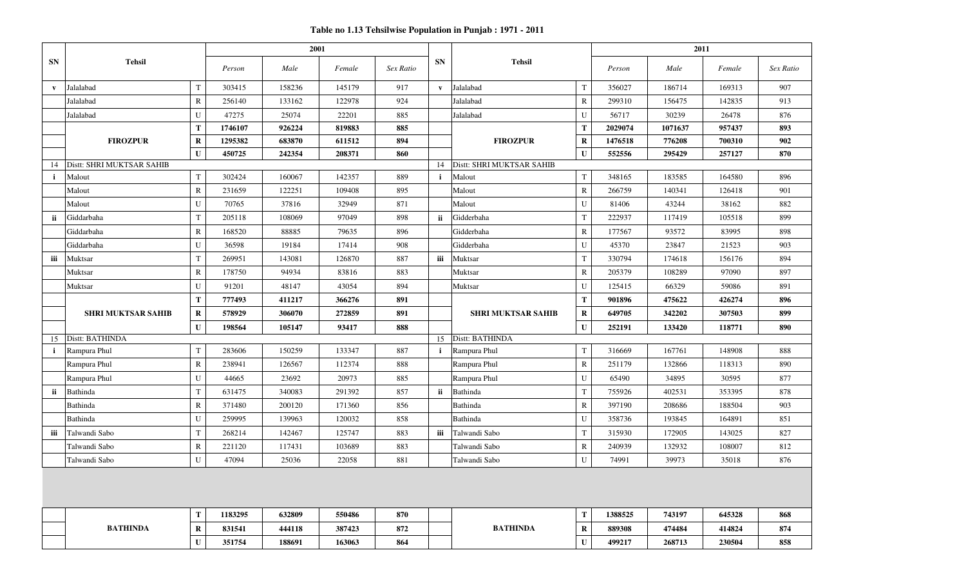|              |                           |              |         | 2001   |        |           |              |                           |              |         | 2011    |        |           |
|--------------|---------------------------|--------------|---------|--------|--------|-----------|--------------|---------------------------|--------------|---------|---------|--------|-----------|
| <b>SN</b>    | <b>Tehsil</b>             |              | Person  | Male   | Female | Sex Ratio | <b>SN</b>    | <b>Tehsil</b>             |              | Person  | Male    | Female | Sex Ratio |
| $\mathbf{v}$ | Jalalabad                 | $\mathbf T$  | 303415  | 158236 | 145179 | 917       | $\mathbf{v}$ | Jalalabad                 | $\mathbf T$  | 356027  | 186714  | 169313 | 907       |
|              | Jalalabad                 | $\mathbb{R}$ | 256140  | 133162 | 122978 | 924       |              | Jalalabad                 | $\mathbb{R}$ | 299310  | 156475  | 142835 | 913       |
|              | Jalalabad                 | U            | 47275   | 25074  | 22201  | 885       |              | Jalalabad                 | U            | 56717   | 30239   | 26478  | 876       |
|              |                           | T            | 1746107 | 926224 | 819883 | 885       |              |                           | T            | 2029074 | 1071637 | 957437 | 893       |
|              | <b>FIROZPUR</b>           | $\bf R$      | 1295382 | 683870 | 611512 | 894       |              | <b>FIROZPUR</b>           | $\mathbf R$  | 1476518 | 776208  | 700310 | 902       |
|              |                           | U            | 450725  | 242354 | 208371 | 860       |              |                           | $\mathbf U$  | 552556  | 295429  | 257127 | 870       |
| 14           | Distt: SHRI MUKTSAR SAHIB |              |         |        |        |           | 14           | Distt: SHRI MUKTSAR SAHIB |              |         |         |        |           |
|              | Malout                    | $\mathbf T$  | 302424  | 160067 | 142357 | 889       | $\mathbf{i}$ | Malout                    | T            | 348165  | 183585  | 164580 | 896       |
|              | Malout                    | $\mathbb{R}$ | 231659  | 122251 | 109408 | 895       |              | Malout                    | $\mathbf R$  | 266759  | 140341  | 126418 | 901       |
|              | Malout                    | U            | 70765   | 37816  | 32949  | 871       |              | Malout                    | U            | 81406   | 43244   | 38162  | 882       |
| ii           | Giddarbaha                | T            | 205118  | 108069 | 97049  | 898       | ii.          | Gidderbaha                | T            | 222937  | 117419  | 105518 | 899       |
|              | Giddarbaha                | $\mathbb{R}$ | 168520  | 88885  | 79635  | 896       |              | Gidderbaha                | $\bf R$      | 177567  | 93572   | 83995  | 898       |
|              | Giddarbaha                | U            | 36598   | 19184  | 17414  | 908       |              | Gidderbaha                | U            | 45370   | 23847   | 21523  | 903       |
| iii          | Muktsar                   | $\mathbf T$  | 269951  | 143081 | 126870 | 887       | iii          | Muktsar                   | $\mathbf T$  | 330794  | 174618  | 156176 | 894       |
|              | Muktsar                   | $\mathbb{R}$ | 178750  | 94934  | 83816  | 883       |              | Muktsar                   | $\mathbb{R}$ | 205379  | 108289  | 97090  | 897       |
|              | Muktsar                   | U            | 91201   | 48147  | 43054  | 894       |              | Muktsar                   | U            | 125415  | 66329   | 59086  | 891       |
|              |                           | T            | 777493  | 411217 | 366276 | 891       |              |                           | T            | 901896  | 475622  | 426274 | 896       |
|              | <b>SHRI MUKTSAR SAHIB</b> | $\bf R$      | 578929  | 306070 | 272859 | 891       |              | <b>SHRI MUKTSAR SAHIB</b> | $\bf R$      | 649705  | 342202  | 307503 | 899       |
|              |                           | $\mathbf U$  | 198564  | 105147 | 93417  | 888       |              |                           | $\mathbf{U}$ | 252191  | 133420  | 118771 | 890       |
| 15           | Distt: BATHINDA           |              |         |        |        |           |              | 15 Distt: BATHINDA        |              |         |         |        |           |
| i.           | Rampura Phul              | $\mathbf T$  | 283606  | 150259 | 133347 | 887       | $\mathbf{i}$ | Rampura Phul              | T            | 316669  | 167761  | 148908 | 888       |
|              | Rampura Phul              | $\mathbb{R}$ | 238941  | 126567 | 112374 | 888       |              | Rampura Phul              | $\mathbb{R}$ | 251179  | 132866  | 118313 | 890       |
|              | Rampura Phul              | U            | 44665   | 23692  | 20973  | 885       |              | Rampura Phul              | U            | 65490   | 34895   | 30595  | 877       |
| ii           | Bathinda                  | $\mathbf T$  | 631475  | 340083 | 291392 | 857       | ii           | Bathinda                  | $\mathbf T$  | 755926  | 402531  | 353395 | 878       |
|              | Bathinda                  | $\mathbb{R}$ | 371480  | 200120 | 171360 | 856       |              | Bathinda                  | $\mathbb{R}$ | 397190  | 208686  | 188504 | 903       |
|              | Bathinda                  | U            | 259995  | 139963 | 120032 | 858       |              | Bathinda                  | U            | 358736  | 193845  | 164891 | 851       |
| iii          | Talwandi Sabo             | T            | 268214  | 142467 | 125747 | 883       | iii          | Talwandi Sabo             | $\mathbf T$  | 315930  | 172905  | 143025 | 827       |
|              | Talwandi Sabo             | $\mathbb{R}$ | 221120  | 117431 | 103689 | 883       |              | Talwandi Sabo             | $\mathbb{R}$ | 240939  | 132932  | 108007 | 812       |
|              | Talwandi Sabo             | U            | 47094   | 25036  | 22058  | 881       |              | Talwandi Sabo             | U            | 74991   | 39973   | 35018  | 876       |
|              |                           |              |         |        |        |           |              |                           |              |         |         |        |           |
|              |                           | T            | 1183295 | 632809 | 550486 | 870       |              |                           | Т            | 1388525 | 743197  | 645328 | 868       |
|              | <b>BATHINDA</b>           | $\bf R$      | 831541  | 444118 | 387423 | 872       |              | <b>BATHINDA</b>           | $\mathbf R$  | 889308  | 474484  | 414824 | 874       |
|              |                           | U            | 351754  | 188691 | 163063 | 864       |              |                           | $\mathbf{U}$ | 499217  | 268713  | 230504 | 858       |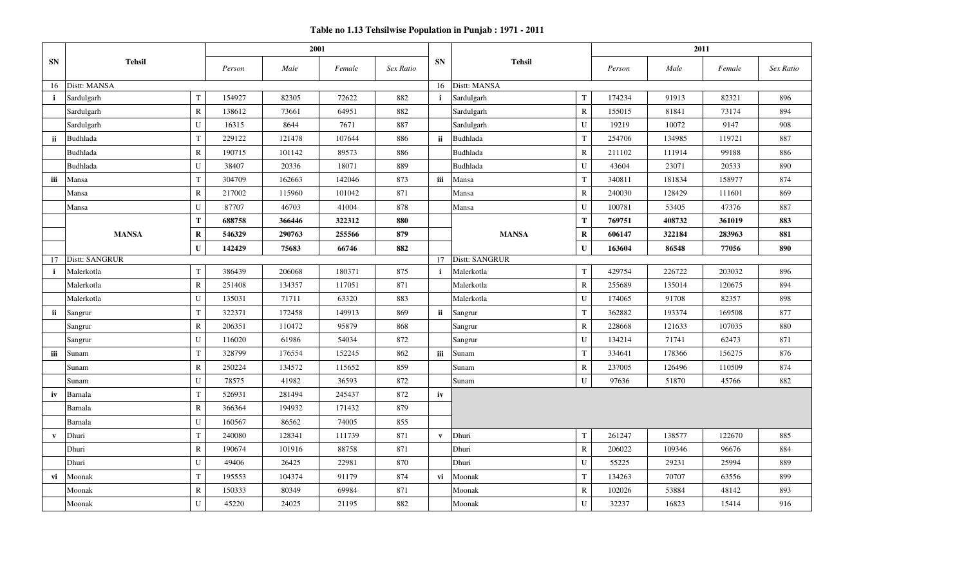|              |                |             | 2001   |        |        |           |              |                       |                | 2011   |        |        |           |
|--------------|----------------|-------------|--------|--------|--------|-----------|--------------|-----------------------|----------------|--------|--------|--------|-----------|
| <b>SN</b>    | <b>Tehsil</b>  |             | Person | Male   | Female | Sex Ratio | <b>SN</b>    | <b>Tehsil</b>         |                | Person | Male   | Female | Sex Ratio |
| 16           | Distt: MANSA   |             |        |        |        |           | 16           | Distt: MANSA          |                |        |        |        |           |
| $\mathbf{i}$ | Sardulgarh     | $\mathbf T$ | 154927 | 82305  | 72622  | 882       | $\mathbf{i}$ | Sardulgarh            | $\mathbf T$    | 174234 | 91913  | 82321  | 896       |
|              | Sardulgarh     | ${\bf R}$   | 138612 | 73661  | 64951  | 882       |              | Sardulgarh            | ${\mathsf R}$  | 155015 | 81841  | 73174  | 894       |
|              | Sardulgarh     | ${\bf U}$   | 16315  | 8644   | 7671   | 887       |              | Sardulgarh            | ${\bf U}$      | 19219  | 10072  | 9147   | 908       |
| ii           | Budhlada       | $\mathbf T$ | 229122 | 121478 | 107644 | 886       | ii           | Budhlada              | $\mathbf T$    | 254706 | 134985 | 119721 | 887       |
|              | Budhlada       | ${\bf R}$   | 190715 | 101142 | 89573  | 886       |              | Budhlada              | ${\bf R}$      | 211102 | 111914 | 99188  | 886       |
|              | Budhlada       | U           | 38407  | 20336  | 18071  | 889       |              | Budhlada              | $\overline{U}$ | 43604  | 23071  | 20533  | 890       |
| iii          | Mansa          | T           | 304709 | 162663 | 142046 | 873       | iii          | Mansa                 | T              | 340811 | 181834 | 158977 | 874       |
|              | Mansa          | $\mathbf R$ | 217002 | 115960 | 101042 | 871       |              | Mansa                 | $\mathbb{R}$   | 240030 | 128429 | 111601 | 869       |
|              | Mansa          | U           | 87707  | 46703  | 41004  | 878       |              | Mansa                 | U              | 100781 | 53405  | 47376  | 887       |
|              |                | T           | 688758 | 366446 | 322312 | 880       |              |                       | T              | 769751 | 408732 | 361019 | 883       |
|              | <b>MANSA</b>   | $\bf R$     | 546329 | 290763 | 255566 | 879       |              | <b>MANSA</b>          | $\mathbf R$    |        | 322184 | 283963 | 881       |
|              |                | $\mathbf U$ | 142429 | 75683  | 66746  | 882       |              |                       | $\mathbf U$    | 163604 | 86548  | 77056  | 890       |
| 17           | Distt: SANGRUR |             |        |        |        |           | 17           | <b>Distt: SANGRUR</b> |                |        |        |        |           |
| $\mathbf{i}$ | Malerkotla     | $\mathbf T$ | 386439 | 206068 | 180371 | 875       | $\mathbf{i}$ | Malerkotla            | $\rm T$        | 429754 | 226722 | 203032 | 896       |
|              | Malerkotla     | ${\bf R}$   | 251408 | 134357 | 117051 | 871       |              | Malerkotla            | ${\mathbb R}$  | 255689 | 135014 | 120675 | 894       |
|              | Malerkotla     | U           | 135031 | 71711  | 63320  | 883       |              | Malerkotla            | U              | 174065 | 91708  | 82357  | 898       |
| ii           | Sangrur        | T           | 322371 | 172458 | 149913 | 869       | ii           | Sangrur               | $\mathbf T$    | 362882 | 193374 | 169508 | 877       |
|              | Sangrur        | $\mathbf R$ | 206351 | 110472 | 95879  | 868       |              | Sangrur               | $\mathbb{R}$   | 228668 | 121633 | 107035 | 880       |
|              | Sangrur        | U           | 116020 | 61986  | 54034  | 872       |              | Sangrur               | U              | 134214 | 71741  | 62473  | 871       |
| iii          | Sunam          | $\mathbf T$ | 328799 | 176554 | 152245 | 862       | iii          | Sunam                 | $\mathbf T$    | 334641 | 178366 | 156275 | 876       |
|              | Sunam          | $\mathbf R$ | 250224 | 134572 | 115652 | 859       |              | Sunam                 | ${\mathbb R}$  | 237005 | 126496 | 110509 | 874       |
|              | Sunam          | ${\bf U}$   | 78575  | 41982  | 36593  | 872       |              | Sunam                 | U              | 97636  | 51870  | 45766  | 882       |
| iv           | Barnala        | $\mathbf T$ | 526931 | 281494 | 245437 | 872       | iv           |                       |                |        |        |        |           |
|              | Barnala        | ${\bf R}$   | 366364 | 194932 | 171432 | 879       |              |                       |                |        |        |        |           |
|              | Barnala        | $\mathbf U$ | 160567 | 86562  | 74005  | 855       |              |                       |                |        |        |        |           |
| $\mathbf{v}$ | Dhuri          | T           | 240080 | 128341 | 111739 | 871       | $\mathbf{v}$ | Dhuri                 | $\mathbf T$    | 261247 | 138577 | 122670 | 885       |
|              | Dhuri          | $\mathbf R$ | 190674 | 101916 | 88758  | 871       |              | Dhuri                 | $\mathbb{R}$   | 206022 | 109346 | 96676  | 884       |
|              | Dhuri          | U           | 49406  | 26425  | 22981  | 870       |              | Dhuri                 | U              | 55225  | 29231  | 25994  | 889       |
| vi           | Moonak         | $\mathbf T$ | 195553 | 104374 | 91179  | 874       | vi           | Moonak                | $\mathbf T$    | 134263 | 70707  | 63556  | 899       |
|              | Moonak         | $\mathbf R$ | 150333 | 80349  | 69984  | 871       |              | Moonak                | $\mathbb{R}$   | 102026 | 53884  | 48142  | 893       |
|              | Moonak         | U           | 45220  | 24025  | 21195  | 882       |              | Moonak                | $\mathbf U$    | 32237  | 16823  | 15414  | 916       |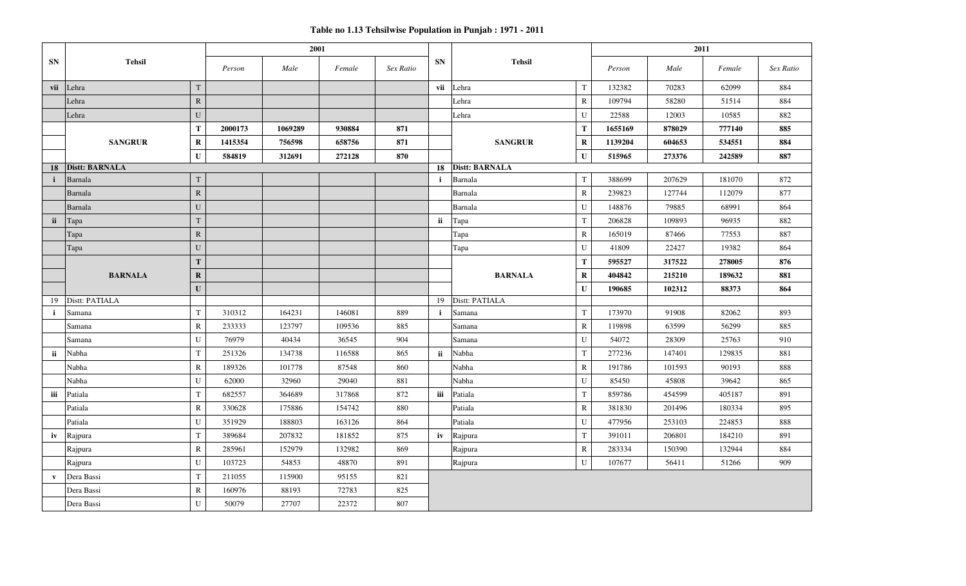**Table no 1.13 Tehsilwise Population in Punjab : 1971 - 2011**

|              |                       |              |         | 2001    |        |           | 2011         |                       |              |         |        |        |           |
|--------------|-----------------------|--------------|---------|---------|--------|-----------|--------------|-----------------------|--------------|---------|--------|--------|-----------|
| <b>SN</b>    | <b>Tehsil</b>         |              | Person  | Male    | Female | Sex Ratio | <b>SN</b>    | <b>Tehsil</b>         |              | Person  | Male   | Female | Sex Ratio |
| vii          | Lehra                 | T            |         |         |        |           | vii          | Lehra                 | $\mathbf T$  | 132382  | 70283  | 62099  | 884       |
|              | Lehra                 | $\mathbf{R}$ |         |         |        |           |              | Lehra                 | ${\bf R}$    | 109794  | 58280  | 51514  | 884       |
|              | Lehra                 | U            |         |         |        |           |              | Lehra                 | ${\bf U}$    | 22588   | 12003  | 10585  | 882       |
|              |                       | T            | 2000173 | 1069289 | 930884 | 871       |              |                       | $\mathbf T$  | 1655169 | 878029 | 777140 | 885       |
|              | <b>SANGRUR</b>        | $\mathbf R$  | 1415354 | 756598  | 658756 | 871       |              | <b>SANGRUR</b>        | $\mathbf R$  | 1139204 | 604653 | 534551 | 884       |
|              |                       | ${\bf U}$    | 584819  | 312691  | 272128 | 870       |              |                       | $\mathbf U$  | 515965  | 273376 | 242589 | 887       |
| 18           | <b>Distt: BARNALA</b> |              |         |         |        |           | 18           | <b>Distt: BARNALA</b> |              |         |        |        |           |
|              | Barnala               | T            |         |         |        |           | $\mathbf{i}$ | Barnala               | T            | 388699  | 207629 | 181070 | 872       |
|              | Barnala               | $\mathbb{R}$ |         |         |        |           |              | Barnala               | $\mathbf R$  | 239823  | 127744 | 112079 | 877       |
|              | Barnala               | U            |         |         |        |           |              | Barnala               | ${\bf U}$    | 148876  | 79885  | 68991  | 864       |
| ii           | Tapa                  | T            |         |         |        |           | ii           | Tapa                  | T            | 206828  | 109893 | 96935  | 882       |
|              | Tapa                  | $\mathbf{R}$ |         |         |        |           |              | Tapa                  | ${\bf R}$    | 165019  | 87466  | 77553  | 887       |
|              | Tapa                  | U            |         |         |        |           |              | Tapa                  | ${\bf U}$    | 41809   | 22427  | 19382  | 864       |
|              |                       | T            |         |         |        |           |              |                       | $\mathbf T$  | 595527  | 317522 | 278005 | 876       |
|              | <b>BARNALA</b>        | $\mathbf R$  |         |         |        |           |              | <b>BARNALA</b>        | $\mathbf R$  | 404842  | 215210 | 189632 | 881       |
|              |                       | $\mathbf{U}$ |         |         |        |           |              |                       | $\mathbf{U}$ | 190685  | 102312 | 88373  | 864       |
| 19           | Distt: PATIALA        |              |         |         |        |           | 19           | Distt: PATIALA        |              |         |        |        |           |
| $\mathbf{i}$ | Samana                | T            | 310312  | 164231  | 146081 | 889       | $\mathbf{i}$ | Samana                | $\mathbf T$  | 173970  | 91908  | 82062  | 893       |
|              | Samana                | $\mathbb{R}$ | 233333  | 123797  | 109536 | 885       |              | Samana                | $\mathbb{R}$ | 119898  | 63599  | 56299  | 885       |
|              | Samana                | U            | 76979   | 40434   | 36545  | 904       |              | Samana                | U            | 54072   | 28309  | 25763  | 910       |
| ii           | Nabha                 | $\mathbf T$  | 251326  | 134738  | 116588 | 865       | ii           | Nabha                 | $\mathbf T$  | 277236  | 147401 | 129835 | 881       |
|              | Nabha                 | ${\bf R}$    | 189326  | 101778  | 87548  | 860       |              | Nabha                 | ${\bf R}$    | 191786  | 101593 | 90193  | 888       |
|              | Nabha                 | U            | 62000   | 32960   | 29040  | 881       |              | Nabha                 | ${\bf U}$    | 85450   | 45808  | 39642  | 865       |
| iii          | Patiala               | $\mathbf T$  | 682557  | 364689  | 317868 | 872       | iii          | Patiala               | $\mathbf T$  | 859786  | 454599 | 405187 | 891       |
|              | Patiala               | ${\bf R}$    | 330628  | 175886  | 154742 | 880       |              | Patiala               | ${\bf R}$    | 381830  | 201496 | 180334 | 895       |
|              | Patiala               | U            | 351929  | 188803  | 163126 | 864       |              | Patiala               | $\mathbf U$  | 477956  | 253103 | 224853 | 888       |
| iv           | Rajpura               | T            | 389684  | 207832  | 181852 | 875       | iv           | Rajpura               | $\mathbf T$  | 391011  | 206801 | 184210 | 891       |
|              | Rajpura               | $\mathbb{R}$ | 285961  | 152979  | 132982 | 869       |              | Rajpura               | ${\bf R}$    | 283334  | 150390 | 132944 | 884       |
|              | Rajpura               | U            | 103723  | 54853   | 48870  | 891       |              | Rajpura               | ${\bf U}$    | 107677  | 56411  | 51266  | 909       |
| $\mathbf{v}$ | Dera Bassi            | T            | 211055  | 115900  | 95155  | 821       |              |                       |              |         |        |        |           |
|              | Dera Bassi            | $\mathbb{R}$ | 160976  | 88193   | 72783  | 825       |              |                       |              |         |        |        |           |
|              | Dera Bassi            | U            | 50079   | 27707   | 22372  | 807       |              |                       |              |         |        |        |           |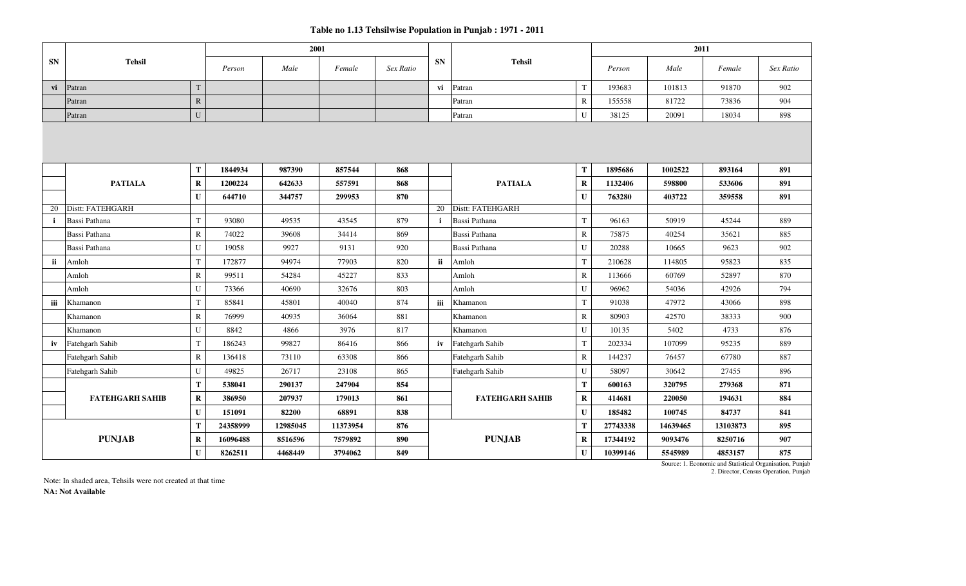|           |                        |              |          | 2001     |          |           |              |                        |                         |          | 2011     |          |           |
|-----------|------------------------|--------------|----------|----------|----------|-----------|--------------|------------------------|-------------------------|----------|----------|----------|-----------|
| <b>SN</b> | <b>Tehsil</b>          |              | Person   | Male     | Female   | Sex Ratio | <b>SN</b>    | <b>Tehsil</b>          |                         | Person   | Male     | Female   | Sex Ratio |
| vi        | Patran                 | T            |          |          |          |           | vi           | Patran                 | $\mathbf T$             | 193683   | 101813   | 91870    | 902       |
|           | Patran                 | $\mathbb{R}$ |          |          |          |           |              | Patran                 | ${\bf R}$               | 155558   | 81722    | 73836    | 904       |
|           | Patran                 | ${\bf U}$    |          |          |          |           |              | Patran                 | ${\bf U}$               | 38125    | 20091    | 18034    | 898       |
|           |                        |              |          |          |          |           |              |                        |                         |          |          |          |           |
|           |                        | Т            | 1844934  | 987390   | 857544   | 868       |              |                        | T                       | 1895686  | 1002522  | 893164   | 891       |
|           | <b>PATIALA</b>         | $\bf R$      | 1200224  | 642633   | 557591   | 868       |              | <b>PATIALA</b>         | $\bf R$<br>$\mathbf{U}$ | 1132406  | 598800   | 533606   | 891       |
|           |                        | $\mathbf{U}$ | 644710   | 344757   | 299953   | 870       |              | Distt: FATEHGARH       |                         | 763280   | 403722   | 359558   | 891       |
| 20        | Distt: FATEHGARH       |              |          |          |          |           | 20           |                        |                         |          |          |          |           |
|           | Bassi Pathana          | T            | 93080    | 49535    | 43545    | 879       | $\mathbf{i}$ | Bassi Pathana          | T                       | 96163    | 50919    | 45244    | 889       |
|           | Bassi Pathana          | $\mathbb{R}$ | 74022    | 39608    | 34414    | 869       |              | Bassi Pathana          | $\mathbb{R}$            | 75875    | 40254    | 35621    | 885       |
|           | Bassi Pathana          | U            | 19058    | 9927     | 9131     | 920       |              | Bassi Pathana          | U                       | 20288    | 10665    | 9623     | 902       |
| ii        | Amloh                  | $\mathbf T$  | 172877   | 94974    | 77903    | 820       | ii           | Amloh                  | $\mathbf T$             | 210628   | 114805   | 95823    | 835       |
|           | Amloh                  | $\mathbb{R}$ | 99511    | 54284    | 45227    | 833       |              | Amloh                  | ${\bf R}$               | 113666   | 60769    | 52897    | 870       |
|           | Amloh                  | U            | 73366    | 40690    | 32676    | 803       |              | Amloh                  | U                       | 96962    | 54036    | 42926    | 794       |
| iii       | Khamanon               | $\mathbf T$  | 85841    | 45801    | 40040    | 874       | iii          | Khamanon               | $\mathbf T$             | 91038    | 47972    | 43066    | 898       |
|           | Khamanon               | ${\bf R}$    | 76999    | 40935    | 36064    | 881       |              | Khamanon               | $\mathbb{R}$            | 80903    | 42570    | 38333    | 900       |
|           | Khamanon               | U            | 8842     | 4866     | 3976     | 817       |              | Khamanon               | U                       | 10135    | 5402     | 4733     | 876       |
| iv        | Fatehgarh Sahib        | $\mathbf T$  | 186243   | 99827    | 86416    | 866       | iv           | Fatehgarh Sahib        | $\mathbf T$             | 202334   | 107099   | 95235    | 889       |
|           | Fatehgarh Sahib        | $\mathbb{R}$ | 136418   | 73110    | 63308    | 866       |              | Fatehgarh Sahib        | ${\bf R}$               | 144237   | 76457    | 67780    | 887       |
|           | Fatehgarh Sahib        | U            | 49825    | 26717    | 23108    | 865       |              | Fatehgarh Sahib        | U                       | 58097    | 30642    | 27455    | 896       |
|           |                        | T            | 538041   | 290137   | 247904   | 854       |              |                        | T                       | 600163   | 320795   | 279368   | 871       |
|           | <b>FATEHGARH SAHIB</b> | $\bf R$      | 386950   | 207937   | 179013   | 861       |              | <b>FATEHGARH SAHIB</b> | $\bf{R}$                | 414681   | 220050   | 194631   | 884       |
|           |                        | ${\bf U}$    | 151091   | 82200    | 68891    | 838       |              |                        | $\mathbf{U}$            | 185482   | 100745   | 84737    | 841       |
|           |                        | T            | 24358999 | 12985045 | 11373954 | 876       |              |                        | T                       | 27743338 | 14639465 | 13103873 | 895       |
|           | <b>PUNJAB</b>          | $\bf R$      | 16096488 | 8516596  | 7579892  | 890       |              | <b>PUNJAB</b>          | $\bf R$                 | 17344192 | 9093476  | 8250716  | 907       |
|           |                        | $\mathbf U$  | 8262511  | 4468449  | 3794062  | 849       |              |                        | $\mathbf U$             | 10399146 | 5545989  | 4853157  | 875       |

2. Director, Census Operation, Punjab Source: 1. Economic and Statistical Organisation, Punjab

Note: In shaded area, Tehsils were not created at that time **NA: Not Available**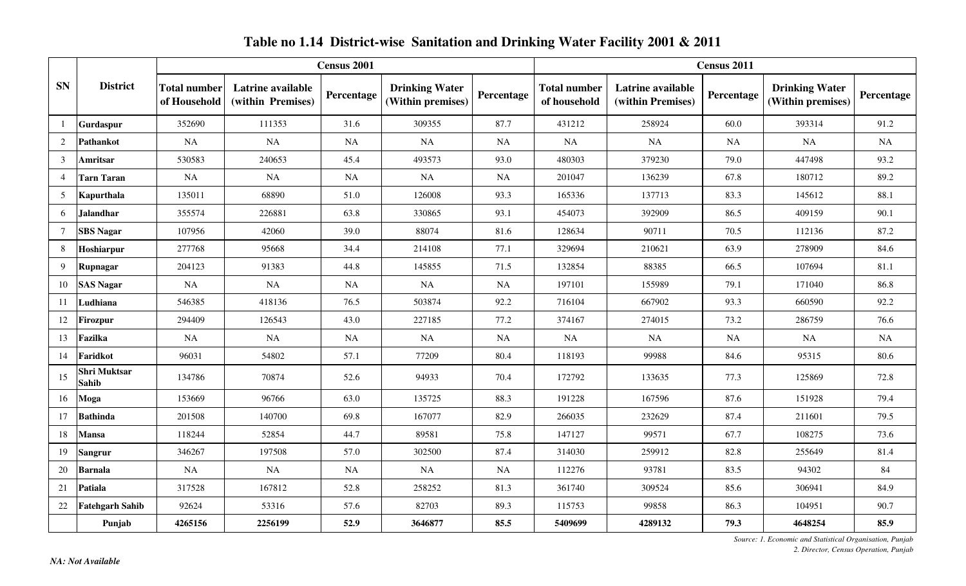|                |                              |                                     |                                        | Census 2001 |                                            |            |                                     |                                        | Census 2011 |                                            |            |
|----------------|------------------------------|-------------------------------------|----------------------------------------|-------------|--------------------------------------------|------------|-------------------------------------|----------------------------------------|-------------|--------------------------------------------|------------|
| <b>SN</b>      | <b>District</b>              | <b>Total number</b><br>of Household | Latrine available<br>(within Premises) | Percentage  | <b>Drinking Water</b><br>(Within premises) | Percentage | <b>Total number</b><br>of household | Latrine available<br>(within Premises) | Percentage  | <b>Drinking Water</b><br>(Within premises) | Percentage |
|                | Gurdaspur                    | 352690                              | 111353                                 | 31.6        | 309355                                     | 87.7       | 431212                              | 258924                                 | 60.0        | 393314                                     | 91.2       |
| 2              | Pathankot                    | NA                                  | NA                                     | NA          | NA                                         | NA         | <b>NA</b>                           | NA                                     | <b>NA</b>   | NA                                         | <b>NA</b>  |
| 3              | Amritsar                     | 530583                              | 240653                                 | 45.4        | 493573                                     | 93.0       | 480303                              | 379230                                 | 79.0        | 447498                                     | 93.2       |
| $\overline{4}$ | Tarn Taran                   | NA                                  | <b>NA</b>                              | NA          | NA                                         | NA         | 201047                              | 136239                                 | 67.8        | 180712                                     | 89.2       |
| 5              | Kapurthala                   | 135011                              | 68890                                  | 51.0        | 126008                                     | 93.3       | 165336                              | 137713                                 | 83.3        | 145612                                     | 88.1       |
| 6              | <b>Jalandhar</b>             | 355574                              | 226881                                 | 63.8        | 330865                                     | 93.1       | 454073                              | 392909                                 | 86.5        | 409159                                     | 90.1       |
| 7              | <b>SBS Nagar</b>             | 107956                              | 42060                                  | 39.0        | 88074                                      | 81.6       | 128634                              | 90711                                  | 70.5        | 112136                                     | 87.2       |
| 8              | Hoshiarpur                   | 277768                              | 95668                                  | 34.4        | 214108                                     | 77.1       | 329694                              | 210621                                 | 63.9        | 278909                                     | 84.6       |
| 9              | Rupnagar                     | 204123                              | 91383                                  | 44.8        | 145855                                     | 71.5       | 132854                              | 88385                                  | 66.5        | 107694                                     | 81.1       |
| 10             | <b>SAS Nagar</b>             | NA                                  | $\rm NA$                               | NA          | NA                                         | NA         | 197101                              | 155989                                 | 79.1        | 171040                                     | 86.8       |
| -11            | Ludhiana                     | 546385                              | 418136                                 | 76.5        | 503874                                     | 92.2       | 716104                              | 667902                                 | 93.3        | 660590                                     | 92.2       |
| 12             | <b>Firozpur</b>              | 294409                              | 126543                                 | 43.0        | 227185                                     | 77.2       | 374167                              | 274015                                 | 73.2        | 286759                                     | 76.6       |
| 13             | Fazilka                      | NA                                  | NA                                     | NA          | NA                                         | NA         | NA                                  | <b>NA</b>                              | NA          | NA                                         | NA         |
| 14             | Faridkot                     | 96031                               | 54802                                  | 57.1        | 77209                                      | 80.4       | 118193                              | 99988                                  | 84.6        | 95315                                      | 80.6       |
| 15             | <b>Shri Muktsar</b><br>Sahib | 134786                              | 70874                                  | 52.6        | 94933                                      | 70.4       | 172792                              | 133635                                 | 77.3        | 125869                                     | 72.8       |
| 16             | Moga                         | 153669                              | 96766                                  | 63.0        | 135725                                     | 88.3       | 191228                              | 167596                                 | 87.6        | 151928                                     | 79.4       |
| 17             | <b>Bathinda</b>              | 201508                              | 140700                                 | 69.8        | 167077                                     | 82.9       | 266035                              | 232629                                 | 87.4        | 211601                                     | 79.5       |
| 18             | Mansa                        | 118244                              | 52854                                  | 44.7        | 89581                                      | 75.8       | 147127                              | 99571                                  | 67.7        | 108275                                     | 73.6       |
| 19             | <b>Sangrur</b>               | 346267                              | 197508                                 | 57.0        | 302500                                     | 87.4       | 314030                              | 259912                                 | 82.8        | 255649                                     | 81.4       |
| 20             | <b>Barnala</b>               | NA                                  | NA                                     | NA          | NA                                         | NA         | 112276                              | 93781                                  | 83.5        | 94302                                      | 84         |
| 21             | Patiala                      | 317528                              | 167812                                 | 52.8        | 258252                                     | 81.3       | 361740                              | 309524                                 | 85.6        | 306941                                     | 84.9       |
| 22             | <b>Fatehgarh Sahib</b>       | 92624                               | 53316                                  | 57.6        | 82703                                      | 89.3       | 115753                              | 99858                                  | 86.3        | 104951                                     | 90.7       |
|                | Punjab                       | 4265156                             | 2256199                                | 52.9        | 3646877                                    | 85.5       | 5409699                             | 4289132                                | 79.3        | 4648254                                    | 85.9       |

### **Table no 1.14 District-wise Sanitation and Drinking Water Facility 2001 & 2011**

*Source: 1. Economic and Statistical Organisation, Punjab 2. Director, Census Operation, Punjab*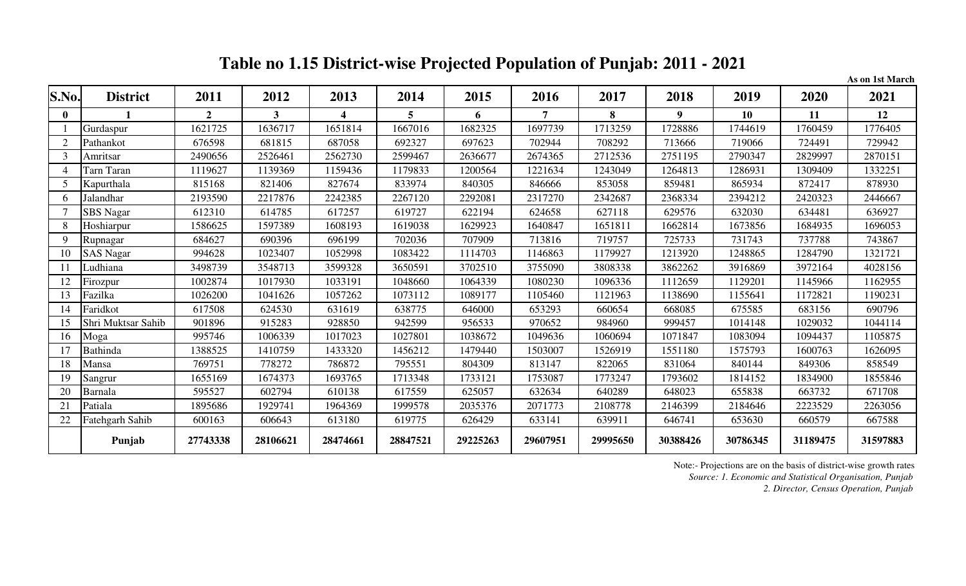## **Table no 1.15 District-wise Projected Population of Punjab: 2011 - 2021**

**As on 1st March**

| S.No.          | <b>District</b>    | 2011           | 2012     | 2013     | 2014     | 2015     | 2016     | 2017     | 2018           | 2019     | 2020     | 2021     |
|----------------|--------------------|----------------|----------|----------|----------|----------|----------|----------|----------------|----------|----------|----------|
| $\mathbf{0}$   |                    | $\overline{2}$ | 3        | 4        | 5        | 6        |          | 8        | 9 <sup>°</sup> | 10       | 11       | 12       |
|                | Gurdaspur          | 1621725        | 1636717  | 1651814  | 1667016  | 1682325  | 1697739  | 1713259  | 1728886        | 1744619  | 1760459  | 1776405  |
|                | Pathankot          | 676598         | 681815   | 687058   | 692327   | 697623   | 702944   | 708292   | 713666         | 719066   | 724491   | 729942   |
| $\mathcal{F}$  | Amritsar           | 2490656        | 2526461  | 2562730  | 2599467  | 2636677  | 2674365  | 2712536  | 2751195        | 2790347  | 2829997  | 2870151  |
|                | Tarn Taran         | 1119627        | 1139369  | 1159436  | 1179833  | 200564   | 1221634  | 1243049  | 1264813        | 1286931  | 1309409  | 1332251  |
| 5              | Kapurthala         | 815168         | 821406   | 827674   | 833974   | 840305   | 846666   | 853058   | 859481         | 865934   | 872417   | 878930   |
| 6              | Jalandhar          | 2193590        | 2217876  | 2242385  | 2267120  | 2292081  | 2317270  | 2342687  | 2368334        | 2394212  | 2420323  | 2446667  |
|                | SBS Nagar          | 612310         | 614785   | 617257   | 619727   | 622194   | 624658   | 627118   | 629576         | 632030   | 634481   | 636927   |
| 8              | Hoshiarpur         | 1586625        | 1597389  | 1608193  | 1619038  | 1629923  | 1640847  | 1651811  | 1662814        | 1673856  | 1684935  | 1696053  |
| $\mathbf Q$    | Rupnagar           | 684627         | 690396   | 696199   | 702036   | 707909   | 713816   | 719757   | 725733         | 731743   | 737788   | 743867   |
| 10             | <b>SAS Nagar</b>   | 994628         | 1023407  | 1052998  | 1083422  | 1114703  | 1146863  | 1179927  | 1213920        | 1248865  | 1284790  | 1321721  |
| $\overline{1}$ | Ludhiana           | 3498739        | 3548713  | 3599328  | 3650591  | 3702510  | 3755090  | 3808338  | 3862262        | 3916869  | 3972164  | 4028156  |
| 12             | Firozpur           | 1002874        | 1017930  | 1033191  | 1048660  | 1064339  | 1080230  | 1096336  | 1112659        | 1129201  | 1145966  | 1162955  |
|                | Fazilka            | 1026200        | 1041626  | 1057262  | 1073112  | 1089177  | 1105460  | 1121963  | 1138690        | 1155641  | 1172821  | 1190231  |
| 14             | Faridkot           | 617508         | 624530   | 631619   | 638775   | 646000   | 653293   | 660654   | 668085         | 675585   | 683156   | 690796   |
| 15             | Shri Muktsar Sahib | 901896         | 915283   | 928850   | 942599   | 956533   | 970652   | 984960   | 999457         | 1014148  | 1029032  | 1044114  |
| 16             | Moga               | 995746         | 1006339  | 1017023  | 1027801  | 1038672  | 1049636  | 1060694  | 1071847        | 1083094  | 1094437  | 1105875  |
| 17             | <b>Bathinda</b>    | 1388525        | 1410759  | 1433320  | 1456212  | 1479440  | 1503007  | 1526919  | 1551180        | 1575793  | 1600763  | 1626095  |
| 18             | Mansa              | 769751         | 778272   | 786872   | 795551   | 804309   | 813147   | 822065   | 831064         | 840144   | 849306   | 858549   |
| 19             | Sangrur            | 1655169        | 1674373  | 1693765  | 1713348  | 1733121  | 1753087  | 1773247  | 1793602        | 1814152  | 1834900  | 1855846  |
| 20             | Barnala            | 595527         | 602794   | 610138   | 617559   | 625057   | 632634   | 640289   | 648023         | 655838   | 663732   | 671708   |
| 21             | Patiala            | 1895686        | 1929741  | 1964369  | 1999578  | 2035376  | 2071773  | 2108778  | 2146399        | 2184646  | 2223529  | 2263056  |
| 22             | Fatehgarh Sahib    | 600163         | 606643   | 613180   | 619775   | 626429   | 633141   | 639911   | 646741         | 653630   | 660579   | 667588   |
|                | Punjab             | 27743338       | 28106621 | 28474661 | 28847521 | 29225263 | 29607951 | 29995650 | 30388426       | 30786345 | 31189475 | 31597883 |

Note:- Projections are on the basis of district-wise growth rates

*Source: 1. Economic and Statistical Organisation, Punjab*

*2. Director, Census Operation, Punjab*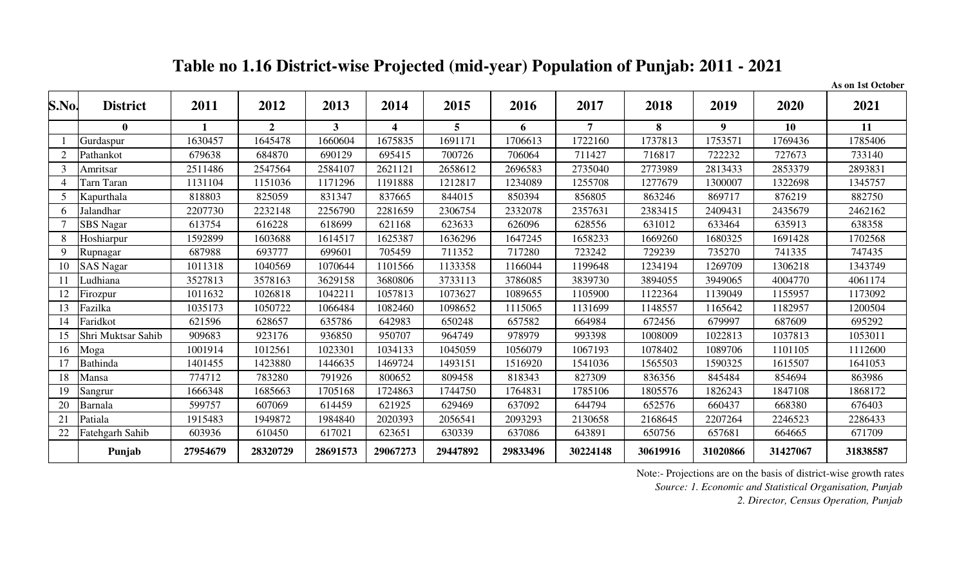**Table no 1.16 District-wise Projected (mid-year) Population of Punjab: 2011 - 2021**

**As on 1st October**

| S.No.          | <b>District</b>    | 2011     | 2012         | 2013        | 2014             | 2015     | 2016     | 2017           | 2018     | 2019     | 2020     | 2021     |
|----------------|--------------------|----------|--------------|-------------|------------------|----------|----------|----------------|----------|----------|----------|----------|
|                | $\mathbf{0}$       |          | $\mathbf{2}$ | $3^{\circ}$ | $\boldsymbol{4}$ | 5        | 6        | $\overline{7}$ | 8        | 9        | 10       | 11       |
|                | Gurdaspur          | 1630457  | 1645478      | 1660604     | 1675835          | 1691171  | 1706613  | 1722160        | 1737813  | 1753571  | 1769436  | 1785406  |
| $\overline{2}$ | Pathankot          | 679638   | 684870       | 690129      | 695415           | 700726   | 706064   | 711427         | 716817   | 722232   | 727673   | 733140   |
| $\overline{3}$ | Amritsar           | 2511486  | 2547564      | 2584107     | 2621121          | 2658612  | 2696583  | 2735040        | 2773989  | 2813433  | 2853379  | 2893831  |
| $\overline{4}$ | Tarn Taran         | 1131104  | 1151036      | 1171296     | 1191888          | 1212817  | 1234089  | 1255708        | 1277679  | 1300007  | 1322698  | 1345757  |
| 5              | Kapurthala         | 818803   | 825059       | 831347      | 837665           | 844015   | 850394   | 856805         | 863246   | 869717   | 876219   | 882750   |
| 6              | Jalandhar          | 2207730  | 2232148      | 2256790     | 2281659          | 2306754  | 2332078  | 2357631        | 2383415  | 2409431  | 2435679  | 2462162  |
|                | SBS Nagar          | 613754   | 616228       | 618699      | 621168           | 623633   | 626096   | 628556         | 631012   | 633464   | 635913   | 638358   |
| 8              | Hoshiarpur         | 1592899  | 1603688      | 1614517     | 1625387          | 1636296  | 1647245  | 1658233        | 1669260  | 1680325  | 1691428  | 1702568  |
| 9              | Rupnagar           | 687988   | 693777       | 699601      | 705459           | 711352   | 717280   | 723242         | 729239   | 735270   | 741335   | 747435   |
| 10             | <b>SAS Nagar</b>   | 1011318  | 1040569      | 1070644     | 1101566          | 1133358  | 1166044  | 1199648        | 1234194  | 1269709  | 1306218  | 1343749  |
| 11             | Ludhiana           | 3527813  | 3578163      | 3629158     | 3680806          | 3733113  | 3786085  | 3839730        | 3894055  | 3949065  | 4004770  | 4061174  |
| 12             | Firozpur           | 1011632  | 1026818      | 1042211     | 1057813          | 1073627  | 1089655  | 1105900        | 1122364  | 1139049  | 1155957  | 1173092  |
| 13             | Fazilka            | 1035173  | 1050722      | 1066484     | 1082460          | 1098652  | 1115065  | 1131699        | 1148557  | 1165642  | 1182957  | 1200504  |
| 14             | Faridkot           | 621596   | 628657       | 635786      | 642983           | 650248   | 657582   | 664984         | 672456   | 679997   | 687609   | 695292   |
| 15             | Shri Muktsar Sahib | 909683   | 923176       | 936850      | 950707           | 964749   | 978979   | 993398         | 1008009  | 1022813  | 1037813  | 1053011  |
| 16             | Moga               | 1001914  | 1012561      | 1023301     | 1034133          | 1045059  | 1056079  | 1067193        | 1078402  | 1089706  | 1101105  | 1112600  |
| 17             | <b>Bathinda</b>    | 1401455  | 1423880      | 1446635     | 1469724          | 1493151  | 1516920  | 1541036        | 1565503  | 1590325  | 1615507  | 1641053  |
| 18             | Mansa              | 774712   | 783280       | 791926      | 800652           | 809458   | 818343   | 827309         | 836356   | 845484   | 854694   | 863986   |
| 19             | Sangrur            | 1666348  | 1685663      | 1705168     | 1724863          | 1744750  | 1764831  | 1785106        | 1805576  | 1826243  | 1847108  | 1868172  |
| 20             | Barnala            | 599757   | 607069       | 614459      | 621925           | 629469   | 637092   | 644794         | 652576   | 660437   | 668380   | 676403   |
| 21             | Patiala            | 1915483  | 1949872      | 1984840     | 2020393          | 2056541  | 2093293  | 2130658        | 2168645  | 2207264  | 2246523  | 2286433  |
| 22             | Fatehgarh Sahib    | 603936   | 610450       | 617021      | 623651           | 630339   | 637086   | 643891         | 650756   | 657681   | 664665   | 671709   |
|                | Punjab             | 27954679 | 28320729     | 28691573    | 29067273         | 29447892 | 29833496 | 30224148       | 30619916 | 31020866 | 31427067 | 31838587 |

Note:- Projections are on the basis of district-wise growth rates

*Source: 1. Economic and Statistical Organisation, Punjab*

*2. Director, Census Operation, Punjab*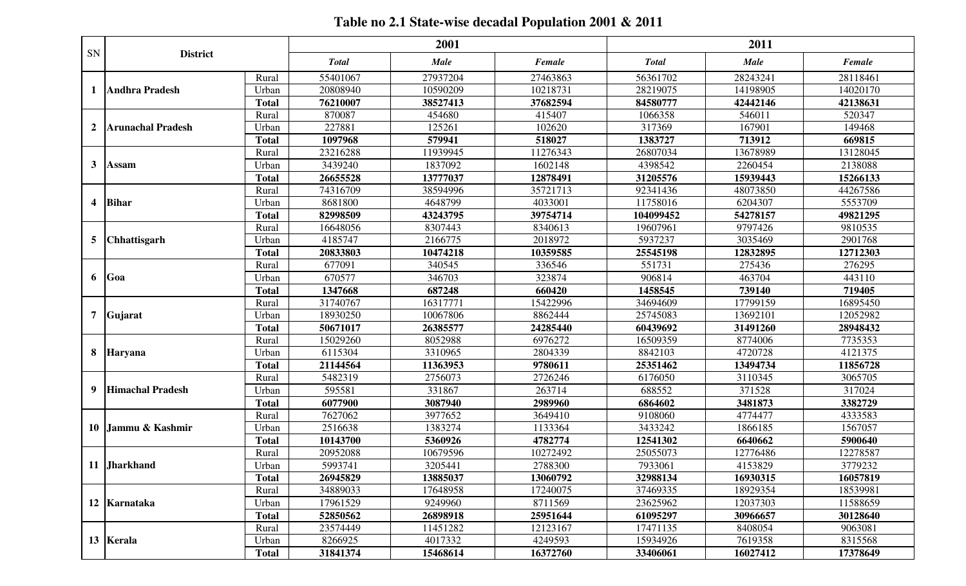## **Table no 2.1 State-wise decadal Population 2001 & 2011**

| SN             |                          |              |              | 2001        |          |              | 2011        |               |
|----------------|--------------------------|--------------|--------------|-------------|----------|--------------|-------------|---------------|
|                | <b>District</b>          |              | <b>Total</b> | <b>Male</b> | Female   | <b>Total</b> | <b>Male</b> | <b>Female</b> |
|                |                          | Rural        | 55401067     | 27937204    | 27463863 | 56361702     | 28243241    | 28118461      |
|                | 1 Andhra Pradesh         | Urban        | 20808940     | 10590209    | 10218731 | 28219075     | 14198905    | 14020170      |
|                |                          | <b>Total</b> | 76210007     | 38527413    | 37682594 | 84580777     | 42442146    | 42138631      |
|                |                          | Rural        | 870087       | 454680      | 415407   | 1066358      | 546011      | 520347        |
| $\mathbf{2}$   | <b>Arunachal Pradesh</b> | Urban        | 227881       | 125261      | 102620   | 317369       | 167901      | 149468        |
|                |                          | <b>Total</b> | 1097968      | 579941      | 518027   | 1383727      | 713912      | 669815        |
|                |                          | Rural        | 23216288     | 11939945    | 11276343 | 26807034     | 13678989    | 13128045      |
| 3 <sup>1</sup> | Assam                    | Urban        | 3439240      | 1837092     | 1602148  | 4398542      | 2260454     | 2138088       |
|                |                          | <b>Total</b> | 26655528     | 13777037    | 12878491 | 31205576     | 15939443    | 15266133      |
|                |                          | Rural        | 74316709     | 38594996    | 35721713 | 92341436     | 48073850    | 44267586      |
| 4              | <b>Bihar</b>             | Urban        | 8681800      | 4648799     | 4033001  | 11758016     | 6204307     | 5553709       |
|                |                          | <b>Total</b> | 82998509     | 43243795    | 39754714 | 104099452    | 54278157    | 49821295      |
|                |                          | Rural        | 16648056     | 8307443     | 8340613  | 19607961     | 9797426     | 9810535       |
| 5.             | <b>Chhattisgarh</b>      | Urban        | 4185747      | 2166775     | 2018972  | 5937237      | 3035469     | 2901768       |
|                |                          | <b>Total</b> | 20833803     | 10474218    | 10359585 | 25545198     | 12832895    | 12712303      |
|                |                          | Rural        | 677091       | 340545      | 336546   | 551731       | 275436      | 276295        |
|                | 6 Goa                    | Urban        | 670577       | 346703      | 323874   | 906814       | 463704      | 443110        |
|                |                          | <b>Total</b> | 1347668      | 687248      | 660420   | 1458545      | 739140      | 719405        |
|                |                          | Rural        | 31740767     | 16317771    | 15422996 | 34694609     | 17799159    | 16895450      |
| 7              | <b>Gujarat</b>           | Urban        | 18930250     | 10067806    | 8862444  | 25745083     | 13692101    | 12052982      |
|                |                          | <b>Total</b> | 50671017     | 26385577    | 24285440 | 60439692     | 31491260    | 28948432      |
|                |                          | Rural        | 15029260     | 8052988     | 6976272  | 16509359     | 8774006     | 7735353       |
|                | 8 Haryana                | Urban        | 6115304      | 3310965     | 2804339  | 8842103      | 4720728     | 4121375       |
|                |                          | <b>Total</b> | 21144564     | 11363953    | 9780611  | 25351462     | 13494734    | 11856728      |
|                |                          | Rural        | 5482319      | 2756073     | 2726246  | 6176050      | 3110345     | 3065705       |
| 9              | Himachal Pradesh         | Urban        | 595581       | 331867      | 263714   | 688552       | 371528      | 317024        |
|                |                          | <b>Total</b> | 6077900      | 3087940     | 2989960  | 6864602      | 3481873     | 3382729       |
|                |                          | Rural        | 7627062      | 3977652     | 3649410  | 9108060      | 4774477     | 4333583       |
|                | 10 Jammu & Kashmir       | Urban        | 2516638      | 1383274     | 1133364  | 3433242      | 1866185     | 1567057       |
|                |                          | <b>Total</b> | 10143700     | 5360926     | 4782774  | 12541302     | 6640662     | 5900640       |
|                |                          | Rural        | 20952088     | 10679596    | 10272492 | 25055073     | 12776486    | 12278587      |
|                | 11 Jharkhand             | Urban        | 5993741      | 3205441     | 2788300  | 7933061      | 4153829     | 3779232       |
|                |                          | <b>Total</b> | 26945829     | 13885037    | 13060792 | 32988134     | 16930315    | 16057819      |
|                |                          | Rural        | 34889033     | 17648958    | 17240075 | 37469335     | 18929354    | 18539981      |
|                | 12 Karnataka             | Urban        | 17961529     | 9249960     | 8711569  | 23625962     | 12037303    | 11588659      |
|                |                          | <b>Total</b> | 52850562     | 26898918    | 25951644 | 61095297     | 30966657    | 30128640      |
|                |                          | Rural        | 23574449     | 11451282    | 12123167 | 17471135     | 8408054     | 9063081       |
|                | 13 Kerala                | Urban        | 8266925      | 4017332     | 4249593  | 15934926     | 7619358     | 8315568       |
|                |                          | <b>Total</b> | 31841374     | 15468614    | 16372760 | 33406061     | 16027412    | 17378649      |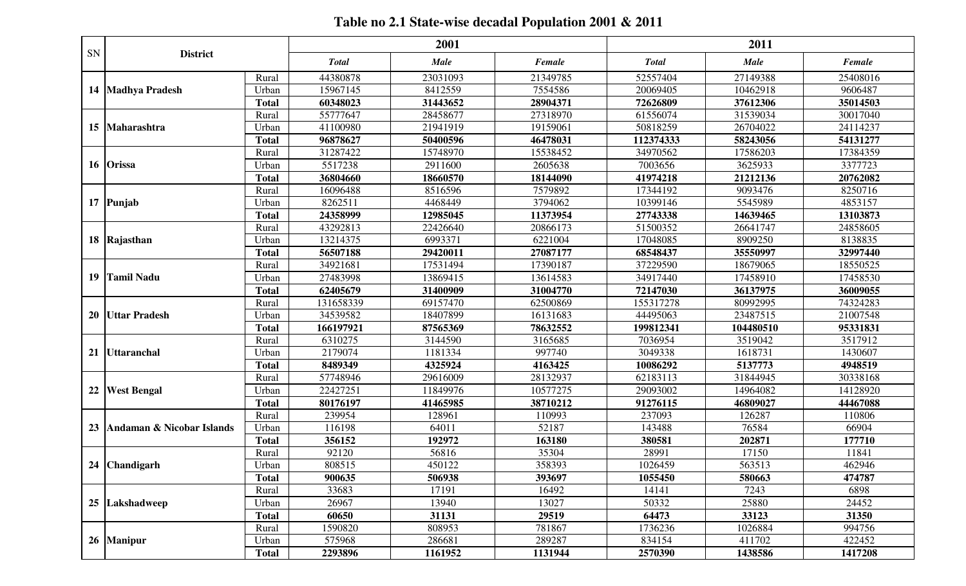## **Table no 2.1 State-wise decadal Population 2001 & 2011**

|    |                                |              |              | 2001        |          |              | 2011        |          |
|----|--------------------------------|--------------|--------------|-------------|----------|--------------|-------------|----------|
| SN | <b>District</b>                |              | <b>Total</b> | <b>Male</b> | Female   | <b>Total</b> | <b>Male</b> | Female   |
|    |                                | Rural        | 44380878     | 23031093    | 21349785 | 52557404     | 27149388    | 25408016 |
|    | 14   Madhya Pradesh            | Urban        | 15967145     | 8412559     | 7554586  | 20069405     | 10462918    | 9606487  |
|    |                                | <b>Total</b> | 60348023     | 31443652    | 28904371 | 72626809     | 37612306    | 35014503 |
|    |                                | Rural        | 55777647     | 28458677    | 27318970 | 61556074     | 31539034    | 30017040 |
|    | 15 Maharashtra                 | Urban        | 41100980     | 21941919    | 19159061 | 50818259     | 26704022    | 24114237 |
|    |                                | <b>Total</b> | 96878627     | 50400596    | 46478031 | 112374333    | 58243056    | 54131277 |
|    |                                | Rural        | 31287422     | 15748970    | 15538452 | 34970562     | 17586203    | 17384359 |
|    | 16 Orissa                      | Urban        | 5517238      | 2911600     | 2605638  | 7003656      | 3625933     | 3377723  |
|    |                                | <b>Total</b> | 36804660     | 18660570    | 18144090 | 41974218     | 21212136    | 20762082 |
|    |                                | Rural        | 16096488     | 8516596     | 7579892  | 17344192     | 9093476     | 8250716  |
|    | 17 Punjab                      | Urban        | 8262511      | 4468449     | 3794062  | 10399146     | 5545989     | 4853157  |
|    |                                | <b>Total</b> | 24358999     | 12985045    | 11373954 | 27743338     | 14639465    | 13103873 |
|    |                                | Rural        | 43292813     | 22426640    | 20866173 | 51500352     | 26641747    | 24858605 |
|    | 18 Rajasthan                   | Urban        | 13214375     | 6993371     | 6221004  | 17048085     | 8909250     | 8138835  |
|    |                                | <b>Total</b> | 56507188     | 29420011    | 27087177 | 68548437     | 35550997    | 32997440 |
|    |                                | Rural        | 34921681     | 17531494    | 17390187 | 37229590     | 18679065    | 18550525 |
|    | 19 Tamil Nadu                  | Urban        | 27483998     | 13869415    | 13614583 | 34917440     | 17458910    | 17458530 |
|    |                                | <b>Total</b> | 62405679     | 31400909    | 31004770 | 72147030     | 36137975    | 36009055 |
|    |                                | Rural        | 131658339    | 69157470    | 62500869 | 155317278    | 80992995    | 74324283 |
|    | 20 Uttar Pradesh               | Urban        | 34539582     | 18407899    | 16131683 | 44495063     | 23487515    | 21007548 |
|    |                                | <b>Total</b> | 166197921    | 87565369    | 78632552 | 199812341    | 104480510   | 95331831 |
|    |                                | Rural        | 6310275      | 3144590     | 3165685  | 7036954      | 3519042     | 3517912  |
|    | 21 Uttaranchal                 | Urban        | 2179074      | 1181334     | 997740   | 3049338      | 1618731     | 1430607  |
|    |                                | <b>Total</b> | 8489349      | 4325924     | 4163425  | 10086292     | 5137773     | 4948519  |
|    |                                | Rural        | 57748946     | 29616009    | 28132937 | 62183113     | 31844945    | 30338168 |
|    | 22 West Bengal                 | Urban        | 22427251     | 11849976    | 10577275 | 29093002     | 14964082    | 14128920 |
|    |                                | <b>Total</b> | 80176197     | 41465985    | 38710212 | 91276115     | 46809027    | 44467088 |
|    |                                | Rural        | 239954       | 128961      | 110993   | 237093       | 126287      | 110806   |
|    | 23   Andaman & Nicobar Islands | Urban        | 116198       | 64011       | 52187    | 143488       | 76584       | 66904    |
|    |                                | <b>Total</b> | 356152       | 192972      | 163180   | 380581       | 202871      | 177710   |
|    |                                | Rural        | 92120        | 56816       | 35304    | 28991        | 17150       | 11841    |
|    | 24 Chandigarh                  | Urban        | 808515       | 450122      | 358393   | 1026459      | 563513      | 462946   |
|    |                                | <b>Total</b> | 900635       | 506938      | 393697   | 1055450      | 580663      | 474787   |
|    |                                | Rural        | 33683        | 17191       | 16492    | 14141        | 7243        | 6898     |
|    | 25 Lakshadweep                 | Urban        | 26967        | 13940       | 13027    | 50332        | 25880       | 24452    |
|    |                                | <b>Total</b> | 60650        | 31131       | 29519    | 64473        | 33123       | 31350    |
|    |                                | Rural        | 1590820      | 808953      | 781867   | 1736236      | 1026884     | 994756   |
|    | 26 Manipur                     | Urban        | 575968       | 286681      | 289287   | 834154       | 411702      | 422452   |
|    |                                | <b>Total</b> | 2293896      | 1161952     | 1131944  | 2570390      | 1438586     | 1417208  |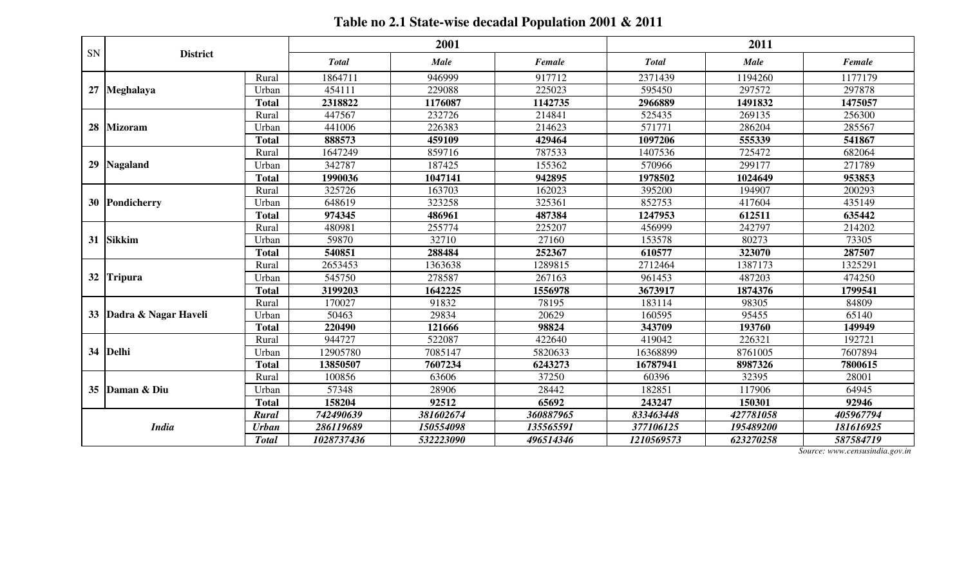## **Table no 2.1 State-wise decadal Population 2001 & 2011**

|    |                      |              |              | 2001        |           |              | 2011        |           |
|----|----------------------|--------------|--------------|-------------|-----------|--------------|-------------|-----------|
| SN | <b>District</b>      |              | <b>Total</b> | <b>Male</b> | Female    | <b>Total</b> | <b>Male</b> | Female    |
|    |                      | Rural        | 1864711      | 946999      | 917712    | 2371439      | 1194260     | 1177179   |
| 27 | Meghalaya            | Urban        | 454111       | 229088      | 225023    | 595450       | 297572      | 297878    |
|    |                      | <b>Total</b> | 2318822      | 1176087     | 1142735   | 2966889      | 1491832     | 1475057   |
|    |                      | Rural        | 447567       | 232726      | 214841    | 525435       | 269135      | 256300    |
| 28 | <b>Mizoram</b>       | Urban        | 441006       | 226383      | 214623    | 571771       | 286204      | 285567    |
|    |                      | <b>Total</b> | 888573       | 459109      | 429464    | 1097206      | 555339      | 541867    |
|    |                      | Rural        | 1647249      | 859716      | 787533    | 1407536      | 725472      | 682064    |
| 29 | <b>Nagaland</b>      | Urban        | 342787       | 187425      | 155362    | 570966       | 299177      | 271789    |
|    |                      | <b>Total</b> | 1990036      | 1047141     | 942895    | 1978502      | 1024649     | 953853    |
|    |                      | Rural        | 325726       | 163703      | 162023    | 395200       | 194907      | 200293    |
| 30 | Pondicherry          | Urban        | 648619       | 323258      | 325361    | 852753       | 417604      | 435149    |
|    |                      | <b>Total</b> | 974345       | 486961      | 487384    | 1247953      | 612511      | 635442    |
|    |                      | Rural        | 480981       | 255774      | 225207    | 456999       | 242797      | 214202    |
| 31 | <b>Sikkim</b>        | Urban        | 59870        | 32710       | 27160     | 153578       | 80273       | 73305     |
|    |                      | <b>Total</b> | 540851       | 288484      | 252367    | 610577       | 323070      | 287507    |
|    |                      | Rural        | 2653453      | 1363638     | 1289815   | 2712464      | 1387173     | 1325291   |
|    | 32 Tripura           | Urban        | 545750       | 278587      | 267163    | 961453       | 487203      | 474250    |
|    |                      | <b>Total</b> | 3199203      | 1642225     | 1556978   | 3673917      | 1874376     | 1799541   |
|    |                      | Rural        | 170027       | 91832       | 78195     | 183114       | 98305       | 84809     |
| 33 | Dadra & Nagar Haveli | Urban        | 50463        | 29834       | 20629     | 160595       | 95455       | 65140     |
|    |                      | <b>Total</b> | 220490       | 121666      | 98824     | 343709       | 193760      | 149949    |
|    |                      | Rural        | 944727       | 522087      | 422640    | 419042       | 226321      | 192721    |
| 34 | Delhi                | Urban        | 12905780     | 7085147     | 5820633   | 16368899     | 8761005     | 7607894   |
|    |                      | <b>Total</b> | 13850507     | 7607234     | 6243273   | 16787941     | 8987326     | 7800615   |
|    |                      | Rural        | 100856       | 63606       | 37250     | 60396        | 32395       | 28001     |
| 35 | Daman & Diu          | Urban        | 57348        | 28906       | 28442     | 182851       | 117906      | 64945     |
|    |                      | <b>Total</b> | 158204       | 92512       | 65692     | 243247       | 150301      | 92946     |
|    | <b>India</b>         | Rural        | 742490639    | 381602674   | 360887965 | 833463448    | 427781058   | 405967794 |
|    |                      | <b>Urban</b> | 286119689    | 150554098   | 135565591 | 377106125    | 195489200   | 181616925 |
|    |                      | <b>Total</b> | 1028737436   | 532223090   | 496514346 | 1210569573   | 623270258   | 587584719 |

*Source: www.censusindia.gov.in*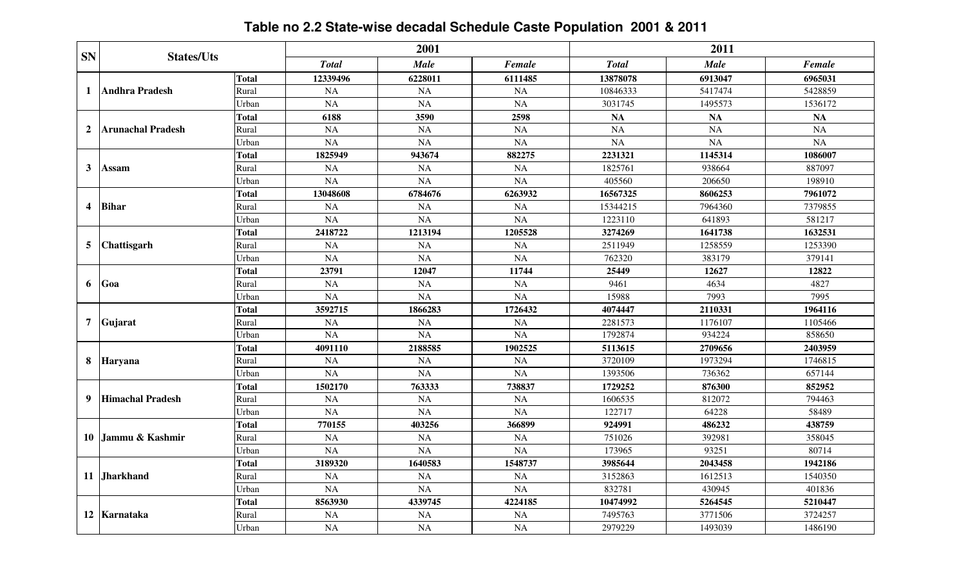# **Table no 2.2 State-wise decadal Schedule Caste Population 2001 & 2011**

| <b>SN</b>      | <b>States/Uts</b>        |              |              | 2001        |           |               | 2011        |           |
|----------------|--------------------------|--------------|--------------|-------------|-----------|---------------|-------------|-----------|
|                |                          |              | <b>Total</b> | <b>Male</b> | Female    | <b>T</b> otal | <b>Male</b> | Female    |
|                |                          | <b>Total</b> | 12339496     | 6228011     | 6111485   | 13878078      | 6913047     | 6965031   |
| 1              | <b>Andhra Pradesh</b>    | Rural        | <b>NA</b>    | <b>NA</b>   | <b>NA</b> | 10846333      | 5417474     | 5428859   |
|                |                          | Urban        | <b>NA</b>    | <b>NA</b>   | <b>NA</b> | 3031745       | 1495573     | 1536172   |
|                |                          | <b>Total</b> | 6188         | 3590        | 2598      | <b>NA</b>     | <b>NA</b>   | <b>NA</b> |
| $\overline{2}$ | <b>Arunachal Pradesh</b> | Rural        | <b>NA</b>    | <b>NA</b>   | <b>NA</b> | <b>NA</b>     | <b>NA</b>   | <b>NA</b> |
|                |                          | Urban        | NA           | <b>NA</b>   | NA        | NA            | <b>NA</b>   | NA        |
|                |                          | Total        | 1825949      | 943674      | 882275    | 2231321       | 1145314     | 1086007   |
| $\mathbf{3}$   | Assam                    | Rural        | <b>NA</b>    | <b>NA</b>   | <b>NA</b> | 1825761       | 938664      | 887097    |
|                |                          | Urban        | NA           | NA          | NA        | 405560        | 206650      | 198910    |
|                |                          | <b>Total</b> | 13048608     | 6784676     | 6263932   | 16567325      | 8606253     | 7961072   |
| 4              | <b>Bihar</b>             | Rural        | <b>NA</b>    | <b>NA</b>   | <b>NA</b> | 15344215      | 7964360     | 7379855   |
|                |                          | Urban        | <b>NA</b>    | <b>NA</b>   | <b>NA</b> | 1223110       | 641893      | 581217    |
|                |                          | <b>Total</b> | 2418722      | 1213194     | 1205528   | 3274269       | 1641738     | 1632531   |
| 5              | <b>Chattisgarh</b>       | Rural        | <b>NA</b>    | <b>NA</b>   | <b>NA</b> | 2511949       | 1258559     | 1253390   |
|                |                          | Urban        | <b>NA</b>    | <b>NA</b>   | <b>NA</b> | 762320        | 383179      | 379141    |
|                | Goa                      | <b>Total</b> | 23791        | 12047       | 11744     | 25449         | 12627       | 12822     |
| 6              |                          | Rural        | NA           | <b>NA</b>   | <b>NA</b> | 9461          | 4634        | 4827      |
|                |                          | Urban        | <b>NA</b>    | <b>NA</b>   | <b>NA</b> | 15988         | 7993        | 7995      |
|                | Gujarat                  | <b>Total</b> | 3592715      | 1866283     | 1726432   | 4074447       | 2110331     | 1964116   |
| $\overline{7}$ |                          | Rural        | <b>NA</b>    | NA          | <b>NA</b> | 2281573       | 1176107     | 1105466   |
|                |                          | Urban        | <b>NA</b>    | <b>NA</b>   | <b>NA</b> | 1792874       | 934224      | 858650    |
|                |                          | Total        | 4091110      | 2188585     | 1902525   | 5113615       | 2709656     | 2403959   |
| 8              | Haryana                  | Rural        | <b>NA</b>    | <b>NA</b>   | <b>NA</b> | 3720109       | 1973294     | 1746815   |
|                |                          | Urban        | NA           | <b>NA</b>   | NA        | 1393506       | 736362      | 657144    |
|                |                          | Total        | 1502170      | 763333      | 738837    | 1729252       | 876300      | 852952    |
| 9              | <b>Himachal Pradesh</b>  | Rural        | <b>NA</b>    | <b>NA</b>   | <b>NA</b> | 1606535       | 812072      | 794463    |
|                |                          | Urban        | <b>NA</b>    | <b>NA</b>   | <b>NA</b> | 122717        | 64228       | 58489     |
|                |                          | <b>Total</b> | 770155       | 403256      | 366899    | 924991        | 486232      | 438759    |
| 10             | Jammu & Kashmir          | Rural        | <b>NA</b>    | <b>NA</b>   | <b>NA</b> | 751026        | 392981      | 358045    |
|                |                          | Urban        | <b>NA</b>    | NA          | <b>NA</b> | 173965        | 93251       | 80714     |
|                |                          | <b>Total</b> | 3189320      | 1640583     | 1548737   | 3985644       | 2043458     | 1942186   |
| 11             | <b>Jharkhand</b>         | Rural        | <b>NA</b>    | <b>NA</b>   | <b>NA</b> | 3152863       | 1612513     | 1540350   |
|                |                          | Urban        | <b>NA</b>    | <b>NA</b>   | <b>NA</b> | 832781        | 430945      | 401836    |
|                |                          | <b>Total</b> | 8563930      | 4339745     | 4224185   | 10474992      | 5264545     | 5210447   |
|                | 12 Karnataka             | Rural        | <b>NA</b>    | <b>NA</b>   | <b>NA</b> | 7495763       | 3771506     | 3724257   |
|                |                          | Urban        | NA           | <b>NA</b>   | <b>NA</b> | 2979229       | 1493039     | 1486190   |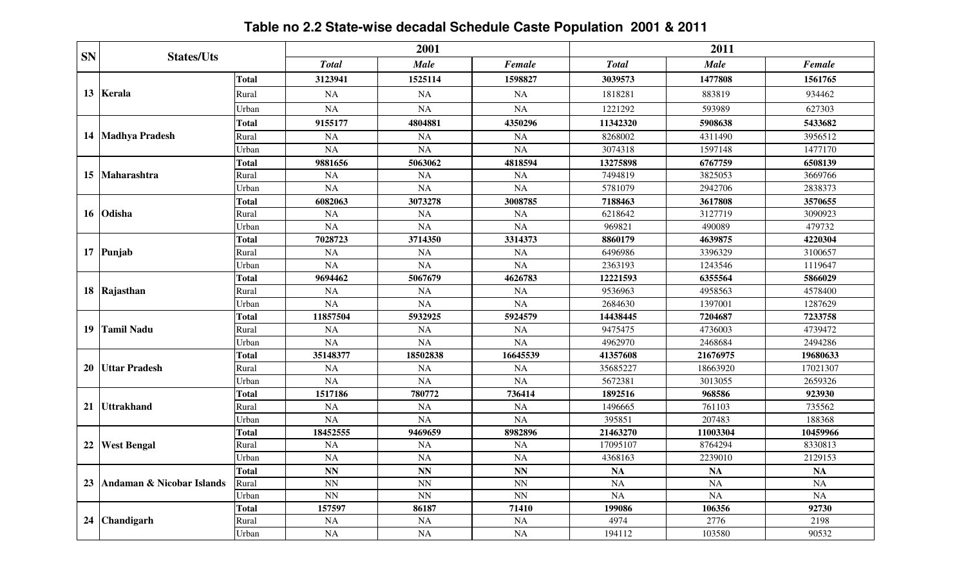# **Table no 2.2 State-wise decadal Schedule Caste Population 2001 & 2011**

| <b>SN</b> | <b>States/Uts</b>         |              |              | 2001                     |               |              | 2011        |           |
|-----------|---------------------------|--------------|--------------|--------------------------|---------------|--------------|-------------|-----------|
|           |                           |              | <b>Total</b> | <b>Male</b>              | <b>Female</b> | <b>Total</b> | <b>Male</b> | Female    |
|           |                           | Total        | 3123941      | 1525114                  | 1598827       | 3039573      | 1477808     | 1561765   |
|           | 13 Kerala                 | Rural        | <b>NA</b>    | <b>NA</b>                | <b>NA</b>     | 1818281      | 883819      | 934462    |
|           |                           | Urban        | <b>NA</b>    | NA                       | <b>NA</b>     | 1221292      | 593989      | 627303    |
|           |                           | Total        | 9155177      | 4804881                  | 4350296       | 11342320     | 5908638     | 5433682   |
| 14        | <b>Madhya Pradesh</b>     | Rural        | <b>NA</b>    | <b>NA</b>                | <b>NA</b>     | 8268002      | 4311490     | 3956512   |
|           |                           | Urban        | NA           | <b>NA</b>                | <b>NA</b>     | 3074318      | 1597148     | 1477170   |
|           |                           | Total        | 9881656      | 5063062                  | 4818594       | 13275898     | 6767759     | 6508139   |
| 15        | <b>Maharashtra</b>        | Rural        | <b>NA</b>    | <b>NA</b>                | <b>NA</b>     | 7494819      | 3825053     | 3669766   |
|           |                           | Urban        | <b>NA</b>    | <b>NA</b>                | <b>NA</b>     | 5781079      | 2942706     | 2838373   |
|           |                           | <b>Total</b> | 6082063      | 3073278                  | 3008785       | 7188463      | 3617808     | 3570655   |
| 16        | <b>Odisha</b>             | Rural        | <b>NA</b>    | <b>NA</b>                | <b>NA</b>     | 6218642      | 3127719     | 3090923   |
|           |                           | Urban        | <b>NA</b>    | NA                       | NA            | 969821       | 490089      | 479732    |
|           |                           | Total        | 7028723      | 3714350                  | 3314373       | 8860179      | 4639875     | 4220304   |
|           | 17 Punjab                 | Rural        | <b>NA</b>    | NA                       | <b>NA</b>     | 6496986      | 3396329     | 3100657   |
|           |                           | Urban        | NA           | <b>NA</b>                | <b>NA</b>     | 2363193      | 1243546     | 1119647   |
|           | 18 Rajasthan              | <b>Total</b> | 9694462      | 5067679                  | 4626783       | 12221593     | 6355564     | 5866029   |
|           |                           | Rural        | <b>NA</b>    | <b>NA</b>                | <b>NA</b>     | 9536963      | 4958563     | 4578400   |
|           |                           | Urban        | <b>NA</b>    | <b>NA</b>                | <b>NA</b>     | 2684630      | 1397001     | 1287629   |
|           | <b>Tamil Nadu</b>         | Total        | 11857504     | 5932925                  | 5924579       | 14438445     | 7204687     | 7233758   |
| 19        |                           | Rural        | <b>NA</b>    | <b>NA</b>                | <b>NA</b>     | 9475475      | 4736003     | 4739472   |
|           |                           | Urban        | NA           | NA                       | <b>NA</b>     | 4962970      | 2468684     | 2494286   |
|           |                           | <b>Total</b> | 35148377     | 18502838                 | 16645539      | 41357608     | 21676975    | 19680633  |
| 20        | <b>IUttar Pradesh</b>     | Rural        | NA           | <b>NA</b>                | <b>NA</b>     | 35685227     | 18663920    | 17021307  |
|           |                           | Urban        | NA           | <b>NA</b>                | <b>NA</b>     | 5672381      | 3013055     | 2659326   |
|           |                           | Total        | 1517186      | 780772                   | 736414        | 1892516      | 968586      | 923930    |
| 21        | <b>Uttrakhand</b>         | Rural        | <b>NA</b>    | <b>NA</b>                | <b>NA</b>     | 1496665      | 761103      | 735562    |
|           |                           | Urban        | <b>NA</b>    | <b>NA</b>                | <b>NA</b>     | 395851       | 207483      | 188368    |
|           |                           | <b>Total</b> | 18452555     | 9469659                  | 8982896       | 21463270     | 11003304    | 10459966  |
| 22        | <b>West Bengal</b>        | Rural        | <b>NA</b>    | <b>NA</b>                | <b>NA</b>     | 17095107     | 8764294     | 8330813   |
|           |                           | Urban        | <b>NA</b>    | <b>NA</b>                | <b>NA</b>     | 4368163      | 2239010     | 2129153   |
|           |                           | Total        | <b>NN</b>    | <b>NN</b>                | <b>NN</b>     | <b>NA</b>    | <b>NA</b>   | <b>NA</b> |
| 23        | Andaman & Nicobar Islands | Rural        | <b>NN</b>    | <b>NN</b>                | <b>NN</b>     | <b>NA</b>    | <b>NA</b>   | NA        |
|           |                           | Urban        | NN           | $\ensuremath{\text{NN}}$ | <b>NN</b>     | <b>NA</b>    | <b>NA</b>   | <b>NA</b> |
|           |                           | <b>Total</b> | 157597       | 86187                    | 71410         | 199086       | 106356      | 92730     |
| 24        | <b>Chandigarh</b>         | Rural        | <b>NA</b>    | <b>NA</b>                | <b>NA</b>     | 4974         | 2776        | 2198      |
|           |                           | Urban        | <b>NA</b>    | <b>NA</b>                | <b>NA</b>     | 194112       | 103580      | 90532     |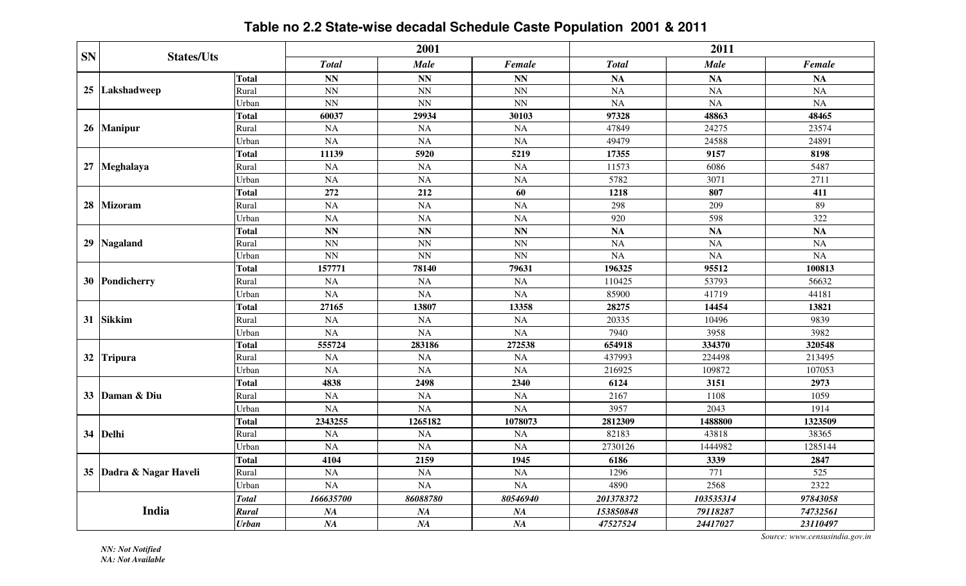### **Table no 2.2 State-wise decadal Schedule Caste Population 2001 & 2011**

|           | <b>States/Uts</b>       |              |                        | 2001                     |                 |              | 2011            |                 |
|-----------|-------------------------|--------------|------------------------|--------------------------|-----------------|--------------|-----------------|-----------------|
| <b>SN</b> |                         |              | <b>Total</b>           | <b>Male</b>              | Female          | <b>Total</b> | Male            | Female          |
|           |                         | <b>Total</b> | <b>NN</b>              | <b>NN</b>                | <b>NN</b>       | <b>NA</b>    | <b>NA</b>       | <b>NA</b>       |
|           | 25 Lakshadweep          | Rural        | NN                     | $\ensuremath{\text{NN}}$ | <b>NN</b>       | <b>NA</b>    | <b>NA</b>       | NA              |
|           |                         | Urban        | $\overline{NN}$        | NN                       | $\overline{NN}$ | <b>NA</b>    | <b>NA</b>       | NA              |
|           |                         | <b>Total</b> | 60037                  | 29934                    | 30103           | 97328        | 48863           | 48465           |
|           | 26 Manipur              | Rural        | <b>NA</b>              | <b>NA</b>                | <b>NA</b>       | 47849        | 24275           | 23574           |
|           |                         | Urban        | <b>NA</b>              | <b>NA</b>                | <b>NA</b>       | 49479        | 24588           | 24891           |
|           |                         | <b>Total</b> | 11139                  | 5920                     | 5219            | 17355        | 9157            | 8198            |
|           | 27 Meghalaya            | Rural        | <b>NA</b>              | NA                       | <b>NA</b>       | 11573        | 6086            | 5487            |
|           |                         | Urban        | <b>NA</b>              | <b>NA</b>                | <b>NA</b>       | 5782         | 3071            | 2711            |
|           |                         | <b>Total</b> | 272                    | 212                      | 60              | 1218         | 807             | 411             |
| 28        | <b>Mizoram</b>          | Rural        | NA                     | NA                       | <b>NA</b>       | 298          | 209             | 89              |
|           |                         | Urban        | NA                     | <b>NA</b>                | <b>NA</b>       | 920          | 598             | 322             |
|           |                         | <b>Total</b> | $\mathbf{N}\mathbf{N}$ | NN                       | NN              | <b>NA</b>    | NA              | <b>NA</b>       |
|           | 29 Nagaland             | Rural        | $\overline{\text{NN}}$ | $\overline{NN}$          | $\overline{NN}$ | <b>NA</b>    | $\overline{NA}$ | $\overline{NA}$ |
|           |                         | Urban        | <b>NN</b>              | NN                       | <b>NN</b>       | <b>NA</b>    | <b>NA</b>       | NA              |
|           | 30 Pondicherry          | <b>Total</b> | 157771                 | 78140                    | 79631           | 196325       | 95512           | 100813          |
|           |                         | Rural        | <b>NA</b>              | NA                       | <b>NA</b>       | 110425       | 53793           | 56632           |
|           |                         | Urban        | <b>NA</b>              | <b>NA</b>                | <b>NA</b>       | 85900        | 41719           | 44181           |
|           | <b>Sikkim</b>           | <b>Total</b> | 27165                  | 13807                    | 13358           | 28275        | 14454           | 13821           |
| 31        |                         | Rural        | <b>NA</b>              | <b>NA</b>                | NA              | 20335        | 10496           | 9839            |
|           |                         | Urban        | <b>NA</b>              | <b>NA</b>                | <b>NA</b>       | 7940         | 3958            | 3982            |
|           |                         | Total        | 555724                 | 283186                   | 272538          | 654918       | 334370          | 320548          |
| 32        | <b>Tripura</b>          | Rural        | <b>NA</b>              | NA                       | <b>NA</b>       | 437993       | 224498          | 213495          |
|           |                         | Urban        | <b>NA</b>              | <b>NA</b>                | NA              | 216925       | 109872          | 107053          |
|           |                         | <b>Total</b> | 4838                   | 2498                     | 2340            | 6124         | 3151            | 2973            |
|           | 33 Daman & Diu          | Rural        | NA                     | <b>NA</b>                | <b>NA</b>       | 2167         | 1108            | 1059            |
|           |                         | Urban        | NA                     | <b>NA</b>                | <b>NA</b>       | 3957         | 2043            | 1914            |
|           |                         | <b>Total</b> | 2343255                | 1265182                  | 1078073         | 2812309      | 1488800         | 1323509         |
| 34        | Delhi                   | Rural        | <b>NA</b>              | <b>NA</b>                | <b>NA</b>       | 82183        | 43818           | 38365           |
|           |                         | Urban        | <b>NA</b>              | NA                       | <b>NA</b>       | 2730126      | 1444982         | 1285144         |
|           |                         | <b>Total</b> | 4104                   | 2159                     | 1945            | 6186         | 3339            | 2847            |
|           | 35 Dadra & Nagar Haveli | Rural        | <b>NA</b>              | <b>NA</b>                | <b>NA</b>       | 1296         | 771             | 525             |
|           |                         | Urban        | NA                     | NA                       | NA              | 4890         | 2568            | 2322            |
|           |                         | <b>Total</b> | 166635700              | 86088780                 | 80546940        | 201378372    | 103535314       | 97843058        |
|           | India                   | Rural        | NA                     | NA                       | NA              | 153850848    | 79118287        | 74732561        |
|           |                         | <b>Urban</b> | NA                     | NA                       | NA              | 47527524     | 24417027        | 23110497        |

*Source: www.censusindia.gov.in*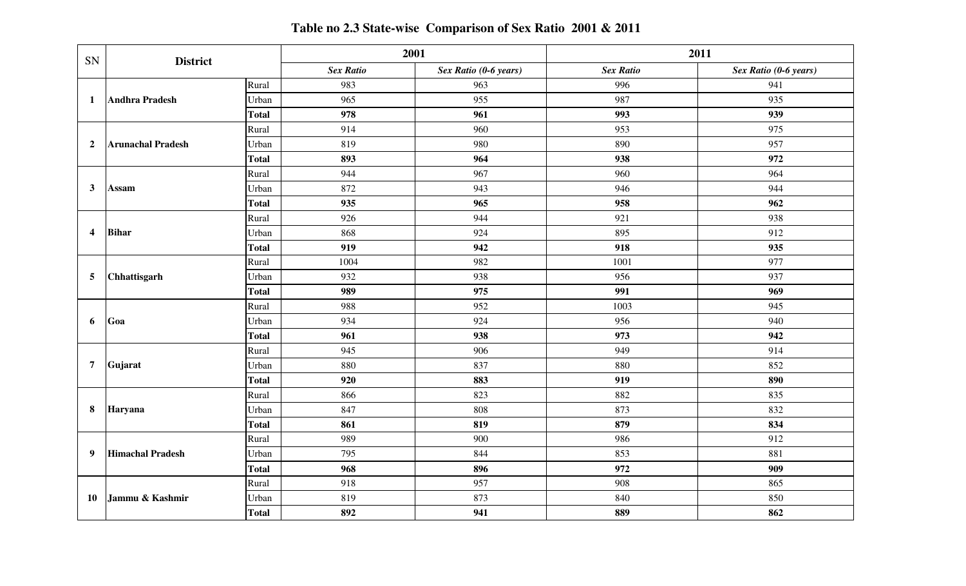| SN                                | <b>District</b>          |                                                                  | 2001             |                       |                  | 2011                  |
|-----------------------------------|--------------------------|------------------------------------------------------------------|------------------|-----------------------|------------------|-----------------------|
|                                   |                          |                                                                  | <b>Sex Ratio</b> | Sex Ratio (0-6 years) | <b>Sex Ratio</b> | Sex Ratio (0-6 years) |
|                                   |                          | Rural                                                            | 983              | 963                   | 996              | 941                   |
| 1                                 | Andhra Pradesh           | Urban                                                            | 965              | 955                   | 987              | 935                   |
|                                   |                          | <b>Total</b><br>Rural<br>Urban<br><b>Total</b><br>Rural<br>Urban | 978              | 961                   | 993              | 939                   |
|                                   |                          |                                                                  | 914              | 960                   | 953              | 975                   |
| $\overline{2}$                    | <b>Arunachal Pradesh</b> |                                                                  | 819              | 980                   | 890              | 957                   |
| 3<br>$\overline{\mathbf{4}}$<br>5 |                          |                                                                  | 893              | 964                   | 938              | 972                   |
|                                   |                          |                                                                  | 944              | 967                   | 960              | 964                   |
|                                   | <b>Assam</b>             |                                                                  | 872              | 943                   | 946              | 944                   |
|                                   |                          | <b>Total</b>                                                     | 935              | 965                   | 958              | 962                   |
|                                   |                          | Rural                                                            | 926              | 944                   | 921              | 938                   |
|                                   | <b>Bihar</b>             | Urban                                                            | 868              | 924                   | 895              | 912                   |
|                                   |                          | <b>Total</b>                                                     | 919              | 942                   | 918              | 935                   |
|                                   | Chhattisgarh             | Rural                                                            | 1004             | 982                   | 1001             | 977                   |
|                                   |                          | Urban                                                            | 932              | 938                   | 956              | 937                   |
|                                   |                          | <b>Total</b>                                                     | 989              | 975                   | 991              | 969                   |
|                                   |                          | Rural                                                            | 988              | 952                   | 1003             | 945                   |
| 6                                 | Goa                      | Urban                                                            | 934              | 924                   | 956              | 940                   |
|                                   |                          | <b>Total</b>                                                     | 961              | 938                   | 973              | 942                   |
|                                   |                          | Rural                                                            | 945              | 906                   | 949              | 914                   |
| $\overline{7}$                    | Gujarat                  | Urban                                                            | 880              | 837                   | 880              | 852                   |
|                                   |                          | <b>Total</b>                                                     | 920              | 883                   | 919              | 890                   |
|                                   |                          | Rural                                                            | 866              | 823                   | 882              | 835                   |
| 8                                 | Haryana                  | Urban                                                            | 847              | 808                   | 873              | 832                   |
|                                   |                          | <b>Total</b>                                                     | 861              | 819                   | 879              | 834                   |
|                                   |                          | Rural                                                            | 989              | 900                   | 986              | 912                   |
| 9                                 | <b>Himachal Pradesh</b>  | Urban                                                            | 795              | 844                   | 853              | 881                   |
|                                   |                          | <b>Total</b>                                                     | 968              | 896                   | 972              | 909                   |
|                                   |                          | Rural                                                            | 918              | 957                   | 908              | 865                   |
| 10                                | Jammu & Kashmir          | Urban                                                            | 819              | 873                   | 840              | 850                   |
|                                   |                          | <b>Total</b>                                                     | 892              | 941                   | 889              | 862                   |

**Table no 2.3 State-wise Comparison of Sex Ratio 2001 & 2011**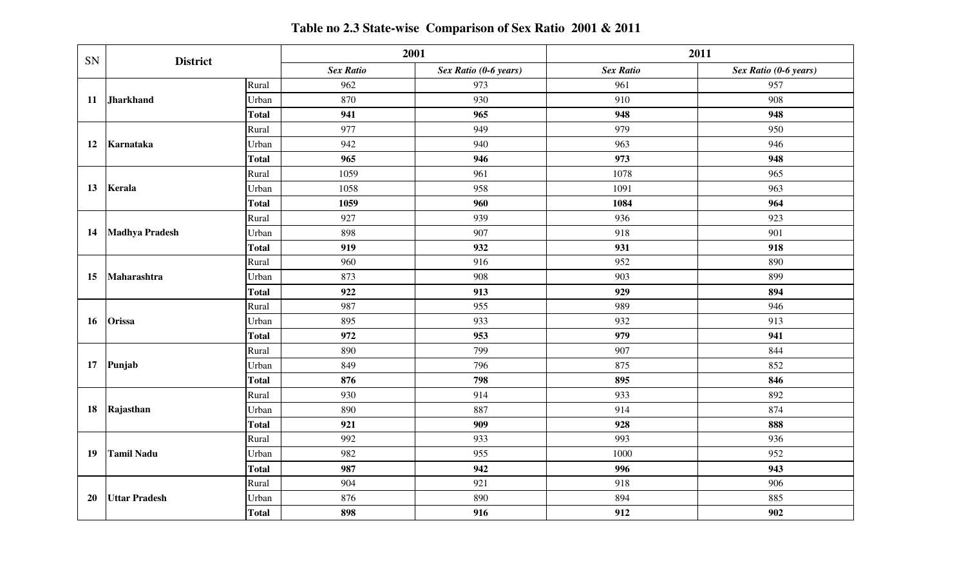| SN | <b>District</b>       |              | 2001             |                       |                  | 2011                  |
|----|-----------------------|--------------|------------------|-----------------------|------------------|-----------------------|
|    |                       |              | <b>Sex Ratio</b> | Sex Ratio (0-6 years) | <b>Sex Ratio</b> | Sex Ratio (0-6 years) |
|    |                       | Rural        | 962              | 973                   | 961              | 957                   |
| 11 | <b>Jharkhand</b>      | Urban        | 870              | 930                   | 910              | 908                   |
|    |                       | <b>Total</b> | 941              | 965                   | 948              | 948                   |
|    |                       | Rural        | 977              | 949                   | 979              | 950                   |
| 12 | Karnataka             | Urban        | 942              | 940                   | 963              | 946                   |
|    |                       | <b>Total</b> | 965              | 946                   | 973              | 948                   |
|    |                       | Rural        | 1059             | 961                   | 1078             | 965                   |
| 13 | Kerala                | Urban        | 1058             | 958                   | 1091             | 963                   |
|    |                       | <b>Total</b> | 1059             | 960                   | 1084             | 964                   |
|    |                       | Rural        | 927              | 939                   | 936              | 923                   |
| 14 | <b>Madhya Pradesh</b> | Urban        | 898              | 907                   | 918              | 901                   |
|    |                       | <b>Total</b> | 919              | 932                   | 931              | 918                   |
|    | Maharashtra           | Rural        | 960              | 916                   | 952              | 890                   |
| 15 |                       | Urban        | 873              | 908                   | 903              | 899                   |
|    |                       | <b>Total</b> | 922              | 913                   | 929              | 894                   |
|    |                       | Rural        | 987              | 955                   | 989              | 946                   |
| 16 | Orissa                | Urban        | 895              | 933                   | 932              | 913                   |
|    |                       | <b>Total</b> | 972              | 953                   | 979              | 941                   |
|    |                       | Rural        | 890              | 799                   | 907              | 844                   |
| 17 | Punjab                | Urban        | 849              | 796                   | 875              | 852                   |
|    |                       | <b>Total</b> | 876              | 798                   | 895              | 846                   |
|    |                       | Rural        | 930              | 914                   | 933              | 892                   |
| 18 | Rajasthan             | Urban        | 890              | 887                   | 914              | 874                   |
|    |                       | <b>Total</b> | 921              | 909                   | 928              | 888                   |
|    |                       | Rural        | 992              | 933                   | 993              | 936                   |
| 19 | <b>Tamil Nadu</b>     | Urban        | 982              | 955                   | 1000             | 952                   |
|    |                       | <b>Total</b> | 987              | 942                   | 996              | 943                   |
|    |                       | Rural        | 904              | 921                   | 918              | 906                   |
| 20 | <b>Uttar Pradesh</b>  | Urban        | 876              | 890                   | 894              | 885                   |
|    |                       | <b>Total</b> | 898              | 916                   | 912              | 902                   |

**Table no 2.3 State-wise Comparison of Sex Ratio 2001 & 2011**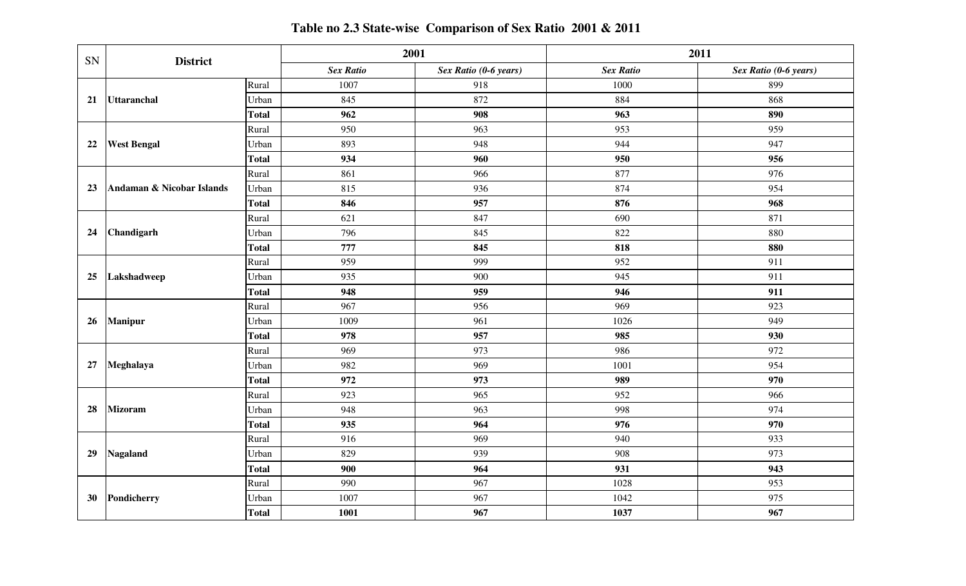| SN | <b>District</b>           |              | 2001             |                       |                  | 2011                  |
|----|---------------------------|--------------|------------------|-----------------------|------------------|-----------------------|
|    |                           |              | <b>Sex Ratio</b> | Sex Ratio (0-6 years) | <b>Sex Ratio</b> | Sex Ratio (0-6 years) |
|    |                           | Rural        | 1007             | 918                   | 1000             | 899                   |
| 21 | <b>Uttaranchal</b>        | Urban        | 845              | 872                   | 884              | 868                   |
|    |                           | <b>Total</b> | 962              | 908                   | 963              | 890                   |
| 22 |                           | Rural        | 950              | 963                   | 953              | 959                   |
|    | <b>West Bengal</b>        | Urban        | 893              | 948                   | 944              | 947                   |
|    |                           | <b>Total</b> | 934              | 960                   | 950              | 956                   |
|    |                           | Rural        | 861              | 966                   | 877              | 976                   |
| 23 | Andaman & Nicobar Islands | Urban        | 815              | 936                   | 874              | 954                   |
|    |                           | <b>Total</b> | 846              | 957                   | 876              | 968                   |
|    |                           | Rural        | 621              | 847                   | 690              | 871                   |
| 24 | Chandigarh                | Urban        | 796              | 845                   | 822              | 880                   |
|    |                           | <b>Total</b> | 777              | 845                   | 818              | 880                   |
|    | Lakshadweep               | Rural        | 959              | 999                   | 952              | 911                   |
| 25 |                           | Urban        | 935              | 900                   | 945              | 911                   |
|    |                           | <b>Total</b> | 948              | 959                   | 946              | 911                   |
|    | <b>Manipur</b>            | Rural        | 967              | 956                   | 969              | 923                   |
| 26 |                           | Urban        | 1009             | 961                   | 1026             | 949                   |
|    |                           | <b>Total</b> | 978              | 957                   | 985              | 930                   |
|    |                           | Rural        | 969              | 973                   | 986              | 972                   |
| 27 | Meghalaya                 | Urban        | 982              | 969                   | 1001             | 954                   |
|    |                           | <b>Total</b> | 972              | 973                   | 989              | 970                   |
|    |                           | Rural        | 923              | 965                   | 952              | 966                   |
| 28 | <b>Mizoram</b>            | Urban        | 948              | 963                   | 998              | 974                   |
|    |                           | <b>Total</b> | 935              | 964                   | 976              | 970                   |
|    |                           | Rural        | 916              | 969                   | 940              | 933                   |
| 29 | <b>Nagaland</b>           | Urban        | 829              | 939                   | 908              | 973                   |
|    |                           | <b>Total</b> | 900              | 964                   | 931              | 943                   |
|    |                           | Rural        | 990              | 967                   | 1028             | 953                   |
| 30 | Pondicherry               | Urban        | 1007             | 967                   | 1042             | 975                   |
|    |                           | <b>Total</b> | 1001             | 967                   | 1037             | 967                   |

**Table no 2.3 State-wise Comparison of Sex Ratio 2001 & 2011**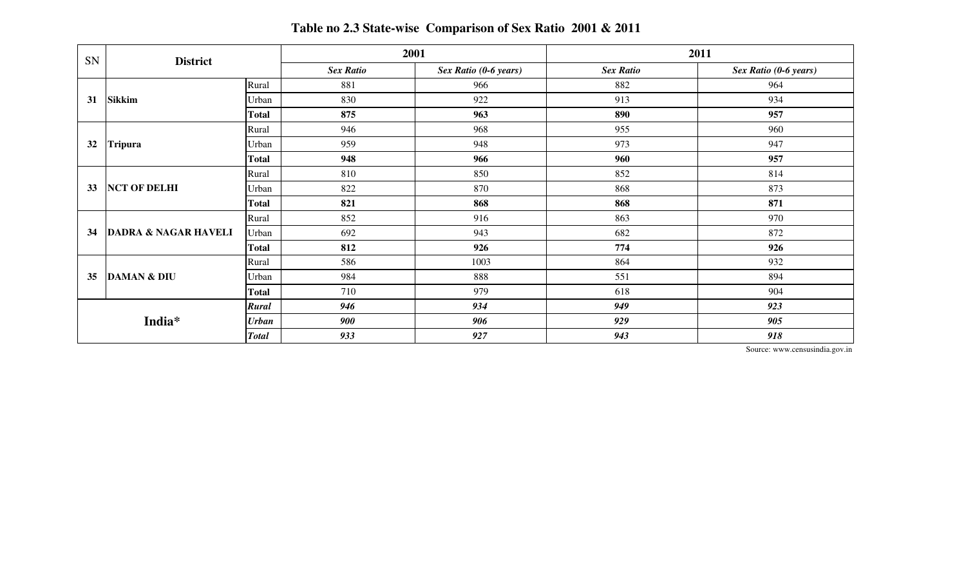| SN | <b>District</b>                 |              |                  | 2001                  |                  | 2011                  |  |  |
|----|---------------------------------|--------------|------------------|-----------------------|------------------|-----------------------|--|--|
|    |                                 |              | <b>Sex Ratio</b> | Sex Ratio (0-6 years) | <b>Sex Ratio</b> | Sex Ratio (0-6 years) |  |  |
|    |                                 | Rural        | 881              | 966                   | 882              | 964                   |  |  |
| 31 | <b>Sikkim</b>                   | Urban        | 830              | 922                   | 913              | 934                   |  |  |
|    |                                 | <b>Total</b> | 875              | 963                   | 890              | 957                   |  |  |
|    |                                 | Rural        | 946              | 968                   | 955              | 960                   |  |  |
| 32 | <b>Tripura</b>                  | Urban        | 959              | 948                   | 973              | 947                   |  |  |
|    |                                 | <b>Total</b> | 948              | 966                   | 960              | 957                   |  |  |
|    | <b>NCT OF DELHI</b>             | Rural        | 810              | 850                   | 852              | 814                   |  |  |
| 33 |                                 | Urban        | 822              | 870                   | 868              | 873                   |  |  |
|    |                                 | <b>Total</b> | 821              | 868                   | 868              | 871                   |  |  |
|    |                                 | Rural        | 852              | 916                   | 863              | 970                   |  |  |
| 34 | <b>DADRA &amp; NAGAR HAVELI</b> | Urban        | 692              | 943                   | 682              | 872                   |  |  |
|    |                                 | <b>Total</b> | 812              | 926                   | 774              | 926                   |  |  |
|    |                                 | Rural        | 586              | 1003                  | 864              | 932                   |  |  |
| 35 | <b>DAMAN &amp; DIU</b>          | Urban        | 984              | 888                   | 551              | 894                   |  |  |
|    |                                 | <b>Total</b> | 710              | 979                   | 618              | 904                   |  |  |
|    |                                 | <b>Rural</b> | 946              | 934                   | 949              | 923                   |  |  |
|    | India*                          | <b>Urban</b> | 900              | 906                   | 929              | 905                   |  |  |
|    |                                 | <b>Total</b> | 933              | 927                   | 943              | 918                   |  |  |

**Table no 2.3 State-wise Comparison of Sex Ratio 2001 & 2011**

Source: www.censusindia.gov.in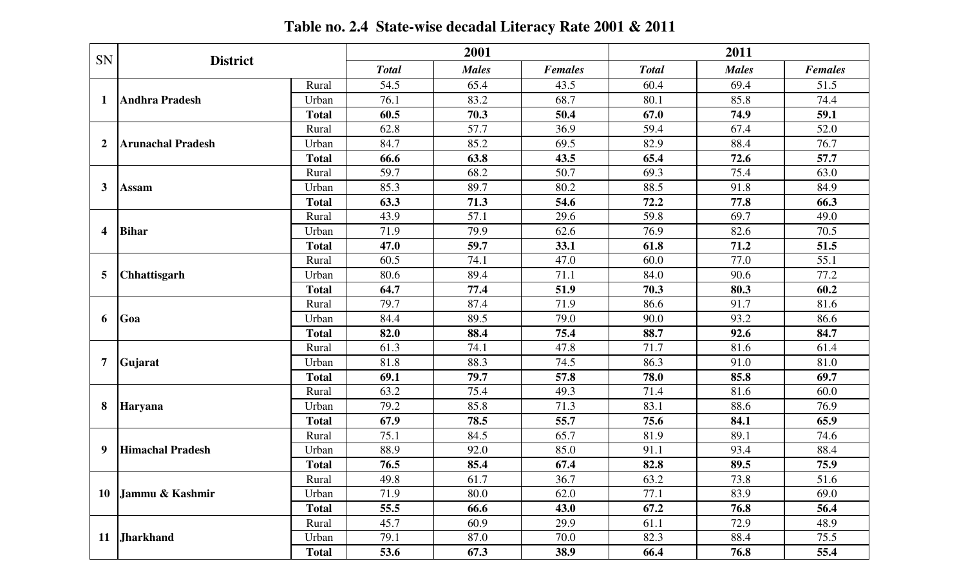| SN               |                          |              |              | 2001         |                |              | 2011         |                |
|------------------|--------------------------|--------------|--------------|--------------|----------------|--------------|--------------|----------------|
|                  | <b>District</b>          |              | <b>Total</b> | <b>Males</b> | <b>Females</b> | <b>Total</b> | <b>Males</b> | <b>Females</b> |
|                  |                          | Rural        | 54.5         | 65.4         | 43.5           | 60.4         | 69.4         | 51.5           |
| -1               | <b>Andhra Pradesh</b>    | Urban        | 76.1         | 83.2         | 68.7           | 80.1         | 85.8         | 74.4           |
|                  |                          | <b>Total</b> | 60.5         | 70.3         | 50.4           | 67.0         | 74.9         | 59.1           |
|                  |                          | Rural        | 62.8         | 57.7         | 36.9           | 59.4         | 67.4         | 52.0           |
| $\mathbf{2}$     | <b>Arunachal Pradesh</b> | Urban        | 84.7         | 85.2         | 69.5           | 82.9         | 88.4         | 76.7           |
|                  |                          | <b>Total</b> | 66.6         | 63.8         | 43.5           | 65.4         | 72.6         | 57.7           |
|                  |                          | Rural        | 59.7         | 68.2         | 50.7           | 69.3         | 75.4         | 63.0           |
| 3                | <b>Assam</b>             | Urban        | 85.3         | 89.7         | 80.2           | 88.5         | 91.8         | 84.9           |
|                  |                          | <b>Total</b> | 63.3         | 71.3         | 54.6           | 72.2         | 77.8         | 66.3           |
|                  |                          | Rural        | 43.9         | 57.1         | 29.6           | 59.8         | 69.7         | 49.0           |
| $\boldsymbol{4}$ | <b>Bihar</b>             | Urban        | 71.9         | 79.9         | 62.6           | 76.9         | 82.6         | 70.5           |
|                  |                          | <b>Total</b> | 47.0         | 59.7         | 33.1           | 61.8         | 71.2         | 51.5           |
|                  |                          | Rural        | 60.5         | 74.1         | 47.0           | 60.0         | 77.0         | 55.1           |
| 5                | Chhattisgarh             | Urban        | 80.6         | 89.4         | 71.1           | 84.0         | 90.6         | 77.2           |
|                  |                          | <b>Total</b> | 64.7         | 77.4         | 51.9           | 70.3         | 80.3         | 60.2           |
|                  | Goa                      | Rural        | 79.7         | 87.4         | 71.9           | 86.6         | 91.7         | 81.6           |
| 6                |                          | Urban        | 84.4         | 89.5         | 79.0           | 90.0         | 93.2         | 86.6           |
|                  |                          | <b>Total</b> | 82.0         | 88.4         | 75.4           | 88.7         | 92.6         | 84.7           |
|                  |                          | Rural        | 61.3         | 74.1         | 47.8           | 71.7         | 81.6         | 61.4           |
| 7                | Gujarat                  | Urban        | 81.8         | 88.3         | 74.5           | 86.3         | 91.0         | 81.0           |
|                  |                          | <b>Total</b> | 69.1         | 79.7         | 57.8           | 78.0         | 85.8         | 69.7           |
|                  |                          | Rural        | 63.2         | 75.4         | 49.3           | 71.4         | 81.6         | 60.0           |
| 8                | Haryana                  | Urban        | 79.2         | 85.8         | 71.3           | 83.1         | 88.6         | 76.9           |
|                  |                          | <b>Total</b> | 67.9         | 78.5         | 55.7           | 75.6         | 84.1         | 65.9           |
|                  |                          | Rural        | 75.1         | 84.5         | 65.7           | 81.9         | 89.1         | 74.6           |
| 9                | <b>Himachal Pradesh</b>  | Urban        | 88.9         | 92.0         | 85.0           | 91.1         | 93.4         | 88.4           |
|                  |                          | <b>Total</b> | 76.5         | 85.4         | 67.4           | 82.8         | 89.5         | 75.9           |
|                  |                          | Rural        | 49.8         | 61.7         | 36.7           | 63.2         | 73.8         | 51.6           |
| 10               | Jammu & Kashmir          | Urban        | 71.9         | 80.0         | 62.0           | 77.1         | 83.9         | 69.0           |
|                  |                          | <b>Total</b> | 55.5         | 66.6         | 43.0           | 67.2         | 76.8         | 56.4           |
|                  |                          | Rural        | 45.7         | 60.9         | 29.9           | 61.1         | 72.9         | 48.9           |
| <b>11</b>        | <b>Jharkhand</b>         | Urban        | 79.1         | 87.0         | 70.0           | 82.3         | 88.4         | 75.5           |
|                  |                          | <b>Total</b> | 53.6         | 67.3         | 38.9           | 66.4         | 76.8         | 55.4           |

**Table no. 2.4 State-wise decadal Literacy Rate 2001 & 2011**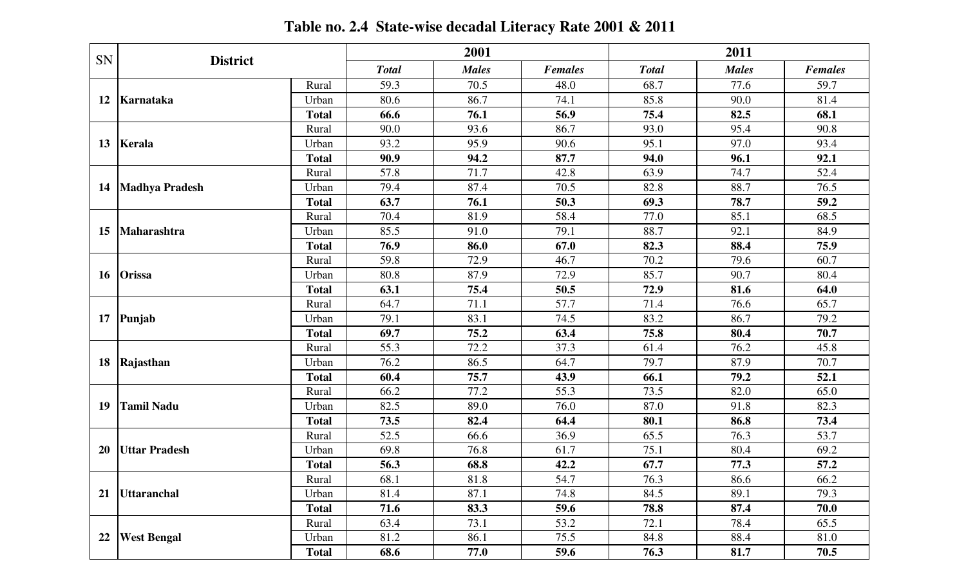| SN        |                       | <b>District</b> |              | 2001         |                |              | 2011         |                |  |
|-----------|-----------------------|-----------------|--------------|--------------|----------------|--------------|--------------|----------------|--|
|           |                       |                 | <b>Total</b> | <b>Males</b> | <b>Females</b> | <b>Total</b> | <b>Males</b> | <b>Females</b> |  |
|           |                       | Rural           | 59.3         | 70.5         | 48.0           | 68.7         | 77.6         | 59.7           |  |
| 12        | Karnataka             | Urban           | 80.6         | 86.7         | 74.1           | 85.8         | 90.0         | 81.4           |  |
|           |                       | <b>Total</b>    | 66.6         | 76.1         | 56.9           | 75.4         | 82.5         | 68.1           |  |
| 13        |                       | Rural           | 90.0         | 93.6         | 86.7           | 93.0         | 95.4         | 90.8           |  |
|           | Kerala                | Urban           | 93.2         | 95.9         | 90.6           | 95.1         | 97.0         | 93.4           |  |
|           |                       | <b>Total</b>    | 90.9         | 94.2         | 87.7           | 94.0         | 96.1         | 92.1           |  |
|           |                       | Rural           | 57.8         | 71.7         | 42.8           | 63.9         | 74.7         | 52.4           |  |
| 14        | <b>Madhya Pradesh</b> | Urban           | 79.4         | 87.4         | 70.5           | 82.8         | 88.7         | 76.5           |  |
|           |                       | <b>Total</b>    | 63.7         | 76.1         | 50.3           | 69.3         | 78.7         | 59.2           |  |
|           |                       | Rural           | 70.4         | 81.9         | 58.4           | 77.0         | 85.1         | 68.5           |  |
| 15        | Maharashtra           | Urban           | 85.5         | 91.0         | 79.1           | 88.7         | 92.1         | 84.9           |  |
|           |                       | <b>Total</b>    | 76.9         | 86.0         | 67.0           | 82.3         | 88.4         | 75.9           |  |
|           |                       | Rural           | 59.8         | 72.9         | 46.7           | 70.2         | 79.6         | 60.7           |  |
| <b>16</b> | <b>Orissa</b>         | Urban           | 80.8         | 87.9         | 72.9           | 85.7         | 90.7         | 80.4           |  |
|           |                       | <b>Total</b>    | 63.1         | 75.4         | 50.5           | 72.9         | 81.6         | 64.0           |  |
|           | Punjab                | Rural           | 64.7         | 71.1         | 57.7           | 71.4         | 76.6         | 65.7           |  |
| 17        |                       | Urban           | 79.1         | 83.1         | 74.5           | 83.2         | 86.7         | 79.2           |  |
|           |                       | <b>Total</b>    | 69.7         | 75.2         | 63.4           | 75.8         | 80.4         | 70.7           |  |
|           |                       | Rural           | 55.3         | 72.2         | 37.3           | 61.4         | 76.2         | 45.8           |  |
| 18        | Rajasthan             | Urban           | 76.2         | 86.5         | 64.7           | 79.7         | 87.9         | 70.7           |  |
|           |                       | <b>Total</b>    | 60.4         | 75.7         | 43.9           | 66.1         | 79.2         | 52.1           |  |
|           |                       | Rural           | 66.2         | 77.2         | 55.3           | 73.5         | 82.0         | 65.0           |  |
| 19        | <b>Tamil Nadu</b>     | Urban           | 82.5         | 89.0         | 76.0           | 87.0         | 91.8         | 82.3           |  |
|           |                       | <b>Total</b>    | 73.5         | 82.4         | 64.4           | 80.1         | 86.8         | 73.4           |  |
|           |                       | Rural           | 52.5         | 66.6         | 36.9           | 65.5         | 76.3         | 53.7           |  |
| <b>20</b> | <b>Uttar Pradesh</b>  | Urban           | 69.8         | 76.8         | 61.7           | 75.1         | 80.4         | 69.2           |  |
|           |                       | <b>Total</b>    | 56.3         | 68.8         | 42.2           | 67.7         | 77.3         | 57.2           |  |
|           |                       | Rural           | 68.1         | 81.8         | 54.7           | 76.3         | 86.6         | 66.2           |  |
| 21        | <b>Uttaranchal</b>    | Urban           | 81.4         | 87.1         | 74.8           | 84.5         | 89.1         | 79.3           |  |
|           |                       | <b>Total</b>    | 71.6         | 83.3         | 59.6           | 78.8         | 87.4         | 70.0           |  |
|           |                       | Rural           | 63.4         | 73.1         | 53.2           | 72.1         | 78.4         | 65.5           |  |
| 22        | <b>West Bengal</b>    | Urban           | 81.2         | 86.1         | 75.5           | 84.8         | 88.4         | 81.0           |  |
|           |                       | <b>Total</b>    | 68.6         | 77.0         | 59.6           | 76.3         | 81.7         | 70.5           |  |

**Table no. 2.4 State-wise decadal Literacy Rate 2001 & 2011**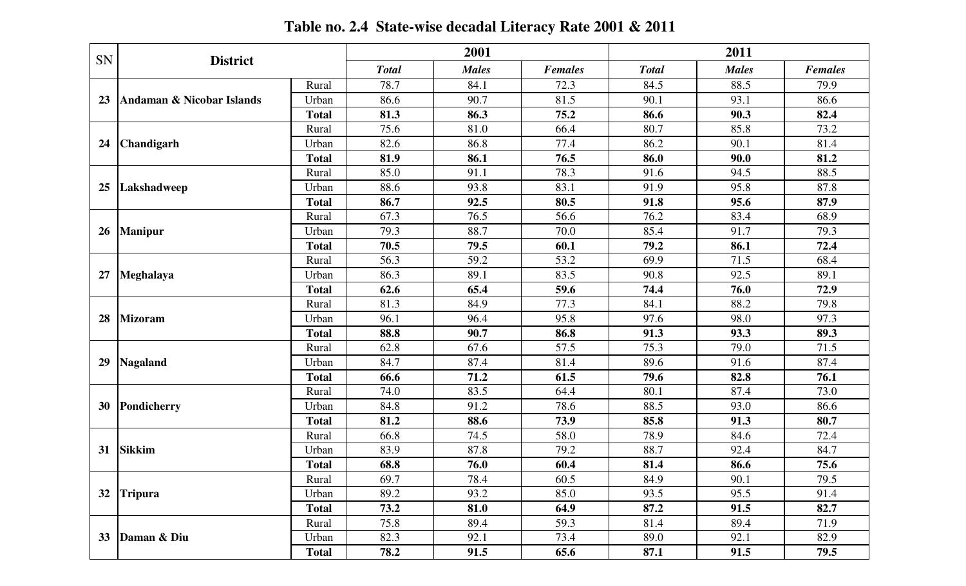|    | SN<br><b>District</b>     |              | 2001         |              |                | 2011         |              |                |
|----|---------------------------|--------------|--------------|--------------|----------------|--------------|--------------|----------------|
|    |                           |              | <b>Total</b> | <b>Males</b> | <b>Females</b> | <b>Total</b> | <b>Males</b> | <b>Females</b> |
| 23 | Andaman & Nicobar Islands | Rural        | 78.7         | 84.1         | 72.3           | 84.5         | 88.5         | 79.9           |
|    |                           | Urban        | 86.6         | 90.7         | 81.5           | 90.1         | 93.1         | 86.6           |
|    |                           | <b>Total</b> | 81.3         | 86.3         | 75.2           | 86.6         | 90.3         | 82.4           |
| 24 | <b>Chandigarh</b>         | Rural        | 75.6         | 81.0         | 66.4           | 80.7         | 85.8         | 73.2           |
|    |                           | Urban        | 82.6         | 86.8         | 77.4           | 86.2         | 90.1         | 81.4           |
|    |                           | <b>Total</b> | 81.9         | 86.1         | 76.5           | 86.0         | 90.0         | 81.2           |
| 25 | Lakshadweep               | Rural        | 85.0         | 91.1         | 78.3           | 91.6         | 94.5         | 88.5           |
|    |                           | Urban        | 88.6         | 93.8         | 83.1           | 91.9         | 95.8         | 87.8           |
|    |                           | <b>Total</b> | 86.7         | 92.5         | 80.5           | 91.8         | 95.6         | 87.9           |
| 26 | <b>Manipur</b>            | Rural        | 67.3         | 76.5         | 56.6           | 76.2         | 83.4         | 68.9           |
|    |                           | Urban        | 79.3         | 88.7         | 70.0           | 85.4         | 91.7         | 79.3           |
|    |                           | <b>Total</b> | 70.5         | 79.5         | 60.1           | 79.2         | 86.1         | 72.4           |
| 27 | Meghalaya                 | Rural        | 56.3         | 59.2         | 53.2           | 69.9         | 71.5         | 68.4           |
|    |                           | Urban        | 86.3         | 89.1         | 83.5           | 90.8         | 92.5         | 89.1           |
|    |                           | <b>Total</b> | 62.6         | 65.4         | 59.6           | 74.4         | 76.0         | 72.9           |
|    | <b>Mizoram</b>            | Rural        | 81.3         | 84.9         | 77.3           | 84.1         | 88.2         | 79.8           |
| 28 |                           | Urban        | 96.1         | 96.4         | 95.8           | 97.6         | 98.0         | 97.3           |
|    |                           | <b>Total</b> | 88.8         | 90.7         | 86.8           | 91.3         | 93.3         | 89.3           |
|    | Nagaland                  | Rural        | 62.8         | 67.6         | 57.5           | 75.3         | 79.0         | 71.5           |
| 29 |                           | Urban        | 84.7         | 87.4         | 81.4           | 89.6         | 91.6         | 87.4           |
|    |                           | <b>Total</b> | 66.6         | 71.2         | 61.5           | 79.6         | 82.8         | 76.1           |
|    | Pondicherry               | Rural        | 74.0         | 83.5         | 64.4           | 80.1         | 87.4         | 73.0           |
| 30 |                           | Urban        | 84.8         | 91.2         | 78.6           | 88.5         | 93.0         | 86.6           |
|    |                           | <b>Total</b> | 81.2         | 88.6         | 73.9           | 85.8         | 91.3         | 80.7           |
|    | <b>Sikkim</b>             | Rural        | 66.8         | 74.5         | 58.0           | 78.9         | 84.6         | 72.4           |
| 31 |                           | Urban        | 83.9         | 87.8         | 79.2           | 88.7         | 92.4         | 84.7           |
|    |                           | <b>Total</b> | 68.8         | 76.0         | 60.4           | 81.4         | 86.6         | 75.6           |
|    | 32 Tripura                | Rural        | 69.7         | 78.4         | 60.5           | 84.9         | 90.1         | 79.5           |
|    |                           | Urban        | 89.2         | 93.2         | 85.0           | 93.5         | 95.5         | 91.4           |
|    |                           | <b>Total</b> | 73.2         | 81.0         | 64.9           | 87.2         | 91.5         | 82.7           |
|    | Daman & Diu               | Rural        | 75.8         | 89.4         | 59.3           | 81.4         | 89.4         | 71.9           |
| 33 |                           | Urban        | 82.3         | 92.1         | 73.4           | 89.0         | 92.1         | 82.9           |
|    |                           | <b>Total</b> | 78.2         | 91.5         | 65.6           | 87.1         | 91.5         | 79.5           |

**Table no. 2.4 State-wise decadal Literacy Rate 2001 & 2011**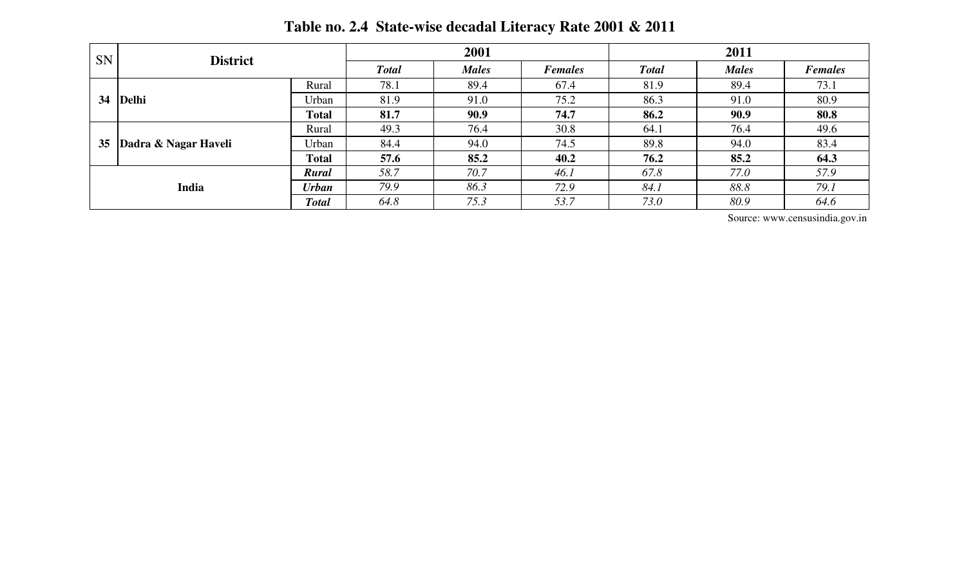| <b>SN</b>                                             | <b>District</b>      |              | 2001         |              |                | 2011         |              |                |
|-------------------------------------------------------|----------------------|--------------|--------------|--------------|----------------|--------------|--------------|----------------|
|                                                       |                      |              | <b>Total</b> | <b>Males</b> | <b>Females</b> | <b>Total</b> | <b>Males</b> | <b>Females</b> |
| 34                                                    | <b>Delhi</b>         | Rural        | 78.1         | 89.4         | 67.4           | 81.9         | 89.4         | 73.1           |
|                                                       |                      | Urban        | 81.9         | 91.0         | 75.2           | 86.3         | 91.0         | 80.9           |
|                                                       |                      | <b>Total</b> | 81.7         | 90.9         | 74.7           | 86.2         | 90.9         | 80.8           |
| 35                                                    | Dadra & Nagar Haveli | Rural        | 49.3         | 76.4         | 30.8           | 64.1         | 76.4         | 49.6           |
|                                                       |                      | Urban        | 84.4         | 94.0         | 74.5           | 89.8         | 94.0         | 83.4           |
|                                                       |                      | <b>Total</b> | 57.6         | 85.2         | 40.2           | 76.2         | 85.2         | 64.3           |
| Rural<br><b>India</b><br><b>Urban</b><br><b>Total</b> |                      |              | 58.7         | 70.7         | 46.1           | 67.8         | 77.0         | 57.9           |
|                                                       |                      |              | 79.9         | 86.3         | 72.9           | 84.1         | 88.8         | 79.1           |
|                                                       |                      |              | 64.8         | 75.3         | 53.7           | 73.0         | 80.9         | 64.6           |

**Table no. 2.4 State-wise decadal Literacy Rate 2001 & 2011**

Source: www.censusindia.gov.in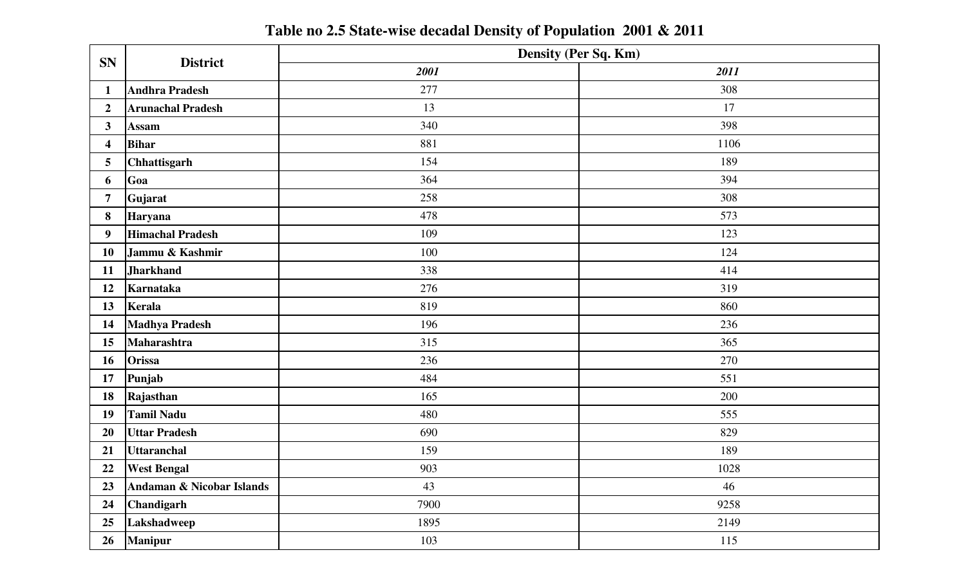**Table no 2.5 State-wise decadal Density of Population 2001 & 2011**

| <b>SN</b>               | <b>District</b>                      | Density (Per Sq. Km) |      |  |  |  |  |
|-------------------------|--------------------------------------|----------------------|------|--|--|--|--|
|                         |                                      | 2001                 | 2011 |  |  |  |  |
| $\mathbf{1}$            | <b>Andhra Pradesh</b>                | 277                  | 308  |  |  |  |  |
| $\overline{2}$          | <b>Arunachal Pradesh</b>             | 13                   | 17   |  |  |  |  |
| 3 <sup>1</sup>          | <b>Assam</b>                         | 340                  | 398  |  |  |  |  |
| $\overline{\mathbf{4}}$ | <b>Bihar</b>                         | 881                  | 1106 |  |  |  |  |
| 5 <sup>5</sup>          | Chhattisgarh                         | 154                  | 189  |  |  |  |  |
| 6                       | Goa                                  | 364                  | 394  |  |  |  |  |
| $\overline{7}$          | Gujarat                              | 258                  | 308  |  |  |  |  |
| 8                       | Haryana                              | 478                  | 573  |  |  |  |  |
| 9 <sup>°</sup>          | <b>Himachal Pradesh</b>              | 109                  | 123  |  |  |  |  |
| 10                      | Jammu & Kashmir                      | 100                  | 124  |  |  |  |  |
| 11                      | <b>Jharkhand</b>                     | 338                  | 414  |  |  |  |  |
| 12                      | Karnataka                            | 276                  | 319  |  |  |  |  |
| 13                      | Kerala                               | 819                  | 860  |  |  |  |  |
| 14                      | <b>Madhya Pradesh</b>                | 196                  | 236  |  |  |  |  |
| 15                      | Maharashtra                          | 315                  | 365  |  |  |  |  |
| 16                      | <b>Orissa</b>                        | 236                  | 270  |  |  |  |  |
| 17                      | Punjab                               | 484                  | 551  |  |  |  |  |
| 18                      | Rajasthan                            | 165                  | 200  |  |  |  |  |
| 19                      | <b>Tamil Nadu</b>                    | 480                  | 555  |  |  |  |  |
| 20                      | <b>Uttar Pradesh</b>                 | 690                  | 829  |  |  |  |  |
| 21                      | <b>Uttaranchal</b>                   | 159                  | 189  |  |  |  |  |
| 22                      | <b>West Bengal</b>                   | 903                  | 1028 |  |  |  |  |
| 23                      | <b>Andaman &amp; Nicobar Islands</b> | 43                   | 46   |  |  |  |  |
| 24                      | Chandigarh                           | 7900                 | 9258 |  |  |  |  |
| 25                      | Lakshadweep                          | 1895                 | 2149 |  |  |  |  |
| 26                      | <b>Manipur</b>                       | 103                  | 115  |  |  |  |  |